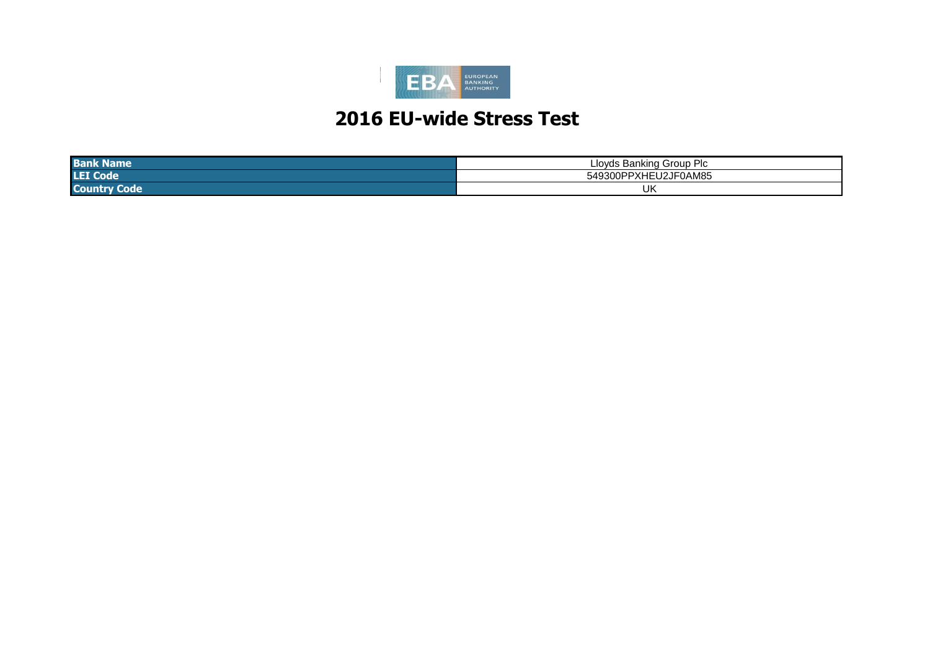

| <b>Ban</b><br>сше  | -<br>பட<br>lovds<br>Pontuna<br>$"$ ro $"$<br>ا ا ل<br>JUD.<br>∍ศ<br>- 14 |
|--------------------|--------------------------------------------------------------------------|
| <b>LET C</b>       | $\sim$ $\sim$ $\sim$ $\sim$<br>- -<br>.<br>54.<br>ZJFUAM85<br>11 J F     |
| <b>Coun</b><br>ode | UK                                                                       |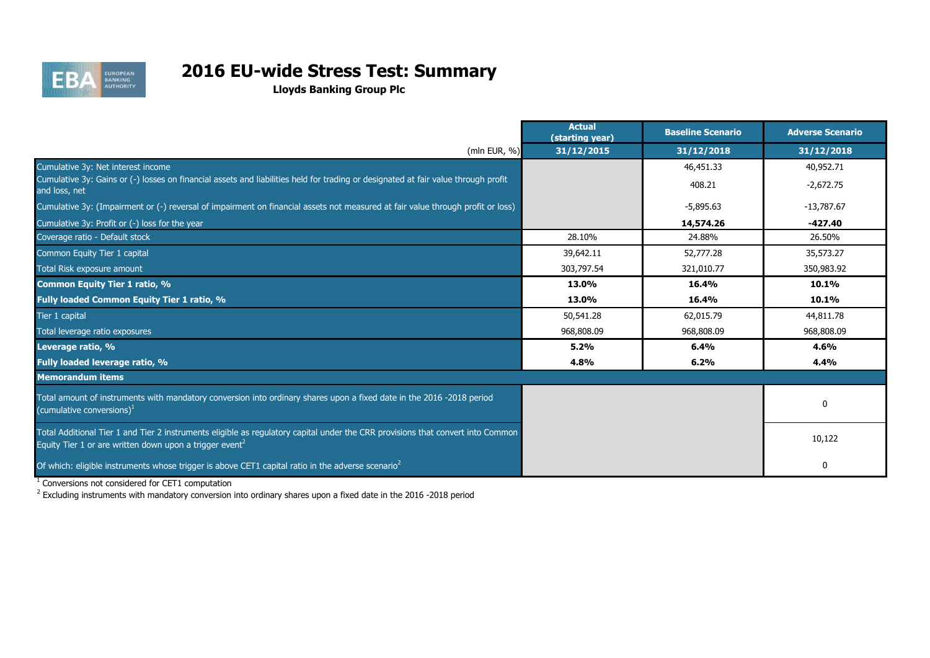

# **2016 EU-wide Stress Test: Summary**

**Lloyds Banking Group Plc**

|                                                                                                                                                                                                        | <b>Actual</b><br>(starting year) | <b>Baseline Scenario</b> | <b>Adverse Scenario</b> |
|--------------------------------------------------------------------------------------------------------------------------------------------------------------------------------------------------------|----------------------------------|--------------------------|-------------------------|
| (mln EUR, %)                                                                                                                                                                                           | 31/12/2015                       | 31/12/2018               | 31/12/2018              |
| Cumulative 3y: Net interest income                                                                                                                                                                     |                                  | 46,451.33                | 40,952.71               |
| Cumulative 3y: Gains or (-) losses on financial assets and liabilities held for trading or designated at fair value through profit<br>and loss, net                                                    |                                  | 408.21                   | $-2,672.75$             |
| Cumulative 3y: (Impairment or (-) reversal of impairment on financial assets not measured at fair value through profit or loss)                                                                        |                                  | $-5,895.63$              | $-13,787.67$            |
| Cumulative 3y: Profit or (-) loss for the year                                                                                                                                                         |                                  | 14,574.26                | $-427.40$               |
| Coverage ratio - Default stock                                                                                                                                                                         | 28.10%                           | 24.88%                   | 26.50%                  |
| Common Equity Tier 1 capital                                                                                                                                                                           | 39,642.11                        | 52,777.28                | 35,573.27               |
| Total Risk exposure amount                                                                                                                                                                             | 303,797.54                       | 321,010.77               | 350,983.92              |
| <b>Common Equity Tier 1 ratio, %</b>                                                                                                                                                                   | 13.0%                            | 16.4%                    | 10.1%                   |
| Fully loaded Common Equity Tier 1 ratio, %                                                                                                                                                             | 13.0%                            | 16.4%                    | 10.1%                   |
| Tier 1 capital                                                                                                                                                                                         | 50,541.28                        | 62,015.79                | 44,811.78               |
| Total leverage ratio exposures                                                                                                                                                                         | 968,808.09                       | 968,808.09               | 968,808.09              |
| Leverage ratio, %                                                                                                                                                                                      | 5.2%                             | 6.4%                     | 4.6%                    |
| Fully loaded leverage ratio, %                                                                                                                                                                         | 4.8%                             | 6.2%                     | 4.4%                    |
| <b>Memorandum items</b>                                                                                                                                                                                |                                  |                          |                         |
| Total amount of instruments with mandatory conversion into ordinary shares upon a fixed date in the 2016 -2018 period<br>(cumulative conversions) $^1$                                                 |                                  |                          | 0                       |
| Total Additional Tier 1 and Tier 2 instruments eligible as regulatory capital under the CRR provisions that convert into Common<br>Equity Tier 1 or are written down upon a trigger event <sup>2</sup> |                                  |                          | 10,122                  |
| Of which: eligible instruments whose trigger is above CET1 capital ratio in the adverse scenario <sup>2</sup>                                                                                          |                                  |                          | 0                       |

 $1$  Conversions not considered for CET1 computation

 $^2$  Excluding instruments with mandatory conversion into ordinary shares upon a fixed date in the 2016 -2018 period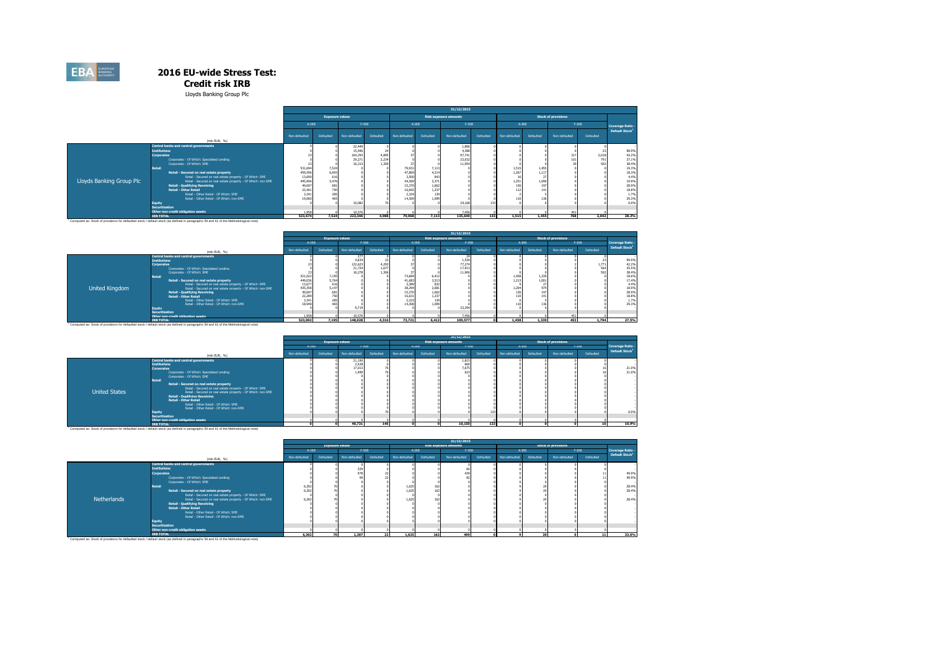**Credit risk IRB**

Lloyds Banking Group Plc

|                          |                                                                                                      | 31/12/2015        |                        |               |           |                  |              |                              |           |               |           |                            |           |                            |
|--------------------------|------------------------------------------------------------------------------------------------------|-------------------|------------------------|---------------|-----------|------------------|--------------|------------------------------|-----------|---------------|-----------|----------------------------|-----------|----------------------------|
|                          |                                                                                                      |                   | <b>Exposure values</b> |               |           |                  |              | <b>Risk exposure amounts</b> |           |               |           | <b>Stock of provisions</b> |           |                            |
|                          |                                                                                                      | A-IRB             |                        | $F-IRB$       |           | A-IRB            |              | $F-IRB$                      |           | A-IRB         |           | $F-IRB$                    |           | Coverage Ratio -           |
|                          |                                                                                                      | Non-defaulted     | Defaulted              | Non-defaulted | Defaulted | Non-defaulted    | Defaulted    | Non-defaulted                | Defaulted | Non-defaulted | Defaulted | Non-defaulted              | Defaulted | Default Stock <sup>1</sup> |
|                          | (min EUR, %)                                                                                         |                   |                        |               |           |                  |              |                              |           |               |           |                            |           |                            |
|                          | <b>Central banks and central governments</b>                                                         |                   |                        | 22,449        |           |                  |              | 1.896                        |           |               |           |                            |           |                            |
|                          | <b>Institutions</b>                                                                                  |                   |                        | 15,946        | 24        |                  |              | 4.38                         |           |               |           |                            |           | 98.9%                      |
|                          | Corporates                                                                                           |                   |                        | 164,293       | 4.895     |                  |              | 97.74                        |           |               |           | 317                        | 2.018     | 42.29                      |
|                          | Corporates - Of Which: Specialised Lending                                                           |                   |                        | 29,271        | 2.234     |                  |              | 23,03                        |           |               |           | 101                        | 791       | 37.19                      |
|                          | Cornorates - Of Which: SMF                                                                           |                   |                        | 16.313        | 1.309     |                  |              | 11.954                       |           |               |           |                            |           | 38.4%                      |
|                          | Retail                                                                                               | 531.694           | 7.524                  |               |           | 79.931<br>47,869 | 7.113        |                              |           | 1.515         | 1.455     |                            |           | 19.3%                      |
|                          | Retail - Secured on real estate property<br>Retail - Secured on real estate property - Of Which: SME | 459,596           | 6,093                  |               |           |                  | 4,214        |                              |           | 1,267         | 1.11      |                            |           | 18.39                      |
| Lloyds Banking Group Plc | Retail - Secured on real estate property - Of Which: non-SME                                         | 13,690<br>445,906 | 616<br>5.476           |               |           | 3.500<br>44.369  | 843<br>3,371 |                              |           | 16<br>1,251   | 1.09      |                            |           | 4.49<br>19.9%              |
|                          | <b>Retail - Qualifying Revolving</b>                                                                 | 49.697            | 681                    |               |           | 15.370           | 1.662        |                              |           | 136           | 197       |                            |           | 28.9%                      |
|                          | <b>Retail - Other Retail</b>                                                                         | 22,40             | 750                    |               |           | 16.692           | 1,237        |                              |           | 112           |           |                            |           | 18.8%                      |
|                          | Retail - Other Retail - Of Which: SMF                                                                | 3.341             | 285                    |               |           | 2.324            | 139          |                              |           |               |           |                            |           | 1.7%                       |
|                          | Retail - Other Retail - Of Which: non-SME                                                            | 19.06             | 465                    |               |           | 14.369           | 1,099        |                              |           |               |           |                            |           | 29.3%                      |
|                          | <b>Equity</b>                                                                                        |                   |                        | 10.087        |           |                  |              | 24.16                        | 133       |               |           |                            |           | 0.0%                       |
|                          | <b>Securitisation</b>                                                                                |                   |                        |               |           |                  |              |                              |           |               |           |                            |           |                            |
|                          | Other non-credit obligation assets                                                                   | 1.958             |                        | 10.576        |           |                  |              | 7.456                        |           |               |           | 451                        |           |                            |
|                          | <b>IRB TOTAL</b>                                                                                     | 533,674           | 7.524                  | 223,346       | 4,988     | 79,968           | 7.113        | 135,649                      | 133       | 1.515         | 1.455     | 768                        | 2.042     | 28.2%                      |

|                       |                                                              | 31/12/2015    |                        |               |           |               |           |                              |           |                   |           |                            |           |                            |
|-----------------------|--------------------------------------------------------------|---------------|------------------------|---------------|-----------|---------------|-----------|------------------------------|-----------|-------------------|-----------|----------------------------|-----------|----------------------------|
|                       |                                                              |               | <b>Exposure values</b> |               |           |               |           | <b>Risk exposure amounts</b> |           |                   |           | <b>Stock of provisions</b> |           |                            |
|                       |                                                              | A-IRB         |                        | $F-IRB$       |           | A-IRB         |           | $F-IRB$                      |           |                   | A-IRB     | $F-IRB$                    |           | Coverage Ratio -           |
|                       | (min EUR. %)                                                 | Non-defaulted | Defaulted              | Non-defaulted | Defaulted | Non-defaulted | Defaulted | Non-defaulted                | Defaulted | Non-defaulted     | Defaulted | Non-defaulted              | Defaulted | Default Stock <sup>1</sup> |
|                       | <b>Central banks and central governments</b>                 |               |                        | 277           |           |               |           |                              |           |                   |           |                            |           |                            |
|                       | <b>Institutions</b>                                          |               |                        | 4.834         |           |               |           | 1.530                        |           |                   |           |                            |           | 99.9%                      |
|                       | <b>Corporates</b>                                            |               |                        | 122,623       | 4.293     |               |           | 77.274                       |           |                   |           |                            | 1.771     | 42.29                      |
|                       | Corporates - Of Which: Specialised Lending                   |               |                        | 21.724        | 1.677     |               |           | 17,913                       |           |                   |           |                            | 564       | 35.5%                      |
|                       | Corporates - Of Which: SME                                   |               |                        | 16.278        | 1.306     |               |           | 11.906                       |           |                   |           |                            | 502       | 38.4%                      |
|                       | Retail                                                       | 521,022       | 7,195                  |               |           | 73.684        | 6.412     |                              |           | 1.458             | 1.33      |                            |           | 18.69                      |
|                       | Retail - Secured on real estate property                     | 449.036       | 5.764                  |               |           | 41.683        | 3.513     |                              |           | 1.213             | 1.001     |                            |           | 17.4%                      |
|                       | Retail - Secured on real estate property - Of Which: SME     | 13,677        | 616                    |               |           | 3,389         | 832       |                              |           |                   |           |                            |           | 4.4%                       |
| <b>United Kingdom</b> | Retail - Secured on real estate property - Of Which: non-SME | 435,358       | 5.147                  |               |           | 38,294        | 2,681     |                              |           | 1.20 <sup>o</sup> | 97        |                            |           | 18.9%                      |
|                       | <b>Retail - Qualifying Revolving</b>                         | 49.697        |                        |               |           | 15,370        | 1.662     |                              |           |                   | 197       |                            |           | 28.9%<br>18.8%             |
|                       | <b>Retail - Other Retail</b>                                 | 22.289        |                        |               |           | 16.631        | 1.237     |                              |           | 440               | 141       |                            |           |                            |
|                       | Retail - Other Retail - Of Which: SMF                        | 3.34          |                        |               |           | 2.323         | 139       |                              |           |                   |           |                            |           | $\frac{1.79}{29.39}$       |
|                       | Retail - Other Retail - Of Which: non-SME                    | 18,948        |                        |               |           | 14.308        | 1.099     |                              |           |                   |           |                            |           |                            |
|                       | Eauity                                                       |               |                        | 9.719         |           |               |           | 23,294                       |           |                   |           |                            |           |                            |
|                       | Securitisation                                               |               |                        |               |           |               |           |                              |           |                   |           |                            |           |                            |
|                       | Other non-credit obligation assets                           | 1.958         |                        | 10.576        |           |               |           | 7.456                        |           |                   |           |                            |           |                            |
|                       | <b>IRB TOTAL</b>                                             | 523.002       | 7.195                  | 148.028       | 4.316     | 73,721        | 6.412     | 109,577                      |           | 1,458             | 1.339     | 453                        | 1.794     | 27.5%                      |

|                      |                                                                                                                                                                                                                                                                                                                                                                                                                                                                                                                                |               |                        |                                    |           |               |           | 31/12/2015                   |              |               |           |                            |           |                            |
|----------------------|--------------------------------------------------------------------------------------------------------------------------------------------------------------------------------------------------------------------------------------------------------------------------------------------------------------------------------------------------------------------------------------------------------------------------------------------------------------------------------------------------------------------------------|---------------|------------------------|------------------------------------|-----------|---------------|-----------|------------------------------|--------------|---------------|-----------|----------------------------|-----------|----------------------------|
|                      |                                                                                                                                                                                                                                                                                                                                                                                                                                                                                                                                |               | <b>Exposure values</b> |                                    |           |               |           | Risk exposure amounts        |              |               |           | <b>Stock of provisions</b> |           |                            |
|                      |                                                                                                                                                                                                                                                                                                                                                                                                                                                                                                                                | A-IRB         |                        | $F-IRB$                            |           |               | $A-IRB$   | $F-IRB$                      |              |               | A-IRB     | $F-IRB$                    |           | Coverage Ratio -           |
|                      | (mln EUR, %)                                                                                                                                                                                                                                                                                                                                                                                                                                                                                                                   | Non-defaulted | Defaulted              | Non-defaulted                      | Defaulted | Non-defaulted | Defaulted | Non-defaulted                | Defaulted    | Non-defaulted | Defaulted | Non-defaulted              | Defaulted | Default Stock <sup>1</sup> |
| <b>United States</b> | Central banks and central governments<br><b>Institutions</b><br><b>Corporates</b><br>Corporates - Of Which: Specialised Lending<br>Corporates - Of Which: SME<br><b>Retail</b><br>Retail - Secured on real estate property<br>Retail - Secured on real estate property - Of Which: SME<br>Retail - Secured on real estate property - Of Which: non-SME<br><b>Retail - Qualifying Revolving</b><br><b>Retail - Other Retail</b><br>Retail - Other Retail - Of Which: SME<br>Retail - Other Retail - Of Which: non-SME<br>Fauity |               |                        | 21.190<br>2.528<br>17.013<br>1.489 |           |               |           | 1.815<br>660<br>7,675<br>623 |              |               |           |                            |           | 21.0%<br>21.0%<br>0.0%     |
|                      | <b>Securitisation</b>                                                                                                                                                                                                                                                                                                                                                                                                                                                                                                          |               |                        |                                    |           |               |           |                              |              |               |           |                            |           |                            |
|                      | Other non-credit obligation assets<br><b><i>FRANCISCO</i></b>                                                                                                                                                                                                                                                                                                                                                                                                                                                                  |               |                        | 40.354                             | $-1$      |               |           | 40,480                       | <b>Allen</b> |               |           |                            | $\sim$    | 40.004                     |

"Component Product Development (1810/1741 and 2003) and 2010/1810 and 2010/1810 and 2010/1810 and 2010/1810 and 2010/1810 and 2010/1810 and 2010/1810 and 2010/1810 and 2010/1810 and 2010/1810 and 2010/1810 and 2010/1810 an

|                    |                                                                                                                                      | 31/12/2015    |                        |               |           |               |           |                              |           |               |           |                            |           |                            |
|--------------------|--------------------------------------------------------------------------------------------------------------------------------------|---------------|------------------------|---------------|-----------|---------------|-----------|------------------------------|-----------|---------------|-----------|----------------------------|-----------|----------------------------|
|                    |                                                                                                                                      |               | <b>Exposure values</b> |               |           |               |           | <b>Risk exposure amounts</b> |           |               |           | <b>Stock of provisions</b> |           |                            |
|                    |                                                                                                                                      | A-IRB         |                        |               | $F-IRB$   | $A-IRB$       |           | $F-IRB$                      |           |               | $A-IRB$   | $F-IRB$                    |           | Coverage Ratio -           |
|                    | (min EUR, %)                                                                                                                         | Non-defaulted | Defaulted              | Non-defaulted | Defaulted | Non-defaulted | Defaulted | Non-defaulted                | Defaulted | Non-defaulted | Defaulted | Non-defaulted              | Defaulted | Default Stock <sup>1</sup> |
|                    | Central banks and central governments                                                                                                |               |                        |               |           |               |           |                              |           |               |           |                            |           |                            |
|                    | <b>Institutions</b>                                                                                                                  |               |                        | 329           |           |               |           |                              |           |               |           |                            |           |                            |
|                    | <b>Corporates</b>                                                                                                                    |               |                        | 978           |           |               |           | 439                          |           |               |           |                            |           | 49.9%                      |
|                    | Corporates - Of Which: Specialised Lending                                                                                           |               |                        |               |           |               |           |                              |           |               |           |                            |           | 49.9%                      |
|                    | Corporates - Of Which: SME                                                                                                           |               |                        |               |           |               |           |                              |           |               |           |                            |           |                            |
|                    | <b>Retail</b>                                                                                                                        | 6,30.         |                        |               |           | 1,625         | 162       |                              |           |               |           |                            |           | 28.4%                      |
|                    | Retail - Secured on real estate property                                                                                             | 6.30          |                        |               |           | 1.625         | 162       |                              |           |               |           |                            |           | 28.4%                      |
|                    | Retail - Secured on real estate property - Of Which: SME                                                                             |               |                        |               |           |               |           |                              |           |               |           |                            |           |                            |
| <b>Netherlands</b> | Retail - Secured on real estate property - Of Which: non-SME                                                                         | 6.30.         |                        |               |           | 1.625         | 162       |                              |           |               |           |                            |           | 28.4%                      |
|                    | <b>Retail - Qualifying Revolving</b>                                                                                                 |               |                        |               |           |               |           |                              |           |               |           |                            |           |                            |
|                    | <b>Retail - Other Retail</b>                                                                                                         |               |                        |               |           |               |           |                              |           |               |           |                            |           |                            |
|                    | Retail - Other Retail - Of Which: SME                                                                                                |               |                        |               |           |               |           |                              |           |               |           |                            |           |                            |
|                    | Retail - Other Retail - Of Which: non-SME                                                                                            |               |                        |               |           |               |           |                              |           |               |           |                            |           |                            |
|                    | Equity                                                                                                                               |               |                        |               |           |               |           |                              |           |               |           |                            |           |                            |
|                    | Securitisation                                                                                                                       |               |                        |               |           |               |           |                              |           |               |           |                            |           |                            |
|                    | Other non-credit obligation assets                                                                                                   |               |                        |               |           |               |           |                              |           |               |           |                            |           |                            |
|                    | <b>IRB TOTAL</b>                                                                                                                     | 6,302         | 70                     | 1,307         | 22        | 1.625         | 162       | 499                          |           |               | 20        |                            | 11        | 33.6%                      |
|                    | Computed as: Stock of provisions for defaulted stock / default stock (as defined in paragraphs 59 and 61 of the Methodological note) |               |                        |               |           |               |           |                              |           |               |           |                            |           |                            |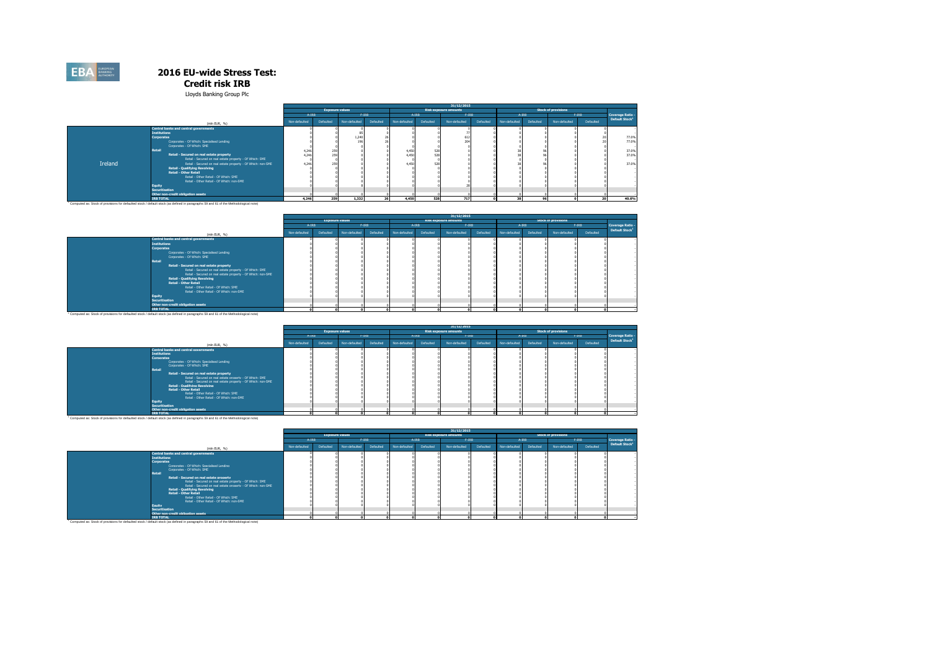#### **Credit risk IRB**

Lloyds Banking Group Plc

|         |                                                                                                                                                   | 31/12/2015    |                        |               |           |               |           |                              |           |               |           |                            |                 |                            |
|---------|---------------------------------------------------------------------------------------------------------------------------------------------------|---------------|------------------------|---------------|-----------|---------------|-----------|------------------------------|-----------|---------------|-----------|----------------------------|-----------------|----------------------------|
|         |                                                                                                                                                   |               | <b>Exposure values</b> |               |           |               |           | <b>Risk exposure amounts</b> |           |               |           | <b>Stock of provisions</b> |                 |                            |
|         |                                                                                                                                                   | A-IRB         |                        | $F-IRB$       |           | A-IRB         |           | $F-IRB$                      |           | A-IRB         |           | $F-IRB$                    |                 | <b>Coverage Ratio</b>      |
|         | (mln EUR, %)                                                                                                                                      | Non-defaulted | Defaulted              | Non-defaulted | Defaulted | Non-defaulted | Defaulted | Non-defaulted                | Defaulted | Non-defaulted | Defaulted | Non-defaulted              | Defaulted       | Default Stock <sup>1</sup> |
|         | Central banks and central governments                                                                                                             |               |                        |               |           |               |           |                              |           |               |           |                            |                 |                            |
|         | <b>Institutions</b>                                                                                                                               |               |                        |               |           |               |           |                              |           |               |           |                            |                 |                            |
|         | <b>Corporates</b>                                                                                                                                 |               |                        | 1,240         |           |               |           | 612                          |           |               |           |                            |                 | 77.0%                      |
|         | Corporates - Of Which: Specialised Lending                                                                                                        |               |                        | 196           |           |               |           | 204                          |           |               |           |                            |                 | 77.0%                      |
|         | Corporates - Of Which: SME                                                                                                                        |               |                        |               |           |               |           |                              |           |               |           |                            |                 |                            |
|         | Retail                                                                                                                                            | 4.246         | 259                    |               |           | 4.450         | 528       |                              |           |               |           |                            |                 | 37.0%                      |
|         | Retail - Secured on real estate property                                                                                                          | 4.246         | 259                    |               |           | 4.450         | 528       |                              |           |               |           |                            |                 | 37.0%                      |
|         | Retail - Secured on real estate property - Of Which: SME                                                                                          |               |                        |               |           |               |           |                              |           |               |           |                            |                 |                            |
| Ireland | Retail - Secured on real estate property - Of Which: non-SME                                                                                      | 4.246         | 259                    |               |           | 4.450         | 528       |                              |           |               |           |                            |                 | 37.0%                      |
|         | <b>Retail - Qualifying Revolving</b>                                                                                                              |               |                        |               |           |               |           |                              |           |               |           |                            |                 |                            |
|         | <b>Retail - Other Retail</b>                                                                                                                      |               |                        |               |           |               |           |                              |           |               |           |                            |                 |                            |
|         | Retail - Other Retail - Of Which: SME                                                                                                             |               |                        |               |           |               |           |                              |           |               |           |                            |                 |                            |
|         | Retail - Other Retail - Of Which: non-SME                                                                                                         |               |                        |               |           |               |           |                              |           |               |           |                            |                 |                            |
|         | <b>Equity</b>                                                                                                                                     |               |                        |               |           |               |           |                              |           |               |           |                            |                 |                            |
|         | <b>Securitisation</b>                                                                                                                             |               |                        |               |           |               |           |                              |           |               |           |                            |                 |                            |
|         | Other non-credit obligation assets                                                                                                                |               |                        |               |           |               |           |                              |           |               |           |                            |                 |                            |
|         | <b>IRB TOTAL</b>                                                                                                                                  | 4.246         | 259                    | 1.332         | 26        | 4.450         | 528       | 717                          |           | 38            | 96        |                            | 20 <sub>1</sub> | 40.6%                      |
|         | <sup>1</sup> Computed as: Stock of provisions for defaulted stock / default stock (as defined in paragraphs 59 and 61 of the Methodological note) |               |                        |               |           |               |           |                              |           |               |           |                            |                 |                            |

|                                                                                                                                                   |               |                        |               |           |               |           | 31/12/2015                   |           |               |           |                            |           |                            |
|---------------------------------------------------------------------------------------------------------------------------------------------------|---------------|------------------------|---------------|-----------|---------------|-----------|------------------------------|-----------|---------------|-----------|----------------------------|-----------|----------------------------|
|                                                                                                                                                   |               | <b>Exposure values</b> |               |           |               |           | <b>Risk exposure amounts</b> |           |               |           | <b>Stock of provisions</b> |           |                            |
|                                                                                                                                                   | A-IRB         |                        |               | $F-IRB$   |               | $A-IRB$   | $F-IRB$                      |           |               | $A-IRB$   |                            | $F-IRB$   | Coverage Ratio -           |
| (mln EUR, %)                                                                                                                                      | Non-defaulted | Defaulted              | Non-defaulted | Defaulted | Non-defaulted | Defaulted | Non-defaulted                | Defaulted | Non-defaulted | Defaulted | Non-defaulted              | Defaulted | Default Stock <sup>1</sup> |
| Central banks and central governments                                                                                                             |               |                        |               |           |               |           |                              |           |               |           |                            |           |                            |
| <b>Institutions</b>                                                                                                                               |               |                        |               |           |               |           |                              |           |               |           |                            |           |                            |
| <b>Corporates</b>                                                                                                                                 |               |                        |               |           |               |           |                              |           |               |           |                            |           |                            |
| Corporates - Of Which: Specialised Lending                                                                                                        |               |                        |               |           |               |           |                              |           |               |           |                            |           |                            |
| Corporates - Of Which: SME                                                                                                                        |               |                        |               |           |               |           |                              |           |               |           |                            |           |                            |
| Retail                                                                                                                                            |               |                        |               |           |               |           |                              |           |               |           |                            |           |                            |
| Retail - Secured on real estate property                                                                                                          |               |                        |               |           |               |           |                              |           |               |           |                            |           |                            |
| Retail - Secured on real estate property - Of Which: SME                                                                                          |               |                        |               |           |               |           |                              |           |               |           |                            |           |                            |
| Retail - Secured on real estate property - Of Which: non-SME                                                                                      |               |                        |               |           |               |           |                              |           |               |           |                            |           |                            |
| <b>Retail - Qualifying Revolving</b>                                                                                                              |               |                        |               |           |               |           |                              |           |               |           |                            |           |                            |
| <b>Retail - Other Retail</b>                                                                                                                      |               |                        |               |           |               |           |                              |           |               |           |                            |           |                            |
| Retail - Other Retail - Of Which: SME                                                                                                             |               |                        |               |           |               |           |                              |           |               |           |                            |           |                            |
| Retail - Other Retail - Of Which: non-SME                                                                                                         |               |                        |               |           |               |           |                              |           |               |           |                            |           |                            |
| Equity                                                                                                                                            |               |                        |               |           |               |           |                              |           |               |           |                            |           |                            |
| Securitisation                                                                                                                                    |               |                        |               |           |               |           |                              |           |               |           |                            |           |                            |
| Other non-credit obligation assets                                                                                                                |               |                        |               |           |               |           |                              |           |               |           |                            |           |                            |
| <b>IRB TOTAL</b>                                                                                                                                  |               |                        |               |           |               |           |                              |           |               |           |                            |           |                            |
| <sup>1</sup> Computed as: Stock of provisions for defaulted stock / default stock (as defined in paragraphs 59 and 61 of the Methodological note) |               |                        |               |           |               |           |                              |           |               |           |                            |           |                            |

|                                                                                                                                                                                                                                                                                                                                                                                                                                                                                                                                                                                                                                 |               |                        |               |           |               |           | 31/12/2015                   |           |               |           |                            |           |                            |
|---------------------------------------------------------------------------------------------------------------------------------------------------------------------------------------------------------------------------------------------------------------------------------------------------------------------------------------------------------------------------------------------------------------------------------------------------------------------------------------------------------------------------------------------------------------------------------------------------------------------------------|---------------|------------------------|---------------|-----------|---------------|-----------|------------------------------|-----------|---------------|-----------|----------------------------|-----------|----------------------------|
|                                                                                                                                                                                                                                                                                                                                                                                                                                                                                                                                                                                                                                 |               | <b>Exposure values</b> |               |           |               |           | <b>Risk exposure amounts</b> |           |               |           | <b>Stock of provisions</b> |           |                            |
|                                                                                                                                                                                                                                                                                                                                                                                                                                                                                                                                                                                                                                 | A-IRB         |                        |               | $F-IRB$   |               | $A-IRB$   | $F-IRB$                      |           |               | A-IRB     |                            | $F-IRB$   | Coverage Ratio -           |
| (mln EUR, %)                                                                                                                                                                                                                                                                                                                                                                                                                                                                                                                                                                                                                    | Non-defaulted | Defaulted              | Non-defaulted | Defaulted | Non-defaulted | Defaulted | Non-defaulted                | Defaulted | Non-defaulted | Defaulted | Non-defaulted              | Defaulted | Default Stock <sup>1</sup> |
| <b>Central banks and central governments</b><br><b>Institutions</b><br><b>Corporates</b><br>Corporates - Of Which: Specialised Lending<br>Corporates - Of Which: SME<br><b>Retail</b><br><b>Retail - Secured on real estate property</b><br>Retail - Secured on real estate property - Of Which: SME<br>Retail - Secured on real estate property - Of Which: non-SME<br><b>Retail - Qualifying Revolving</b><br><b>Retail - Other Retail</b><br>Retail - Other Retail - Of Which: SME<br>Retail - Other Retail - Of Which: non-SME<br><b>Equity</b><br>Securitisation<br>Other non-credit obligation assets<br><b>IRB TOTAL</b> |               |                        |               |           |               |           |                              |           |               |           |                            |           |                            |
| Computed as: Stock of provisions for defaulted stock / default stock (as defined in paragraphs 59 and 61 of the Methodological note)                                                                                                                                                                                                                                                                                                                                                                                                                                                                                            |               |                        |               |           |               |           |                              |           |               |           |                            |           |                            |

|                                                                                                                                                                                                                                                                                                                                                                                                                                                                                                                         | 31/12/2015    |                        |           |               |           |               |                              |               |           |               |                            |                            |                  |
|-------------------------------------------------------------------------------------------------------------------------------------------------------------------------------------------------------------------------------------------------------------------------------------------------------------------------------------------------------------------------------------------------------------------------------------------------------------------------------------------------------------------------|---------------|------------------------|-----------|---------------|-----------|---------------|------------------------------|---------------|-----------|---------------|----------------------------|----------------------------|------------------|
|                                                                                                                                                                                                                                                                                                                                                                                                                                                                                                                         |               | <b>Exposure values</b> |           |               |           |               | <b>Risk exposure amounts</b> |               |           |               | <b>Stock of provisions</b> |                            |                  |
|                                                                                                                                                                                                                                                                                                                                                                                                                                                                                                                         | A-IRB         |                        |           | $F-IRB$       |           | $A-IRB$       | $F-IRB$                      |               |           | A-IRB         |                            | $F-IRB$                    | Coverage Ratio - |
| (min EUR, %)                                                                                                                                                                                                                                                                                                                                                                                                                                                                                                            | Non-defaulted | Non-defaulted          | Defaulted | Non-defaulted | Defaulted | Non-defaulted | Defaulted                    | Non-defaulted | Defaulted | Non-defaulted | Defaulted                  | Default Stock <sup>1</sup> |                  |
| <b>Central banks and central governments</b><br><b>Institutions</b><br><b>Corporates</b><br>Cornorates - Of Which: Specialised Leoding<br>Corporates - Of Which: SME<br>Retail<br>Retail - Secured on real estate property<br>Retail - Secured on real estate property - Of Which: SME<br>Retail - Secured on real estate property - Of Which: non-SME<br>Retail - Qualifying Revolving<br><b>Retail - Other Retail</b><br>Retail - Other Retail - Of Which: SME<br>Retail - Other Retail - Of Which: non-SME<br>Fouity |               |                        |           |               |           |               |                              |               |           |               |                            |                            |                  |
| Securitisation                                                                                                                                                                                                                                                                                                                                                                                                                                                                                                          |               |                        |           |               |           |               |                              |               |           |               |                            |                            |                  |
| Other non-credit obligation assets                                                                                                                                                                                                                                                                                                                                                                                                                                                                                      |               |                        |           |               |           |               |                              |               |           |               |                            |                            |                  |
| <b>IRB TOTAL</b>                                                                                                                                                                                                                                                                                                                                                                                                                                                                                                        |               |                        |           | $\sim$        |           |               |                              |               |           |               |                            |                            |                  |
| Computed as: Stock of provisions for defaulted stock / default stock (as defined in paragraphs 59 and 61 of the Methodological note)                                                                                                                                                                                                                                                                                                                                                                                    |               |                        |           |               |           |               |                              |               |           |               |                            |                            |                  |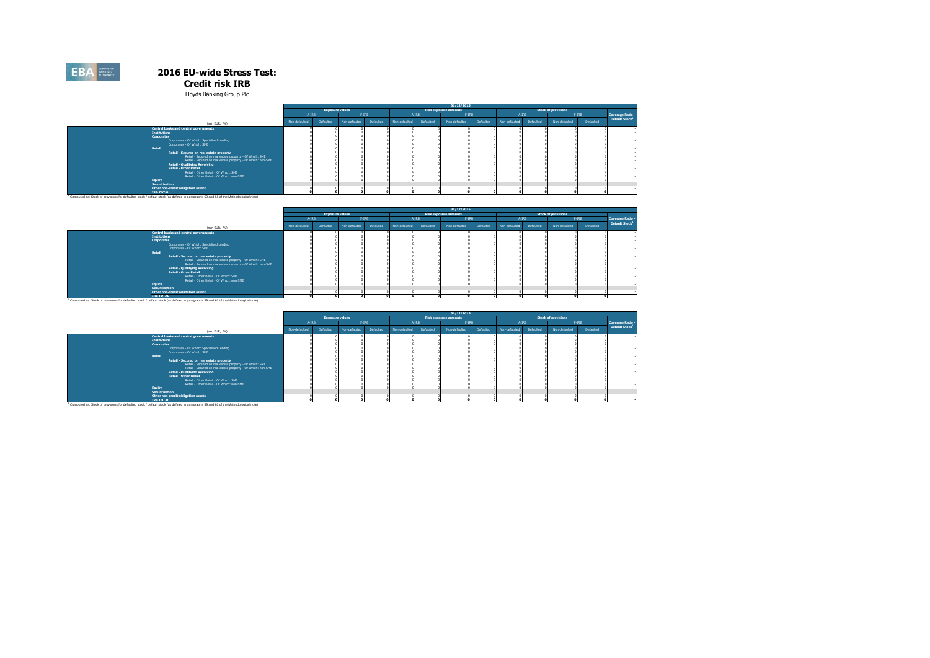#### **Credit risk IRB**

Lloyds Banking Group Plc

|                                                                                                                                      | 31/12/2015    |                        |               |           |               |           |                              |           |               |           |                            |           |                            |
|--------------------------------------------------------------------------------------------------------------------------------------|---------------|------------------------|---------------|-----------|---------------|-----------|------------------------------|-----------|---------------|-----------|----------------------------|-----------|----------------------------|
|                                                                                                                                      |               | <b>Exposure values</b> |               |           |               |           | <b>Risk exposure amounts</b> |           |               |           | <b>Stock of provisions</b> |           |                            |
|                                                                                                                                      | A-IRB         |                        | $F-IRB$       |           | A-IRB         |           | $F-IRB$                      |           | A-IRB         |           |                            | $F-IRB$   | Coverage Ratio -           |
| (min EUR. %)                                                                                                                         | Non-defaulted | Defaulted              | Non-defaulted | Defaulted | Non-defaulted | Defaulted | Non-defaulted                | Defaulted | Non-defaulted | Defaulted | Non-defaulted              | Defaulted | Default Stock <sup>1</sup> |
| <b>Central banks and central governments</b>                                                                                         |               |                        |               |           |               |           |                              |           |               |           |                            |           |                            |
| <b>Institutions</b>                                                                                                                  |               |                        |               |           |               |           |                              |           |               |           |                            |           |                            |
| Corporates                                                                                                                           |               |                        |               |           |               |           |                              |           |               |           |                            |           |                            |
| Cornorates - Of Which: Specialised Lending                                                                                           |               |                        |               |           |               |           |                              |           |               |           |                            |           |                            |
| Corporates - Of Which: SME                                                                                                           |               |                        |               |           |               |           |                              |           |               |           |                            |           |                            |
| Retail                                                                                                                               |               |                        |               |           |               |           |                              |           |               |           |                            |           |                            |
| Retail - Secured on real estate property                                                                                             |               |                        |               |           |               |           |                              |           |               |           |                            |           |                            |
| Retail - Secured on real estate property - Of Which: SME                                                                             |               |                        |               |           |               |           |                              |           |               |           |                            |           |                            |
| Retail - Secured on real estate property - Of Which: non-SME<br><b>Retail - Qualifying Revolving</b>                                 |               |                        |               |           |               |           |                              |           |               |           |                            |           |                            |
| <b>Retail - Other Retail</b>                                                                                                         |               |                        |               |           |               |           |                              |           |               |           |                            |           |                            |
| Retail - Other Retail - Of Which: SME                                                                                                |               |                        |               |           |               |           |                              |           |               |           |                            |           |                            |
| Retail - Other Retail - Of Which: non-SME                                                                                            |               |                        |               |           |               |           |                              |           |               |           |                            |           |                            |
| Equity                                                                                                                               |               |                        |               |           |               |           |                              |           |               |           |                            |           |                            |
| <b>Securitisation</b>                                                                                                                |               |                        |               |           |               |           |                              |           |               |           |                            |           |                            |
| Other non-credit obligation assets                                                                                                   |               |                        |               |           |               |           |                              |           |               |           |                            |           |                            |
| <b>IRB TOTAL</b>                                                                                                                     |               |                        |               |           |               |           |                              |           |               |           |                            |           |                            |
| Computed as: Stock of provisions for defaulted stock / default stock (as defined in paragraphs 59 and 61 of the Methodological note) |               |                        |               |           |               |           |                              |           |               |           |                            |           |                            |

|                                                                                                                                                                                                                                                                                                                                                                                                                                                                                                                                                                                                            |               |                        |               |           |               |           | 31/12/2015                   |           |               |           |                            |           |                            |
|------------------------------------------------------------------------------------------------------------------------------------------------------------------------------------------------------------------------------------------------------------------------------------------------------------------------------------------------------------------------------------------------------------------------------------------------------------------------------------------------------------------------------------------------------------------------------------------------------------|---------------|------------------------|---------------|-----------|---------------|-----------|------------------------------|-----------|---------------|-----------|----------------------------|-----------|----------------------------|
|                                                                                                                                                                                                                                                                                                                                                                                                                                                                                                                                                                                                            |               | <b>Exposure values</b> |               |           |               |           | <b>Risk exposure amounts</b> |           |               |           | <b>Stock of provisions</b> |           |                            |
|                                                                                                                                                                                                                                                                                                                                                                                                                                                                                                                                                                                                            | A-IRB         |                        | $F-IRB$       |           | A-IRB         |           | $F-IRB$                      |           | A-IRB         |           |                            | $F-IRB$   | Coverage Ratio -           |
| (min EUR, %)                                                                                                                                                                                                                                                                                                                                                                                                                                                                                                                                                                                               | Non-defaulted | Defaulted              | Non-defaulted | Defaulted | Non-defaulted | Defaulted | Non-defaulted                | Defaulted | Non-defaulted | Defaulted | Non-defaulted              | Defaulted | Default Stock <sup>1</sup> |
| Central banks and central governments<br><b>Institutions</b><br>Corporates<br>Corporates - Of Which: Specialised Lending<br>Corporates - Of Which: SME<br><b>Retail</b><br>Retail - Secured on real estate property<br>Retail - Secured on real estate property - Of Which: SME<br>Retail - Secured on real estate property - Of Which: non-SME<br><b>Retail - Qualifying Revolving</b><br><b>Retail - Other Retail</b><br>Retail - Other Retail - Of Which: SME<br>Retail - Other Retail - Of Which: non-SME<br>Eauity<br><b>Securitisation</b><br>Other non-credit obligation assets<br><b>IRB TOTAL</b> |               |                        |               |           |               |           |                              |           |               |           |                            |           |                            |
| Computed as: Stock of provisions for defaulted stock / default stock (as defined in paragraphs 59 and 61 of the Methodological note)                                                                                                                                                                                                                                                                                                                                                                                                                                                                       |               |                        |               |           |               |           |                              |           |               |           |                            |           |                            |

|                                                                                                                                                                                                                                                                                                                                                                                                                                                                                                                  |               |                        |               |           |               |           | 31/12/2015                   |           |               |           |                            |           |                            |
|------------------------------------------------------------------------------------------------------------------------------------------------------------------------------------------------------------------------------------------------------------------------------------------------------------------------------------------------------------------------------------------------------------------------------------------------------------------------------------------------------------------|---------------|------------------------|---------------|-----------|---------------|-----------|------------------------------|-----------|---------------|-----------|----------------------------|-----------|----------------------------|
|                                                                                                                                                                                                                                                                                                                                                                                                                                                                                                                  |               | <b>Exposure values</b> |               |           |               |           | <b>Risk exposure amounts</b> |           |               |           | <b>Stock of provisions</b> |           |                            |
|                                                                                                                                                                                                                                                                                                                                                                                                                                                                                                                  | A-IRB         |                        |               | $F-IRB$   |               | A-IRB     | $F-IRB$                      |           | A-IRB         |           |                            | $F-IRB$   | Coverage Ratio -           |
| (min EUR, %)                                                                                                                                                                                                                                                                                                                                                                                                                                                                                                     | Non-defaulted | Defaulted              | Non-defaulted | Defaulted | Non-defaulted | Defaulted | Non-defaulted                | Defaulted | Non-defaulted | Defaulted | Non-defaulted              | Defaulted | Default Stock <sup>1</sup> |
| <b>Central banks and central governments</b>                                                                                                                                                                                                                                                                                                                                                                                                                                                                     |               |                        |               |           |               |           |                              |           |               |           |                            |           |                            |
| <b>Institutions</b>                                                                                                                                                                                                                                                                                                                                                                                                                                                                                              |               |                        |               |           |               |           |                              |           |               |           |                            |           |                            |
| <b>Comorates</b>                                                                                                                                                                                                                                                                                                                                                                                                                                                                                                 |               |                        |               |           |               |           |                              |           |               |           |                            |           |                            |
| Corporates - Of Which: Specialised Lending                                                                                                                                                                                                                                                                                                                                                                                                                                                                       |               |                        |               |           |               |           |                              |           |               |           |                            |           |                            |
| Corporates - Of Which: SME                                                                                                                                                                                                                                                                                                                                                                                                                                                                                       |               |                        |               |           |               |           |                              |           |               |           |                            |           |                            |
| Retail                                                                                                                                                                                                                                                                                                                                                                                                                                                                                                           |               |                        |               |           |               |           |                              |           |               |           |                            |           |                            |
| Retail - Secured on real estate property                                                                                                                                                                                                                                                                                                                                                                                                                                                                         |               |                        |               |           |               |           |                              |           |               |           |                            |           |                            |
| Retail - Secured on real estate nonnerty - Of Which: SME                                                                                                                                                                                                                                                                                                                                                                                                                                                         |               |                        |               |           |               |           |                              |           |               |           |                            |           |                            |
| Retail - Secured on real estate property - Of Which: non-SME                                                                                                                                                                                                                                                                                                                                                                                                                                                     |               |                        |               |           |               |           |                              |           |               |           |                            |           |                            |
| <b>Retail - Qualifying Revolving</b>                                                                                                                                                                                                                                                                                                                                                                                                                                                                             |               |                        |               |           |               |           |                              |           |               |           |                            |           |                            |
| <b>Retail - Other Retail</b>                                                                                                                                                                                                                                                                                                                                                                                                                                                                                     |               |                        |               |           |               |           |                              |           |               |           |                            |           |                            |
| Retail - Other Retail - Of Which: SME                                                                                                                                                                                                                                                                                                                                                                                                                                                                            |               |                        |               |           |               |           |                              |           |               |           |                            |           |                            |
| Retail - Other Retail - Of Which: non-SMF                                                                                                                                                                                                                                                                                                                                                                                                                                                                        |               |                        |               |           |               |           |                              |           |               |           |                            |           |                            |
| Eauity                                                                                                                                                                                                                                                                                                                                                                                                                                                                                                           |               |                        |               |           |               |           |                              |           |               |           |                            |           |                            |
| <b>Securitisation</b>                                                                                                                                                                                                                                                                                                                                                                                                                                                                                            |               |                        |               |           |               |           |                              |           |               |           |                            |           |                            |
| Other non-credit obligation assets<br>$\frac{1}{2} \left( \frac{1}{2} \right) \left( \frac{1}{2} \right) \left( \frac{1}{2} \right) \left( \frac{1}{2} \right) \left( \frac{1}{2} \right) \left( \frac{1}{2} \right) \left( \frac{1}{2} \right) \left( \frac{1}{2} \right) \left( \frac{1}{2} \right) \left( \frac{1}{2} \right) \left( \frac{1}{2} \right) \left( \frac{1}{2} \right) \left( \frac{1}{2} \right) \left( \frac{1}{2} \right) \left( \frac{1}{2} \right) \left( \frac{1}{2} \right) \left( \frac$ |               |                        |               |           |               |           |                              |           |               |           |                            |           |                            |
|                                                                                                                                                                                                                                                                                                                                                                                                                                                                                                                  |               |                        |               |           |               |           |                              |           |               |           |                            |           |                            |

'Commondatas:Stock of omvenions for defaulted stock (default stock that individual detach that individual detach that individual detach that individual detach that individual detach that individual detach that individual d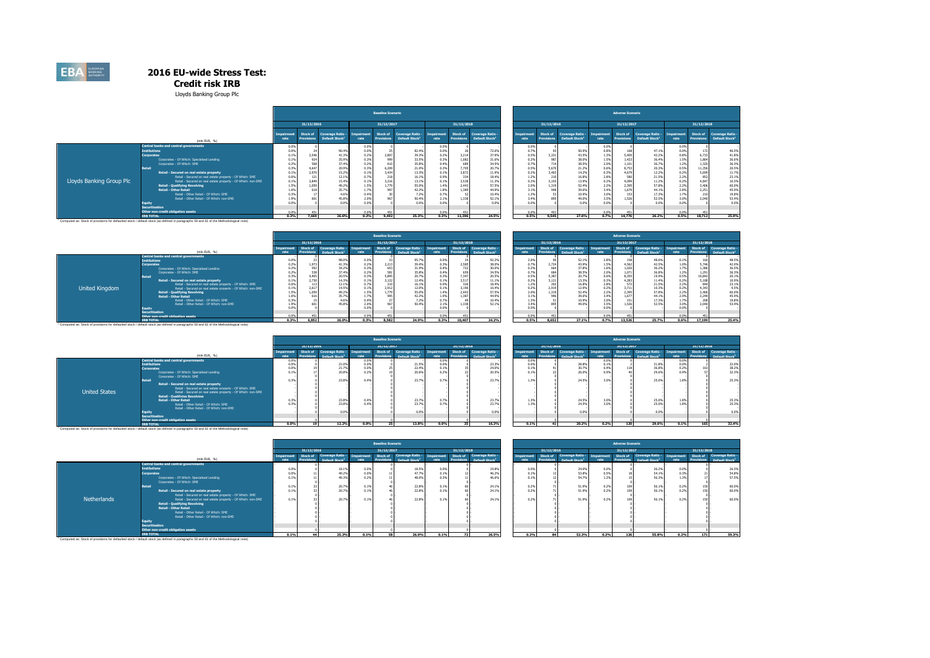**Credit risk IRB**

Lloyds Banking Group Plc

|                          |                                                                                                      |              |                |                                                |                                  | <b>Baseline Scenario</b>      |                                                 |                   |                               |                                 |                   |                               |                                            |                           | <b>Adverse Scenario</b>       |                                                |                    |                        |                                                |
|--------------------------|------------------------------------------------------------------------------------------------------|--------------|----------------|------------------------------------------------|----------------------------------|-------------------------------|-------------------------------------------------|-------------------|-------------------------------|---------------------------------|-------------------|-------------------------------|--------------------------------------------|---------------------------|-------------------------------|------------------------------------------------|--------------------|------------------------|------------------------------------------------|
|                          |                                                                                                      |              | 31/12/2016     |                                                |                                  | 31/12/2017                    |                                                 |                   | 31/12/2018                    |                                 |                   | 31/12/2016                    |                                            |                           | 31/12/2017                    |                                                |                    | 31/12/2018             |                                                |
|                          | (mln EUR, %)                                                                                         | rate         | Stock of       | Coverage Ratio -<br>Default Stock <sup>1</sup> | <i><b>Impairment</b></i><br>rate | Stock of<br><b>Provisions</b> | <b>Coverage Ratio -</b><br><b>Default Stock</b> | mpairment<br>rate | Stock of<br><b>Provisions</b> | Coverage Ratio<br>Default Stock | Impairmer<br>rate | Stock of<br><b>Provisions</b> | Coverage Ratio -<br><b>Default Stock</b> * | <b>Impairment</b><br>rate | Stock of<br><b>Provisions</b> | Coverage Ratio -<br>Default Stock <sup>1</sup> | Impairment<br>rate | Stock of<br>Provisions | Coverage Ratio -<br>Default Stock <sup>1</sup> |
|                          | Central banks and central governments                                                                | 0.0%         |                |                                                | 0.0%                             |                               |                                                 | 0.0%              |                               |                                 | 0.0%              |                               |                                            | 0.0%                      |                               |                                                | 0.0%               |                        |                                                |
|                          | Institutions                                                                                         | 0.0%         |                | 90.4%                                          | 0.0%                             |                               | 82.49                                           | 0.0%              |                               | 72.69                           | 0.7%              |                               | 50.9%                                      | 0.8%                      |                               | 47.1%                                          | 0.0%               | 172                    | 46.5%                                          |
|                          | <b>Corporates</b>                                                                                    |              | 2,546<br>924   | 41.39<br>35.9%                                 | 0.2%                             | 2,807<br>999                  | 39.3%                                           | 0.2%<br>0.3%      | 3,214                         | 37.9%                           | 0.5%<br>0.2%      | 3.331<br>987                  | 43.5%                                      | 1.3%                      | 5,40                          | 42.2%                                          | 0.8%               | 6,733                  | 41.8%                                          |
|                          | Corporates - Of Which: Specialised Lending                                                           | 0.1%         |                |                                                | 0.3%                             |                               | 33.5%                                           |                   | 1,082                         | 31.6%                           |                   |                               | 38.0%                                      | 1.5%                      | 1.42                          | 36.4%                                          | 1.5%               | 1,864                  | 36.6%                                          |
|                          | Corporates - Of Which: SME<br><b>Retail</b>                                                          | 0.2%         | 568            | 37.4%                                          | 0.2%                             | 610                           | 35.8%                                           | 0.4%              | 689                           | 34.5%                           | 0.7%              |                               | 38.5%                                      | 2.0%                      | 1.10                          | 36.7%                                          | 1.2%               | 1,320                  | 36.3%                                          |
|                          |                                                                                                      |              | 4,647<br>2,970 | 20.9%<br>15.29                                 | 0.3%                             | 6,209<br>3.434                | 21.09                                           | 0.39              | 7,70<br>3.872                 | 20.7%                           | 0.5%              | 5,670<br>3.403                | 21.29                                      | 0.6%                      | 8,75                          | 20.3%                                          | 0.5%<br>0.2%       | 11,356<br>5,699        | 20.5%<br>11.7%                                 |
|                          | Retail - Secured on real estate property<br>Retail - Secured on real estate property - Of Which: SME | 0.1%         |                |                                                | 0.1%                             |                               | 13.3%                                           | 0.1%<br>0.9%      |                               | 11.9%                           | 0.2%              |                               | 14.29                                      | 0.3%                      | 4.67                          | 12.2%                                          | 2.2%               |                        |                                                |
| Lloyds Banking Group Plc | Retail - Secured on real estate property - Of Which: non-SME                                         | 0.6%<br>0.1% | 121<br>2,849   | 12.19<br>15.4%                                 | 0.7%<br>0.1%                     | 218<br>3,216                  | 16.1%<br>13.1%                                  | 0.1%              | 334                           | 18.4%<br>11.3%                  | 1.2%<br>0.2%      | 3.193                         | 16.8%<br>13.9%                             | 2.8%<br>0.2%              |                               | 21.5%                                          | 0.2%               | 852<br>4.847           | 23.1%<br>10.5%                                 |
|                          | <b>Retail - Qualifying Revolving</b>                                                                 | 1.5%         | 1,059          | 49.29                                          | 1.5%                             | 1.779                         | 55.0%                                           | 1.4%              | 3.538                         | 57.5%                           | 2.0%              | 1.319                         | 52.4%                                      | 2.2%                      | 4.09<br>2.39                  | 11.2%<br>57.8%                                 | 2.2%               | 3,406                  | 60.0%                                          |
|                          | <b>Retail - Other Retail</b>                                                                         | 1.6%         |                | 35.7%                                          | 1.7%                             | 997                           | 42.2%                                           | 1.8%              | 2,443<br>1.389                | 44.9%                           | 3.1%              |                               | 39.6%                                      | 3.4%                      | 1,67                          | 44.1%                                          | 2.8%               | 2,251                  | 45.9%                                          |
|                          | Retail - Other Retail - Of Which: SME                                                                |              |                | 4.6%                                           | 0.4%                             |                               | 7.29                                            | 0.79              |                               | 10.49                           | 1.3%              |                               | 10.9%                                      | 3.0%                      |                               | 17.3%                                          | 1.7%               | 210                    | 19.8%                                          |
|                          | Retail - Other Retail - Of Which: non-SME                                                            | 1.9%         |                | 45.8%                                          | 2.0%                             | 967                           | 50.4%                                           | 2.1%              | 1.33                          | 52.1%                           | 3.4%              |                               | 49.0%                                      | 3.5%                      | 1.52                          | 52.5%                                          | 3.0%               | 2.040                  | 53.4%                                          |
|                          | Equity                                                                                               | 0.0%         |                | 0.0%                                           | 0.0%                             |                               | 0.0%                                            | 0.0%              |                               | 0.0%                            | 0.0%              |                               | 0.0%                                       | 0.0%                      |                               | 0.0%                                           | 0.05               |                        | 0.0%                                           |
|                          | <b>Securitisation</b>                                                                                |              |                |                                                |                                  |                               |                                                 |                   |                               |                                 |                   |                               |                                            |                           |                               |                                                |                    |                        |                                                |
|                          | Other non-credit obligation assets                                                                   | 0.0%         |                |                                                | 0.0%                             |                               |                                                 | 0.0%              |                               |                                 | 0.0%              | 45                            |                                            | 0.0%                      |                               |                                                | 0.0%               |                        |                                                |
|                          | <b>IRB TOTAL</b>                                                                                     | 0.3%         | 7.669          | 26.6%                                          | 0.2%                             | 9,492                         | 25.3%                                           | 0.3%              | 11.396                        | 24.5%                           | 0.5%              | 9,545                         | 27.6%                                      | 0.7%                      | 14,776                        | 26.2%                                          | 0.5%               | 18,712                 | 25.9%                                          |

|                |                                                              |      |            |                         |      | <b>Baseline Scenario</b> |                             |      |                   |                            |            |               |                      |      | <b>Adverse Scenario</b> |                      |           |                   |                            |
|----------------|--------------------------------------------------------------|------|------------|-------------------------|------|--------------------------|-----------------------------|------|-------------------|----------------------------|------------|---------------|----------------------|------|-------------------------|----------------------|-----------|-------------------|----------------------------|
|                |                                                              |      | 31/12/2016 |                         |      | 31/12/2017               |                             |      | 31/12/2018        |                            |            | 31/12/2016    |                      |      | 31/12/2017              |                      |           | 31/12/2018        |                            |
|                | (mln EUR. 96)                                                |      | Stock of   | <b>Coverage Ratio -</b> |      | Stock of                 | Coverage Ratio - Impairment |      | Stock of          | Coverage Ratio -           | Impairment | Stock of      | Coverage Ratio -     |      | Stock of                | Coverage Ratio -     | mnairment | Stock of          | Coverage Ratio -           |
|                |                                                              |      |            | <b>Default Stock</b>    |      |                          | <b>Dafault Stock</b>        | rate | <b>Provisions</b> | Default Stock <sup>1</sup> |            |               | <b>Default Stock</b> |      |                         | <b>Default Stock</b> | rate      | <b>Provisions</b> | Default Stock <sup>1</sup> |
|                | <b>Central banks and central governments</b>                 |      |            |                         |      |                          |                             |      |                   |                            |            |               |                      |      |                         |                      |           |                   |                            |
|                | <b>Institutions</b>                                          | 0.0% |            | 98.05                   | 0.0% |                          | 95.7                        |      |                   | 92.29                      |            | 2.6%          | 52.19                | 2.8% |                         | 48.6                 | 0.1%      |                   | 48.5%                      |
|                | Corporates                                                   | 0.2% | 1.973      | 41.39                   | 0.2% | 2.213                    | 39.4%                       | 0.3% | 2,589             | 38.0%                      |            | 0.7%<br>2.72  | 43.9%                | 1.5% | 4.562                   | 42.5%                | 1.0%      | 5.746             | 42.0%                      |
|                | Corporates - Of Which: Specialised Lending                   | 0.2% |            | 34.29                   |      |                          | 31.9%                       | 0.4% | 722               | 30.0%                      |            | 0.2%          | 37.8%                | 1.6% | 1.020                   | 36.29                | 1.7%      | .386              | 36.5%                      |
|                | Corporates - Of Which: SME                                   | 0.2% |            | 37.4%<br>20.5%          | 0.2% |                          | 35.8%                       |      |                   | 34.5%<br>20.5%             |            | 0.7%          | 38.5%                | 2.0% | 1.071                   | 36.8%                | 1.2%      | 1.291             | 36.3%                      |
|                | Retail                                                       | 0.3% |            |                         | 0.3% | 5,895                    | 20.7%                       | 0.3% | 7.347             |                            |            | 0.5%<br>5.38  | 20.79                | 0.6% | 8.355                   | 19.9%                | 0.5%      | 10.842            | 20.1%                      |
|                | Retail - Secured on real estate property                     | 0.1% | 2,730      | 14.3%                   | 0.1% | 3.122                    | 12.4%                       | 0.1% | 3.517             | 11.1%                      |            | 0.2%<br>3.12  | 13.39                | 0.3% | 4.283                   | 11.4%                | 0.2%      | 5.188             | 10.9%                      |
|                | Retail - Secured on real estate property - Of Which: SME     | 0.6% |            | 12.1%                   |      | -44                      | 16.19                       |      | 326               | 18.4%                      |            | 1.2%          | 16.8%                | 2.8% | 577                     | 21.5%                | 2.2%      | 844               | 23.1%                      |
| United Kingdom | Retail - Secured on real estate property - Of Which: non-SME | 0.1% | 2.61       | 14.5%                   | 0.1% | 2.912                    | 12.0%                       |      | 3.190             | 10.4%                      |            | 0.2%<br>2.919 | 12.9%                | 0.2% | 3.711                   | 10.39                | 0.2%      | 4.343             | 9.5%                       |
|                | <b>Retail - Qualifying Revolving</b>                         | 1.5% | 1.05       | 49.29                   | 1.5% | 1.779                    | 55.0%                       | 1.4% | 2.443             | 57.5%                      |            | 2.0%<br>1.31  | 52.4%                | 2.2% | 2.39                    | 57.8%                | 2.2%      | 3.406             | 60.0%                      |
|                | <b>Retail - Other Retail</b>                                 | 1.6% |            | 35.7%                   |      |                          | 42.2%                       |      | 1.387             | 44.9%                      |            | 3.1%<br>0.46  | 39.6%                | 3.4% | 1.67                    | 44.19                | 2.9%      | 2.249             | 45.9%                      |
|                | Retail - Other Retail - Of Which: SMF                        | 0.3% |            |                         | 0.4% |                          | 7.29<br>1.29                |      |                   | 10.4%                      |            | 1.3%          | 10.99                |      |                         | 17.3%                |           |                   | 19.8%                      |
|                | Retail - Other Retail - Of Which: non-SME                    | 1.9% |            | 45.8 <sup>p</sup>       | 2.0% |                          | 50.4%                       | 2.1% |                   | 52.1%                      |            | 3.4%          | 49.09                | 3.5% |                         | 52.5%                | 3.0%      | 2 nan             | 53.4%                      |
|                | Equity                                                       | 0.0% |            |                         |      |                          |                             |      |                   |                            |            | 0.0%          |                      |      |                         |                      |           |                   |                            |
|                | Securitisation                                               |      |            |                         |      |                          |                             |      |                   |                            |            |               |                      |      |                         |                      |           |                   |                            |
|                | Other non-credit obligation assets                           | 0.0% |            |                         | 0.0% |                          |                             | 0.0% |                   |                            |            | 0.0%          |                      | 0.0% |                         |                      | 0.0%      | 451               |                            |
|                | <b>IRB TOTAL</b>                                             | 0.3% | 6.852      | 26.0%                   | 0.3% | 8.582                    | 24.9%                       | 0.3% | 10.407            | 24.2%                      | 0.5%       | 8.652         | 27.1%                | 0.7% | 13.526                  | 25.7%                | 0.6%      | 17,199            | 25.4%                      |

|                      |                                                              |         |            |                         |       | <b>Baseline Scenario</b> |                           |           |                   |                            |            |                  |      | <b>Adverse Scenario</b> |                      |            |            |                            |
|----------------------|--------------------------------------------------------------|---------|------------|-------------------------|-------|--------------------------|---------------------------|-----------|-------------------|----------------------------|------------|------------------|------|-------------------------|----------------------|------------|------------|----------------------------|
|                      |                                                              |         | 31/12/2016 |                         |       | 31/12/2017               |                           |           | 31/12/2018        |                            | 31/12/2016 |                  |      | 31/12/2017              |                      |            | 31/12/2018 |                            |
|                      |                                                              |         | Stock of   | <b>Coverage Ratio -</b> |       |                          | Stock of Coverage Ratio - | nnairment |                   | Stock of Coverage Ratio -  | Stock of   | Coverage Ratio - |      | Stock of                | Coverage Ratio -     | Impairment | Stock of   | Coverage Ratio -           |
|                      | (mln EUR. %)                                                 |         |            |                         |       |                          |                           |           | <b>Provisions</b> | Default Stock <sup>1</sup> |            |                  |      |                         | <b>Default Stock</b> |            |            | Default Stock <sup>1</sup> |
|                      | Central banks and central governments                        | 0.0%    |            |                         | 0.0%  |                          |                           | 0.0       |                   |                            | 0.0%       |                  | 0.09 |                         |                      |            |            |                            |
|                      | <b>Institutions</b>                                          | 0.0%    |            | 21.09                   | 0.0%  |                          | 21.5%                     | 0.0       |                   | 23.39                      | 0.0%       | 28.85            | 0.1% |                         | 31.8%                | 0.0%       |            | 32.0%                      |
|                      | <b>Corporates</b>                                            | 0.0%    |            | 21.7%                   | 0.0%  |                          | 22.4%                     | 0.1%      |                   | 24.0%                      | 0.1%       | 30.7             | 0.4% |                         | 36.8%                | 0.29       |            | 38.2%                      |
|                      | Corporates - Of Which: Specialised Lending                   | 0.1%    |            | 20.8%                   | 0.2%  |                          | 20.6%                     | 0.29      |                   | 20.5%                      | 0.1%       | 26.0             |      |                         | 29.69                |            |            | 32.3%                      |
|                      | Corporates - Of Which: SME                                   |         |            |                         |       |                          |                           |           |                   |                            |            |                  |      |                         |                      |            |            |                            |
|                      | <b>Datail</b>                                                | 0.3%    |            | 23.8%                   | 0.4%  |                          | 23.7%                     | 0.7%      |                   | 23.79                      | 1.3%       | 24.5%            |      |                         | 25.0%                | 1.8%       |            | 25.3%                      |
|                      | Retail - Secured on real estate property                     |         |            |                         |       |                          |                           |           |                   |                            |            |                  |      |                         |                      |            |            |                            |
|                      | Retail - Secured on real estate property - Of Which: SME     |         |            |                         |       |                          |                           |           |                   |                            |            |                  |      |                         |                      |            |            |                            |
| <b>United States</b> | Retail - Secured on real estate property - Of Which: non-SME |         |            |                         |       |                          |                           |           |                   |                            |            |                  |      |                         |                      |            |            |                            |
|                      | <b>Retail - Qualifying Revolving</b>                         |         |            |                         |       |                          |                           |           |                   |                            |            |                  |      |                         |                      |            |            |                            |
|                      | <b>Retail - Other Retail</b>                                 | 0.3%    |            | 23.8%                   | 0.4%  |                          | 23.7%                     | 0.7%      |                   | 23.7                       | 1.3%       | 24.5%            |      |                         | 25.0%                |            |            | 25.3%                      |
|                      | Retail - Other Retail - Of Which: SME                        | 0.3%    |            | 23.8%                   | 0.494 |                          | 23.7%                     |           |                   | 23.7%                      | 1.3%       | 24.5%            |      |                         | 25.0%                |            |            | 25.3%                      |
|                      | Retail - Other Retail - Of Which: non-SME                    |         |            |                         |       |                          |                           |           |                   |                            |            |                  |      |                         |                      |            |            |                            |
|                      | Eauity                                                       |         |            | 0.0%                    |       |                          | 0.0%                      |           |                   | 0.0%                       |            | 0.0%             |      |                         | nα                   |            |            | 0.0%                       |
|                      | <b>Securitisation</b>                                        |         |            |                         |       |                          |                           |           |                   |                            |            |                  |      |                         |                      |            |            |                            |
|                      | Other non-credit obligation assets                           |         |            |                         |       |                          |                           |           |                   |                            |            |                  |      |                         |                      |            |            |                            |
|                      | <b>IRB TOTAL</b>                                             | $0.0\%$ |            | 12.2%                   | 0.0%  |                          | 13.8%                     | 0.0%      | 35.               | 16.3%                      | 0.1%       | 20.2%<br>41      | 0.2% | 120                     | 29.6%                | 0.1%       | 165        | 32.4%                      |

|             |                                                                                                                                      |      |                       |                                                 |                           | <b>Baseline Scenario</b> |                                                         |                    |                   |                                                         |                    |                               |                                          |                     | <b>Adverse Scenario</b>       |                                                           |       |                               |                                                |  |
|-------------|--------------------------------------------------------------------------------------------------------------------------------------|------|-----------------------|-------------------------------------------------|---------------------------|--------------------------|---------------------------------------------------------|--------------------|-------------------|---------------------------------------------------------|--------------------|-------------------------------|------------------------------------------|---------------------|-------------------------------|-----------------------------------------------------------|-------|-------------------------------|------------------------------------------------|--|
|             |                                                                                                                                      |      | 31/12/2016            |                                                 |                           | 31/12/2017               |                                                         |                    | 31/12/2018        |                                                         |                    | 31/12/2016                    |                                          |                     | 31/12/2017                    |                                                           |       | 31/12/2018                    |                                                |  |
|             | (mln EUR, %)                                                                                                                         | rate | Stock of<br>$1$ sions | <b>Coverage Ratio -</b><br><b>Default Stock</b> | <b>Impairment</b><br>rate | <b>Provisions</b>        | Stock of Coverage Ratio -<br>Default Stock <sup>1</sup> | Impairment<br>rate | <b>Provisions</b> | Stock of Coverage Ratio -<br>Default Stock <sup>1</sup> | Impairment<br>rate | Stock of<br><b>Provisions</b> | Coverage Ratio -<br><b>Default Stock</b> | Impairment<br>rate. | Stock of<br><b>Provisions</b> | Coverage Ratio - Impairment<br>Default Stock <sup>1</sup> | rate. | Stock of<br><b>Provisions</b> | Coverage Ratio -<br>Default Stock <sup>1</sup> |  |
|             | <b>Central banks and central governments</b>                                                                                         |      |                       |                                                 |                           |                          |                                                         |                    |                   |                                                         |                    |                               |                                          |                     |                               |                                                           |       |                               |                                                |  |
|             | <b>Institutions</b>                                                                                                                  |      |                       | 18.19                                           | 0.0%                      |                          | 18.5%                                                   | 0.0%               |                   | 19.8%                                                   | 0.0%               |                               | 24.09                                    | 0.0%                |                               | 26.2%                                                     | 0.0%  |                               | 26.5%                                          |  |
|             | Corporates                                                                                                                           | 0.0% |                       | 49.2%                                           | 0.0%                      |                          | 47.7%                                                   |                    |                   | 46.2%                                                   | 0.1%               |                               | 53.8%                                    | 0.5%                |                               | 54.1%                                                     |       |                               | 54.8%                                          |  |
|             | Corporates - Of Which: Specialised Lending                                                                                           | 0.1% |                       | 49.35                                           | 0.2%                      |                          | 48.0%                                                   |                    |                   | 46.6%                                                   | 0.1%               |                               | 54.7%                                    | 1.2%                |                               | 56.3%                                                     |       |                               | 57.5%                                          |  |
|             | Corporates - Of Which: SME                                                                                                           |      |                       |                                                 |                           |                          |                                                         |                    |                   |                                                         |                    |                               |                                          |                     |                               |                                                           |       |                               |                                                |  |
|             | Retail                                                                                                                               | 0.1% |                       | 20.7%                                           | 0.1%                      |                          | 22.8%                                                   | 0.19               |                   | 24.1%                                                   | 0.2%               |                               | 51.9%                                    | 0.2%                |                               | 56.1%                                                     | 0.2%  |                               | 60.0%                                          |  |
|             | Retail - Secured on real estate property                                                                                             | 0.1% |                       | 20.7%                                           | 0.1%                      |                          | 22.8%                                                   | 0.19               |                   | 24.1%                                                   | 0.29               |                               | 51.9%                                    | 0.2%                |                               | 56.1%                                                     | 0.29  |                               | 60.0%                                          |  |
|             | Retail - Secured on real estate property - Of Which: SME                                                                             |      |                       |                                                 |                           |                          |                                                         |                    |                   |                                                         |                    |                               |                                          |                     |                               |                                                           |       |                               |                                                |  |
| Netherlands | Retail - Secured on real estate property - Of Which: non-SME                                                                         | 0.1% |                       | 20.7%                                           | 0.1%                      |                          | 22.8%                                                   | 0.19               |                   | 24.1%                                                   | 0.2%               |                               | 51.9%                                    | 0.2%                |                               | 56.1%                                                     | 0.2%  |                               | 60.0%                                          |  |
|             | <b>Retail - Qualifying Revolving</b>                                                                                                 |      |                       |                                                 |                           |                          |                                                         |                    |                   |                                                         |                    |                               |                                          |                     |                               |                                                           |       |                               |                                                |  |
|             | <b>Retail - Other Retail</b>                                                                                                         |      |                       |                                                 |                           |                          |                                                         |                    |                   |                                                         |                    |                               |                                          |                     |                               |                                                           |       |                               |                                                |  |
|             | Retail - Other Retail - Of Which: SME                                                                                                |      |                       |                                                 |                           |                          |                                                         |                    |                   |                                                         |                    |                               |                                          |                     |                               |                                                           |       |                               |                                                |  |
|             | Retail - Other Retail - Of Which: non-SME                                                                                            |      |                       |                                                 |                           |                          |                                                         |                    |                   |                                                         |                    |                               |                                          |                     |                               |                                                           |       |                               |                                                |  |
|             | Equity<br><b>Securitisation</b>                                                                                                      |      |                       |                                                 |                           |                          |                                                         |                    |                   |                                                         |                    |                               |                                          |                     |                               |                                                           |       |                               |                                                |  |
|             | Other non-credit obligation assets                                                                                                   |      |                       |                                                 |                           |                          |                                                         |                    |                   |                                                         |                    |                               |                                          |                     |                               |                                                           |       |                               |                                                |  |
|             | <b>IRB TOTAL</b>                                                                                                                     | 0.1% |                       | 25.3%                                           | 0.1%                      |                          | 26.0%                                                   | 0.1%               | 72                | 26.5%                                                   | 0.2%               |                               | 52.3%                                    | 0.2%                | 126                           | 55.8%                                                     | 0.2%  | 171                           | 59.3%                                          |  |
|             | Computed as: Stock of provisions for defaulted stock / default stock (as defined in paragraphs 59 and 61 of the Methodological note) |      |                       |                                                 |                           |                          |                                                         |                    |                   |                                                         |                    |                               |                                          |                     |                               |                                                           |       |                               |                                                |  |

|                    |                               |                                                       |                           | <b>Adverse Scenario</b>       |                                                |                           |                               |                                                |
|--------------------|-------------------------------|-------------------------------------------------------|---------------------------|-------------------------------|------------------------------------------------|---------------------------|-------------------------------|------------------------------------------------|
|                    | 31/12/2016                    |                                                       |                           | 31/12/2017                    |                                                |                           | 31/12/2018                    |                                                |
| Impairment<br>rate | Stock of<br><b>Provisions</b> | <b>Coverage Ratio -</b><br>Default Stock <sup>1</sup> | <b>Impairment</b><br>rate | Stock of<br><b>Provisions</b> | Coverage Ratio -<br>Default Stock <sup>1</sup> | <b>Impairment</b><br>rate | Stock of<br><b>Provisions</b> | Coverage Ratio -<br>Default Stock <sup>1</sup> |
|                    |                               |                                                       |                           |                               |                                                |                           |                               |                                                |
| 0.0%               |                               | 24.0%                                                 | 0.0%                      |                               | 26.2%                                          | 0.0%                      |                               | 26.5%                                          |
| 0.1%               | 13                            | 53.8%                                                 | 0.5%                      | 18                            | 54.1%                                          | 0.3%                      | 21                            | 54.8%                                          |
| 0.1%               | 12                            | 54.7%                                                 | 1.2%                      | 15                            | 56.3%                                          | 1.3%                      | 17                            | 57.5%                                          |
|                    | 0                             |                                                       |                           | n                             |                                                |                           |                               |                                                |
| 0.2%               | 71                            | 51.9%                                                 | 0.2%                      | 109                           | 56.1%                                          | 0.2%                      | 150                           | 60.0%                                          |
| 0.2%               | 71                            | 51.9%                                                 | 0.2%                      | 109                           | 56.1%                                          | 0.2%                      | 150                           | 60.0%                                          |
|                    | $\Omega$                      |                                                       |                           | n                             |                                                |                           |                               |                                                |
| 0.2%               | 71                            | 51.9%                                                 | 0.2%                      | 109                           | 56.1%                                          | 0.2%                      | 150                           | 60.0%                                          |
|                    |                               |                                                       |                           |                               |                                                |                           |                               |                                                |
|                    |                               |                                                       |                           |                               |                                                |                           |                               |                                                |
|                    |                               |                                                       |                           |                               |                                                |                           |                               |                                                |
|                    |                               |                                                       |                           |                               |                                                |                           |                               |                                                |
|                    |                               |                                                       |                           |                               |                                                |                           |                               |                                                |
|                    |                               |                                                       |                           |                               |                                                |                           |                               |                                                |
|                    |                               |                                                       |                           | n                             |                                                |                           |                               |                                                |
| o nor              | $\sim$                        | ED DAL                                                | o nos                     | and.                          | EE OOL                                         | 0.001                     | 4.744                         | EQ BAL                                         |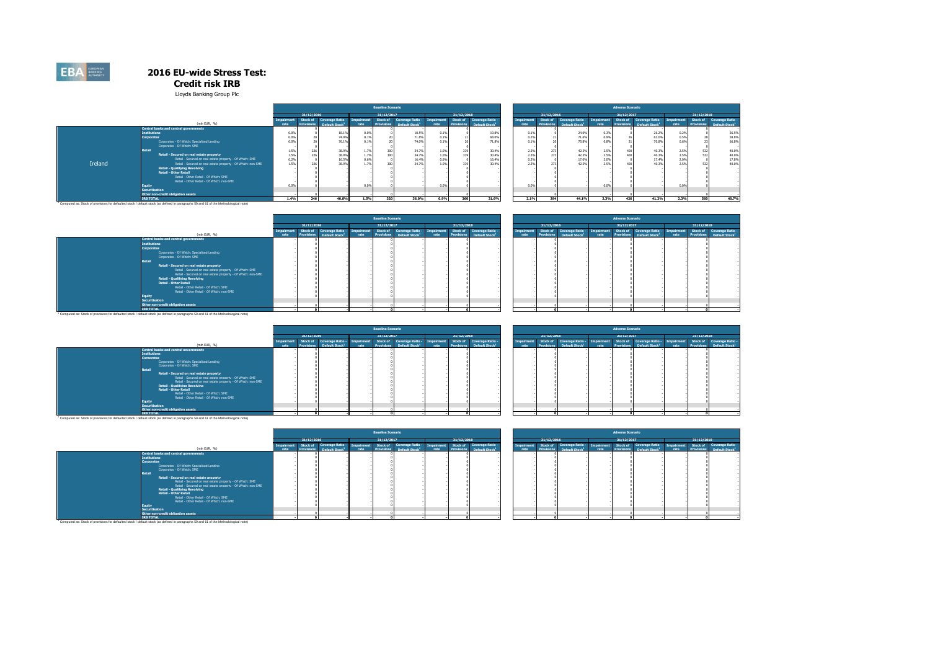#### **Credit risk IRB**

Lloyds Banking Group Plc

|         |                                                                                                                                                   |      |            |                            |       | <b>Baseline Scenario</b> |                            |                   |                   |                            |            |                   |                            |      | <b>Adverse Scenario</b> |                            |            |                   |                            |
|---------|---------------------------------------------------------------------------------------------------------------------------------------------------|------|------------|----------------------------|-------|--------------------------|----------------------------|-------------------|-------------------|----------------------------|------------|-------------------|----------------------------|------|-------------------------|----------------------------|------------|-------------------|----------------------------|
|         |                                                                                                                                                   |      | 31/12/2016 |                            |       | 31/12/2017               |                            |                   | 31/12/2018        |                            |            | 31/12/2016        |                            |      | 31/12/2017              |                            |            | 31/12/2018        |                            |
|         |                                                                                                                                                   |      | Stock of   | <b>Coverage Ratio -</b>    |       | Stock of                 | Coverage Ratio -           | <b>Impairment</b> | Stock of          | Coverage Ratio -           | Impairment | Stock of          | Coverage Ratio -           |      |                         | Stock of Coverage Ratio -  | Impairment | Stock of          | Coverage Ratio -           |
|         | (mln EUR, %)                                                                                                                                      |      |            | Default Stock <sup>1</sup> | rate. | <b>Provisions</b>        | Default Stock <sup>1</sup> | rate.             | <b>Provisions</b> | Default Stock <sup>1</sup> | rate       | <b>Provisions</b> | Default Stock <sup>1</sup> |      | <b>Provisions</b>       | Default Stock <sup>1</sup> | rate       | <b>Provisions</b> | Default Stock <sup>1</sup> |
|         | Central banks and central governments                                                                                                             |      |            |                            |       |                          |                            |                   |                   |                            |            |                   |                            |      |                         |                            |            |                   |                            |
|         | <b>Institutions</b>                                                                                                                               |      |            | 18.1%                      | 0.0%  |                          | 18.5%                      | 0.1%              |                   | 19.8%                      | 0.1%       |                   | 24.0%                      | 0.3% |                         | 26.2%                      | 0.2%       |                   | 26.5%                      |
|         | <b>Corporates</b>                                                                                                                                 |      |            | 74.9%                      | 0.1%  |                          | 71.8%                      | 0.1%              |                   | 68.0%                      | 0.2%       |                   | 71.6%                      | 0.9% |                         | 63.0%                      | 0.5%       |                   | 58.8%                      |
|         | Corporates - Of Which: Specialised Lending                                                                                                        |      |            | 76.1%                      | 0.1%  |                          | 74.0%                      | 0.1%              |                   | 71.8%                      |            |                   | 75.8%                      | 0.8% |                         | 70.8%                      | 0.6%       |                   | 66.8%                      |
|         | Corporates - Of Which: SME                                                                                                                        |      |            |                            |       |                          |                            |                   |                   |                            |            |                   |                            |      |                         |                            |            |                   |                            |
|         | Retail                                                                                                                                            |      |            | 38.9%                      | 1.7%  |                          | 34.79                      | 1.0%              |                   | 30,4%                      | 2.3%       |                   | 42.5%                      | 2.5% |                         | 40.3%                      | 2.5%       | 532               | 40.0%                      |
|         | Retail - Secured on real estate property                                                                                                          |      | 204        | 38.9%                      | 1.7%  |                          | 34.7%                      | 1.0%              |                   | 30.4%                      | 2.3%       |                   | 42.5%                      | 2.5% |                         | 40.3%                      | 2.5%       | 532               | 40.0%                      |
|         | Retail - Secured on real estate property - Of Which: SME                                                                                          | 0.29 |            | 16.5%                      | 0.6%  |                          | 16.49                      | 0.6%              |                   | 16.4%                      | 0.2%       |                   | 17.0%                      | 2.0% |                         | 17.4%                      | 2.0%       |                   | 17.8%                      |
| Ireland | Retail - Secured on real estate property - Of Which: non-SME                                                                                      | 1.59 |            | 38.9%                      | 1.7%  |                          | 34.7%                      | 1.0%              |                   | 30.4%                      | 2.3%       |                   | 42.5%                      | 2.5% |                         | 40.3%                      | 2.5%       |                   | 40.0%                      |
|         | <b>Retail - Qualifying Revolving</b>                                                                                                              |      |            |                            |       |                          |                            |                   |                   |                            |            |                   |                            |      |                         |                            |            |                   |                            |
|         | <b>Retail - Other Retail</b>                                                                                                                      |      |            |                            |       |                          |                            |                   |                   |                            |            |                   |                            |      |                         |                            |            |                   |                            |
|         | Retail - Other Retail - Of Which: SME                                                                                                             |      |            |                            |       |                          |                            |                   |                   |                            |            |                   |                            |      |                         |                            |            |                   |                            |
|         | Retail - Other Retail - Of Which: non-SME                                                                                                         |      |            |                            |       |                          |                            |                   |                   |                            |            |                   |                            |      |                         |                            |            |                   |                            |
|         | Equity                                                                                                                                            |      |            |                            | 0.0%  |                          |                            | 0.0%              |                   |                            | 0.0%       |                   |                            | 0.0% |                         |                            | 0.0%       |                   |                            |
|         | <b>Securitisation</b>                                                                                                                             |      |            |                            |       |                          |                            |                   |                   |                            |            |                   |                            |      |                         |                            |            |                   |                            |
|         | Other non-credit obligation assets                                                                                                                |      |            |                            |       |                          |                            |                   |                   |                            |            |                   |                            |      |                         |                            |            |                   |                            |
|         | <b>IRB TOTAL</b>                                                                                                                                  | 1.4% | 346        | 40.8%                      | 1.5%  | 22                       | 36.0%                      | 0.9%              | 360               | 31.6%                      | 2.1%       | 294               | 44.1%                      | 2.3% |                         | 41.2%                      | 2.3%       | 560               | 40.7%                      |
|         | <sup>1</sup> Computed as: Stock of provisions for defaulted stock / default stock (as defined in paragraphs 59 and 61 of the Methodological note) |      |            |                            |       |                          |                            |                   |                   |                            |            |                   |                            |      |                         |                            |            |                   |                            |

|                                                                                                                                                   |      |            |                                       |            | <b>Baseline Scenario</b> |                                       |                   |            |                                       |           |            |                                 |       | <b>Adverse Scenario</b> |                                       |                   |            |                                       |
|---------------------------------------------------------------------------------------------------------------------------------------------------|------|------------|---------------------------------------|------------|--------------------------|---------------------------------------|-------------------|------------|---------------------------------------|-----------|------------|---------------------------------|-------|-------------------------|---------------------------------------|-------------------|------------|---------------------------------------|
|                                                                                                                                                   |      | 31/12/2016 |                                       |            | 31/12/2017               |                                       |                   | 31/12/2018 |                                       |           | 31/12/2016 |                                 |       | 31/12/2017              |                                       |                   | 31/12/2018 |                                       |
| (mln EUR, %)                                                                                                                                      |      |            | Stock of Coverage Ratio               | Impairment |                          | Stock of Coverage Ratio -             | <b>Impairment</b> |            | Stock of Coverage Ratio -             | Impairmen | Stock of   | Coverage Ratio                  |       |                         | Stock of Coverage Ratio -             | <b>Impairment</b> |            | Stock of Coverage Ratio -             |
|                                                                                                                                                   | rate |            | Provisions Default Stock <sup>1</sup> | rate       |                          | Provisions Default Stock <sup>1</sup> | rate              |            | Provisions Default Stock <sup>1</sup> | rate      |            | <b>Provisions</b> Default Stock | rate. |                         | Provisions Default Stock <sup>1</sup> | rate.             |            | Provisions Default Stock <sup>1</sup> |
| Central banks and central governments                                                                                                             |      |            |                                       |            |                          |                                       |                   |            |                                       |           |            |                                 |       |                         |                                       |                   |            |                                       |
| <b>Institutions</b>                                                                                                                               |      |            |                                       |            |                          |                                       |                   |            |                                       |           |            |                                 |       |                         |                                       |                   |            |                                       |
| <b>Corporates</b>                                                                                                                                 |      |            |                                       |            |                          |                                       |                   |            |                                       |           |            |                                 |       |                         |                                       |                   |            |                                       |
| Corporates - Of Which: Specialised Lending                                                                                                        |      |            |                                       |            |                          |                                       |                   |            |                                       |           |            |                                 |       |                         |                                       |                   |            |                                       |
| Corporates - Of Which: SME                                                                                                                        |      |            |                                       |            |                          |                                       |                   |            |                                       |           |            |                                 |       |                         |                                       |                   |            |                                       |
| <b>Retail</b>                                                                                                                                     |      |            |                                       |            |                          |                                       |                   |            |                                       |           |            |                                 |       |                         |                                       |                   |            |                                       |
| Retail - Secured on real estate property                                                                                                          |      |            |                                       |            |                          |                                       |                   |            |                                       |           |            |                                 |       |                         |                                       |                   |            |                                       |
| Retail - Secured on real estate property - Of Which: SME                                                                                          |      |            |                                       |            |                          |                                       |                   |            |                                       |           |            |                                 |       |                         |                                       |                   |            |                                       |
| Retail - Secured on real estate property - Of Which: non-SME                                                                                      |      |            |                                       |            |                          |                                       |                   |            |                                       |           |            |                                 |       |                         |                                       |                   |            |                                       |
| <b>Retail - Qualifying Revolving</b>                                                                                                              |      |            |                                       |            |                          |                                       |                   |            |                                       |           |            |                                 |       |                         |                                       |                   |            |                                       |
| <b>Retail - Other Retail</b>                                                                                                                      |      |            |                                       |            |                          |                                       |                   |            |                                       |           |            |                                 |       |                         |                                       |                   |            |                                       |
| Retail - Other Retail - Of Which: SME                                                                                                             |      |            |                                       |            |                          |                                       |                   |            |                                       |           |            |                                 |       |                         |                                       |                   |            |                                       |
| Retail - Other Retail - Of Which: non-SME                                                                                                         |      |            |                                       |            |                          |                                       |                   |            |                                       |           |            |                                 |       |                         |                                       |                   |            |                                       |
| auitv                                                                                                                                             |      |            |                                       |            |                          |                                       |                   |            |                                       |           |            |                                 |       |                         |                                       |                   |            |                                       |
| <b>Securitisation</b>                                                                                                                             |      |            |                                       |            |                          |                                       |                   |            |                                       |           |            |                                 |       |                         |                                       |                   |            |                                       |
| Other non-credit obligation assets                                                                                                                |      |            |                                       |            |                          |                                       |                   |            |                                       |           |            |                                 |       |                         |                                       |                   |            |                                       |
| <b>IRB TOTAL</b>                                                                                                                                  |      |            |                                       |            |                          |                                       |                   |            |                                       |           |            |                                 |       |                         |                                       |                   |            |                                       |
| <sup>1</sup> Computed as: Stock of provisions for defaulted stock / default stock (as defined in paragraphs 59 and 61 of the Methodological note) |      |            |                                       |            |                          |                                       |                   |            |                                       |           |            |                                 |       |                         |                                       |                   |            |                                       |
|                                                                                                                                                   |      |            |                                       |            |                          |                                       |                   |            |                                       |           |            |                                 |       |                         |                                       |                   |            |                                       |

|                       |                                                |                    |                               |                                                |                    | Adverse Scenario       |                                                |                    |                        |                                                |
|-----------------------|------------------------------------------------|--------------------|-------------------------------|------------------------------------------------|--------------------|------------------------|------------------------------------------------|--------------------|------------------------|------------------------------------------------|
| 31/12/2018            |                                                |                    | 31/12/2016                    |                                                |                    | 31/12/2017             |                                                |                    | 31/12/2018             |                                                |
| Stock of<br>rovisions | Coverage Ratio -<br>Default Stock <sup>1</sup> | Impairment<br>rate | Stock of<br><b>Provisions</b> | Coverage Ratio -<br>Default Stock <sup>1</sup> | Impairment<br>rate | Stock of<br>Provisions | Coverage Ratio -<br>Default Stock <sup>1</sup> | Impairment<br>rate | Stock of<br>Provisions | Coverage Ratio -<br>Default Stock <sup>1</sup> |
|                       |                                                |                    |                               |                                                |                    |                        |                                                |                    |                        |                                                |
|                       |                                                |                    |                               |                                                |                    |                        |                                                |                    |                        |                                                |
| $\Omega$              |                                                |                    | $\Omega$                      |                                                |                    | $\circ$                |                                                |                    | $\bullet$              |                                                |

|                                                              |            |                                      |              | <b>Baseline Scenario</b> |                                      |      |            |                                       |                   |                   |                            |      | <b>Adverse Scenario</b> |                                                                                                     |      |            |                                       |
|--------------------------------------------------------------|------------|--------------------------------------|--------------|--------------------------|--------------------------------------|------|------------|---------------------------------------|-------------------|-------------------|----------------------------|------|-------------------------|-----------------------------------------------------------------------------------------------------|------|------------|---------------------------------------|
|                                                              | 31/12/2016 |                                      |              | 31/12/2017               |                                      |      | 31/12/2018 |                                       |                   | 31/12/2016        |                            |      | 31/12/2017              |                                                                                                     |      | 31/12/2018 |                                       |
| (mln EUR, %)                                                 |            | Stock of Coverage Ratio - Impairment |              |                          | Stock of Coverage Ratio - Impairment |      |            | Stock of Coverage Ratio -             | <b>Impairment</b> |                   |                            |      |                         | Stock of Coverage Ratio - Impairment Stock of Coverage Ratio - Impairment Stock of Coverage Ratio - |      |            |                                       |
|                                                              |            | Default Stock                        | <b>Patro</b> | <b>Provisions</b>        | Default Stock <sup>1</sup>           | rate |            | Provisions Default Stock <sup>1</sup> | rate              | <b>Provisions</b> | Default Stock <sup>1</sup> | rate |                         | Provisions Default Stock <sup>1</sup>                                                               | rate |            | Provisions Default Stock <sup>1</sup> |
| <b>Central banks and central governments</b>                 |            |                                      |              |                          |                                      |      |            |                                       |                   |                   |                            |      |                         |                                                                                                     |      |            |                                       |
| <b>Institutions</b>                                          |            |                                      |              |                          |                                      |      |            |                                       |                   |                   |                            |      |                         |                                                                                                     |      |            |                                       |
| Corporates                                                   |            |                                      |              |                          |                                      |      |            |                                       |                   |                   |                            |      |                         |                                                                                                     |      |            |                                       |
| Corporates - Of Which: Specialised Lending                   |            |                                      |              |                          |                                      |      |            |                                       |                   |                   |                            |      |                         |                                                                                                     |      |            |                                       |
| Corporates - Of Which: SME                                   |            |                                      |              |                          |                                      |      |            |                                       |                   |                   |                            |      |                         |                                                                                                     |      |            |                                       |
| Retail                                                       |            |                                      |              |                          |                                      |      |            |                                       |                   |                   |                            |      |                         |                                                                                                     |      |            |                                       |
| Retail - Secured on real estate property                     |            |                                      |              |                          |                                      |      |            |                                       |                   |                   |                            |      |                         |                                                                                                     |      |            |                                       |
| Retail - Secured on real estate property - Of Which: SME     |            |                                      |              |                          |                                      |      |            |                                       |                   |                   |                            |      |                         |                                                                                                     |      |            |                                       |
| Retail - Secured on real estate property - Of Which: non-SME |            |                                      |              |                          |                                      |      |            |                                       |                   |                   |                            |      |                         |                                                                                                     |      |            |                                       |
| <b>Retail - Qualifying Revolving</b>                         |            |                                      |              |                          |                                      |      |            |                                       |                   |                   |                            |      |                         |                                                                                                     |      |            |                                       |
| <b>Retail - Other Retail</b>                                 |            |                                      |              |                          |                                      |      |            |                                       |                   |                   |                            |      |                         |                                                                                                     |      |            |                                       |
| Retail - Other Retail - Of Which: SMF                        |            |                                      |              |                          |                                      |      |            |                                       |                   |                   |                            |      |                         |                                                                                                     |      |            |                                       |
| Retail - Other Retail - Of Which: non-SME                    |            |                                      |              |                          |                                      |      |            |                                       |                   |                   |                            |      |                         |                                                                                                     |      |            |                                       |
| Eauity                                                       |            |                                      |              |                          |                                      |      |            |                                       |                   |                   |                            |      |                         |                                                                                                     |      |            |                                       |
| Securitisation                                               |            |                                      |              |                          |                                      |      |            |                                       |                   |                   |                            |      |                         |                                                                                                     |      |            |                                       |
| Other non-credit obligation assets                           |            |                                      |              |                          |                                      |      |            |                                       |                   |                   |                            |      |                         |                                                                                                     |      |            |                                       |
| <b>IRB TOTAL</b>                                             |            |                                      |              |                          |                                      |      |            |                                       |                   |                   |                            |      |                         |                                                                                                     |      |            |                                       |

|            |                                                                                                                    |      | <b>Baseline Scenario</b> |                                       |      |            |                                                                    |                    |                   |                                                                                                         |      | <b>Adverse Scenario</b> |                                       |      |            |                                                                    |
|------------|--------------------------------------------------------------------------------------------------------------------|------|--------------------------|---------------------------------------|------|------------|--------------------------------------------------------------------|--------------------|-------------------|---------------------------------------------------------------------------------------------------------|------|-------------------------|---------------------------------------|------|------------|--------------------------------------------------------------------|
| 31/12/2016 |                                                                                                                    |      | 31/12/2017               |                                       |      | 31/12/2018 |                                                                    |                    | 31/12/2016        |                                                                                                         |      | 31/12/2017              |                                       |      | 31/12/2018 |                                                                    |
|            | Stock of Coverage Ratio - Impairment Stock of Coverage Ratio - Impairment<br>Provisions Default Stock <sup>1</sup> | rate |                          | Provisions Default Stock <sup>1</sup> | rate |            | Stock of Coverage Ratio -<br>Provisions Default Stock <sup>1</sup> | Impairment<br>rate | <b>Provisions</b> | Stock of Coverage Ratio - Impairment Stock of Coverage Ratio - Impairment<br>Default Stock <sup>1</sup> | rate |                         | Provisions Default Stock <sup>1</sup> | rate |            | Stock of Coverage Ratio -<br>Provisions Default Stock <sup>1</sup> |
|            |                                                                                                                    |      |                          |                                       |      |            |                                                                    |                    |                   |                                                                                                         |      |                         |                                       |      |            |                                                                    |
|            |                                                                                                                    |      |                          |                                       |      |            |                                                                    |                    |                   |                                                                                                         |      |                         |                                       |      |            |                                                                    |
|            |                                                                                                                    |      |                          |                                       |      |            |                                                                    |                    |                   |                                                                                                         |      |                         |                                       |      |            |                                                                    |
|            |                                                                                                                    |      |                          |                                       |      |            |                                                                    |                    |                   |                                                                                                         |      |                         |                                       |      |            |                                                                    |
|            |                                                                                                                    |      |                          |                                       |      |            |                                                                    |                    |                   |                                                                                                         |      |                         |                                       |      |            |                                                                    |
|            |                                                                                                                    |      |                          |                                       |      |            |                                                                    |                    |                   |                                                                                                         |      |                         |                                       |      |            |                                                                    |
|            |                                                                                                                    |      |                          |                                       |      |            |                                                                    |                    |                   |                                                                                                         |      |                         |                                       |      |            |                                                                    |
|            |                                                                                                                    |      |                          |                                       |      |            |                                                                    |                    |                   |                                                                                                         |      |                         |                                       |      |            |                                                                    |
|            |                                                                                                                    |      |                          |                                       |      |            |                                                                    |                    |                   |                                                                                                         |      |                         |                                       |      |            |                                                                    |
|            |                                                                                                                    |      |                          |                                       |      |            |                                                                    |                    |                   |                                                                                                         |      |                         |                                       |      |            |                                                                    |
|            |                                                                                                                    |      |                          |                                       |      |            |                                                                    |                    |                   |                                                                                                         |      |                         |                                       |      |            |                                                                    |
|            |                                                                                                                    |      |                          |                                       |      |            |                                                                    |                    |                   |                                                                                                         |      |                         |                                       |      |            |                                                                    |
|            |                                                                                                                    |      |                          |                                       |      |            |                                                                    |                    |                   |                                                                                                         |      |                         |                                       |      |            |                                                                    |

IRB TOTAL<br>Computed as: Stock of provisions for defaulted stock / default stock (as defined in paragraphs 59 and 61 of the Methodological note)

|                                                                                                                                                                                                                                                                                                                                                                                                                                                                                                                                                                                |                   |                   |                                                                           |      | <b>Baseline Scenario</b> |                            |      |            |                                       |            |                   |                            |      | <b>Adverse Scenario</b> |                                                          |      |            |  |
|--------------------------------------------------------------------------------------------------------------------------------------------------------------------------------------------------------------------------------------------------------------------------------------------------------------------------------------------------------------------------------------------------------------------------------------------------------------------------------------------------------------------------------------------------------------------------------|-------------------|-------------------|---------------------------------------------------------------------------|------|--------------------------|----------------------------|------|------------|---------------------------------------|------------|-------------------|----------------------------|------|-------------------------|----------------------------------------------------------|------|------------|--|
|                                                                                                                                                                                                                                                                                                                                                                                                                                                                                                                                                                                |                   | 31/12/2016        |                                                                           |      | 31/12/2017               |                            |      | 31/12/2018 |                                       |            | 31/12/2016        |                            |      | 31/12/2017              |                                                          |      | 31/12/2018 |  |
|                                                                                                                                                                                                                                                                                                                                                                                                                                                                                                                                                                                | <b>Imnairment</b> |                   | Stock of Coverage Ratio - Impairment Stock of Coverage Ratio - Impairment |      |                          |                            |      |            | Stock of Coverage Ratio -             | Impairment |                   | Stock of Coverage Ratio -  |      |                         | Impairment Stock of Coverage Ratio - Impairment Stock of |      |            |  |
| (mln EUR, %)                                                                                                                                                                                                                                                                                                                                                                                                                                                                                                                                                                   | rate              | <b>Provisions</b> | Default Stock <sup>1</sup>                                                | rate | <b>Provisions</b>        | Default Stock <sup>1</sup> | rate |            | Provisions Default Stock <sup>1</sup> | rate       | <b>Provisions</b> | Default Stock <sup>1</sup> | rate | <b>Provisions</b>       | Default Stock <sup>1</sup>                               | rate | Provisions |  |
| <b>Central banks and central governments</b><br><b>Institutions</b><br>Corporates<br>Comprates - Of Which: Specialised Leoding<br>Corporates - Of Which: SME<br>Retail<br>Retail - Secured on real estate property<br>Retail - Secured on real estate property - Of Which: SME<br>Retail - Secured on real estate property - Of Which: pop-SME<br><b>Retail - Qualifying Revolving</b><br><b>Retail - Other Retail</b><br>Retail - Other Retail - Of Which: SME<br>Retail - Other Retail - Of Which: non-SME<br>Fauity<br>Securitisation<br>Other non-credit obligation assets |                   |                   |                                                                           |      |                          |                            |      |            |                                       |            |                   |                            |      |                         |                                                          |      |            |  |
| <b>IRB TOTAL</b>                                                                                                                                                                                                                                                                                                                                                                                                                                                                                                                                                               |                   |                   |                                                                           |      |                          |                            |      |            |                                       |            |                   |                            |      |                         |                                                          |      |            |  |

|            |                                                                                 |      | <b>Baseline Scenario</b> |                                       |      |            |                                       |
|------------|---------------------------------------------------------------------------------|------|--------------------------|---------------------------------------|------|------------|---------------------------------------|
| 31/12/2016 |                                                                                 |      | 31/12/2017               |                                       |      | 31/12/2018 |                                       |
|            | Stock of   Coverage Ratio - Impairment   Stock of   Coverage Ratio - Impairment |      |                          |                                       |      |            | Stock of Coverage Ratio -             |
|            | Provisions Default Stock <sup>1</sup>                                           | rate |                          | Provisions Default Stock <sup>1</sup> | rate |            | Provisions Default Stock <sup>1</sup> |
|            |                                                                                 |      |                          |                                       |      |            |                                       |
|            |                                                                                 |      |                          |                                       |      |            |                                       |
|            |                                                                                 |      |                          |                                       |      |            |                                       |
|            |                                                                                 |      |                          |                                       |      |            |                                       |
|            |                                                                                 |      |                          |                                       |      |            |                                       |
|            |                                                                                 |      |                          |                                       |      |            |                                       |
|            |                                                                                 |      |                          |                                       |      |            |                                       |
|            |                                                                                 |      |                          |                                       |      |            |                                       |
|            |                                                                                 |      |                          |                                       |      |            |                                       |
|            |                                                                                 |      |                          |                                       |      |            |                                       |
|            |                                                                                 |      |                          |                                       |      |            |                                       |
|            |                                                                                 |      |                          |                                       |      |            |                                       |
|            |                                                                                 |      |                          |                                       |      |            |                                       |
|            |                                                                                 |      |                          |                                       |      |            |                                       |

**- 0 - - 0 - - 0 - - 0 - - 0 - - 0 -**

Computed as: Stock of provisions for defaulted stock / default stock (as defined in paragraphs 59 and 61 of the Methodological note)

**EBA**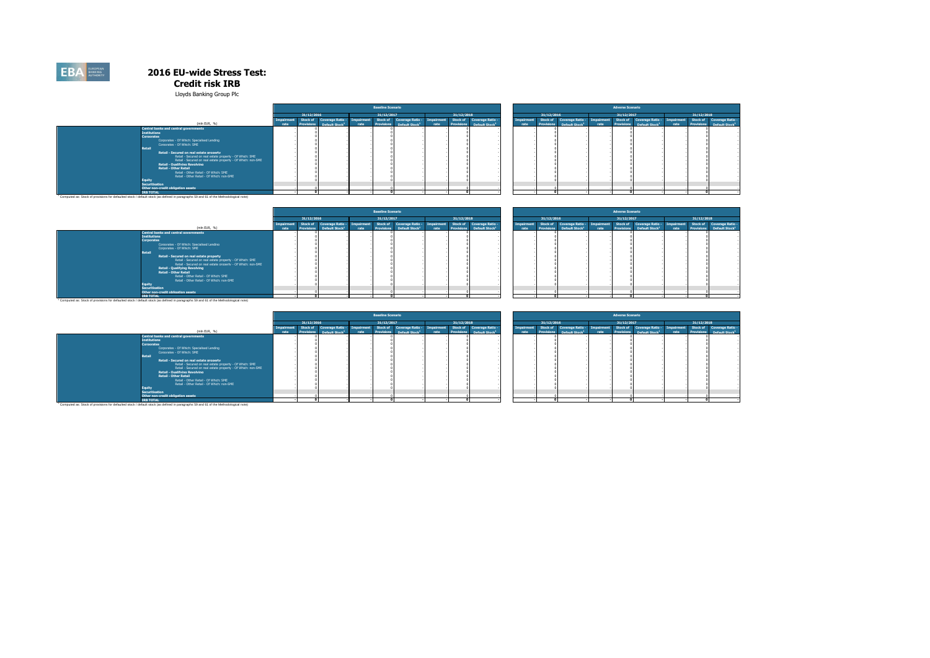#### **Credit risk IRB**

Lloyds Banking Group Plc

|                                                                                                                                                                                                                                                                                                                                                                                                                                                                                                                                                                                       | <b>Baseline Scenario</b> |                           |            |                   |                           |            |            |                                       |            |            |                           |              |                         |                                       |            |            |                                       |
|---------------------------------------------------------------------------------------------------------------------------------------------------------------------------------------------------------------------------------------------------------------------------------------------------------------------------------------------------------------------------------------------------------------------------------------------------------------------------------------------------------------------------------------------------------------------------------------|--------------------------|---------------------------|------------|-------------------|---------------------------|------------|------------|---------------------------------------|------------|------------|---------------------------|--------------|-------------------------|---------------------------------------|------------|------------|---------------------------------------|
|                                                                                                                                                                                                                                                                                                                                                                                                                                                                                                                                                                                       |                          |                           |            |                   |                           |            |            |                                       |            |            |                           |              | <b>Adverse Scenario</b> |                                       |            |            |                                       |
|                                                                                                                                                                                                                                                                                                                                                                                                                                                                                                                                                                                       | 31/12/2016               |                           |            | 31/12/2017        |                           |            | 31/12/2018 |                                       |            | 31/12/2016 |                           |              | 31/12/2017              |                                       |            | 31/12/2018 |                                       |
|                                                                                                                                                                                                                                                                                                                                                                                                                                                                                                                                                                                       |                          | Stock of Coverage Ratio - | Impairment |                   | Stock of Coverage Ratio - | Impairment |            | Stock of Coverage Ratio -             | Impairment |            | Stock of Coverage Ratio - | Imnairment / |                         | Stock of Coverage Ratio -             | Impairment |            | Stock of Coverage Ratio -             |
| (mln EUR. %)                                                                                                                                                                                                                                                                                                                                                                                                                                                                                                                                                                          |                          | Default Stock             |            | <b>Provisions</b> | Default Stock             |            |            | Provisions Default Stock <sup>1</sup> |            |            | <b>Default Stock</b>      |              |                         | Provisions Default Stock <sup>1</sup> | rate.      |            | Provisions Default Stock <sup>1</sup> |
| <b>Central banks and central governments</b><br><b>Institutions</b><br>Corporates<br>Comprates - Of Which: Specialised Lending<br>Corporates - Of Which: SME<br><b>Retail</b><br>Retail - Secured on real estate property<br>Retail - Secured on real estate property - Of Which: SME<br>Retail - Secured on real estate property - Of Which: non-SME<br><b>Retail - Qualifying Revolving</b><br><b>Retail - Other Retail</b><br>Retail - Other Retail - Of Which: SME<br>Retail - Other Retail - Of Which: non-SME<br>Equity<br>Securitisation<br>Other non-credit obligation assets |                          |                           |            |                   |                           |            |            |                                       |            |            |                           |              |                         |                                       |            |            |                                       |
| <b>IRB TOTAL</b>                                                                                                                                                                                                                                                                                                                                                                                                                                                                                                                                                                      |                          |                           |            |                   |                           |            |            |                                       |            |            |                           |              |                         |                                       |            |            |                                       |
| <sup>1</sup> Computed as: Stock of provisions for defaulted stock / default stock (as defined in paragraphs 59 and 61 of the Methodological note)                                                                                                                                                                                                                                                                                                                                                                                                                                     |                          |                           |            |                   |                           |            |            |                                       |            |            |                           |              |                         |                                       |            |            |                                       |

|                                                                                                                                      |                   |                            |            | <b>Baseline Scenario</b> |                           |            |            |                                       |                   |                   |                           |            | <b>Adverse Scenario</b> |                            |           |            |                                       |
|--------------------------------------------------------------------------------------------------------------------------------------|-------------------|----------------------------|------------|--------------------------|---------------------------|------------|------------|---------------------------------------|-------------------|-------------------|---------------------------|------------|-------------------------|----------------------------|-----------|------------|---------------------------------------|
|                                                                                                                                      | 31/12/2016        |                            |            | 31/12/2017               |                           |            | 31/12/2018 |                                       |                   | 31/12/2016        |                           |            | 31/12/2017              |                            |           | 31/12/2018 |                                       |
|                                                                                                                                      | štock of          | Coverage Ratio -           | Imnairment |                          | Stock of Coverage Ratio - | Impairment |            | Stock of Coverage Ratio -             | <b>Impairment</b> |                   | Stock of Coverage Ratio - | Impairment |                         | Stock of Coverage Ratio -  | mpairment |            | Stock of Coverage Ratio -             |
| (mln EUR, %)                                                                                                                         | <b>Provisions</b> | Default Stock <sup>1</sup> | rate       | <b>Provisions</b>        | Default Stock             | rate       |            | Provisions Default Stock <sup>1</sup> | rate              | <b>Provisions</b> | <b>Default Stock</b> *    | rate       | <b>Provisions</b>       | Default Stock <sup>1</sup> | rate      |            | Provisions Default Stock <sup>1</sup> |
| Central banks and central governments                                                                                                |                   |                            |            |                          |                           |            |            |                                       |                   |                   |                           |            |                         |                            |           |            |                                       |
| <b>Institutions</b>                                                                                                                  |                   |                            |            |                          |                           |            |            |                                       |                   |                   |                           |            |                         |                            |           |            |                                       |
| <b>Corporates</b>                                                                                                                    |                   |                            |            |                          |                           |            |            |                                       |                   |                   |                           |            |                         |                            |           |            |                                       |
| Corporates - Of Which: Specialised Lending                                                                                           |                   |                            |            |                          |                           |            |            |                                       |                   |                   |                           |            |                         |                            |           |            |                                       |
| Corporates - Of Which: SME                                                                                                           |                   |                            |            |                          |                           |            |            |                                       |                   |                   |                           |            |                         |                            |           |            |                                       |
| <b>Retail</b>                                                                                                                        |                   |                            |            |                          |                           |            |            |                                       |                   |                   |                           |            |                         |                            |           |            |                                       |
| Retail - Secured on real estate property                                                                                             |                   |                            |            |                          |                           |            |            |                                       |                   |                   |                           |            |                         |                            |           |            |                                       |
| Retail - Secured on real estate property - Of Which: SME                                                                             |                   |                            |            |                          |                           |            |            |                                       |                   |                   |                           |            |                         |                            |           |            |                                       |
| Retail - Secured on real estate property - Of Which: non-SME                                                                         |                   |                            |            |                          |                           |            |            |                                       |                   |                   |                           |            |                         |                            |           |            |                                       |
| <b>Retail - Qualifying Revolving</b>                                                                                                 |                   |                            |            |                          |                           |            |            |                                       |                   |                   |                           |            |                         |                            |           |            |                                       |
| <b>Retail - Other Retail</b>                                                                                                         |                   |                            |            |                          |                           |            |            |                                       |                   |                   |                           |            |                         |                            |           |            |                                       |
| Retail - Other Retail - Of Which: SME                                                                                                |                   |                            |            |                          |                           |            |            |                                       |                   |                   |                           |            |                         |                            |           |            |                                       |
| Retail - Other Retail - Of Which: non-SME                                                                                            |                   |                            |            |                          |                           |            |            |                                       |                   |                   |                           |            |                         |                            |           |            |                                       |
| Equity                                                                                                                               |                   |                            |            |                          |                           |            |            |                                       |                   |                   |                           |            |                         |                            |           |            |                                       |
| <b>Securitisation</b>                                                                                                                |                   |                            |            |                          |                           |            |            |                                       |                   |                   |                           |            |                         |                            |           |            |                                       |
| Other non-credit obligation assets                                                                                                   |                   |                            |            |                          |                           |            |            |                                       |                   |                   |                           |            |                         |                            |           |            |                                       |
| <b>IRB TOTAL</b>                                                                                                                     |                   |                            |            |                          |                           |            |            |                                       |                   |                   |                           |            |                         |                            |           |            |                                       |
| Computed as: Stock of provisions for defaulted stock / default stock (as defined in paragraphs 59 and 61 of the Methodological note) |                   |                            |            |                          |                           |            |            |                                       |                   |                   |                           |            |                         |                            |           |            |                                       |

|                                                              |      |                      |               |       | <b>Baseline Scenario</b> |                                                       |            |            |                                       |            |                   |                           |            | <b>Adverse Scenario</b> |                                      |      |                               |  |
|--------------------------------------------------------------|------|----------------------|---------------|-------|--------------------------|-------------------------------------------------------|------------|------------|---------------------------------------|------------|-------------------|---------------------------|------------|-------------------------|--------------------------------------|------|-------------------------------|--|
|                                                              |      | 31/12/2016           |               |       | 31/12/2017               |                                                       |            | 31/12/2018 |                                       |            | 31/12/2016        |                           |            | 31/12/2017              |                                      |      | 31/12/2018                    |  |
| (mln EUR, %)                                                 |      | Stock of<br>muisinne |               |       |                          | Coverage Ratio - Impairment Stock of Coverage Ratio - | Impairment |            | Stock of Coverage Ratio -             | Impairment |                   | Stock of Coverage Ratio - | Impairment |                         | Stock of Coverage Ratio - Impairment |      | Stock of<br><b>Provisions</b> |  |
|                                                              | rate |                      | Default Stock | rate. | <b>Provisions</b>        | Default Stock                                         | rate       |            | Provisions Default Stock <sup>1</sup> | rate       | <b>Provisions</b> | Default Stock             | rate       | <b>Provisions</b>       | Default Stock <sup>1</sup>           | rate |                               |  |
| <b>Central banks and central governments</b>                 |      |                      |               |       |                          |                                                       |            |            |                                       |            |                   |                           |            |                         |                                      |      |                               |  |
| <b>Institutions</b>                                          |      |                      |               |       |                          |                                                       |            |            |                                       |            |                   |                           |            |                         |                                      |      |                               |  |
| Corporates                                                   |      |                      |               |       |                          |                                                       |            |            |                                       |            |                   |                           |            |                         |                                      |      |                               |  |
| Corporates - Of Which: Specialised Lending                   |      |                      |               |       |                          |                                                       |            |            |                                       |            |                   |                           |            |                         |                                      |      |                               |  |
| Corporates - Of Which: SME                                   |      |                      |               |       |                          |                                                       |            |            |                                       |            |                   |                           |            |                         |                                      |      |                               |  |
| Retail                                                       |      |                      |               |       |                          |                                                       |            |            |                                       |            |                   |                           |            |                         |                                      |      |                               |  |
| Retail - Secured on real estate property                     |      |                      |               |       |                          |                                                       |            |            |                                       |            |                   |                           |            |                         |                                      |      |                               |  |
| Retail - Secured on real estate nroperty - Of Which: SME     |      |                      |               |       |                          |                                                       |            |            |                                       |            |                   |                           |            |                         |                                      |      |                               |  |
| Retail - Secured on real estate property - Of Which: non-SME |      |                      |               |       |                          |                                                       |            |            |                                       |            |                   |                           |            |                         |                                      |      |                               |  |
| <b>Retail - Qualifying Revolving</b>                         |      |                      |               |       |                          |                                                       |            |            |                                       |            |                   |                           |            |                         |                                      |      |                               |  |
| <b>Retail - Other Retail</b>                                 |      |                      |               |       |                          |                                                       |            |            |                                       |            |                   |                           |            |                         |                                      |      |                               |  |
| Retail - Other Retail - Of Which: SME                        |      |                      |               |       |                          |                                                       |            |            |                                       |            |                   |                           |            |                         |                                      |      |                               |  |
| Retail - Other Retail - Of Which: non-SME                    |      |                      |               |       |                          |                                                       |            |            |                                       |            |                   |                           |            |                         |                                      |      |                               |  |
| Eauitv                                                       |      |                      |               |       |                          |                                                       |            |            |                                       |            |                   |                           |            |                         |                                      |      |                               |  |
| <b>Securitisation</b>                                        |      |                      |               |       |                          |                                                       |            |            |                                       |            |                   |                           |            |                         |                                      |      |                               |  |
| Other non-credit obligation assets                           |      |                      |               |       |                          |                                                       |            |            |                                       |            |                   |                           |            |                         |                                      |      |                               |  |
|                                                              |      |                      |               |       |                          |                                                       |            |            |                                       |            |                   |                           |            |                         |                                      |      |                               |  |

|            |                                       |      | <b>Baseline Scenario</b> |                             |      |                   |                            |            |            |                                       |            | <b>Adverse Scenario</b> |                            |                   |            |                                       |
|------------|---------------------------------------|------|--------------------------|-----------------------------|------|-------------------|----------------------------|------------|------------|---------------------------------------|------------|-------------------------|----------------------------|-------------------|------------|---------------------------------------|
| 31/12/2016 |                                       |      | 31/12/2017               |                             |      | 31/12/2018        |                            |            | 31/12/2016 |                                       |            | 31/12/2017              |                            |                   | 31/12/2018 |                                       |
| Stock of   | Coverage Ratio - Impairment           |      | Stock of                 | Coverage Ratio - Impairment |      | Stock of          | Coverage Ratio -           | Impairment | Stock of   | <b>Coverage Ratio -</b>               | Impairment | Stock of                | Coverage Ratio -           | <b>Impairment</b> |            | Stock of Coverage Ratio -             |
|            | Provisions Default Stock <sup>1</sup> | rate | <b>Provisions</b>        | Default Stock <sup>1</sup>  | rate | <b>Provisions</b> | Default Stock <sup>1</sup> | rate       |            | Provisions Default Stock <sup>1</sup> | rate       | <b>Provisions</b>       | Default Stock <sup>1</sup> | rate              |            | Provisions Default Stock <sup>1</sup> |
|            |                                       |      |                          |                             |      |                   |                            |            |            |                                       |            |                         |                            |                   |            |                                       |
|            |                                       |      |                          |                             |      |                   |                            |            |            |                                       |            |                         |                            |                   |            |                                       |
|            |                                       |      |                          |                             |      |                   |                            |            |            |                                       |            |                         |                            |                   |            |                                       |
|            |                                       |      |                          |                             |      |                   |                            |            |            |                                       |            |                         |                            |                   |            |                                       |
|            |                                       |      |                          |                             |      |                   |                            |            |            |                                       |            |                         |                            |                   |            |                                       |
|            |                                       |      |                          |                             |      |                   |                            |            |            |                                       |            |                         |                            |                   |            |                                       |
|            |                                       |      |                          |                             |      |                   |                            |            |            |                                       |            |                         |                            |                   |            |                                       |
|            |                                       |      |                          |                             |      |                   |                            |            |            |                                       |            |                         |                            |                   |            |                                       |
|            |                                       |      |                          |                             |      |                   |                            |            |            |                                       |            |                         |                            |                   |            |                                       |
|            |                                       |      |                          |                             |      |                   |                            |            |            |                                       |            |                         |                            |                   |            |                                       |
|            |                                       |      |                          |                             |      |                   |                            |            |            |                                       |            |                         |                            |                   |            |                                       |
|            |                                       |      |                          |                             |      |                   |                            |            |            |                                       |            |                         |                            |                   |            |                                       |
|            |                                       |      |                          |                             |      |                   |                            |            |            |                                       |            |                         |                            |                   |            |                                       |
|            |                                       |      |                          |                             |      |                   |                            |            |            |                                       |            |                         |                            |                   |            |                                       |
|            |                                       |      |                          |                             |      |                   |                            |            |            |                                       |            |                         |                            |                   |            |                                       |
|            |                                       |      | $\mathbf{r}$             |                             |      |                   |                            |            |            |                                       |            |                         |                            |                   | $\Omega$   |                                       |

IRB TOTAL<br><sup>1</sup> Computed as: Stock of provisions for defaulted stock / default stock (as defined in paragraphs 59 and 61 of the Methodological note)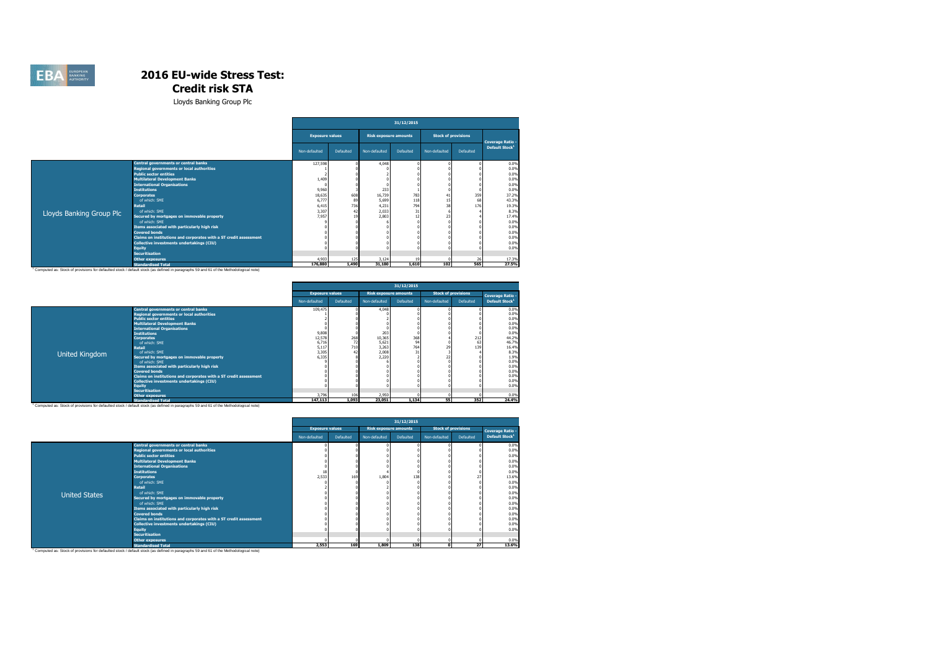

Lloyds Banking Group Plc

|                                             | 31/12/2015                                                                                                                                                                                                                                                                                                                                                                                                                                            |                                                                         |                                     |                                                                                                   |                                                                       |                        |                                                             |  |  |  |  |
|---------------------------------------------|-------------------------------------------------------------------------------------------------------------------------------------------------------------------------------------------------------------------------------------------------------------------------------------------------------------------------------------------------------------------------------------------------------------------------------------------------------|-------------------------------------------------------------------------|-------------------------------------|---------------------------------------------------------------------------------------------------|-----------------------------------------------------------------------|------------------------|-------------------------------------------------------------|--|--|--|--|
|                                             |                                                                                                                                                                                                                                                                                                                                                                                                                                                       |                                                                         |                                     |                                                                                                   |                                                                       |                        | <b>Coverage Ratio -</b>                                     |  |  |  |  |
|                                             | Non-defaulted                                                                                                                                                                                                                                                                                                                                                                                                                                         | Defaulted                                                               | Non-defaulted                       | Defaulted                                                                                         | Non-defaulted                                                         | Defaulted              | Default Stock <sup>1</sup>                                  |  |  |  |  |
| <b>Central governments or central banks</b> | 127,598                                                                                                                                                                                                                                                                                                                                                                                                                                               |                                                                         | 4.048                               |                                                                                                   |                                                                       |                        | 0.0%                                                        |  |  |  |  |
| Regional governments or local authorities   |                                                                                                                                                                                                                                                                                                                                                                                                                                                       |                                                                         |                                     |                                                                                                   |                                                                       |                        | 0.0%                                                        |  |  |  |  |
| <b>Public sector entities</b>               |                                                                                                                                                                                                                                                                                                                                                                                                                                                       |                                                                         |                                     |                                                                                                   |                                                                       |                        | 0.0%                                                        |  |  |  |  |
| <b>Multilateral Development Banks</b>       | 1,409                                                                                                                                                                                                                                                                                                                                                                                                                                                 |                                                                         |                                     |                                                                                                   |                                                                       |                        | 0.0%                                                        |  |  |  |  |
| <b>International Organisations</b>          |                                                                                                                                                                                                                                                                                                                                                                                                                                                       |                                                                         |                                     |                                                                                                   |                                                                       |                        | 0.0%                                                        |  |  |  |  |
|                                             |                                                                                                                                                                                                                                                                                                                                                                                                                                                       |                                                                         |                                     |                                                                                                   |                                                                       |                        | 0.0%                                                        |  |  |  |  |
|                                             |                                                                                                                                                                                                                                                                                                                                                                                                                                                       |                                                                         |                                     |                                                                                                   | 41                                                                    |                        | 37.2%                                                       |  |  |  |  |
|                                             |                                                                                                                                                                                                                                                                                                                                                                                                                                                       |                                                                         |                                     |                                                                                                   |                                                                       |                        | 43.3%                                                       |  |  |  |  |
|                                             |                                                                                                                                                                                                                                                                                                                                                                                                                                                       |                                                                         |                                     |                                                                                                   |                                                                       |                        | 19.3%                                                       |  |  |  |  |
|                                             |                                                                                                                                                                                                                                                                                                                                                                                                                                                       |                                                                         |                                     |                                                                                                   |                                                                       |                        | 8.3%                                                        |  |  |  |  |
|                                             |                                                                                                                                                                                                                                                                                                                                                                                                                                                       |                                                                         |                                     |                                                                                                   |                                                                       |                        | 17.4%                                                       |  |  |  |  |
|                                             |                                                                                                                                                                                                                                                                                                                                                                                                                                                       |                                                                         |                                     |                                                                                                   |                                                                       |                        | 0.0%                                                        |  |  |  |  |
|                                             |                                                                                                                                                                                                                                                                                                                                                                                                                                                       |                                                                         |                                     |                                                                                                   |                                                                       |                        | 0.0%                                                        |  |  |  |  |
|                                             |                                                                                                                                                                                                                                                                                                                                                                                                                                                       |                                                                         |                                     |                                                                                                   |                                                                       |                        | 0.0%                                                        |  |  |  |  |
|                                             |                                                                                                                                                                                                                                                                                                                                                                                                                                                       |                                                                         |                                     |                                                                                                   |                                                                       |                        | 0.0%                                                        |  |  |  |  |
|                                             |                                                                                                                                                                                                                                                                                                                                                                                                                                                       |                                                                         |                                     |                                                                                                   |                                                                       |                        | 0.0%<br>0.0%                                                |  |  |  |  |
|                                             |                                                                                                                                                                                                                                                                                                                                                                                                                                                       |                                                                         |                                     |                                                                                                   |                                                                       |                        |                                                             |  |  |  |  |
|                                             |                                                                                                                                                                                                                                                                                                                                                                                                                                                       |                                                                         |                                     |                                                                                                   |                                                                       |                        |                                                             |  |  |  |  |
|                                             |                                                                                                                                                                                                                                                                                                                                                                                                                                                       |                                                                         |                                     |                                                                                                   |                                                                       |                        | 17.3%<br>27.5%                                              |  |  |  |  |
|                                             | <b>Institutions</b><br><b>Corporates</b><br>of which: SME<br><b>Retail</b><br>of which: SMF<br>Secured by mortgages on immovable property<br>of which: SMF<br>Items associated with particularly high risk<br><b>Covered bonds</b><br>Claims on institutions and corporates with a ST credit assessment<br>Collective investments undertakings (CIU)<br><b>Equity</b><br><b>Securitisation</b><br><b>Other exposures</b><br><b>Standardised Total</b> | 9,960<br>18,635<br>6.777<br>6,415<br>3,307<br>7,957<br>4.903<br>176,880 | <b>Exposure values</b><br>608<br>47 | 233<br>16,739<br>5,699<br>89<br>736<br>4,231<br>2.033<br>2,803<br>3.124<br>125<br>31,180<br>1,490 | <b>Risk exposure amounts</b><br>783<br>794<br>31<br>12<br>19<br>1.610 | 118<br>38<br>23<br>102 | <b>Stock of provisions</b><br>359<br>68<br>176<br>26<br>565 |  |  |  |  |

|                |                                                                                                                                                                                                                                                                                                                                                               | 31/12/2015                                            |                       |                                                   |                  |                            |                  |                                                                                 |  |  |  |  |
|----------------|---------------------------------------------------------------------------------------------------------------------------------------------------------------------------------------------------------------------------------------------------------------------------------------------------------------------------------------------------------------|-------------------------------------------------------|-----------------------|---------------------------------------------------|------------------|----------------------------|------------------|---------------------------------------------------------------------------------|--|--|--|--|
|                |                                                                                                                                                                                                                                                                                                                                                               | <b>Exposure values</b>                                |                       | <b>Risk exposure amounts</b>                      |                  | <b>Stock of provisions</b> |                  | <b>Coverage Ratio -</b>                                                         |  |  |  |  |
|                |                                                                                                                                                                                                                                                                                                                                                               | Non-defaulted                                         | Defaulted             | Non-defaulted                                     | Defaulted        | Non-defaulted              | Defaulted        | Default Stock <sup>1</sup>                                                      |  |  |  |  |
|                | <b>Central governments or central banks</b><br><b>Regional governments or local authorities</b><br><b>Public sector entities</b><br><b>Multilateral Development Banks</b><br><b>International Organisations</b><br><b>Institutions</b><br><b>Corporates</b><br>of which: SME<br><b>Retail</b><br>of which: SMF                                                | 109,475<br>9,808<br>12,578<br>6,716<br>5,117<br>3.305 | 268<br>72<br>710      | 4.048<br>203<br>10,365<br>5.621<br>3.263<br>2.008 | 368<br>94<br>764 |                            | 212<br>63<br>139 | 0.0%<br>0.0%<br>0.0%<br>0.0%<br>0.0%<br>0.0%<br>44.2%<br>46.7%<br>16.4%<br>8.3% |  |  |  |  |
| United Kingdom | Secured by mortgages on immovable property<br>of which: SME<br>Items associated with particularly high risk<br><b>Covered bonds</b><br>Claims on institutions and corporates with a ST credit assessment<br>Collective investments undertakings (CIU)<br><b>Equity</b><br><b>Securitisation</b><br>Other exposures<br>the common common and the common common | 6,335<br>3,796<br>447.445                             | 106<br>$\overline{1}$ | 2,220<br>2.950<br>33.654                          | $\overline{1}$   | 27<br>i                    | $n = n$          | 1.9%<br>0.0%<br>0.0%<br>0.0%<br>0.0%<br>0.0%<br>0.0%<br>0.0%<br>74.401          |  |  |  |  |

Computed as: Stock of provisions for defaulted stock /default stock (as defined in paragraphs 59 and 61 of the Methodological note) [147,113 | 1,093 | 23,051 1,134 | 55 | 352 24,4%

|                      |                                                                   | 31/12/2015             |           |                              |           |                            |           |                            |  |  |  |  |
|----------------------|-------------------------------------------------------------------|------------------------|-----------|------------------------------|-----------|----------------------------|-----------|----------------------------|--|--|--|--|
|                      |                                                                   | <b>Exposure values</b> |           | <b>Risk exposure amounts</b> |           | <b>Stock of provisions</b> |           | Coverage Ratio -           |  |  |  |  |
|                      |                                                                   | Non-defaulted          | Defaulted | Non-defaulted                | Defaulted | Non-defaulted              | Defaulted | Default Stock <sup>1</sup> |  |  |  |  |
|                      | Central governments or central banks                              |                        |           |                              |           |                            |           | 0.0%                       |  |  |  |  |
|                      | Regional governments or local authorities                         |                        |           |                              |           |                            |           | 0.0%                       |  |  |  |  |
|                      | <b>Public sector entities</b>                                     |                        |           |                              |           |                            |           | 0.0%                       |  |  |  |  |
|                      | <b>Multilateral Development Banks</b>                             |                        |           |                              |           |                            |           | 0.0%                       |  |  |  |  |
|                      | <b>International Organisations</b>                                |                        |           |                              |           |                            |           | 0.0%                       |  |  |  |  |
|                      | <b>Institutions</b>                                               | 18                     |           |                              |           |                            |           | 0.0%                       |  |  |  |  |
|                      | <b>Corporates</b>                                                 | 2,533                  | 169       | 1.804                        | 138       |                            |           | 13.6%                      |  |  |  |  |
|                      | of which: SME                                                     |                        |           |                              |           |                            |           | 0.0%                       |  |  |  |  |
|                      | <b>Retail</b>                                                     |                        |           |                              |           |                            |           | 0.0%                       |  |  |  |  |
| <b>United States</b> | of which: SME                                                     |                        |           |                              |           |                            |           | 0.0%                       |  |  |  |  |
|                      | Secured by mortgages on immovable property                        |                        |           |                              |           |                            |           | 0.0%                       |  |  |  |  |
|                      | of which: SME                                                     |                        |           |                              |           |                            |           | 0.0%                       |  |  |  |  |
|                      | Items associated with particularly high risk                      |                        |           |                              |           |                            |           | 0.0%                       |  |  |  |  |
|                      | <b>Covered bonds</b>                                              |                        |           |                              |           |                            |           | 0.0%                       |  |  |  |  |
|                      | Claims on institutions and corporates with a ST credit assessment |                        |           |                              |           |                            |           | 0.0%                       |  |  |  |  |
|                      | Collective investments undertakings (CIU)                         |                        |           |                              |           |                            |           | 0.0%                       |  |  |  |  |
|                      | Equity                                                            |                        |           |                              |           |                            |           | 0.0%                       |  |  |  |  |
|                      | <b>Securitisation</b>                                             |                        |           |                              |           |                            |           |                            |  |  |  |  |
|                      | <b>Other exposures</b>                                            |                        |           |                              |           |                            |           | 0.0%                       |  |  |  |  |
|                      | <b>Standardised Total</b>                                         | 2,553                  | 169       | 1,809                        | 138       | $\mathbf{r}$               | 27        | 13.6%                      |  |  |  |  |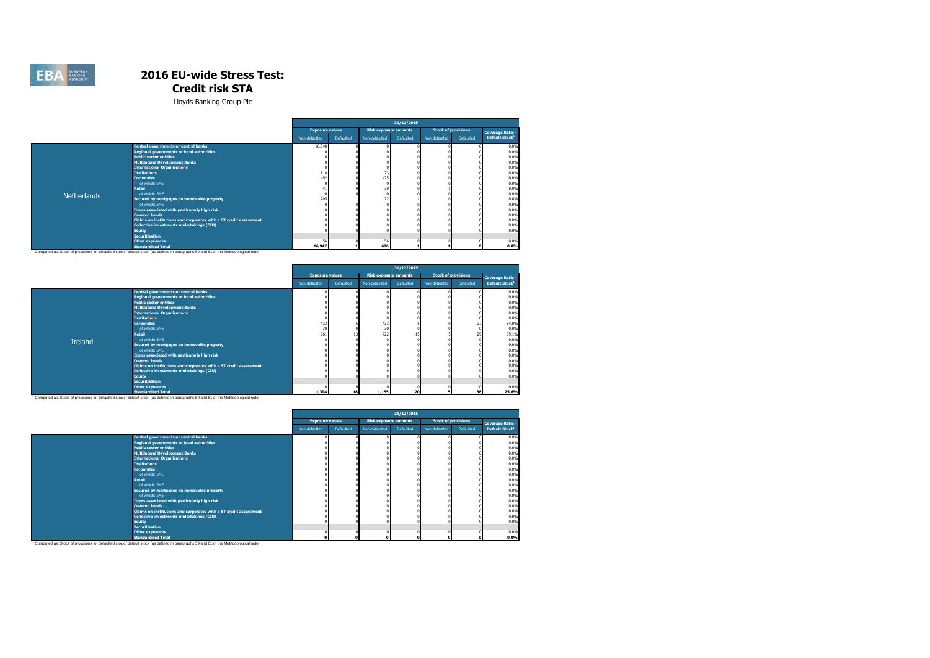

Lloyds Banking Group Plc

|                    |                                                                   | 31/12/2015             |           |                              |           |                            |           |                            |  |  |  |
|--------------------|-------------------------------------------------------------------|------------------------|-----------|------------------------------|-----------|----------------------------|-----------|----------------------------|--|--|--|
|                    |                                                                   | <b>Exposure values</b> |           | <b>Risk exposure amounts</b> |           | <b>Stock of provisions</b> |           | <b>Coverage Ratio -</b>    |  |  |  |
|                    |                                                                   | Non-defaulted          | Defaulted | Non-defaulted                | Defaulted | Non-defaulted              | Defaulted | Default Stock <sup>1</sup> |  |  |  |
|                    | Central governments or central banks                              | 16,040                 |           |                              |           |                            |           | 0.0%                       |  |  |  |
|                    | Regional governments or local authorities                         |                        |           |                              |           |                            |           | 0.0%                       |  |  |  |
|                    | <b>Public sector entities</b>                                     |                        |           |                              |           |                            |           | 0.0%                       |  |  |  |
|                    | <b>Multilateral Development Banks</b>                             |                        |           |                              |           |                            |           | 0.0%                       |  |  |  |
|                    | <b>International Organisations</b>                                |                        |           |                              |           |                            |           | 0.0%                       |  |  |  |
|                    | <b>Institutions</b>                                               | 11 <sup>2</sup>        |           | 23                           |           |                            |           | 0.0%                       |  |  |  |
|                    | <b>Corporates</b>                                                 | 49.                    |           | 425                          |           |                            |           | 0.0%                       |  |  |  |
|                    | of which: SME                                                     |                        |           |                              |           |                            |           | 0.0%                       |  |  |  |
|                    | <b>Retail</b>                                                     |                        |           | 30                           |           |                            |           | 0.0%                       |  |  |  |
| <b>Netherlands</b> | of which: SME                                                     |                        |           |                              |           |                            |           | 0.0%                       |  |  |  |
|                    | Secured by mortgages on immovable property                        | 205                    |           | 72                           |           |                            |           | 0.8%                       |  |  |  |
|                    | of which: SME                                                     |                        |           |                              |           |                            |           | 0.0%                       |  |  |  |
|                    | Items associated with particularly high risk                      |                        |           |                              |           |                            |           | 0.0%                       |  |  |  |
|                    | <b>Covered bonds</b>                                              |                        |           |                              |           |                            |           | 0.0%                       |  |  |  |
|                    | Claims on institutions and corporates with a ST credit assessment |                        |           |                              |           |                            |           | 0.0%                       |  |  |  |
|                    | Collective investments undertakings (CIU)                         |                        |           |                              |           |                            |           | 0.0%                       |  |  |  |
|                    | <b>Equity</b>                                                     |                        |           |                              |           |                            |           | 0.0%                       |  |  |  |
|                    | <b>Securitisation</b>                                             | E)                     |           |                              |           |                            |           |                            |  |  |  |
|                    | <b>Other exposures</b><br><b>Chandardicad Total</b>               | 16.947                 |           | 56<br><b>GOG</b>             |           |                            |           | 0.0%<br>0.996              |  |  |  |

<sup>1</sup>Computed as: Stock of provisions for defaulted stock /default stock (as defined in paragraphs 59 and 61 of the Methodological note) 15,947 [ 1] 606 1 1] 1 1 9 08% 198% 1

|         |                                                                   | 31/12/2015             |                  |               |                              |               |                            |                            |  |  |  |
|---------|-------------------------------------------------------------------|------------------------|------------------|---------------|------------------------------|---------------|----------------------------|----------------------------|--|--|--|
|         |                                                                   | <b>Exposure values</b> |                  |               | <b>Risk exposure amounts</b> |               | <b>Stock of provisions</b> | <b>Coverage Ratio -</b>    |  |  |  |
|         |                                                                   | Non-defaulted          | <b>Defaulted</b> | Non-defaulted | Defaulted                    | Non-defaulted | Defaulted                  | Default Stock <sup>1</sup> |  |  |  |
|         | <b>Central governments or central banks</b>                       |                        |                  |               |                              |               |                            | 0.0%                       |  |  |  |
|         | Regional governments or local authorities                         |                        |                  |               |                              |               |                            | 0.0%                       |  |  |  |
|         | <b>Public sector entities</b>                                     |                        |                  |               |                              |               |                            | 0.0%                       |  |  |  |
|         | <b>Multilateral Development Banks</b>                             |                        |                  |               |                              |               |                            | 0.0%                       |  |  |  |
|         | <b>International Organisations</b>                                |                        |                  |               |                              |               |                            | 0.0%                       |  |  |  |
|         | <b>Institutions</b>                                               |                        |                  |               |                              |               |                            | 0.0%                       |  |  |  |
|         | <b>Corporates</b>                                                 | 433                    |                  | 433           |                              |               |                            | 84.0%                      |  |  |  |
|         | of which: SME                                                     | 30                     |                  | 30            |                              |               |                            | 0.0%                       |  |  |  |
|         | <b>Retail</b>                                                     | 961                    |                  | 722           |                              |               | 29                         | 69.1%                      |  |  |  |
| Ireland | of which: SME                                                     |                        |                  |               |                              |               |                            | 0.0%                       |  |  |  |
|         | Secured by mortgages on immovable property                        |                        |                  |               |                              |               |                            | 0.0%                       |  |  |  |
|         | of which: SME                                                     |                        |                  |               |                              |               |                            | 0.0%                       |  |  |  |
|         | Items associated with particularly high risk                      |                        |                  |               |                              |               |                            | 0.0%                       |  |  |  |
|         | <b>Covered bonds</b>                                              |                        |                  |               |                              |               |                            | 0.0%                       |  |  |  |
|         | Claims on institutions and corporates with a ST credit assessment |                        |                  |               |                              |               |                            | 0.0%                       |  |  |  |
|         | Collective investments undertakings (CIU)                         |                        |                  |               |                              |               |                            | 0.0%                       |  |  |  |
|         | <b>Equity</b>                                                     |                        |                  |               |                              |               |                            | 0.0%                       |  |  |  |
|         | <b>Securitisation</b>                                             |                        |                  |               |                              |               |                            |                            |  |  |  |
|         | <b>Other exposures</b>                                            |                        |                  |               |                              |               |                            | 0.0%                       |  |  |  |
|         | <b>Standardised Total</b>                                         | 1,394                  | 18               | 1,155         | 20                           | ٠             | 56                         | 75.6%                      |  |  |  |

|                                                                   | 31/12/2015             |           |                              |           |                            |           |                            |  |  |  |
|-------------------------------------------------------------------|------------------------|-----------|------------------------------|-----------|----------------------------|-----------|----------------------------|--|--|--|
|                                                                   | <b>Exposure values</b> |           | <b>Risk exposure amounts</b> |           | <b>Stock of provisions</b> |           | Coverage Ratio -           |  |  |  |
|                                                                   | Non-defaulted          | Defaulted | Non-defaulted                | Defaulted | Non-defaulted              | Defaulted | Default Stock <sup>1</sup> |  |  |  |
| <b>Central governments or central banks</b>                       |                        |           |                              |           |                            |           | 0.0%                       |  |  |  |
| Regional governments or local authorities                         |                        |           |                              |           |                            |           | 0.0%                       |  |  |  |
| <b>Public sector entities</b>                                     |                        |           |                              |           |                            |           | 0.0%                       |  |  |  |
| <b>Multilateral Development Banks</b>                             |                        |           |                              |           |                            |           | 0.0%                       |  |  |  |
| <b>International Organisations</b>                                |                        |           |                              |           |                            |           | 0.0%                       |  |  |  |
| <b>Institutions</b>                                               |                        |           |                              |           |                            |           | 0.0%                       |  |  |  |
| <b>Corporates</b>                                                 |                        |           |                              |           |                            |           | 0.0%                       |  |  |  |
| of which: SME                                                     |                        |           |                              |           |                            |           | 0.0%                       |  |  |  |
| <b>Retail</b>                                                     |                        |           |                              |           |                            |           | 0.0%                       |  |  |  |
| of which: SME                                                     |                        |           |                              |           |                            |           | 0.0%                       |  |  |  |
| Secured by mortgages on immovable property                        |                        |           |                              |           |                            |           | 0.0%                       |  |  |  |
| of which: SME                                                     |                        |           |                              |           |                            |           | 0.0%                       |  |  |  |
| Items associated with particularly high risk                      |                        |           |                              |           |                            |           | 0.0%                       |  |  |  |
| <b>Covered bonds</b>                                              |                        |           |                              |           |                            |           | 0.0%                       |  |  |  |
| Claims on institutions and corporates with a ST credit assessment |                        |           |                              |           |                            |           | 0.0%                       |  |  |  |
| Collective investments undertakings (CIU)                         |                        |           |                              |           |                            |           | 0.0%                       |  |  |  |
| <b>Equity</b>                                                     |                        |           |                              |           |                            |           | 0.0%                       |  |  |  |
| <b>Securitisation</b>                                             |                        |           |                              |           |                            |           |                            |  |  |  |
| <b>Other exposures</b>                                            |                        |           |                              |           |                            |           | 0.0%                       |  |  |  |
| <b>Standardised Total</b>                                         | $\mathbf{r}$           | c         |                              | n         | $\sqrt{2}$                 |           | $0.0\%$                    |  |  |  |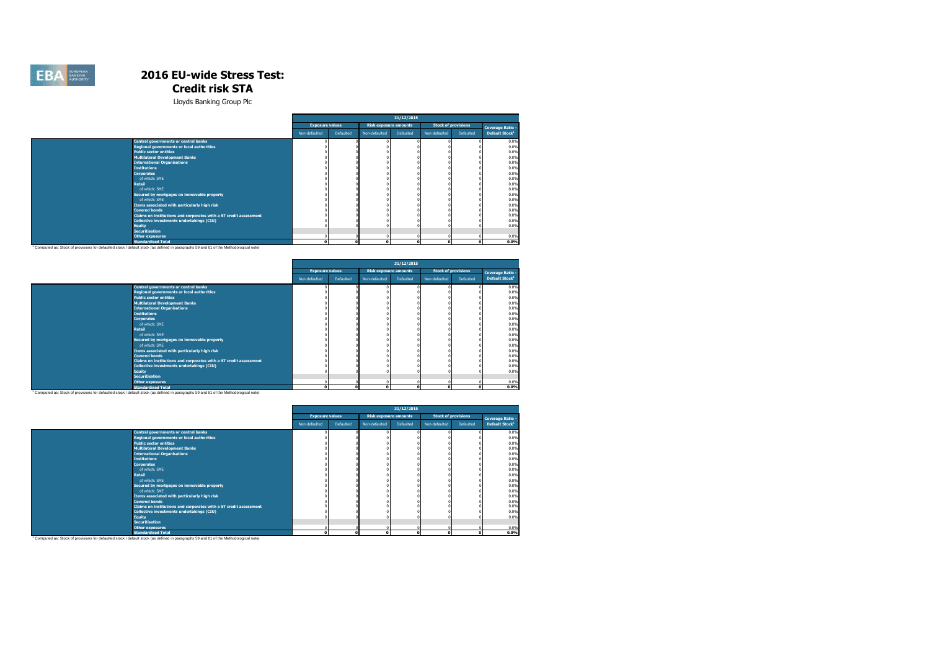

|                                                                                                                                      | 31/12/2015             |           |                              |           |                            |           |                            |  |  |
|--------------------------------------------------------------------------------------------------------------------------------------|------------------------|-----------|------------------------------|-----------|----------------------------|-----------|----------------------------|--|--|
|                                                                                                                                      | <b>Exposure values</b> |           | <b>Risk exposure amounts</b> |           | <b>Stock of provisions</b> |           | <b>Coverage Ratio -</b>    |  |  |
|                                                                                                                                      | Non-defaulted          | Defaulted | Non-defaulted                | Defaulted | Non-defaulted              | Defaulted | Default Stock <sup>1</sup> |  |  |
| <b>Central governments or central banks</b>                                                                                          |                        |           |                              |           |                            |           | 0.0%                       |  |  |
| <b>Regional governments or local authorities</b>                                                                                     |                        |           |                              |           |                            |           | 0.0%                       |  |  |
| <b>Public sector entities</b>                                                                                                        |                        |           |                              |           |                            |           | 0.0%                       |  |  |
| <b>Multilateral Development Banks</b>                                                                                                |                        |           |                              |           |                            |           | 0.0%                       |  |  |
| <b>International Organisations</b>                                                                                                   |                        |           |                              |           |                            |           | 0.0%                       |  |  |
| <b>Institutions</b>                                                                                                                  |                        |           |                              |           |                            |           | 0.0%                       |  |  |
| <b>Corporates</b>                                                                                                                    |                        |           |                              |           |                            |           | 0.0%                       |  |  |
| of which: SME                                                                                                                        |                        |           |                              |           |                            |           | 0.0%                       |  |  |
| Retail                                                                                                                               |                        |           |                              |           |                            |           | 0.0%                       |  |  |
| of which: SME                                                                                                                        |                        |           |                              |           |                            |           | 0.0%                       |  |  |
| Secured by mortgages on immovable property                                                                                           |                        |           |                              |           |                            |           | 0.0%                       |  |  |
| of which: SME                                                                                                                        |                        |           |                              |           |                            |           | 0.0%                       |  |  |
| Items associated with particularly high risk                                                                                         |                        |           |                              |           |                            |           | 0.0%                       |  |  |
| <b>Covered bonds</b>                                                                                                                 |                        |           |                              |           |                            |           | 0.0%                       |  |  |
| Claims on institutions and corporates with a ST credit assessment                                                                    |                        |           |                              |           |                            |           | 0.0%                       |  |  |
| Collective investments undertakings (CIU)                                                                                            |                        |           |                              |           |                            |           | 0.0%                       |  |  |
| <b>Equity</b>                                                                                                                        |                        |           |                              |           |                            |           | 0.0%                       |  |  |
| <b>Securitisation</b>                                                                                                                |                        |           |                              |           |                            |           |                            |  |  |
| <b>Other exposures</b>                                                                                                               |                        |           |                              |           | $\Omega$                   |           | 0.0%                       |  |  |
| <b>Standardised Total</b>                                                                                                            | $\mathbf{r}$           | $\Omega$  | n                            |           | $\Omega$                   | $\Omega$  | 0.0%                       |  |  |
| Computed as: Stock of provisions for defaulted stock / default stock (as defined in paragraphs 59 and 61 of the Methodological note) |                        |           |                              |           |                            |           |                            |  |  |

|                                                                   |                        |           |                              | 31/12/2015 |                            |           |                            |
|-------------------------------------------------------------------|------------------------|-----------|------------------------------|------------|----------------------------|-----------|----------------------------|
|                                                                   | <b>Exposure values</b> |           | <b>Risk exposure amounts</b> |            | <b>Stock of provisions</b> |           | <b>Coverage Ratio -</b>    |
|                                                                   | Non-defaulted          | Defaulted | Non-defaulted                | Defaulted  | Non-defaulted              | Defaulted | Default Stock <sup>1</sup> |
| Central governments or central banks                              |                        |           |                              |            |                            |           | 0.0%                       |
| Regional governments or local authorities                         |                        |           |                              |            |                            |           | 0.0%                       |
| <b>Public sector entities</b>                                     |                        |           |                              |            |                            |           | 0.0%                       |
| <b>Multilateral Development Banks</b>                             |                        |           |                              |            |                            |           | 0.0%                       |
| <b>International Organisations</b>                                |                        |           |                              |            |                            |           | 0.0%                       |
| <b>Institutions</b>                                               |                        |           |                              |            |                            |           | 0.0%                       |
| <b>Corporates</b>                                                 |                        |           |                              |            |                            |           | 0.0%                       |
| of which: SME                                                     |                        |           |                              |            |                            |           | 0.0%                       |
| <b>Retail</b>                                                     |                        |           |                              |            |                            |           | 0.0%                       |
| of which: SME                                                     |                        |           |                              |            |                            |           | 0.0%                       |
| Secured by mortgages on immovable property                        |                        |           |                              |            |                            |           | 0.0%                       |
| of which: SME                                                     |                        |           |                              |            |                            |           | 0.0%                       |
| Items associated with particularly high risk                      |                        |           |                              |            |                            |           | 0.0%                       |
| <b>Covered bonds</b>                                              |                        |           |                              |            |                            |           | 0.0%                       |
| Claims on institutions and corporates with a ST credit assessment |                        |           |                              |            |                            |           | 0.0%                       |
| Collective investments undertakings (CIU)                         |                        |           |                              |            |                            |           | 0.0%                       |
| <b>Equity</b>                                                     |                        |           |                              |            |                            |           | 0.0%                       |
| <b>Securitisation</b>                                             |                        |           |                              |            |                            |           |                            |
| Other exposures                                                   |                        |           |                              |            |                            |           | 0.0%                       |
| <b>Standardised Total</b>                                         | $\mathbf{r}$           |           | n                            | $\sim$     | $\mathbf{r}$               | o         | 0.0%                       |

|                                                                                                                                                   |                        |           |                              | 31/12/2015 |               |                            |                            |
|---------------------------------------------------------------------------------------------------------------------------------------------------|------------------------|-----------|------------------------------|------------|---------------|----------------------------|----------------------------|
|                                                                                                                                                   | <b>Exposure values</b> |           | <b>Risk exposure amounts</b> |            |               | <b>Stock of provisions</b> | <b>Coverage Ratio -</b>    |
|                                                                                                                                                   | Non-defaulted          | Defaulted | Non-defaulted                | Defaulted  | Non-defaulted | Defaulted                  | Default Stock <sup>1</sup> |
| Central governments or central banks                                                                                                              |                        |           |                              |            |               |                            | 0.0%                       |
| Regional governments or local authorities                                                                                                         |                        |           |                              |            |               |                            | 0.0%                       |
| <b>Public sector entities</b>                                                                                                                     |                        |           |                              |            |               |                            | 0.0%                       |
| <b>Multilateral Development Banks</b>                                                                                                             |                        |           |                              |            |               |                            | 0.0%                       |
| <b>International Organisations</b>                                                                                                                |                        |           |                              |            |               |                            | 0.0%                       |
| <b>Institutions</b>                                                                                                                               |                        |           |                              |            |               |                            | 0.0%                       |
| <b>Corporates</b>                                                                                                                                 |                        |           |                              |            |               |                            | 0.0%                       |
| of which: SME                                                                                                                                     |                        |           |                              |            |               |                            | 0.0%                       |
| <b>Retail</b>                                                                                                                                     |                        |           |                              |            |               |                            | 0.0%                       |
| of which: SME                                                                                                                                     |                        |           |                              |            |               |                            | 0.0%                       |
| Secured by mortgages on immovable property                                                                                                        |                        |           |                              |            |               |                            | 0.0%                       |
| of which: SME                                                                                                                                     |                        |           |                              |            |               |                            | 0.0%                       |
| Items associated with particularly high risk                                                                                                      |                        |           |                              |            |               |                            | 0.0%                       |
| <b>Covered bonds</b>                                                                                                                              |                        |           |                              |            |               |                            | 0.0%                       |
| Claims on institutions and corporates with a ST credit assessment                                                                                 |                        |           |                              |            |               |                            | 0.0%                       |
| Collective investments undertakings (CIU)                                                                                                         |                        |           |                              |            |               |                            | 0.0%                       |
| <b>Equity</b>                                                                                                                                     |                        |           |                              |            |               |                            | 0.0%                       |
| <b>Securitisation</b>                                                                                                                             |                        |           |                              |            |               |                            |                            |
| <b>Other exposures</b>                                                                                                                            |                        |           |                              |            |               |                            | 0.0%                       |
| <b>Standardised Total</b>                                                                                                                         |                        | n         | c                            |            |               |                            | 0.0%                       |
| <sup>1</sup> Computed as: Stock of provisions for defaulted stock / default stock (as defined in paragraphs 59 and 61 of the Methodological note) |                        |           |                              |            |               |                            |                            |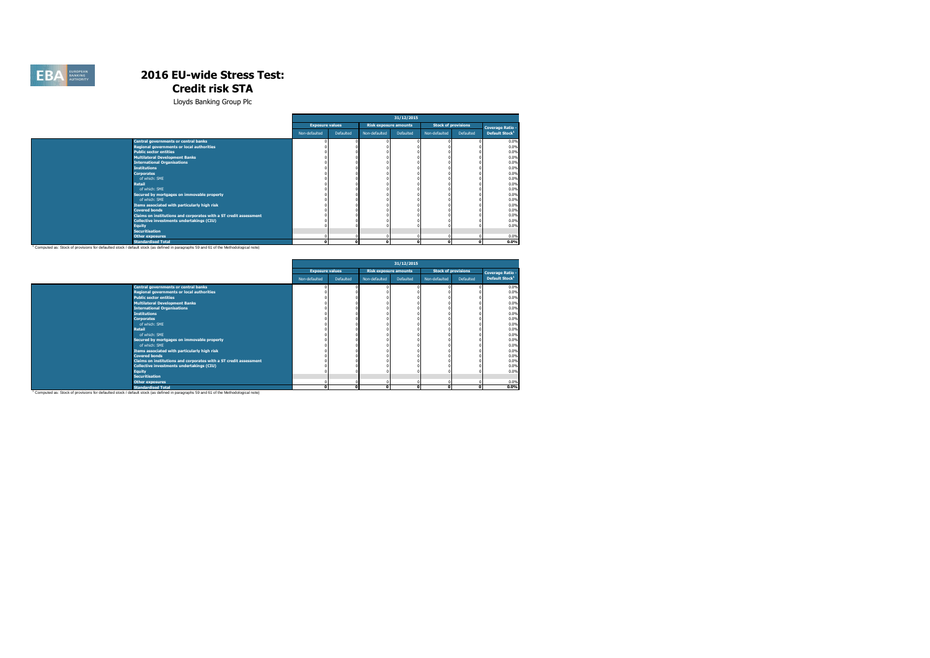

|                                                                                                                                      |                        |                  |                              | 31/12/2015 |               |                            |                            |
|--------------------------------------------------------------------------------------------------------------------------------------|------------------------|------------------|------------------------------|------------|---------------|----------------------------|----------------------------|
|                                                                                                                                      | <b>Exposure values</b> |                  | <b>Risk exposure amounts</b> |            |               | <b>Stock of provisions</b> | <b>Coverage Ratio -</b>    |
|                                                                                                                                      | Non-defaulted          | <b>Defaulted</b> | Non-defaulted                | Defaulted  | Non-defaulted | Defaulted                  | Default Stock <sup>1</sup> |
| <b>Central governments or central banks</b>                                                                                          |                        |                  |                              |            |               |                            | 0.0%                       |
| <b>Regional governments or local authorities</b>                                                                                     |                        |                  |                              |            |               |                            | 0.0%                       |
| <b>Public sector entities</b>                                                                                                        |                        |                  |                              |            |               |                            | 0.0%                       |
| <b>Multilateral Development Banks</b>                                                                                                |                        |                  |                              |            |               |                            | 0.0%                       |
| <b>International Organisations</b>                                                                                                   |                        |                  |                              |            |               |                            | 0.0%                       |
| <b>Institutions</b>                                                                                                                  |                        |                  |                              |            |               |                            | 0.0%                       |
| <b>Corporates</b>                                                                                                                    |                        |                  |                              |            |               |                            | 0.0%                       |
| of which: SME                                                                                                                        |                        |                  |                              |            |               |                            | 0.0%                       |
| <b>Retail</b>                                                                                                                        |                        |                  |                              |            |               |                            | 0.0%                       |
| of which: SME                                                                                                                        |                        |                  |                              |            |               |                            | 0.0%                       |
| Secured by mortgages on immovable property                                                                                           |                        |                  |                              |            |               |                            | 0.0%                       |
| of which: SME                                                                                                                        |                        |                  |                              |            |               |                            | 0.0%                       |
| Items associated with particularly high risk                                                                                         |                        |                  |                              |            |               |                            | 0.0%                       |
| <b>Covered bonds</b>                                                                                                                 |                        |                  |                              |            |               |                            | 0.0%                       |
| Claims on institutions and corporates with a ST credit assessment                                                                    |                        |                  |                              |            |               |                            | 0.0%                       |
| Collective investments undertakings (CIU)                                                                                            |                        |                  |                              |            |               |                            | 0.0%                       |
| <b>Equity</b>                                                                                                                        |                        |                  |                              |            |               |                            | 0.0%                       |
| <b>Securitisation</b>                                                                                                                |                        |                  |                              |            |               |                            |                            |
| <b>Other exposures</b>                                                                                                               |                        |                  |                              |            | $\Omega$      |                            | 0.0%                       |
| <b>Standardised Total</b>                                                                                                            |                        | $\Omega$         | $\Omega$                     |            | $\Omega$      | $\Omega$                   | 0.0%                       |
| Computed as: Stock of provisions for defaulted stock / default stock (as defined in paragraphs 59 and 61 of the Methodological note) |                        |                  |                              |            |               |                            |                            |

|                                                                   |                        |           |                              | 31/12/2015 |                            |           |                            |
|-------------------------------------------------------------------|------------------------|-----------|------------------------------|------------|----------------------------|-----------|----------------------------|
|                                                                   | <b>Exposure values</b> |           | <b>Risk exposure amounts</b> |            | <b>Stock of provisions</b> |           | <b>Coverage Ratio -</b>    |
|                                                                   | Non-defaulted          | Defaulted | Non-defaulted                | Defaulted  | Non-defaulted              | Defaulted | Default Stock <sup>1</sup> |
| <b>Central governments or central banks</b>                       |                        |           |                              |            |                            |           | 0.0%                       |
| <b>Regional governments or local authorities</b>                  |                        |           |                              |            |                            |           | 0.0%                       |
| <b>Public sector entities</b>                                     |                        |           |                              |            |                            |           | 0.0%                       |
| <b>Multilateral Development Banks</b>                             |                        |           |                              |            |                            |           | 0.0%                       |
| <b>International Organisations</b>                                |                        |           |                              |            |                            |           | 0.0%                       |
| <b>Institutions</b>                                               |                        |           |                              |            |                            |           | 0.0%                       |
| <b>Corporates</b>                                                 |                        |           |                              |            |                            |           | 0.0%                       |
| of which: SME                                                     |                        |           |                              |            |                            |           | 0.0%                       |
| <b>Retail</b>                                                     |                        |           |                              |            |                            |           | 0.0%                       |
| of which: SME                                                     |                        |           |                              |            |                            |           | 0.0%                       |
| Secured by mortgages on immovable property                        |                        |           |                              |            |                            |           | 0.0%                       |
| of which: SME                                                     |                        |           |                              |            |                            |           | 0.0%                       |
| Items associated with particularly high risk                      |                        |           |                              |            |                            |           | 0.0%                       |
| <b>Covered bonds</b>                                              |                        |           |                              |            |                            |           | 0.0%                       |
| Claims on institutions and corporates with a ST credit assessment |                        |           |                              |            |                            |           | 0.0%                       |
| Collective investments undertakings (CIU)                         |                        |           |                              |            |                            |           | 0.0%                       |
| <b>Equity</b>                                                     |                        |           |                              |            |                            |           | 0.0%                       |
| <b>Securitisation</b>                                             |                        |           |                              |            |                            |           |                            |
| <b>Other exposures</b>                                            |                        |           |                              |            |                            |           | 0.0%                       |
| <b>Standardised Total</b>                                         | c                      |           | $\sqrt{2}$                   |            | $\mathbf{r}$               | o         | 0.0%                       |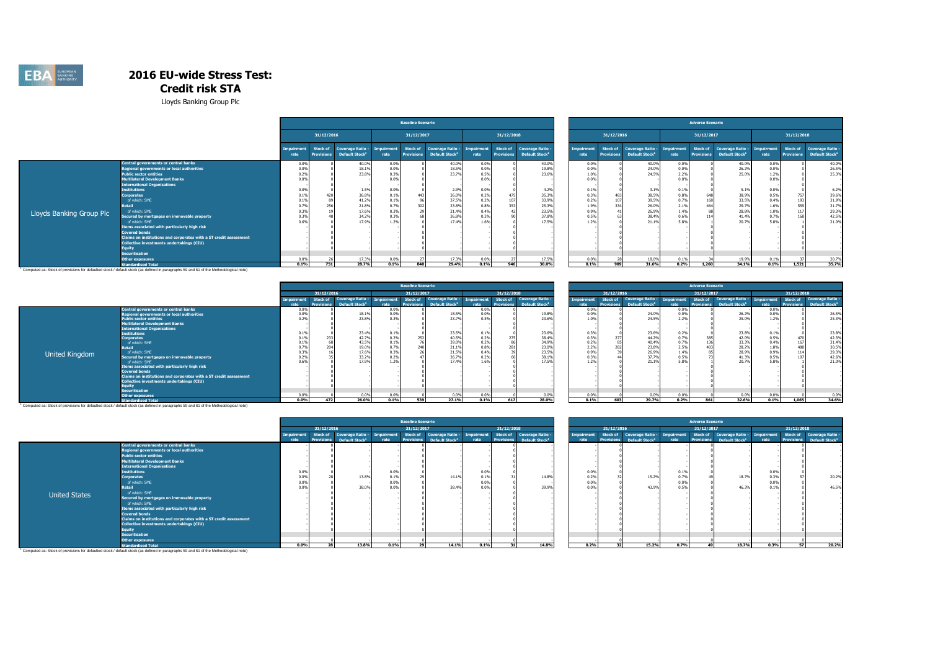

Lloyds Banking Group Plc

|                          |                                                                   |                    |                                      |                                                       |                           | <b>Baseline Scenario</b>      |                                                                  |              |                               |                                                       |                           |                               |                                                       |                    | <b>Adverse Scenario</b>       |                                                |                    |                                      |                                                       |
|--------------------------|-------------------------------------------------------------------|--------------------|--------------------------------------|-------------------------------------------------------|---------------------------|-------------------------------|------------------------------------------------------------------|--------------|-------------------------------|-------------------------------------------------------|---------------------------|-------------------------------|-------------------------------------------------------|--------------------|-------------------------------|------------------------------------------------|--------------------|--------------------------------------|-------------------------------------------------------|
|                          |                                                                   |                    | 31/12/2016                           |                                                       |                           | 31/12/2017                    |                                                                  |              | 31/12/2018                    |                                                       |                           | 31/12/2016                    |                                                       |                    | 31/12/2017                    |                                                |                    | 31/12/2018                           |                                                       |
|                          |                                                                   | mnairment.<br>rate | <b>Stock of</b><br><b>Provisions</b> | <b>Coverage Ratio -</b><br>Default Stock <sup>1</sup> | <b>Impairment</b><br>rate | Stock of<br><b>Provisions</b> | <b>Coverage Ratio - Impairment</b><br>Default Stock <sup>1</sup> | rate         | Stock of<br><b>Provisions</b> | <b>Coverage Ratio -</b><br>Default Stock <sup>1</sup> | <b>Imnairment</b><br>rate | Stock of<br><b>Provisions</b> | <b>Coverage Ratio -</b><br>Default Stock <sup>1</sup> | Imnairment<br>rate | Stock of<br><b>Provisions</b> | Coverage Ratio -<br>Default Stock <sup>1</sup> | Impairment<br>rate | <b>Stock of</b><br><b>Provisions</b> | <b>Coverage Ratio -</b><br>Default Stock <sup>1</sup> |
|                          | Central governments or central banks                              | 0.0%               |                                      | 40.0%                                                 | 0.0%                      |                               | 40.0%                                                            | 0.0%         |                               | 40.09                                                 | 0.0%                      |                               | 40.0%                                                 | 0.0%               |                               | 40.0%                                          | 0.0%               |                                      | 40.0%                                                 |
|                          | Regional governments or local authorities                         | 0.0%               |                                      | 18.1%                                                 | 0.0%                      |                               | 18.5%                                                            | 0.0%         |                               | 19.8%                                                 | 0.0%                      |                               | 24.0%                                                 | 0.0%               |                               | 26.2%                                          | 0.0%               |                                      | 26.5%                                                 |
|                          | <b>Public sector entities</b>                                     | 0.2%               |                                      | 23.8%                                                 | 0.3%                      |                               | 23.7%                                                            | 0.5%         |                               | 23.6%                                                 | 1.0%                      |                               | 24.5%                                                 | 2.2%               |                               | 25.0%                                          | 1.2%               |                                      | 25.3%                                                 |
|                          | Multilateral Development Banks                                    | 0.0%               |                                      |                                                       | 0.0%                      |                               |                                                                  | 0.0%         |                               |                                                       | 0.0%                      |                               |                                                       | 0.0%               |                               |                                                | 0.0%               |                                      |                                                       |
|                          | <b>International Organisations</b>                                |                    |                                      |                                                       |                           |                               |                                                                  |              |                               |                                                       |                           |                               |                                                       |                    |                               |                                                |                    |                                      |                                                       |
|                          | <b>Institutions</b>                                               | 0.0%               |                                      | 1.5%                                                  | 0.0%                      |                               | 2.9%                                                             | 0.0%         |                               | 4.2%                                                  | 0.1%                      |                               | 3.1%                                                  | 0.1%               |                               | 5.1%                                           | 0.0%               |                                      | 6.2%                                                  |
|                          | <b>Corporates</b>                                                 | 0.1%               |                                      | 36.8%                                                 | 0.1%                      |                               | 36.0%                                                            | 0.2%         |                               | 35.39                                                 | 0.3%                      |                               | 38.59                                                 | 0.8%               | 648                           | 38.9%                                          | 0.5%               | 75                                   | 39.6%                                                 |
|                          | of which: SME                                                     | 0.1%               |                                      | 41.2%                                                 | 0.1%                      |                               | 37.5%                                                            | 0.2%         | 107                           | 33.9%                                                 | 0.2%                      |                               | 39.5%                                                 | 0.7%               | 160                           | 33.5%                                          | 0.4%               | 19                                   | 31.9%                                                 |
|                          | Retail                                                            |                    |                                      | 21.8%                                                 | 0.7%                      |                               | 23.8%                                                            | 0.8%         | 353                           | 25.39                                                 | 1.9%                      |                               | 26.09                                                 | 2.1%               |                               | 29.7%                                          | 1.6%               | 55                                   | 31.7%                                                 |
| Lloyds Banking Group Plc | of which: SME                                                     | 0.39               |                                      | 17.6%                                                 | 0.39                      |                               | 21.4%                                                            | 0.4%         |                               | 23.5%                                                 | 0.9%                      |                               | 26.99                                                 | 1.4%               |                               | 28.8%                                          | 1.0%               |                                      | 29.3%                                                 |
|                          | Secured by mortgages on immovable property                        | 0.3%               |                                      | 34.2%                                                 | 0.3%                      |                               | 36.8%                                                            | 0.3%         |                               | 37.8%                                                 | 0.5%                      |                               | 38.49                                                 | 0.6%               |                               | 41.4%                                          | 0.7%               |                                      | 42.5%                                                 |
|                          | of which: SME                                                     | 0.6%               |                                      | 17.9%                                                 | 1.2%                      |                               | 17.4%                                                            | 1.6%         |                               | 17.5%                                                 | 1.2%                      |                               | 21.19                                                 | 5.8%               |                               | 20.7%                                          | 5.8%               |                                      | 21.0%                                                 |
|                          | Items associated with particularly high risk                      |                    |                                      |                                                       |                           |                               |                                                                  |              |                               |                                                       |                           |                               |                                                       |                    |                               |                                                |                    |                                      |                                                       |
|                          | <b>Covered bonds</b>                                              |                    |                                      |                                                       |                           |                               |                                                                  |              |                               |                                                       |                           |                               |                                                       |                    |                               |                                                |                    |                                      |                                                       |
|                          | Claims on institutions and corporates with a ST credit assessment |                    |                                      |                                                       |                           |                               |                                                                  |              |                               |                                                       |                           |                               |                                                       |                    |                               |                                                |                    |                                      |                                                       |
|                          | Collective investments undertakings (CIU)                         |                    |                                      |                                                       |                           |                               |                                                                  |              |                               |                                                       |                           |                               |                                                       |                    |                               |                                                |                    |                                      |                                                       |
|                          | Eauitv<br><b>Securitisation</b>                                   |                    |                                      |                                                       |                           |                               |                                                                  |              |                               |                                                       |                           |                               |                                                       |                    |                               |                                                |                    |                                      |                                                       |
|                          |                                                                   |                    |                                      |                                                       |                           |                               |                                                                  |              |                               |                                                       |                           |                               |                                                       |                    |                               |                                                | 0.1%               |                                      |                                                       |
|                          | <b>Other exposures</b><br><b>Standardised Total</b>               | 0.0%<br>0.1%       | 751                                  | 17.3%                                                 | 0.0%<br>0.1%              | 840                           | 17.3%<br>29.4%                                                   | 0.0%<br>0.1% | 946                           | $\frac{17.5\%}{30.0\%}$                               | 0.0%<br>0.1%              | 909                           | 18.09<br>31.6%                                        | $0.1\%$<br>0.2%    | 1,260                         | 19.9%<br>34.1%                                 | 0.1%               | 1,521                                | 20.7%                                                 |
|                          |                                                                   |                    |                                      |                                                       |                           |                               |                                                                  |              |                               |                                                       |                           |                               |                                                       |                    |                               |                                                |                    |                                      |                                                       |

**Standardised Total الصادر Standardised Total**<br>Computed as: Stock of provisions for defaulted stock / default stock (as defined in paragraphs 59 and 61 of the Methodological note) <sup>1</sup>

|                |                                                                   |         |            |                            |       | <b>Baseline Scenario</b> |                             |              |                   |                            |                   |            |                                   |              | <b>Adverse Scenario</b> |                            |              |            |                            |
|----------------|-------------------------------------------------------------------|---------|------------|----------------------------|-------|--------------------------|-----------------------------|--------------|-------------------|----------------------------|-------------------|------------|-----------------------------------|--------------|-------------------------|----------------------------|--------------|------------|----------------------------|
|                |                                                                   |         | 31/12/2016 |                            |       | 31/12/2017               |                             |              | 31/12/2018        |                            |                   | 31/12/2016 |                                   |              | 31/12/2017              |                            |              | 31/12/2018 |                            |
|                |                                                                   |         | Stock of   | <b>Coverage Ratio -</b>    |       | Stock of                 | Coverage Ratio - Impairment |              | Stock of          | Coverage Ratio -           | <b>Imnairment</b> | Stock of   | Coverage Ratio - Impairment       |              |                         | Stock of Coverage Ratio -  | Imnairment   | Stock of   | <b>Coverage Ratio -</b>    |
|                |                                                                   | 0.0%    |            | Default Stock <sup>1</sup> |       |                          |                             | 0.0%         | <b>Provisions</b> | Default Stock <sup>1</sup> | rate<br>0.0%      |            | <b>Default Stock</b> <sup>1</sup> | 0.0%         |                         | Default Stock <sup>1</sup> | rate<br>0.0% |            | Default Stock <sup>1</sup> |
|                | <b>Central governments or central banks</b>                       |         |            |                            | 0.09  |                          |                             |              |                   |                            |                   |            |                                   |              |                         |                            |              |            |                            |
|                | Regional governments or local authorities                         | 0.0%    |            | 18.19<br>23.8%             | 0.0%  |                          | 18.59                       | 0.0%<br>0.5% |                   | 19.89                      | 0.0%<br>1.0%      |            | 24.09                             | 0.0%<br>2.2% |                         | 26.29<br>25.0%             | 0.0%         |            | 26.5%                      |
|                | ublic sector entities                                             |         |            |                            | 0.3%  |                          | 23.7%                       |              |                   | 23.69                      |                   |            | 24.5%                             |              |                         |                            |              |            | 25.3%                      |
|                | Multilateral Development Banks                                    |         |            |                            |       |                          |                             |              |                   |                            |                   |            |                                   |              |                         |                            |              |            |                            |
|                | <b>International Organisations</b>                                |         |            |                            |       |                          |                             |              |                   |                            |                   |            |                                   |              |                         |                            |              |            |                            |
|                | <b>Institutions</b>                                               | 0.1%    |            | 23.4%                      | 0.19  |                          | 23.59                       | 0.1%         |                   | 23.69                      | 0.3%              |            | 23.69                             | 0.2%         |                         | 23.8%                      | 0.1%         |            | 23.8%                      |
|                | <b>Corporates</b>                                                 |         |            | 42.7%                      | 0.29  |                          | 40.59                       | 0.2%         |                   | 38.49                      | 0.3%              |            | 44.29                             | 0.7%         |                         | 42.0%                      | 0.5%         |            | 42.3%                      |
|                | of which: SME                                                     |         |            | 43.5%                      | 0.19  |                          | 39.0%                       |              |                   | 34.99                      | 0.2%              |            | 40.4%                             | 0.7%         |                         | 33.3%                      | 0.4%         |            | 31.4%                      |
|                | <b>Retail</b>                                                     |         |            | 19.0%                      | 0.7%  |                          | 21.19                       | 0.8%         |                   | 23.09                      | 2.2%              |            | 23.89                             | 2.5%         |                         | 28.29                      |              |            | 30.5%                      |
|                | of which: SME                                                     |         |            | 17.6%                      | 0.3%  |                          | 21.59                       | 0.4%         |                   | 23.5%                      | 0.9%              |            | 26.99                             | 1.4%         |                         | 28.9%                      | 0.9%         |            | 29.3%                      |
| United Kingdom | Secured by mortgages on immovable property                        | 0.29    |            | 33.2%                      | 0.29  |                          | 36.79                       |              |                   | 38.19                      | 0.3%              |            | 37.7                              | 0.5%         |                         | 41.3%                      | 0.5%         |            | 42.6%                      |
|                | of which: SME                                                     |         |            | 17.9%                      | $-22$ |                          | 17.4%                       | 1.6%         |                   | 17.5%                      | 1.2%              |            |                                   |              |                         | 20.7%                      |              |            | 21.0%                      |
|                | Items associated with particularly high risk                      |         |            |                            |       |                          |                             |              |                   |                            |                   |            |                                   |              |                         |                            |              |            |                            |
|                | <b>Covered bonds</b>                                              |         |            |                            |       |                          |                             |              |                   |                            |                   |            |                                   |              |                         |                            |              |            |                            |
|                | Claims on institutions and corporates with a ST credit assessment |         |            |                            |       |                          |                             |              |                   |                            |                   |            |                                   |              |                         |                            |              |            |                            |
|                | Collective investments undertakings (CIU)                         |         |            |                            |       |                          |                             |              |                   |                            |                   |            |                                   |              |                         |                            |              |            |                            |
|                |                                                                   |         |            |                            |       |                          |                             |              |                   |                            |                   |            |                                   |              |                         |                            |              |            |                            |
|                | <b>Securitisation</b>                                             |         |            |                            |       |                          |                             |              |                   |                            |                   |            |                                   |              |                         |                            |              |            |                            |
|                | <b>Other exposures</b>                                            | 0.0%    |            | 0.0%                       | 0.0%  |                          | 0.0%                        | 0.0%         |                   | 0.09                       | 0.0%              |            | 0.0%                              | 0.0%         |                         | 0.0%                       | 0.0%         |            | 0.0%                       |
|                | <b>Standardised Total</b>                                         | $0.0\%$ | 472        | 26.0%                      | 0.1%  | 539                      | 27.1%                       | 0.1%         | 617               | 28.0%                      | 0.1%              | 603        | 29.7%                             | 0.2%         | 861                     | 32.6%                      | 0.1%         | 1,065      | 34.6%                      |

|         |                   |                            |            | <b>Baseline Scenario</b> |                            |                   |                          |                            |            |                          |                            |                   | <b>Adverse Scenario</b> |                            |            |                   |                            |
|---------|-------------------|----------------------------|------------|--------------------------|----------------------------|-------------------|--------------------------|----------------------------|------------|--------------------------|----------------------------|-------------------|-------------------------|----------------------------|------------|-------------------|----------------------------|
|         | 31/12/2016        |                            |            | 31/12/2017               |                            |                   | 31/12/2018               |                            |            | 31/12/2016               |                            |                   | 31/12/2017              |                            |            | 31/12/2018        |                            |
|         | Stock of          | <b>Coverage Ratio -</b>    | Impairment | <b>Stock of</b>          | <b>Coverage Ratio -</b>    | <b>Impairment</b> | Stock of                 | <b>Coverage Ratio -</b>    | Impairment | <b>Stock of</b>          | <b>Coverage Ratio -</b>    | <b>Impairment</b> | Stock of                | <b>Coverage Ratio -</b>    | Impairment | <b>Stock of</b>   | <b>Coverage Ratio -</b>    |
|         | <b>Provisions</b> | Default Stock <sup>1</sup> | rate       | <b>Provisions</b>        | Default Stock <sup>1</sup> | rate              | <b>Provisions</b>        | Default Stock <sup>1</sup> | rate       | <b>Provisions</b>        | Default Stock <sup>1</sup> | rate              | <b>Provisions</b>       | Default Stock <sup>1</sup> | rate       | <b>Provisions</b> | Default Stock <sup>1</sup> |
| $0.0\%$ |                   |                            | 0.0%       |                          |                            | 0.0%              |                          |                            | 0.0%       |                          |                            | 0.0%              |                         |                            | 0.0%       |                   |                            |
| 0.0%    |                   | 18.1%                      | 0.0%       |                          | 18.5%                      | 0.0%              |                          | 19.8%                      | 0.0%       |                          | 24.0%                      | 0.0%              |                         | 26.2%                      | 0.0%       |                   | 26.5%                      |
| 0.2%    |                   | 23.8%                      | 0.3%       |                          | 23.7%                      | 0.5%              |                          | 23.6%                      | 1.0%       |                          | 24.5%                      | 2.2%              |                         | 25.0%                      | 1.2%       |                   | 25.3%                      |
|         |                   |                            |            |                          |                            |                   |                          |                            |            |                          |                            |                   |                         |                            |            |                   |                            |
|         |                   |                            |            |                          |                            |                   |                          |                            |            |                          |                            |                   |                         |                            |            |                   |                            |
| 0.1%    |                   | 23.4%                      | 0.1%       |                          | 23.5%                      | 0.1%              |                          | 23.6%                      | 0.3%       |                          | 23.6%                      | 0.2%              |                         | 23.8%                      | 0.1%       |                   | 23.8%                      |
| 0.1%    | 233               | 42.7%                      | 0.2%       | 252                      | 40.5%                      | 0.2%              | 275                      | 38.4%                      | 0.3%       | 277                      | 44.2%                      | 0.7%              | 385                     | 42.0%                      | 0.5%       | 470               | 42.3%                      |
| 0.1%    | 68                | 43.5%                      | 0.1%       |                          | 39.0%                      | 0.2%              |                          | 34.9%                      | 0.2%       | 85                       | 40.4%                      | 0.7%              | 136                     | 33.3%                      | 0.4%       | 167               | 31.4%                      |
| 0.7%    | 204               | 19.0%                      | 0.7%       | 240                      | 21.1%                      | 0.8%              | 281                      | 23.0%                      | 2.2%       | 282                      | 23.8%                      | 2.5%              | 403                     | 28.2%                      | 1.8%       | 488               | 30.5%                      |
| 0.3%    |                   | 17.6%                      | 0.3%       |                          | 21.5%                      | 0.4%              |                          | 23.5%                      | 0.9%       | 39                       | 26.9%                      | 1.4%              |                         | 28.9%                      | 0.9%       | 114               | 29.3%                      |
| 0.2%    |                   | 33.2%                      | 0.2%       |                          | 36.7%                      | 0.2%              |                          | 38.1%                      | 0.3%       |                          | 37.7%                      | 0.5%              |                         | 41.3%                      | 0.5%       | 107               | 42.6%                      |
| 0.6%    |                   | 17.9%                      | 1.2%       |                          | 17.4%                      | 1.6%              |                          | 17.5%                      | 1.2%       |                          | 21.1%                      | 5.8%              |                         | 20.7%                      | 5.8%       |                   | 21.0%                      |
|         |                   |                            |            |                          |                            |                   |                          |                            |            |                          |                            |                   |                         |                            |            |                   |                            |
|         |                   |                            |            |                          |                            |                   |                          |                            |            |                          |                            |                   |                         |                            |            |                   |                            |
|         |                   |                            |            |                          |                            |                   |                          |                            |            |                          |                            |                   |                         |                            |            |                   |                            |
|         |                   |                            |            |                          |                            |                   |                          |                            |            |                          |                            |                   |                         |                            |            |                   |                            |
|         |                   |                            |            |                          |                            |                   |                          |                            |            |                          |                            |                   |                         |                            |            |                   |                            |
|         |                   |                            |            |                          |                            |                   |                          |                            |            |                          |                            |                   |                         |                            |            |                   |                            |
| 0.0%    |                   | 0.0%                       | 0.0%       |                          | 0.0%                       | 0.0%              |                          | 0.0%                       | 0.0%       |                          | 0.0%                       | 0.0%              |                         | 0.0%                       | 0.0%       |                   | 0.0%                       |
| $\sim$  | j                 | $B = B + I$                | 0.401      | $\overline{\phantom{a}}$ | 27.481                     | 0.401             | $\overline{\phantom{a}}$ | 30.804                     | 0.401      | $\overline{\phantom{a}}$ | 20.701                     | 0.501             | $\overline{a}$          | 22.5                       | 0.481      | 180               | 54.681                     |

**Standardised Total** 1 Computed as: Stock of provisions for defaulted stock / default stock (as defined in paragraphs 59 and 61 of the Methodological note)

|                      |                                                                   |         |                               |                                                |            | <b>Baseline Scenario</b> |                                                         |                    |            |                                                                           |                           |                               |                                                           |      | <b>Adverse Scenario</b>              |                                                           |      |                 |                                                                  |
|----------------------|-------------------------------------------------------------------|---------|-------------------------------|------------------------------------------------|------------|--------------------------|---------------------------------------------------------|--------------------|------------|---------------------------------------------------------------------------|---------------------------|-------------------------------|-----------------------------------------------------------|------|--------------------------------------|-----------------------------------------------------------|------|-----------------|------------------------------------------------------------------|
|                      |                                                                   |         | 31/12/2016                    |                                                |            | 31/12/2017               |                                                         |                    | 31/12/2018 |                                                                           |                           | 31/12/2016                    |                                                           |      | 31/12/2017                           |                                                           |      | 31/12/2018      |                                                                  |
|                      |                                                                   | rate    | Stock of<br><b>Provisions</b> | Coverage Ratio -<br>Default Stock <sup>1</sup> | Impairment | <b>Provisions</b>        | Stock of Coverage Ratio -<br>Default Stock <sup>1</sup> | Impairment<br>rate |            | Stock of Coverage Ratio -<br><b>Provisions</b> Default Stock <sup>1</sup> | <b>Impairment</b><br>rate | Stock of<br><b>Provisions</b> | Coverage Ratio - Impairment<br>Default Stock <sup>1</sup> |      | <b>Stock of</b><br><b>Provisions</b> | Coverage Ratio - Impairment<br>Default Stock <sup>1</sup> | rate | <b>Stock of</b> | Coverage Ratio -<br><b>Provisions</b> Default Stock <sup>1</sup> |
|                      | Central governments or central banks                              |         |                               |                                                |            |                          |                                                         |                    |            |                                                                           |                           |                               |                                                           |      |                                      |                                                           |      |                 |                                                                  |
|                      | Regional governments or local authorities                         |         |                               |                                                |            |                          |                                                         |                    |            |                                                                           |                           |                               |                                                           |      |                                      |                                                           |      |                 |                                                                  |
|                      | <b>Public sector entities</b>                                     |         |                               |                                                |            |                          |                                                         |                    |            |                                                                           |                           |                               |                                                           |      |                                      |                                                           |      |                 |                                                                  |
|                      | Multilateral Development Banks                                    |         |                               |                                                |            |                          |                                                         |                    |            |                                                                           |                           |                               |                                                           |      |                                      |                                                           |      |                 |                                                                  |
|                      | <b>International Organisations</b>                                |         |                               |                                                |            |                          |                                                         |                    |            |                                                                           |                           |                               |                                                           |      |                                      |                                                           |      |                 |                                                                  |
|                      | <b>Institutions</b>                                               | 0.0%    |                               |                                                | 0.0%       |                          |                                                         | 0.0%               |            |                                                                           | 0.0%                      |                               |                                                           | 0.1% |                                      |                                                           | 0.09 |                 |                                                                  |
|                      | <b>Corporates</b>                                                 | 0.0%    |                               | 13.89                                          | 0.1%       |                          | 14.19                                                   | 0.19               |            | 14.8%                                                                     | 0.2%                      |                               | 15.2%                                                     | 0.7% |                                      | 18.79                                                     | 0.3% |                 | 20.2%                                                            |
|                      | of which: SME                                                     | 0.0%    |                               |                                                | 0.0%       |                          |                                                         | 0.0%               |            |                                                                           | 0.0%                      |                               |                                                           | 0.0% |                                      |                                                           | 0.09 |                 |                                                                  |
|                      | Retail                                                            | 0.0%    |                               | 38.0%                                          | 0.0%       |                          | 38.4%                                                   | 0.0%               |            | 39.9%                                                                     | 0.0%                      |                               | 43.99                                                     | 0.5% |                                      | 46.39                                                     |      |                 | 46.5%                                                            |
| <b>United States</b> | of which: SME                                                     |         |                               |                                                |            |                          |                                                         |                    |            |                                                                           |                           |                               |                                                           |      |                                      |                                                           |      |                 |                                                                  |
|                      | Secured by mortgages on immovable property                        |         |                               |                                                |            |                          |                                                         |                    |            |                                                                           |                           |                               |                                                           |      |                                      |                                                           |      |                 |                                                                  |
|                      | of which: SME                                                     |         |                               |                                                |            |                          |                                                         |                    |            |                                                                           |                           |                               |                                                           |      |                                      |                                                           |      |                 |                                                                  |
|                      | Items associated with particularly high risk                      |         |                               |                                                |            |                          |                                                         |                    |            |                                                                           |                           |                               |                                                           |      |                                      |                                                           |      |                 |                                                                  |
|                      | <b>Covered bonds</b>                                              |         |                               |                                                |            |                          |                                                         |                    |            |                                                                           |                           |                               |                                                           |      |                                      |                                                           |      |                 |                                                                  |
|                      | Claims on institutions and corporates with a ST credit assessment |         |                               |                                                |            |                          |                                                         |                    |            |                                                                           |                           |                               |                                                           |      |                                      |                                                           |      |                 |                                                                  |
|                      | <b>Collective investments undertakings (CIU)</b>                  |         |                               |                                                |            |                          |                                                         |                    |            |                                                                           |                           |                               |                                                           |      |                                      |                                                           |      |                 |                                                                  |
|                      | Eauity                                                            |         |                               |                                                |            |                          |                                                         |                    |            |                                                                           |                           |                               |                                                           |      |                                      |                                                           |      |                 |                                                                  |
|                      | <b>Securitisation</b>                                             |         |                               |                                                |            |                          |                                                         |                    |            |                                                                           |                           |                               |                                                           |      |                                      |                                                           |      |                 |                                                                  |
|                      | Other exposures                                                   |         |                               |                                                |            |                          |                                                         |                    |            |                                                                           |                           |                               |                                                           |      |                                      |                                                           |      |                 |                                                                  |
|                      | <b>Standardised Total</b>                                         | $0.0\%$ |                               | 13.8%                                          | 0.1%       |                          | 14.1%                                                   | 0.1%               | 31         | 14.8%                                                                     | 0.2%                      |                               | 15.2%                                                     | 0.7% |                                      | 18.7%                                                     | 0.3% | 57              | 20.2%                                                            |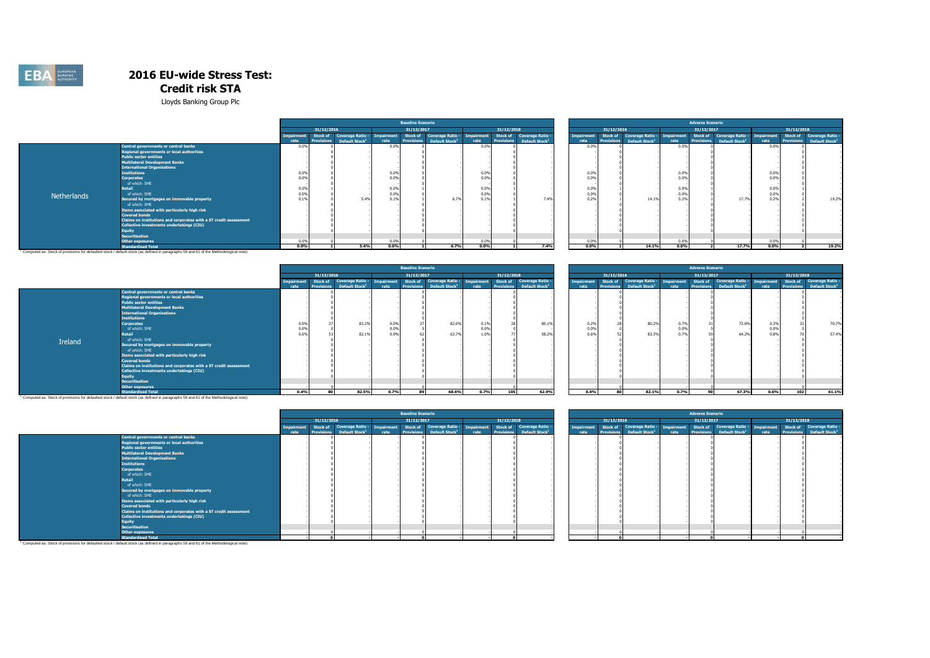

Lloyds Banking Group Plc

|             |                                                                   |                   |                   |                            |                   | <b>Baseline Scenario</b> |                            |                   |            |                                       |                   |                   |                            |            | <b>Adverse Scenario</b> |                                       |            |                 |                                       |
|-------------|-------------------------------------------------------------------|-------------------|-------------------|----------------------------|-------------------|--------------------------|----------------------------|-------------------|------------|---------------------------------------|-------------------|-------------------|----------------------------|------------|-------------------------|---------------------------------------|------------|-----------------|---------------------------------------|
|             |                                                                   |                   | 31/12/2016        |                            |                   | 31/12/2017               |                            |                   | 31/12/2018 |                                       |                   | 31/12/2016        |                            |            | 31/12/2017              |                                       |            | 31/12/2018      |                                       |
|             |                                                                   | <b>Impairment</b> | Stock of          | <b>Coverage Ratio -</b>    | <b>Impairment</b> | Stock of                 | <b>Coverage Ratio -</b>    | <b>Impairment</b> | Stock of   | Coverage Ratio -                      | <b>Impairment</b> | Stock of          | Coverage Ratio -           | Impairment |                         | Stock of Coverage Ratio -             | Impairment | <b>Stock of</b> | Coverage Ratio -                      |
|             |                                                                   | rate              | <b>Provisions</b> | Default Stock <sup>1</sup> | rate              | <b>Provisions</b>        | Default Stock <sup>1</sup> | rate              |            | Provisions Default Stock <sup>1</sup> | rate              | <b>Provisions</b> | Default Stock <sup>1</sup> | rate       |                         | Provisions Default Stock <sup>1</sup> | rate       |                 | Provisions Default Stock <sup>1</sup> |
|             | <b>Central governments or central banks</b>                       | 0.09              |                   |                            | 0.0%              |                          |                            | 0.0%              |            |                                       | 0.0%              |                   |                            | 0.0%       |                         |                                       | 0.09       |                 |                                       |
|             | Regional governments or local authorities                         |                   |                   |                            |                   |                          |                            |                   |            |                                       |                   |                   |                            |            |                         |                                       |            |                 |                                       |
|             | <b>Public sector entities</b>                                     |                   |                   |                            |                   |                          |                            |                   |            |                                       |                   |                   |                            |            |                         |                                       |            |                 |                                       |
|             | Multilateral Development Banks                                    |                   |                   |                            |                   |                          |                            |                   |            |                                       |                   |                   |                            |            |                         |                                       |            |                 |                                       |
|             | <b>International Organisations</b>                                |                   |                   |                            |                   |                          |                            |                   |            |                                       |                   |                   |                            |            |                         |                                       |            |                 |                                       |
|             | <b>Institutions</b>                                               | 0.0%              |                   |                            | 0.0%              |                          |                            | 0.0%              |            |                                       | 0.0%              |                   |                            | 0.0%       |                         |                                       | 0.09       |                 |                                       |
|             | <b>Corporates</b>                                                 | 0.09              |                   |                            | 0.0%              |                          |                            | 0.0%              |            |                                       | 0.0%              |                   |                            | 0.0%       |                         |                                       | 0.05       |                 |                                       |
|             | of which: SME                                                     |                   |                   |                            |                   |                          |                            |                   |            |                                       |                   |                   |                            |            |                         |                                       |            |                 |                                       |
|             | Retail                                                            | 0.0%              |                   |                            | 0.0%              |                          |                            | 0.0%              |            |                                       | 0.0%              |                   |                            | 0.0%       |                         |                                       | 0.0%       |                 |                                       |
| Netherlands | of which: SME                                                     | 0.09              |                   |                            | 0.0%              |                          |                            | 0.0%              |            |                                       | 0.0%              |                   |                            | 0.0%       |                         |                                       | 0.05       |                 |                                       |
|             | Secured by mortgages on immovable property                        | 0.19              |                   | 5.4%                       | 0.1%              |                          | 6.7%                       | 0.1%              |            | 7.4%                                  | 0.2%              |                   | 14.19                      | 0.2%       |                         | 17.7%                                 | 0.29       |                 | 19.2%                                 |
|             | of which: SME                                                     |                   |                   |                            |                   |                          |                            |                   |            |                                       |                   |                   |                            |            |                         |                                       |            |                 |                                       |
|             | Items associated with particularly high risk                      |                   |                   |                            |                   |                          |                            |                   |            |                                       |                   |                   |                            |            |                         |                                       |            |                 |                                       |
|             | <b>Covered bonds</b>                                              |                   |                   |                            |                   |                          |                            |                   |            |                                       |                   |                   |                            |            |                         |                                       |            |                 |                                       |
|             | Claims on institutions and corporates with a ST credit assessment |                   |                   |                            |                   |                          |                            |                   |            |                                       |                   |                   |                            |            |                         |                                       |            |                 |                                       |
|             | Collective investments undertakings (CIU)                         |                   |                   |                            |                   |                          |                            |                   |            |                                       |                   |                   |                            |            |                         |                                       |            |                 |                                       |
|             | Equity                                                            |                   |                   |                            |                   |                          |                            |                   |            |                                       |                   |                   |                            |            |                         |                                       |            |                 |                                       |
|             | <b>Securitisation</b>                                             |                   |                   |                            |                   |                          |                            |                   |            |                                       |                   |                   |                            |            |                         |                                       |            |                 |                                       |
|             | <b>Other exposures</b>                                            | 0.0%              |                   |                            | 0.0%              |                          |                            | 0.0%              |            |                                       | 0.0%              |                   |                            | 0.0%       |                         |                                       | 0.0%       |                 |                                       |
|             | <b>Standardised Total</b>                                         | $0.0\%$           |                   | 5.4%                       | 0.0%              |                          | 6.7%                       | 0.0%              |            | 7.4%                                  | 0.0%              |                   | 14.1%                      | 0.0%       |                         | 17.7%                                 | 0.0%       |                 | 19.2%                                 |

**Standardised Total** 1 Computed as: Stock of provisions for defaulted stock / default stock (as defined in paragraphs 59 and 61 of the Methodological note)

|         |                                                                   |                    |                                      |                                                       |                    | <b>Baseline Scenario</b>      |                                                       |                    |            |                                                                  |
|---------|-------------------------------------------------------------------|--------------------|--------------------------------------|-------------------------------------------------------|--------------------|-------------------------------|-------------------------------------------------------|--------------------|------------|------------------------------------------------------------------|
|         |                                                                   |                    | 31/12/2016                           |                                                       |                    | 31/12/2017                    |                                                       |                    | 31/12/2018 |                                                                  |
|         |                                                                   | Impairment<br>rate | <b>Stock of</b><br><b>Provisions</b> | <b>Coverage Ratio -</b><br>Default Stock <sup>1</sup> | Impairment<br>rate | Stock of<br><b>Provisions</b> | <b>Coverage Ratio -</b><br>Default Stock <sup>1</sup> | Impairment<br>rate | Stock of   | Coverage Ratio -<br><b>Provisions</b> Default Stock <sup>1</sup> |
|         | Central governments or central banks                              |                    |                                      |                                                       |                    |                               |                                                       |                    |            |                                                                  |
|         | Regional governments or local authorities                         |                    |                                      |                                                       |                    |                               |                                                       |                    |            |                                                                  |
|         | <b>Public sector entities</b>                                     |                    |                                      |                                                       |                    |                               |                                                       |                    |            |                                                                  |
|         | <b>Multilateral Development Banks</b>                             |                    |                                      |                                                       |                    |                               |                                                       |                    |            |                                                                  |
|         | <b>International Organisations</b>                                |                    |                                      |                                                       |                    |                               |                                                       |                    |            |                                                                  |
|         | <b>Institutions</b>                                               |                    |                                      |                                                       |                    |                               |                                                       |                    |            |                                                                  |
|         | <b>Corporates</b>                                                 | 0.0%               |                                      | 83.2%                                                 | 0.0%               | 27                            | 82.0%                                                 | 0.1%               |            | 80.1%                                                            |
|         | of which: SME                                                     | 0.0%               |                                      |                                                       | 0.0%               |                               |                                                       | 0.0%               |            |                                                                  |
|         | Retail                                                            | 0.6%               |                                      | 82.1%                                                 | 0.9%               | 62                            | 63.7%                                                 | 1.0%               |            | 58.2%                                                            |
| Ireland | of which: SME                                                     |                    |                                      |                                                       |                    |                               |                                                       |                    |            |                                                                  |
|         | Secured by mortgages on immovable property                        |                    |                                      |                                                       |                    |                               |                                                       |                    |            |                                                                  |
|         | of which: SME                                                     |                    |                                      |                                                       |                    |                               |                                                       |                    |            |                                                                  |
|         | Items associated with particularly high risk                      |                    |                                      |                                                       |                    |                               |                                                       |                    |            |                                                                  |
|         | <b>Covered bonds</b>                                              |                    |                                      |                                                       |                    |                               |                                                       |                    |            |                                                                  |
|         | Claims on institutions and corporates with a ST credit assessment |                    |                                      |                                                       |                    |                               |                                                       |                    |            |                                                                  |
|         | Collective investments undertakings (CIU)                         |                    |                                      |                                                       |                    |                               |                                                       |                    |            |                                                                  |
|         | <b>Equity</b>                                                     |                    |                                      |                                                       |                    |                               |                                                       |                    |            |                                                                  |
|         | <b>Securitisation</b>                                             |                    |                                      |                                                       |                    |                               |                                                       |                    |            |                                                                  |
|         | Other exposures                                                   |                    |                                      |                                                       |                    |                               |                                                       |                    |            |                                                                  |
|         | <b>Standardised Total</b>                                         | 0.4%               | 80                                   | 82.5%                                                 | 0.7%               | 89                            | 68.6%                                                 | 0.7%               | 105        | 62.9%                                                            |

|      |                   |                            |            | <b>Baseline Scenario</b> |                            |            |                   |                            |            |                 |                                                 |               |                   | <b>Adverse Scenario</b>    |                                |                                            |
|------|-------------------|----------------------------|------------|--------------------------|----------------------------|------------|-------------------|----------------------------|------------|-----------------|-------------------------------------------------|---------------|-------------------|----------------------------|--------------------------------|--------------------------------------------|
|      | 31/12/2016        |                            |            | 31/12/2017               |                            |            | 31/12/2018        |                            |            |                 | 31/12/2016                                      |               |                   | 31/12/2017                 |                                | 31/12/2018                                 |
| nent | Stock of          | Coverage Ratio -           | Impairment | <b>Stock of</b>          | <b>Coverage Ratio -</b>    | Impairment | <b>Stock of</b>   | <b>Coverage Ratio -</b>    | Impairment | <b>Stock of</b> | <b>Coverage Ratio -</b>                         | Impairment    | <b>Stock of</b>   |                            | Coverage Ratio -<br>Impairment | <b>Stock of</b><br><b>Coverage Ratio -</b> |
|      | <b>Provisions</b> | Default Stock <sup>1</sup> | rate       | <b>Provisions</b>        | Default Stock <sup>1</sup> | rate       | <b>Provisions</b> | Default Stock <sup>1</sup> | rate       |                 | <b>Provisions</b><br>Default Stock <sup>1</sup> | rate          | <b>Provisions</b> | Default Stock <sup>1</sup> | rate                           | <b>Provisions</b>                          |
|      |                   |                            |            |                          |                            |            |                   |                            |            |                 |                                                 |               |                   |                            |                                |                                            |
|      |                   |                            |            |                          |                            |            |                   |                            |            |                 |                                                 |               |                   |                            |                                |                                            |
|      |                   |                            |            |                          |                            |            |                   |                            |            |                 |                                                 |               |                   |                            |                                |                                            |
|      |                   |                            |            |                          |                            |            |                   |                            |            |                 |                                                 |               |                   |                            |                                |                                            |
|      |                   |                            |            |                          |                            |            |                   |                            |            |                 |                                                 |               |                   |                            |                                |                                            |
|      |                   |                            |            |                          |                            |            |                   |                            |            |                 |                                                 |               |                   |                            |                                |                                            |
| 0.0% | 27                | 83.2%                      | 0.0%       |                          | 82.0%                      | 0.1%       | 28                | 80.1%                      | 0.2%       | 28              |                                                 | 80.2%<br>0.7% | 31                |                            | 73.6%<br>0.3%                  | 37                                         |
| 0.0% |                   |                            | 0.0%       |                          |                            | 0.0%       |                   |                            | 0.0%       |                 |                                                 | 0.0%          |                   |                            | 0.0%                           |                                            |
| 0.6% |                   | 82.1%                      | 0.9%       |                          | 63.7%                      | 1.0%       | 77                | 58.2%                      | 0.6%       | 52              |                                                 | 83.3%<br>0.7% | 59                | 64.2%                      | 0.8%                           |                                            |
|      |                   |                            |            |                          |                            |            |                   |                            |            |                 |                                                 |               |                   |                            |                                |                                            |
|      |                   |                            |            |                          |                            |            |                   |                            |            |                 |                                                 |               |                   |                            |                                |                                            |
|      |                   |                            |            |                          |                            |            |                   |                            |            |                 |                                                 |               |                   |                            |                                |                                            |
|      |                   |                            |            |                          |                            |            |                   |                            |            |                 |                                                 |               |                   |                            |                                |                                            |
|      |                   |                            |            |                          |                            |            |                   |                            |            |                 |                                                 |               |                   |                            |                                |                                            |
|      |                   |                            |            |                          |                            |            |                   |                            |            |                 |                                                 |               |                   |                            |                                |                                            |
|      |                   |                            |            |                          |                            |            |                   |                            |            |                 |                                                 |               |                   |                            |                                |                                            |
|      |                   |                            |            |                          |                            |            |                   |                            |            |                 |                                                 |               |                   |                            |                                |                                            |
|      |                   |                            |            |                          |                            |            |                   |                            |            |                 |                                                 |               |                   |                            |                                |                                            |
|      |                   |                            |            |                          |                            |            |                   |                            |            |                 |                                                 |               |                   |                            |                                |                                            |
| 0.4% | 80                | 82.5%                      | 0.7%       | 89                       | 68.6%                      | 0.7%       | 105               | 62.9%                      |            | 0.4%<br>80      |                                                 | 82.1%<br>0.7% | 90                |                            | 67.3%                          | 0.6%<br>102                                |

**Standardised Total (Standardised Total**<br>Computed as: Stock of provisions for defaulted stock / default stock (as defined in paragraphs 59 and 61 of the Methodological note)

|                                                                                                                                      |                   |                   |                            |            | <b>Baseline Scenario</b> |                            |            |                   |                            |            |                   |                            |            | <b>Adverse Scenario</b> |                                      |      |            |                                       |
|--------------------------------------------------------------------------------------------------------------------------------------|-------------------|-------------------|----------------------------|------------|--------------------------|----------------------------|------------|-------------------|----------------------------|------------|-------------------|----------------------------|------------|-------------------------|--------------------------------------|------|------------|---------------------------------------|
|                                                                                                                                      |                   | 31/12/2016        |                            |            | 31/12/2017               |                            |            | 31/12/2018        |                            |            | 31/12/2016        |                            |            | 31/12/2017              |                                      |      | 31/12/2018 |                                       |
|                                                                                                                                      | <b>Imnairment</b> | Stock of          | Coverage Ratio -           | Impairment |                          | Stock of Coverage Ratio -  | Impairment | Stock of          | <b>Coverage Ratio -</b>    | Impairment |                   | Stock of Coverage Ratio -  | Impairment |                         | Stock of Coverage Ratio - Impairment |      |            | Stock of Coverage Ratio -             |
| <b>Central governments or central banks</b>                                                                                          | rate              | <b>Provisions</b> | Default Stock <sup>1</sup> | rate       | <b>Provisions</b>        | Default Stock <sup>1</sup> | rate       | <b>Provisions</b> | Default Stock <sup>1</sup> | rate       | <b>Provisions</b> | Default Stock <sup>1</sup> | rate       | <b>Provisions</b>       | Default Stock <sup>1</sup>           | rate |            | Provisions Default Stock <sup>1</sup> |
| Regional governments or local authorities                                                                                            |                   |                   |                            |            |                          |                            |            |                   |                            |            |                   |                            |            |                         |                                      |      |            |                                       |
| <b>Public sector entities</b>                                                                                                        |                   |                   |                            |            |                          |                            |            |                   |                            |            |                   |                            |            |                         |                                      |      |            |                                       |
| <b>Multilateral Development Banks</b>                                                                                                |                   |                   |                            |            |                          |                            |            |                   |                            |            |                   |                            |            |                         |                                      |      |            |                                       |
| <b>International Organisations</b>                                                                                                   |                   |                   |                            |            |                          |                            |            |                   |                            |            |                   |                            |            |                         |                                      |      |            |                                       |
| <b>Institutions</b>                                                                                                                  |                   |                   |                            |            |                          |                            |            |                   |                            |            |                   |                            |            |                         |                                      |      |            |                                       |
| <b>Corporates</b>                                                                                                                    |                   |                   |                            |            |                          |                            |            |                   |                            |            |                   |                            |            |                         |                                      |      |            |                                       |
| of which: SME                                                                                                                        |                   |                   |                            |            |                          |                            |            |                   |                            |            |                   |                            |            |                         |                                      |      |            |                                       |
| Retail                                                                                                                               |                   |                   |                            |            |                          |                            |            |                   |                            |            |                   |                            |            |                         |                                      |      |            |                                       |
| of which: SME                                                                                                                        |                   |                   |                            |            |                          |                            |            |                   |                            |            |                   |                            |            |                         |                                      |      |            |                                       |
| Secured by mortgages on immovable property                                                                                           |                   |                   |                            |            |                          |                            |            |                   |                            |            |                   |                            |            |                         |                                      |      |            |                                       |
| of which: SME                                                                                                                        |                   |                   |                            |            |                          |                            |            |                   |                            |            |                   |                            |            |                         |                                      |      |            |                                       |
| Items associated with particularly high risk                                                                                         |                   |                   |                            |            |                          |                            |            |                   |                            |            |                   |                            |            |                         |                                      |      |            |                                       |
| <b>Covered bonds</b>                                                                                                                 |                   |                   |                            |            |                          |                            |            |                   |                            |            |                   |                            |            |                         |                                      |      |            |                                       |
| Claims on institutions and corporates with a ST credit assessment                                                                    |                   |                   |                            |            |                          |                            |            |                   |                            |            |                   |                            |            |                         |                                      |      |            |                                       |
| Collective investments undertakings (CIU)                                                                                            |                   |                   |                            |            |                          |                            |            |                   |                            |            |                   |                            |            |                         |                                      |      |            |                                       |
| <b>Equity</b>                                                                                                                        |                   |                   |                            |            |                          |                            |            |                   |                            |            |                   |                            |            |                         |                                      |      |            |                                       |
| <b>Securitisation</b>                                                                                                                |                   |                   |                            |            |                          |                            |            |                   |                            |            |                   |                            |            |                         |                                      |      |            |                                       |
| <b>Other exposures</b>                                                                                                               |                   |                   |                            |            |                          |                            |            |                   |                            |            |                   |                            |            |                         |                                      |      |            |                                       |
| <b>Standardised Total</b>                                                                                                            |                   |                   |                            |            |                          |                            |            |                   |                            |            |                   |                            |            |                         |                                      |      |            |                                       |
| Computed as: Stock of provisions for defaulted stock / default stock (as defined in paragraphs 59 and 61 of the Methodological note) |                   |                   |                            |            |                          |                            |            |                   |                            |            |                   |                            |            |                         |                                      |      |            |                                       |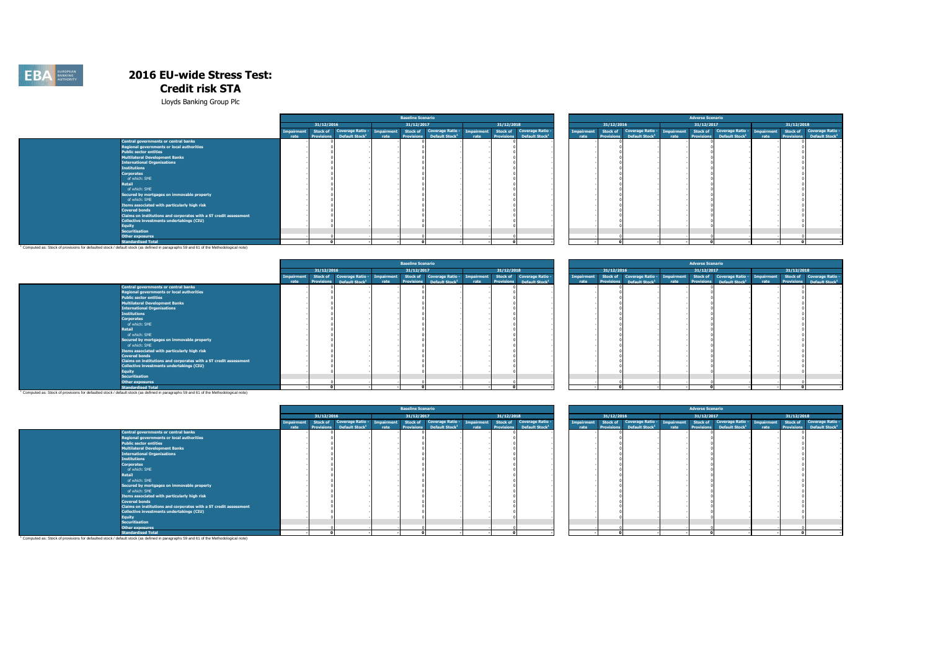

Lloyds Banking Group Plc

|                                                                   |                   |                            |  | <b>Baseline Scenario</b> |                                                       |            |            |                                       |      |                   |                            |      | <b>Adverse Scenario</b> |                                                                                                                |      |            |                                              |
|-------------------------------------------------------------------|-------------------|----------------------------|--|--------------------------|-------------------------------------------------------|------------|------------|---------------------------------------|------|-------------------|----------------------------|------|-------------------------|----------------------------------------------------------------------------------------------------------------|------|------------|----------------------------------------------|
|                                                                   | 31/12/2016        |                            |  | 31/12/2017               |                                                       |            | 31/12/2018 |                                       |      | 31/12/2016        |                            |      | 31/12/2017              |                                                                                                                |      | 31/12/2018 |                                              |
|                                                                   | Stock of          |                            |  |                          | Coverage Ratio - Impairment Stock of Coverage Ratio - | Impairment |            | Stock of Coverage Ratio -             |      |                   |                            |      |                         | Impairment Stock of Coverage Ratio - Impairment Stock of Coverage Ratio - Impairment Stock of Coverage Ratio - |      |            |                                              |
|                                                                   | <b>Provisions</b> | Default Stock <sup>1</sup> |  |                          | Default Stock <sup>1</sup>                            |            |            | Provisions Default Stock <sup>1</sup> | rate | <b>Provisions</b> | Default Stock <sup>1</sup> | rate | <b>Provisions</b>       | Default Stock <sup>1</sup>                                                                                     | rate |            | <b>Provisions</b> Default Stock <sup>1</sup> |
| <b>Central governments or central banks</b>                       |                   |                            |  |                          |                                                       |            |            |                                       |      |                   |                            |      |                         |                                                                                                                |      |            |                                              |
| <b>Regional governments or local authorities</b>                  |                   |                            |  |                          |                                                       |            |            |                                       |      |                   |                            |      |                         |                                                                                                                |      |            |                                              |
| <b>Public sector entities</b>                                     |                   |                            |  |                          |                                                       |            |            |                                       |      |                   |                            |      |                         |                                                                                                                |      |            |                                              |
| <b>Multilateral Development Banks</b>                             |                   |                            |  |                          |                                                       |            |            |                                       |      |                   |                            |      |                         |                                                                                                                |      |            |                                              |
| <b>International Organisations</b>                                |                   |                            |  |                          |                                                       |            |            |                                       |      |                   |                            |      |                         |                                                                                                                |      |            |                                              |
| <b>Institutions</b>                                               |                   |                            |  |                          |                                                       |            |            |                                       |      |                   |                            |      |                         |                                                                                                                |      |            |                                              |
| <b>Corporates</b>                                                 |                   |                            |  |                          |                                                       |            |            |                                       |      |                   |                            |      |                         |                                                                                                                |      |            |                                              |
| of which: SME                                                     |                   |                            |  |                          |                                                       |            |            |                                       |      |                   |                            |      |                         |                                                                                                                |      |            |                                              |
| Retail                                                            |                   |                            |  |                          |                                                       |            |            |                                       |      |                   |                            |      |                         |                                                                                                                |      |            |                                              |
| of which: SME                                                     |                   |                            |  |                          |                                                       |            |            |                                       |      |                   |                            |      |                         |                                                                                                                |      |            |                                              |
| Secured by mortgages on immovable property                        |                   |                            |  |                          |                                                       |            |            |                                       |      |                   |                            |      |                         |                                                                                                                |      |            |                                              |
| of which: SME                                                     |                   |                            |  |                          |                                                       |            |            |                                       |      |                   |                            |      |                         |                                                                                                                |      |            |                                              |
| Items associated with particularly high risk                      |                   |                            |  |                          |                                                       |            |            |                                       |      |                   |                            |      |                         |                                                                                                                |      |            |                                              |
| <b>Covered bonds</b>                                              |                   |                            |  |                          |                                                       |            |            |                                       |      |                   |                            |      |                         |                                                                                                                |      |            |                                              |
| Claims on institutions and corporates with a ST credit assessment |                   |                            |  |                          |                                                       |            |            |                                       |      |                   |                            |      |                         |                                                                                                                |      |            |                                              |
| Collective investments undertakings (CIU)                         |                   |                            |  |                          |                                                       |            |            |                                       |      |                   |                            |      |                         |                                                                                                                |      |            |                                              |
| <b>Equity</b>                                                     |                   |                            |  |                          |                                                       |            |            |                                       |      |                   |                            |      |                         |                                                                                                                |      |            |                                              |
| <b>Securitisation</b>                                             |                   |                            |  |                          |                                                       |            |            |                                       |      |                   |                            |      |                         |                                                                                                                |      |            |                                              |
|                                                                   |                   |                            |  |                          |                                                       |            |            |                                       |      |                   |                            |      |                         |                                                                                                                |      |            |                                              |
| <b>Other exposures</b>                                            |                   |                            |  |                          |                                                       |            |            |                                       |      |                   |                            |      |                         |                                                                                                                |      |            |                                              |
| <b>Standardised Total</b>                                         |                   |                            |  |                          |                                                       |            |            |                                       |      |                   |                            |      |                         |                                                                                                                |      |            |                                              |

**Standardised Total (Standardised Total**<br>Computed as: Stock of provisions for defaulted stock / default stock (as defined in paragraphs 59 and 61 of the Methodological note) <sup>1</sup>

|                                                                                                                                      | <b>Baseline Scenario</b> |                   |                            |                   |            |                                       |      |            |                                       |                   |            |                                       |      | <b>Adverse Scenario</b> |                                       |      |            |                                       |
|--------------------------------------------------------------------------------------------------------------------------------------|--------------------------|-------------------|----------------------------|-------------------|------------|---------------------------------------|------|------------|---------------------------------------|-------------------|------------|---------------------------------------|------|-------------------------|---------------------------------------|------|------------|---------------------------------------|
|                                                                                                                                      |                          | 31/12/2016        |                            |                   | 31/12/2017 |                                       |      | 31/12/2018 |                                       |                   | 31/12/2016 |                                       |      | 31/12/2017              |                                       |      | 31/12/2018 |                                       |
|                                                                                                                                      |                          |                   | Stock of Coverage Ratio -  | <b>Impairment</b> |            | Stock of Coverage Ratio - Impairment  |      |            | Stock of Coverage Ratio -             | <b>Impairment</b> |            | Stock of Coverage Ratio - Impairment  |      |                         | Stock of Coverage Ratio - Impairment  |      |            | Stock of Coverage Ratio -             |
|                                                                                                                                      | rate                     | <b>Provisions</b> | Default Stock <sup>1</sup> | rate              |            | Provisions Default Stock <sup>1</sup> | rate |            | Provisions Default Stock <sup>1</sup> | rate              |            | Provisions Default Stock <sup>1</sup> | rate |                         | Provisions Default Stock <sup>1</sup> | rate |            | Provisions Default Stock <sup>1</sup> |
| Central governments or central banks                                                                                                 |                          |                   |                            |                   |            |                                       |      |            |                                       |                   |            |                                       |      |                         |                                       |      |            |                                       |
| <b>Regional governments or local authorities</b>                                                                                     |                          |                   |                            |                   |            |                                       |      |            |                                       |                   |            |                                       |      |                         |                                       |      |            |                                       |
| <b>Public sector entities</b>                                                                                                        |                          |                   |                            |                   |            |                                       |      |            |                                       |                   |            |                                       |      |                         |                                       |      |            |                                       |
| <b>Multilateral Development Banks</b>                                                                                                |                          |                   |                            |                   |            |                                       |      |            |                                       |                   |            |                                       |      |                         |                                       |      |            |                                       |
| <b>International Organisations</b>                                                                                                   |                          |                   |                            |                   |            |                                       |      |            |                                       |                   |            |                                       |      |                         |                                       |      |            |                                       |
| <b>Institutions</b>                                                                                                                  |                          |                   |                            |                   |            |                                       |      |            |                                       |                   |            |                                       |      |                         |                                       |      |            |                                       |
| <b>Corporates</b>                                                                                                                    |                          |                   |                            |                   |            |                                       |      |            |                                       |                   |            |                                       |      |                         |                                       |      |            |                                       |
| of which: SME                                                                                                                        |                          |                   |                            |                   |            |                                       |      |            |                                       |                   |            |                                       |      |                         |                                       |      |            |                                       |
| Retail                                                                                                                               |                          |                   |                            |                   |            |                                       |      |            |                                       |                   |            |                                       |      |                         |                                       |      |            |                                       |
| of which: SME                                                                                                                        |                          |                   |                            |                   |            |                                       |      |            |                                       |                   |            |                                       |      |                         |                                       |      |            |                                       |
| Secured by mortgages on immovable property                                                                                           |                          |                   |                            |                   |            |                                       |      |            |                                       |                   |            |                                       |      |                         |                                       |      |            |                                       |
| of which: SME                                                                                                                        |                          |                   |                            |                   |            |                                       |      |            |                                       |                   |            |                                       |      |                         |                                       |      |            |                                       |
| Items associated with particularly high risk                                                                                         |                          |                   |                            |                   |            |                                       |      |            |                                       |                   |            |                                       |      |                         |                                       |      |            |                                       |
| <b>Covered bonds</b>                                                                                                                 |                          |                   |                            |                   |            |                                       |      |            |                                       |                   |            |                                       |      |                         |                                       |      |            |                                       |
| Claims on institutions and corporates with a ST credit assessment                                                                    |                          |                   |                            |                   |            |                                       |      |            |                                       |                   |            |                                       |      |                         |                                       |      |            |                                       |
| Collective investments undertakings (CIU)                                                                                            |                          |                   |                            |                   |            |                                       |      |            |                                       |                   |            |                                       |      |                         |                                       |      |            |                                       |
| Equity                                                                                                                               |                          |                   |                            |                   |            |                                       |      |            |                                       |                   |            |                                       |      |                         |                                       |      |            |                                       |
| <b>Securitisation</b>                                                                                                                |                          |                   |                            |                   |            |                                       |      |            |                                       |                   |            |                                       |      |                         |                                       |      |            |                                       |
|                                                                                                                                      |                          |                   |                            |                   |            |                                       |      |            |                                       |                   |            |                                       |      |                         |                                       |      |            |                                       |
| <b>Other exposures</b><br><b>Standardised Total</b>                                                                                  |                          |                   |                            |                   |            |                                       |      |            |                                       |                   |            |                                       |      |                         |                                       |      |            |                                       |
| Computed an: Stock of provisions for defaulted stock / default stock (an defined in personable EQ and E4 of the Methodological pota) |                          |                   |                            |                   |            |                                       |      |            |                                       |                   |            |                                       |      |                         |                                       |      |            |                                       |

|                   |                         | <b>Baseline Scenario</b><br>31/12/2017                                                                                                                                                         |                  |  |  |                            |  |  |  |  |
|-------------------|-------------------------|------------------------------------------------------------------------------------------------------------------------------------------------------------------------------------------------|------------------|--|--|----------------------------|--|--|--|--|
|                   | 31/12/2018              |                                                                                                                                                                                                |                  |  |  |                            |  |  |  |  |
| 31/12/2016        |                         |                                                                                                                                                                                                |                  |  |  |                            |  |  |  |  |
| <b>Stock of</b>   | <b>Coverage Ratio -</b> | Stock of<br>Coverage Ratio - Impairment<br><b>Stock of</b><br>Impairment<br><b>Provisions</b><br><b>Provisions</b><br>Default Stock <sup>1</sup><br>Default Stock <sup>1</sup><br>rate<br>rate |                  |  |  |                            |  |  |  |  |
| <b>Provisions</b> |                         |                                                                                                                                                                                                | Coverage Ratio - |  |  | Default Stock <sup>1</sup> |  |  |  |  |
|                   |                         |                                                                                                                                                                                                |                  |  |  |                            |  |  |  |  |
|                   |                         |                                                                                                                                                                                                |                  |  |  |                            |  |  |  |  |
|                   |                         |                                                                                                                                                                                                |                  |  |  |                            |  |  |  |  |
|                   |                         |                                                                                                                                                                                                |                  |  |  |                            |  |  |  |  |
|                   |                         |                                                                                                                                                                                                |                  |  |  |                            |  |  |  |  |
|                   |                         |                                                                                                                                                                                                |                  |  |  |                            |  |  |  |  |
|                   |                         |                                                                                                                                                                                                |                  |  |  |                            |  |  |  |  |
|                   |                         |                                                                                                                                                                                                |                  |  |  |                            |  |  |  |  |
|                   |                         |                                                                                                                                                                                                |                  |  |  |                            |  |  |  |  |
|                   |                         |                                                                                                                                                                                                |                  |  |  |                            |  |  |  |  |
|                   |                         |                                                                                                                                                                                                |                  |  |  |                            |  |  |  |  |
|                   |                         |                                                                                                                                                                                                |                  |  |  |                            |  |  |  |  |
|                   |                         |                                                                                                                                                                                                |                  |  |  |                            |  |  |  |  |
|                   |                         |                                                                                                                                                                                                |                  |  |  |                            |  |  |  |  |
|                   |                         |                                                                                                                                                                                                |                  |  |  |                            |  |  |  |  |
|                   |                         |                                                                                                                                                                                                |                  |  |  |                            |  |  |  |  |
|                   |                         |                                                                                                                                                                                                |                  |  |  |                            |  |  |  |  |
|                   |                         |                                                                                                                                                                                                | $\mathbf{0}$     |  |  |                            |  |  |  |  |

**Standardised Total الصادر Standardised Total**<br>Computed as: Stock of provisions for defaulted stock / default stock (as defined in paragraphs 59 and 61 of the Methodological note) '

|                                                                                                                                                   |                   |                   |                             | <b>Baseline Scenario</b> |                            |                   |            |                                       |            |                   |                            |      | <b>Adverse Scenario</b> |                                      |            |            |                                       |
|---------------------------------------------------------------------------------------------------------------------------------------------------|-------------------|-------------------|-----------------------------|--------------------------|----------------------------|-------------------|------------|---------------------------------------|------------|-------------------|----------------------------|------|-------------------------|--------------------------------------|------------|------------|---------------------------------------|
|                                                                                                                                                   |                   | 31/12/2016        |                             | 31/12/2017               |                            |                   | 31/12/2018 |                                       |            | 31/12/2016        |                            |      | 31/12/2017              |                                      |            | 31/12/2018 |                                       |
|                                                                                                                                                   | <b>Impairment</b> | Stock of          | Coverage Ratio - Impairment | Stock of                 | Coverage Ratio -           | <b>Impairment</b> | Stock of   | <b>Coverage Ratio -</b>               | Impairment |                   | Stock of Coverage Ratio -  |      |                         | Impairment Stock of Coverage Ratio - | Impairment |            | Stock of Coverage Ratio -             |
|                                                                                                                                                   | rate              | <b>Provisions</b> | Default Stock <sup>1</sup>  | <b>Provisions</b>        | Default Stock <sup>1</sup> | rate              |            | Provisions Default Stock <sup>1</sup> | rate       | <b>Provisions</b> | Default Stock <sup>1</sup> | rate | <b>Provisions</b>       | Default Stock <sup>1</sup>           | rate       |            | Provisions Default Stock <sup>1</sup> |
| Central governments or central banks                                                                                                              |                   |                   |                             |                          |                            |                   |            |                                       |            |                   |                            |      |                         |                                      |            |            |                                       |
| <b>Regional governments or local authorities</b>                                                                                                  |                   |                   |                             |                          |                            |                   |            |                                       |            |                   |                            |      |                         |                                      |            |            |                                       |
| <b>Public sector entities</b>                                                                                                                     |                   |                   |                             |                          |                            |                   |            |                                       |            |                   |                            |      |                         |                                      |            |            |                                       |
| <b>Multilateral Development Banks</b>                                                                                                             |                   |                   |                             |                          |                            |                   |            |                                       |            |                   |                            |      |                         |                                      |            |            |                                       |
| <b>International Organisations</b>                                                                                                                |                   |                   |                             |                          |                            |                   |            |                                       |            |                   |                            |      |                         |                                      |            |            |                                       |
| <b>Institutions</b>                                                                                                                               |                   |                   |                             |                          |                            |                   |            |                                       |            |                   |                            |      |                         |                                      |            |            |                                       |
| <b>Corporates</b>                                                                                                                                 |                   |                   |                             |                          |                            |                   |            |                                       |            |                   |                            |      |                         |                                      |            |            |                                       |
| of which: SME                                                                                                                                     |                   |                   |                             |                          |                            |                   |            |                                       |            |                   |                            |      |                         |                                      |            |            |                                       |
| <b>Retail</b>                                                                                                                                     |                   |                   |                             |                          |                            |                   |            |                                       |            |                   |                            |      |                         |                                      |            |            |                                       |
| of which: SME                                                                                                                                     |                   |                   |                             |                          |                            |                   |            |                                       |            |                   |                            |      |                         |                                      |            |            |                                       |
| Secured by mortgages on immovable property                                                                                                        |                   |                   |                             |                          |                            |                   |            |                                       |            |                   |                            |      |                         |                                      |            |            |                                       |
| of which: SME                                                                                                                                     |                   |                   |                             |                          |                            |                   |            |                                       |            |                   |                            |      |                         |                                      |            |            |                                       |
| Items associated with particularly high risk                                                                                                      |                   |                   |                             |                          |                            |                   |            |                                       |            |                   |                            |      |                         |                                      |            |            |                                       |
| <b>Covered bonds</b>                                                                                                                              |                   |                   |                             |                          |                            |                   |            |                                       |            |                   |                            |      |                         |                                      |            |            |                                       |
| Claims on institutions and corporates with a ST credit assessment                                                                                 |                   |                   |                             |                          |                            |                   |            |                                       |            |                   |                            |      |                         |                                      |            |            |                                       |
| Collective investments undertakings (CIU)                                                                                                         |                   |                   |                             |                          |                            |                   |            |                                       |            |                   |                            |      |                         |                                      |            |            |                                       |
| Equity                                                                                                                                            |                   |                   |                             |                          |                            |                   |            |                                       |            |                   |                            |      |                         |                                      |            |            |                                       |
| <b>Securitisation</b>                                                                                                                             |                   |                   |                             |                          |                            |                   |            |                                       |            |                   |                            |      |                         |                                      |            |            |                                       |
| Other exposures                                                                                                                                   |                   |                   |                             |                          |                            |                   |            |                                       |            |                   |                            |      |                         |                                      |            |            |                                       |
| <b>Standardised Total</b>                                                                                                                         |                   |                   |                             |                          |                            |                   |            |                                       |            |                   |                            |      |                         |                                      |            |            |                                       |
| <sup>1</sup> Computed as: Stock of provisions for defaulted stock / default stock (as defined in paragraphs 59 and 61 of the Methodological note) |                   |                   |                             |                          |                            |                   |            |                                       |            |                   |                            |      |                         |                                      |            |            |                                       |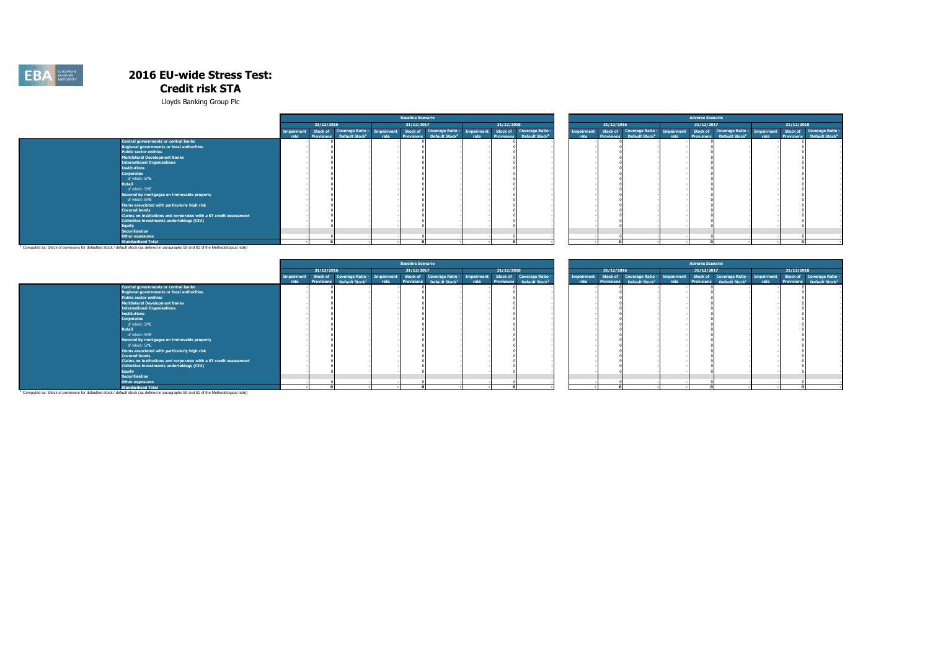

Lloyds Banking Group Plc

|                                                                   |            |                   |                                                                  | <b>Baseline Scenario</b> |                            |      |                   |                            |                   |                   |                                                                                                     |      | <b>Adverse Scenario</b> |                            |            |                                       |
|-------------------------------------------------------------------|------------|-------------------|------------------------------------------------------------------|--------------------------|----------------------------|------|-------------------|----------------------------|-------------------|-------------------|-----------------------------------------------------------------------------------------------------|------|-------------------------|----------------------------|------------|---------------------------------------|
|                                                                   |            | 31/12/2016        |                                                                  | 31/12/2017               |                            |      | 31/12/2018        |                            |                   | 31/12/2016        |                                                                                                     |      | 31/12/2017              |                            | 31/12/2018 |                                       |
|                                                                   | Imnairment | <b>Stock of</b>   | Coverage Ratio - Impairment Stock of Coverage Ratio - Impairment |                          |                            |      | Stock of          | <b>Coverage Ratio -</b>    | <b>Impairment</b> |                   | Stock of Coverage Ratio - Impairment Stock of Coverage Ratio - Impairment Stock of Coverage Ratio - |      |                         |                            |            |                                       |
|                                                                   | rate       | <b>Provisions</b> | Default Stock <sup>1</sup>                                       |                          | Default Stock <sup>1</sup> | rate | <b>Provisions</b> | Default Stock <sup>1</sup> | rate              | <b>Provisions</b> | Default Stock <sup>1</sup>                                                                          | rate | <b>Provisions</b>       | Default Stock <sup>1</sup> |            | Provisions Default Stock <sup>1</sup> |
| Central governments or central banks                              |            |                   |                                                                  |                          |                            |      |                   |                            |                   |                   |                                                                                                     |      |                         |                            |            |                                       |
| <b>Regional governments or local authorities</b>                  |            |                   |                                                                  |                          |                            |      |                   |                            |                   |                   |                                                                                                     |      |                         |                            |            |                                       |
| <b>Public sector entities</b>                                     |            |                   |                                                                  |                          |                            |      |                   |                            |                   |                   |                                                                                                     |      |                         |                            |            |                                       |
| <b>Multilateral Development Banks</b>                             |            |                   |                                                                  |                          |                            |      |                   |                            |                   |                   |                                                                                                     |      |                         |                            |            |                                       |
| <b>International Organisations</b>                                |            |                   |                                                                  |                          |                            |      |                   |                            |                   |                   |                                                                                                     |      |                         |                            |            |                                       |
| <b>Institutions</b>                                               |            |                   |                                                                  |                          |                            |      |                   |                            |                   |                   |                                                                                                     |      |                         |                            |            |                                       |
| <b>Corporates</b>                                                 |            |                   |                                                                  |                          |                            |      |                   |                            |                   |                   |                                                                                                     |      |                         |                            |            |                                       |
| of which: SME                                                     |            |                   |                                                                  |                          |                            |      |                   |                            |                   |                   |                                                                                                     |      |                         |                            |            |                                       |
| <b>Retail</b>                                                     |            |                   |                                                                  |                          |                            |      |                   |                            |                   |                   |                                                                                                     |      |                         |                            |            |                                       |
| of which: SME                                                     |            |                   |                                                                  |                          |                            |      |                   |                            |                   |                   |                                                                                                     |      |                         |                            |            |                                       |
| Secured by mortgages on immovable property                        |            |                   |                                                                  |                          |                            |      |                   |                            |                   |                   |                                                                                                     |      |                         |                            |            |                                       |
| of which: SME                                                     |            |                   |                                                                  |                          |                            |      |                   |                            |                   |                   |                                                                                                     |      |                         |                            |            |                                       |
| Items associated with particularly high risk                      |            |                   |                                                                  |                          |                            |      |                   |                            |                   |                   |                                                                                                     |      |                         |                            |            |                                       |
| <b>Covered bonds</b>                                              |            |                   |                                                                  |                          |                            |      |                   |                            |                   |                   |                                                                                                     |      |                         |                            |            |                                       |
| Claims on institutions and corporates with a ST credit assessment |            |                   |                                                                  |                          |                            |      |                   |                            |                   |                   |                                                                                                     |      |                         |                            |            |                                       |
| Collective investments undertakings (CIU)                         |            |                   |                                                                  |                          |                            |      |                   |                            |                   |                   |                                                                                                     |      |                         |                            |            |                                       |
| <b>Equity</b>                                                     |            |                   |                                                                  |                          |                            |      |                   |                            |                   |                   |                                                                                                     |      |                         |                            |            |                                       |
| <b>Securitisation</b>                                             |            |                   |                                                                  |                          |                            |      |                   |                            |                   |                   |                                                                                                     |      |                         |                            |            |                                       |
| <b>Other exposures</b>                                            |            |                   |                                                                  |                          |                            |      |                   |                            |                   |                   |                                                                                                     |      |                         |                            |            |                                       |
| <b>Standardised Total</b>                                         |            |                   |                                                                  |                          |                            |      |                   |                            |                   |                   |                                                                                                     |      |                         |                            |            |                                       |

**Standardised Total (Standardised Total**<br>Computed as: Stock of provisions for defaulted stock / default stock (as defined in paragraphs 59 and 61 of the Methodological note) <sup>1</sup>

|                                                                   |            |                   |                            |      | <b>Baseline Scenario</b> |                                       |      |            |                                                                                                                                              |                           |                   |                                                                           | <b>Adverse Scenario</b> |                                       |      |            |                                                                    |
|-------------------------------------------------------------------|------------|-------------------|----------------------------|------|--------------------------|---------------------------------------|------|------------|----------------------------------------------------------------------------------------------------------------------------------------------|---------------------------|-------------------|---------------------------------------------------------------------------|-------------------------|---------------------------------------|------|------------|--------------------------------------------------------------------|
|                                                                   |            | 31/12/2016        |                            |      | 31/12/2017               |                                       |      | 31/12/2018 |                                                                                                                                              |                           | 31/12/2016        |                                                                           | 31/12/2017              |                                       |      | 31/12/2018 |                                                                    |
|                                                                   | Impairment | <b>Provisions</b> |                            |      |                          | Provisions Default Stock <sup>1</sup> |      |            | Stock of Coverage Ratio - Impairment Stock of Coverage Ratio - Impairment Stock of Coverage Ratio -<br>Provisions Default Stock <sup>1</sup> | <b>Impairment</b><br>rate | <b>Provisions</b> | Stock of Coverage Ratio - Impairment Stock of Coverage Ratio - Impairment |                         | Provisions Default Stock <sup>1</sup> | rate |            | Stock of Coverage Ratio -<br>Provisions Default Stock <sup>1</sup> |
| <b>Central governments or central banks</b>                       | rate       |                   | Default Stock <sup>1</sup> | rate |                          |                                       | rate |            |                                                                                                                                              |                           |                   | Default Stock <sup>1</sup>                                                |                         |                                       |      |            |                                                                    |
| Regional governments or local authorities                         |            |                   |                            |      |                          |                                       |      |            |                                                                                                                                              |                           |                   |                                                                           |                         |                                       |      |            |                                                                    |
| <b>Public sector entities</b>                                     |            |                   |                            |      |                          |                                       |      |            |                                                                                                                                              |                           |                   |                                                                           |                         |                                       |      |            |                                                                    |
| Multilateral Development Banks                                    |            |                   |                            |      |                          |                                       |      |            |                                                                                                                                              |                           |                   |                                                                           |                         |                                       |      |            |                                                                    |
| <b>International Organisations</b>                                |            |                   |                            |      |                          |                                       |      |            |                                                                                                                                              |                           |                   |                                                                           |                         |                                       |      |            |                                                                    |
| <b>Institutions</b>                                               |            |                   |                            |      |                          |                                       |      |            |                                                                                                                                              |                           |                   |                                                                           |                         |                                       |      |            |                                                                    |
| <b>Corporates</b>                                                 |            |                   |                            |      |                          |                                       |      |            |                                                                                                                                              |                           |                   |                                                                           |                         |                                       |      |            |                                                                    |
| of which: SME                                                     |            |                   |                            |      |                          |                                       |      |            |                                                                                                                                              |                           |                   |                                                                           |                         |                                       |      |            |                                                                    |
| <b>Retail</b>                                                     |            |                   |                            |      |                          |                                       |      |            |                                                                                                                                              |                           |                   |                                                                           |                         |                                       |      |            |                                                                    |
| of which: SME                                                     |            |                   |                            |      |                          |                                       |      |            |                                                                                                                                              |                           |                   |                                                                           |                         |                                       |      |            |                                                                    |
|                                                                   |            |                   |                            |      |                          |                                       |      |            |                                                                                                                                              |                           |                   |                                                                           |                         |                                       |      |            |                                                                    |
| Secured by mortgages on immovable property                        |            |                   |                            |      |                          |                                       |      |            |                                                                                                                                              |                           |                   |                                                                           |                         |                                       |      |            |                                                                    |
| of which: SME                                                     |            |                   |                            |      |                          |                                       |      |            |                                                                                                                                              |                           |                   |                                                                           |                         |                                       |      |            |                                                                    |
| Items associated with particularly high risk                      |            |                   |                            |      |                          |                                       |      |            |                                                                                                                                              |                           |                   |                                                                           |                         |                                       |      |            |                                                                    |
| <b>Covered bonds</b>                                              |            |                   |                            |      |                          |                                       |      |            |                                                                                                                                              |                           |                   |                                                                           |                         |                                       |      |            |                                                                    |
| Claims on institutions and corporates with a ST credit assessment |            |                   |                            |      |                          |                                       |      |            |                                                                                                                                              |                           |                   |                                                                           |                         |                                       |      |            |                                                                    |
| Collective investments undertakings (CIU)                         |            |                   |                            |      |                          |                                       |      |            |                                                                                                                                              |                           |                   |                                                                           |                         |                                       |      |            |                                                                    |
| <b>Equity</b>                                                     |            |                   |                            |      |                          |                                       |      |            |                                                                                                                                              |                           |                   |                                                                           |                         |                                       |      |            |                                                                    |
| <b>Securitisation</b>                                             |            |                   |                            |      |                          |                                       |      |            |                                                                                                                                              |                           |                   |                                                                           |                         |                                       |      |            |                                                                    |
| <b>Other exposures</b>                                            |            |                   |                            |      |                          |                                       |      |            |                                                                                                                                              |                           |                   |                                                                           |                         |                                       |      |            |                                                                    |
| <b>Standardised Total</b>                                         |            |                   |                            |      |                          |                                       |      |            |                                                                                                                                              |                           |                   |                                                                           |                         |                                       |      |            |                                                                    |

**Standardised Total الصادر Standardised Total**<br>Computed as: Stock of provisions for defaulted stock / default stock (as defined in paragraphs 59 and 61 of the Methodological note) '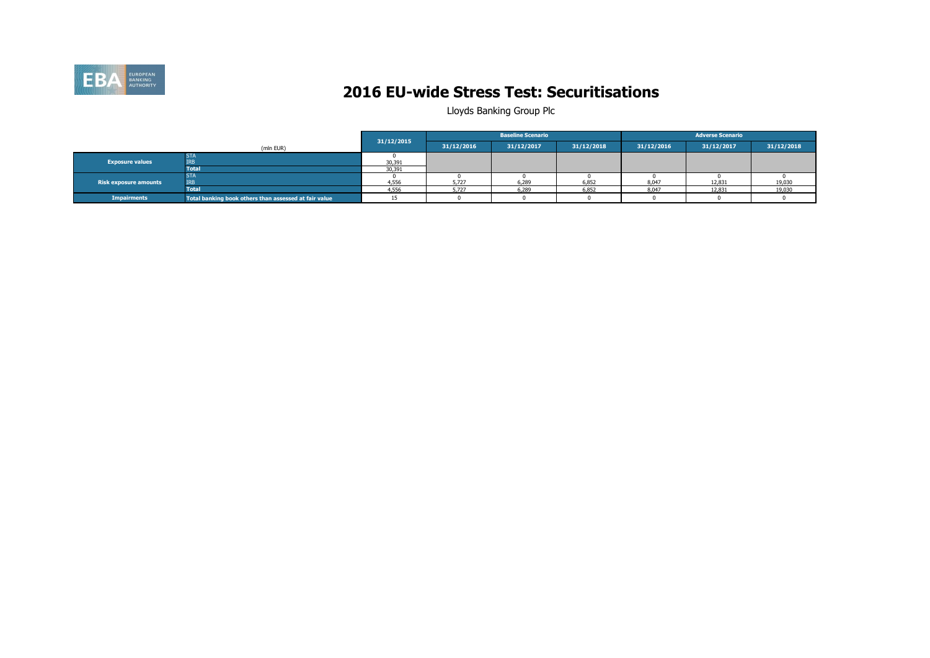

### **2016 EU-wide Stress Test: Securitisations**

|                        |                                                       |            |            | <b>Baseline Scenario</b> |            |            | <b>Adverse Scenario</b> |            |
|------------------------|-------------------------------------------------------|------------|------------|--------------------------|------------|------------|-------------------------|------------|
|                        | (mln EUR)                                             | 31/12/2015 | 31/12/2016 | 31/12/2017               | 31/12/2018 | 31/12/2016 | 31/12/2017              | 31/12/2018 |
| <b>Exposure values</b> | <b>STA</b><br><b>IRB</b>                              | 30,391     |            |                          |            |            |                         |            |
|                        | <b>Total</b>                                          | 30,391     |            |                          |            |            |                         |            |
| Risk exposure amounts  | <b>STA</b><br><b>TRB</b>                              | 4,556      | 5,727      | 6,289                    | 6,852      | 8.047      | 12,831                  | 19,030     |
|                        | Total                                                 | 4,556      | 5,727      | 6,289                    | 6,852      | 8.047      | 12,831                  | 19,030     |
| <b>Impairments</b>     | Total banking book others than assessed at fair value |            |            |                          |            |            |                         |            |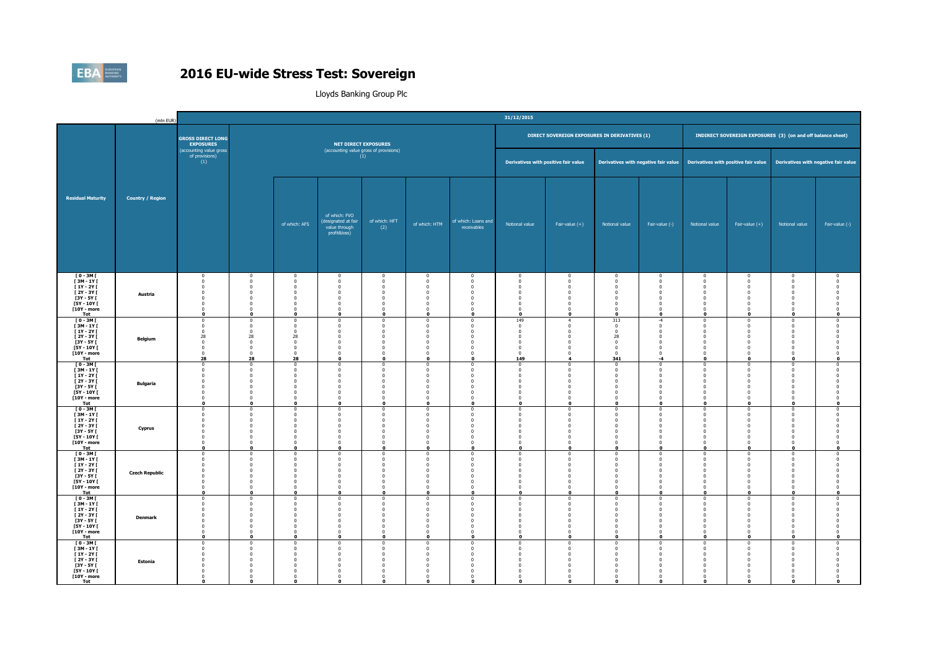

|                                                                                                                         | (mln EUR)               |                                                                                                                         |                                                                                        |                                                                                                                  |                                                                                                          |                                                                                                           |                                                                                                                           |                                                                                                                                                 | 31/12/2015                                                                                                         |                                                                                                                                  |                                                                                                                              |                                                                                                                                                                      |                                                                                                                  |                                                                                                                         |                                                                                                                        |                                                                                       |
|-------------------------------------------------------------------------------------------------------------------------|-------------------------|-------------------------------------------------------------------------------------------------------------------------|----------------------------------------------------------------------------------------|------------------------------------------------------------------------------------------------------------------|----------------------------------------------------------------------------------------------------------|-----------------------------------------------------------------------------------------------------------|---------------------------------------------------------------------------------------------------------------------------|-------------------------------------------------------------------------------------------------------------------------------------------------|--------------------------------------------------------------------------------------------------------------------|----------------------------------------------------------------------------------------------------------------------------------|------------------------------------------------------------------------------------------------------------------------------|----------------------------------------------------------------------------------------------------------------------------------------------------------------------|------------------------------------------------------------------------------------------------------------------|-------------------------------------------------------------------------------------------------------------------------|------------------------------------------------------------------------------------------------------------------------|---------------------------------------------------------------------------------------|
|                                                                                                                         |                         | <b>GROSS DIRECT LONG</b><br><b>EXPOSURES</b>                                                                            |                                                                                        |                                                                                                                  | <b>NET DIRECT EXPOSURES</b>                                                                              |                                                                                                           |                                                                                                                           |                                                                                                                                                 |                                                                                                                    | DIRECT SOVEREIGN EXPOSURES IN DERIVATIVES (1)                                                                                    |                                                                                                                              |                                                                                                                                                                      |                                                                                                                  |                                                                                                                         | INDIRECT SOVEREIGN EXPOSURES (3) (on and off balance sheet)                                                            |                                                                                       |
|                                                                                                                         |                         | (accounting value gross<br>of provisions)<br>(1)                                                                        |                                                                                        |                                                                                                                  | (accounting value gross of provisions)                                                                   | (1)                                                                                                       |                                                                                                                           |                                                                                                                                                 |                                                                                                                    | Derivatives with positive fair value                                                                                             |                                                                                                                              | Derivatives with negative fair value                                                                                                                                 |                                                                                                                  |                                                                                                                         | Derivatives with positive fair value Derivatives with negative fair value                                              |                                                                                       |
| <b>Residual Maturity</b>                                                                                                | <b>Country / Region</b> |                                                                                                                         |                                                                                        | of which: AFS                                                                                                    | of which: FVO<br>(designated at fair<br>value through<br>profit&loss)                                    | of which: HFT<br>(2)                                                                                      | of which: HTM                                                                                                             | of which: Loans and<br>receivables                                                                                                              | Notional value                                                                                                     | Fair-value $(+)$                                                                                                                 | Notional value                                                                                                               | Fair-value (-)                                                                                                                                                       | Notional value                                                                                                   | Fair-value $(+)$                                                                                                        | Notional value                                                                                                         | Fair-value (-)                                                                        |
| $T0 - 3M$<br>[3M - 1Y]<br>$[1Y - 2Y]$<br>$[2Y - 3Y]$<br><b>F3Y - 5Y F</b><br>$[5Y - 10Y]$<br>[10Y - more<br>Tot         | Austria                 | $\overline{0}$<br>$\overline{0}$<br>$\mathbf 0$<br>$\overline{0}$<br>$\Omega$<br>$\mathbf 0$<br>$\Omega$<br>$\mathbf 0$ | $\Omega$<br>$\Omega$<br>$\mathbf 0$<br>n<br>$\Omega$                                   | $\Omega$<br>$\overline{0}$<br>$\overline{0}$<br>$\Omega$<br>$\Omega$<br>$\mathbf{0}$<br>$\Omega$<br>$\mathbf{r}$ | $\Omega$<br>$^{\circ}$<br>$\mathbf 0$<br>$\Omega$<br>$\Omega$<br>$\mathbf 0$<br>$\Omega$<br>$\mathbf 0$  | $\Omega$<br>$\mathbf 0$<br>$\overline{0}$<br>$^{\circ}$<br>$\Omega$<br>$^{\circ}$<br>$\Omega$<br>$\Omega$ | $^{\circ}$<br>$\overline{0}$<br>$\overline{\mathbf{0}}$<br>$\theta$<br>$\Omega$<br>$\mathbf 0$<br>$\Omega$<br>$\mathbf 0$ | $\Omega$<br>$\bf{0}$<br>$\mathbf{0}$<br>$\Omega$<br>$\Omega$<br>$\overline{\mathbf{0}}$<br>$\Omega$<br>$\mathbf{0}$                             | $^{\circ}$<br>$\bf{0}$<br>$\mathbf 0$<br>$\mathbf 0$<br>$\mathbf{0}$<br>$\mathbf 0$<br>$\Omega$<br>$\Omega$        | $\overline{\mathbf{0}}$<br>$\bf{0}$<br>$\mathbf 0$<br>$\overline{0}$<br>$\overline{0}$<br>$\mathbf 0$<br>$\Omega$<br>$\mathbf 0$ | $^{\circ}$<br>$\bf{0}$<br>$\mathbf{0}$<br>$\mathbf 0$<br>$\mathbf{0}$<br>$\mathbf{0}$<br>$\Omega$<br>$\Omega$                | $^{\circ}$<br>$\overline{\mathbf{0}}$<br>$\overline{\mathbf{0}}$<br>$\overline{\mathbf{0}}$<br>$\overline{0}$<br>$\overline{\mathbf{0}}$<br>$\Omega$<br>$\Omega$     | $^{\circ}$<br>$\bf{0}$<br>$\mathbf{0}$<br>$\mathbf 0$<br>$\Omega$<br>$\mathbf{0}$<br>$\Omega$<br>$\mathbf 0$     | $^{\circ}$<br>$\overline{0}$<br>$\overline{0}$<br>$\overline{0}$<br>$\Omega$<br>$\overline{0}$<br>$\Omega$<br>$\Omega$  | $^{\circ}$<br>$\bf{0}$<br>$\mathbf 0$<br>$\mathbf 0$<br>$\mathbf{0}$<br>$\mathbf{0}$<br>$\Omega$<br>$\mathbf{o}$       | $\Omega$<br>$\overline{0}$<br>$\overline{0}$<br>$\Omega$<br>$\Omega$                  |
| $[0 - 3M]$<br><b>F3M-1YF</b><br>$[1Y - 2Y]$<br><b>F2Y - 3Y F</b><br>$[3Y - 5Y]$<br>$[5Y - 10Y]$<br>[10Y - more<br>Tot   | <b>Belgium</b>          | $\mathbf{0}$<br>$\overline{0}$<br>$\Omega$<br>28<br>$^{\circ}$<br>$\mathbf 0$<br>$\overline{0}$<br>28                   | $\mathbf 0$<br>$\Omega$<br>$\Omega$<br>28<br>$\Omega$<br>$\mathbf 0$<br>$\Omega$<br>28 | $^{\circ}$<br>$\overline{0}$<br>$\Omega$<br>28<br>$\Omega$<br>$\overline{0}$<br>$\Omega$<br>28                   | $\Omega$<br>$\mathbf 0$<br>$\Omega$<br>$\mathbf 0$<br>$\Omega$<br>$\Omega$<br>$^{\circ}$<br>$\mathbf{o}$ | $^{\circ}$<br>$\mathbf{0}$<br>$\Omega$<br>$^{\circ}$<br>$\sqrt{2}$<br>$^{\circ}$<br>$\Omega$<br>$\Omega$  | $\overline{0}$<br>$\mathbf 0$<br>$\Omega$<br>$\mathbf{0}$<br>n<br>$\Omega$<br>$\Omega$<br>$\mathbf{0}$                    | $\overline{0}$<br>$\overline{0}$<br>$\Omega$<br>$\overline{\mathbf{0}}$<br>$\Omega$<br>$\overline{0}$<br>$\overline{0}$<br>$\bullet$            | 149<br>$\mathbf 0$<br>$^{\circ}$<br>$\mathbf 0$<br>$^{\circ}$<br>$\mathbf 0$<br>$\mathbf{0}$<br>149                | $\overline{4}$<br>$\mathbf 0$<br>$^{\circ}$<br>$\mathbf 0$<br>$\mathbf 0$<br>$\mathbf 0$<br>$\mathbf 0$<br>4                     | 313<br>$\overline{0}$<br>$\Omega$<br>28<br>$\mathbf{0}$<br>$\mathbf{0}$<br>$\mathbf{0}$<br>341                               | $-4$<br>$\,$ 0 $\,$<br>$\overline{\mathbf{0}}$<br>$\overline{\mathbf{0}}$<br>$\Omega$<br>$\overline{\mathbf{0}}$<br>$\overline{\mathbf{0}}$<br>$-4$                  | $^{\circ}$<br>$\mathbf 0$<br>$\Omega$<br>$\mathbf 0$<br>$\Omega$<br>$\mathbf{0}$<br>$^{\circ}$<br>$\mathbf{o}$   | $\overline{0}$<br>$\mathbf 0$<br>$\Omega$<br>$\overline{0}$<br>$\Omega$<br>$\overline{0}$<br>$\overline{0}$<br>$\bf{0}$ | $\mathbf{0}$<br>$\mathbf 0$<br>$^{\circ}$<br>$\mathbf{0}$<br>$^{\circ}$<br>$\mathbf{0}$<br>$\bf{0}$<br>$\bullet$       | $\overline{0}$<br>$\overline{0}$<br>$\Omega$<br>$\Omega$<br>$\Omega$<br>$\mathbf{o}$  |
| [0-3M]<br>$[3M - 1Y]$<br>[ 1Y - 2Y [<br><b>F2Y-3YF</b><br><b>F3Y - 5Y F</b><br><b>F5Y - 10Y F</b><br>[10Y - more<br>Tot | <b>Bulgaria</b>         | $\mathbf{0}$<br>$\mathbf 0$<br>$\overline{0}$<br>$\Omega$<br>$\Omega$<br>n<br>n<br>$\mathbf 0$                          | $\mathbf 0$<br>$\mathbf 0$<br>$\Omega$<br>o                                            | $\overline{0}$<br>$\mathbf{0}$<br>$^{\circ}$<br>$\Omega$<br>$\mathbf 0$<br>$\Omega$<br>$\Omega$<br>$\mathbf{0}$  | $\Omega$<br>$\mathbf 0$<br>$\mathbf 0$<br>$\Omega$<br>$\Omega$<br>$\Omega$<br>$\Omega$<br>$\mathbf{o}$   | $\mathbf 0$<br>$\mathbf{0}$<br>$\mathbf{0}$<br>- 0<br>$^{\circ}$<br>$\Omega$<br>$\Omega$<br>$\Omega$      | $\overline{0}$<br>$\overline{\mathbf{0}}$<br>$\mathbf 0$<br>$\Omega$<br>$\Omega$<br>$\Omega$<br>$\Omega$<br>$\mathbf 0$   | $\overline{0}$<br>$\overline{0}$<br>$\overline{\mathbf{0}}$<br>$\Omega$<br>$\overline{\mathbf{0}}$<br>$\overline{0}$<br>$\sqrt{2}$<br>$\bullet$ | $\bf{0}$<br>$\mathbf 0$<br>$\mathbf 0$<br>$\Omega$<br>$\mathbf 0$<br>$\mathbf{0}$<br>$\mathbf 0$<br>$\Omega$       | $\overline{\mathbf{0}}$<br>$\mathbf 0$<br>$\mathbf 0$<br>$\Omega$<br>$\mathbf 0$<br>$\overline{0}$<br>$\Omega$<br>$\mathbf 0$    | $\bf{0}$<br>$\overline{0}$<br>$\mathbf 0$<br>$\Omega$<br>$\mathbf 0$<br>$\mathbf{0}$<br>$\mathbf 0$<br>$\Omega$              | $\overline{\mathbf{0}}$<br>$\,$ 0 $\,$<br>$\overline{\mathbf{0}}$<br>$\Omega$<br>$\overline{\mathbf{0}}$<br>$\overline{0}$<br>$\overline{\mathbf{0}}$<br>$\mathbf 0$ | $\bf{0}$<br>$\mathbf{0}$<br>$\mathbf{0}$<br>$\Omega$<br>$\mathbf 0$<br>$\Omega$<br>$\Omega$<br>$\mathbf{o}$      | $\overline{0}$<br>$\mathbf 0$<br>$\mathbf 0$<br>$\Omega$<br>$\mathbf 0$<br>$\Omega$<br>$\Omega$<br>$\bf{0}$             | $\mathbf{0}$<br>$\mathbf 0$<br>$\mathbf 0$<br>$\mathbf{0}$<br>$\mathbf 0$<br>$\mathbf{0}$<br>$\mathbf{0}$<br>$\bullet$ | $\Omega$<br>$\overline{0}$<br>$\Omega$<br>- 0<br>$\Omega$<br>$\Omega$<br>$\mathbf{o}$ |
| [0-3M]<br>$[3M - 1Y]$<br>$[1Y - 2Y]$<br>$[2Y - 3Y]$<br>$[3Y - 5Y]$<br><b>F5Y - 10Y F</b><br>[10Y - more<br>Tot          | Cyprus                  | $^{\circ}$<br>$\Omega$<br>$\bf{0}$<br>$\Omega$<br>$\Omega$<br>$\Omega$<br>$\Omega$                                      | $\mathbf 0$<br>$\Omega$<br>$\Omega$<br>n                                               | $\overline{0}$<br>$\Omega$<br>$^{\circ}$<br>$\Omega$<br>$\Omega$<br>$\Omega$<br>n                                | $^{\circ}$<br>$\Omega$<br>$\mathbf 0$<br>$\Omega$<br>$\Omega$<br>$\Omega$<br>$\Omega$                    | $\mathbf 0$<br>$\sqrt{2}$<br>$^{\circ}$<br>$\sqrt{2}$<br>$\Omega$<br>$\mathbf{0}$<br>$\Omega$<br>$\Omega$ | $\overline{0}$<br>$\sqrt{2}$<br>$\mathbf 0$<br>$\Omega$<br>$\Omega$<br>$\Omega$<br>$\Omega$<br>$\Omega$                   | $\overline{0}$<br>$\sqrt{2}$<br>$\mathbf 0$<br>$\Omega$<br>$\Omega$<br>$\Omega$<br>$\overline{0}$<br>$\Omega$                                   | $\mathbf 0$<br>$\Omega$<br>$\pmb{0}$<br>$^{\circ}$<br>$\mathbf 0$<br>$\pmb{0}$<br>$\mathbf 0$<br>$\Omega$          | $\bf{0}$<br>$\overline{0}$<br>$\mathbf 0$<br>$\overline{0}$<br>$\mathbf 0$<br>$\mathbf 0$<br>$\mathbf 0$<br>$\Omega$             | $\mathbf 0$<br>$\sqrt{2}$<br>$\mathbf 0$<br>$\mathbf{0}$<br>$\mathbf{0}$<br>$\mathbf 0$<br>$\mathbf{0}$<br>$\Omega$          | $\overline{\mathbf{0}}$<br>$\sqrt{2}$<br>$\,$ 0<br>$\overline{0}$<br>$\overline{0}$<br>$\overline{\mathbf{0}}$<br>$\overline{\mathbf{0}}$<br>$\Omega$                | $\bf{0}$<br>$\Omega$<br>$\mathbf 0$<br>$\Omega$<br>$\mathbf{0}$<br>$^{\circ}$<br>$\mathbf{0}$<br>$\Omega$        | $\overline{0}$<br>$\sqrt{2}$<br>$\mathbf 0$<br>$\Omega$<br>$\mathbf 0$<br>$\overline{0}$<br>$\mathbf 0$<br>$\Omega$     | $\bf{0}$<br>$\mathbf{0}$<br>$\mathbf 0$<br>$\mathbf 0$<br>$\mathbf{0}$<br>$\overline{0}$<br>$\mathbf{0}$<br>$\Omega$   | $\overline{0}$<br>$\sqrt{2}$<br>$\overline{0}$<br>$\Omega$<br>$\Omega$<br>0           |
| $[0 - 3M]$<br>[3M-1Y]<br><b>F1Y-2YF</b><br>[ 2Y - 3Y [<br><b>F3Y - 5Y F</b><br>[5Y - 10Y [<br>[10Y - more<br>Tot        | <b>Czech Republic</b>   | $\mathbf 0$<br>$\Omega$<br>$\Omega$<br>$\Omega$<br>$\Omega$<br>$\Omega$<br>$\Omega$<br>$\mathbf{a}$                     | $\mathbf 0$<br>$\Omega$<br>$\Omega$                                                    | $\Omega$<br>$\sqrt{2}$<br>$\Omega$<br>$\Omega$<br>$\Omega$<br>$\Omega$<br>$\Omega$                               | $\mathbf 0$<br>$\Omega$<br>$\Omega$<br>$\Omega$<br>$\Omega$<br>$\Omega$<br>$\Omega$<br>$\Omega$          | $\overline{0}$<br>$\Omega$<br>$\mathbf{0}$<br>$\Omega$<br>$\Omega$<br>$\Omega$<br>$\Omega$                | $\mathbf 0$<br>$\Omega$<br>$\Omega$<br>$\Omega$<br>$\Omega$<br>$\Omega$<br>$\Omega$                                       | $^{\circ}$<br>$\Omega$<br>$\overline{0}$<br>$\overline{\mathbf{0}}$<br>$\Omega$<br>$\Omega$<br>$\overline{0}$<br>$\Omega$                       | $\mathbf 0$<br>$\mathbf 0$<br>$\mathbf{0}$<br>$\bf{0}$<br>$\Omega$<br>$\mathbf 0$<br>$\mathbf{0}$                  | $\mathbf 0$<br>$\bf{0}$<br>$\mathbf{0}$<br>$\bf{0}$<br>$\mathbf 0$<br>$\bf{0}$<br>$\mathbf{0}$                                   | $\mathbf{0}$<br>$\mathbf 0$<br>$\mathbf{0}$<br>$\bf{0}$<br>$\Omega$<br>$\mathbf 0$<br>$\overline{0}$                         | $\mathbf 0$<br>$\Omega$<br>$\overline{0}$<br>$\overline{\mathbf{0}}$<br>$\overline{0}$<br>$\overline{\mathbf{0}}$<br>$\overline{0}$<br>$\Omega$                      | $\mathbf{0}$<br>$\Omega$<br>$\mathbf{0}$<br>$^{\circ}$<br>$\Omega$<br>$\bf{0}$<br>$\mathbf{0}$<br>$\Omega$       | $\mathbf 0$<br>$\Omega$<br>$\overline{0}$<br>$\overline{0}$<br>$\Omega$<br>$\Omega$<br>$\overline{0}$<br>C              | $\mathbf{0}$<br>$\mathbf{0}$<br>$\mathbf{0}$<br>$\bf{0}$<br>$\mathbf{0}$<br>$\mathbf{0}$<br>$\mathbf{0}$<br>$\Omega$   | $\mathbf 0$<br>$\Omega$<br>$\Omega$<br>$\Omega$                                       |
| <b>TO-3MT</b><br>[3M - 1Y]<br><b>F1Y-2YF</b><br>$[2Y - 3Y]$<br>$[3Y - 5Y]$<br>$[5Y - 10Y]$<br>[10Y - more<br>Tot        | <b>Denmark</b>          | $\Omega$<br>$\Omega$<br>$\Omega$<br>$\Omega$<br>$\Omega$<br>$\Omega$<br>$\mathbf{0}$                                    | $\Omega$<br>$\Omega$<br>$\Omega$<br>$\Omega$<br>$\mathbf 0$                            | $\Omega$<br>$\Omega$<br>$\Omega$<br>$^{\circ}$<br>$\Omega$<br>$\mathbf{r}$                                       | $\Omega$<br>$\Omega$<br>$\mathbf 0$<br>$\Omega$<br>$\mathbf 0$<br>$\Omega$<br>$\mathbf{o}$               | $\Omega$<br>$^{\circ}$<br>$\Omega$<br>$^{\circ}$<br>$\Omega$<br>$\mathbf 0$<br>$\Omega$<br>$\mathbf{r}$   | $\Omega$<br>$\Omega$<br>$\Omega$<br>$\mathbf{0}$<br>$\Omega$<br>$\mathbf 0$<br>$\Omega$<br>$\mathbf{0}$                   | $\Omega$<br>$\Omega$<br>$\overline{0}$<br>$\overline{\mathbf{0}}$<br>$\Omega$<br>$\mathbf{0}$<br>$\Omega$<br>$\bullet$                          | $\Omega$<br>$\overline{0}$<br>$\mathbf{0}$<br>$\mathbf 0$<br>$^{\circ}$<br>$\mathbf 0$<br>$\Omega$<br>$\mathbf{a}$ | $^{\circ}$<br>$\overline{0}$<br>$\overline{0}$<br>$\mathbf 0$<br>$\overline{0}$<br>$\mathbf 0$<br>$\mathbf 0$<br>$\mathbf{o}$    | $\Omega$<br>$\overline{0}$<br>$\mathbf{0}$<br>$\mathbf{0}$<br>$\mathbf{0}$<br>$\mathbf{0}$<br>$\overline{0}$<br>$\mathbf{a}$ | $\Omega$<br>$\mathbf 0$<br>$\overline{0}$<br>$\overline{\mathbf{0}}$<br>$\overline{0}$<br>$\overline{\mathbf{0}}$<br>$\overline{\mathbf{0}}$<br>$\Omega$             | $\Omega$<br>$\mathbf 0$<br>$\mathbf{0}$<br>$\mathbf 0$<br>$^{\circ}$<br>$\mathbf{0}$<br>$\Omega$<br>$\mathbf{0}$ | $\Omega$<br>$\mathbf 0$<br>$\overline{0}$<br>$\mathbf 0$<br>$\Omega$<br>$\mathbf 0$<br>$\Omega$<br>$\mathbf{0}$         | $^{\circ}$<br>$\,0\,$<br>$\mathbf{0}$<br>$\mathbf{0}$<br>$\mathbf{0}$<br>$\mathbf{0}$<br>$\mathbf 0$<br>$\bullet$      | $\Omega$<br>$\Omega$<br>$\Omega$<br>$\Omega$<br>$\mathbf 0$                           |
| $[0 - 3M]$<br><b>F3M-1YF</b><br>$[1Y - 2Y]$<br>$[2Y - 3Y]$<br>[3Y - 5Y [<br>$[5Y - 10Y]$<br>[10Y - more<br>Tot          | Estonia                 | $\Omega$<br>$\Omega$<br>$\Omega$<br>$\Omega$                                                                            | $\Omega$<br>$\Omega$                                                                   | $\sqrt{2}$<br>$\Omega$<br>$\Omega$                                                                               | $\Omega$<br>O<br>$\Omega$<br>$\Omega$<br>$\Omega$<br>$\Omega$<br>$\mathbf{0}$                            | $\Omega$<br>$\mathbf{0}$<br>$\sqrt{2}$<br>$^{\circ}$<br>$\Omega$<br>$^{\circ}$<br>$\sqrt{2}$              | $\Omega$<br>$\mathbf{0}$<br>n<br>$\Omega$<br>$\Omega$<br>$\Omega$<br>$\Omega$                                             | $\Omega$<br>$^{\circ}$<br>$\sqrt{2}$<br>$\mathbf{0}$<br>$\overline{\mathbf{0}}$<br>$\overline{\mathbf{0}}$<br>$\Omega$<br>$\Omega$              | $^{\circ}$<br>$\mathbf{0}$<br>$\Omega$<br>$\mathbf 0$<br>$\bf{0}$<br>$\mathbf 0$<br>$\Omega$                       | $^{\circ}$<br>$\mathbf 0$<br>$\Omega$<br>$\mathbf 0$<br>$\bf{0}$<br>$\overline{0}$<br>$\Omega$<br>o                              | $\Omega$<br>$\mathbf{0}$<br>$\Omega$<br>$\mathbf{0}$<br>$\bf{0}$<br>$\mathbf{0}$<br>$\mathbf 0$<br>$\Omega$                  | $\overline{\mathbf{0}}$<br>$\mathbf 0$<br>$\Omega$<br>$\overline{\mathbf{0}}$<br>$\overline{\mathbf{0}}$<br>$\overline{\mathbf{0}}$<br>$\Omega$                      | $\Omega$<br>$\mathbf{0}$<br>$\Omega$<br>$\bf{0}$<br>$\bf{0}$<br>$\mathbf{0}$<br>$\Omega$<br>$\mathbf{0}$         | $^{\circ}$<br>$\mathbf 0$<br>$\Omega$<br>$\overline{0}$<br>$\overline{0}$<br>$\mathbf 0$<br>$\Omega$                    | $\mathbf{0}$<br>$\mathbf{0}$<br>$^{\circ}$<br>$\mathbf{0}$<br>$\bf{0}$<br>$\mathbf 0$<br>$\mathbf{0}$                  | $\Omega$                                                                              |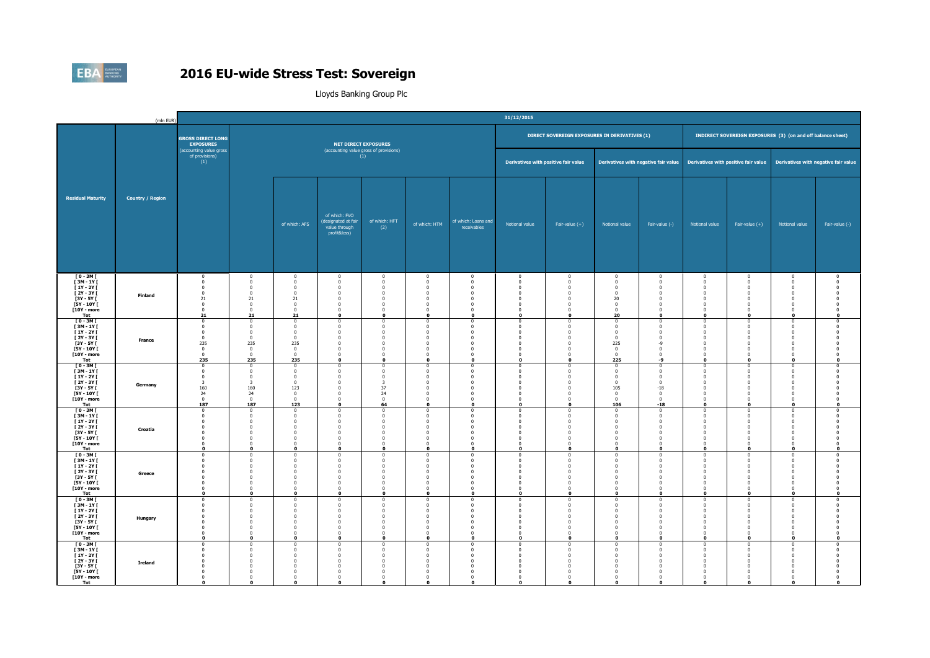

|                                                                                                                          | (mln EUR)               |                                                                                                                     |                                                                                                                            |                                                                                                                  |                                                                                                                                     |                                                                                                                 |                                                                                                                    |                                                                                                                            | 31/12/2015                                                                                                           |                                                                                                                                                                    |                                                                                                                        |                                                                                                                                                                    |                                                                                                                  |                                                                                                                             |                                                                                                                          |                                                                                                        |
|--------------------------------------------------------------------------------------------------------------------------|-------------------------|---------------------------------------------------------------------------------------------------------------------|----------------------------------------------------------------------------------------------------------------------------|------------------------------------------------------------------------------------------------------------------|-------------------------------------------------------------------------------------------------------------------------------------|-----------------------------------------------------------------------------------------------------------------|--------------------------------------------------------------------------------------------------------------------|----------------------------------------------------------------------------------------------------------------------------|----------------------------------------------------------------------------------------------------------------------|--------------------------------------------------------------------------------------------------------------------------------------------------------------------|------------------------------------------------------------------------------------------------------------------------|--------------------------------------------------------------------------------------------------------------------------------------------------------------------|------------------------------------------------------------------------------------------------------------------|-----------------------------------------------------------------------------------------------------------------------------|--------------------------------------------------------------------------------------------------------------------------|--------------------------------------------------------------------------------------------------------|
|                                                                                                                          |                         | <b>GROSS DIRECT LONG</b><br><b>EXPOSURES</b>                                                                        |                                                                                                                            |                                                                                                                  |                                                                                                                                     | <b>NET DIRECT EXPOSURES</b>                                                                                     |                                                                                                                    |                                                                                                                            |                                                                                                                      | DIRECT SOVEREIGN EXPOSURES IN DERIVATIVES (1)                                                                                                                      |                                                                                                                        |                                                                                                                                                                    |                                                                                                                  |                                                                                                                             | <b>INDIRECT SOVEREIGN EXPOSURES</b> (3) (on and off balance sheet)                                                       |                                                                                                        |
|                                                                                                                          |                         | (accounting value gross<br>of provisions)<br>(1)                                                                    |                                                                                                                            |                                                                                                                  |                                                                                                                                     | (accounting value gross of provisions)<br>(1)                                                                   |                                                                                                                    |                                                                                                                            | Derivatives with positive fair value                                                                                 |                                                                                                                                                                    |                                                                                                                        | Derivatives with negative fair value                                                                                                                               |                                                                                                                  |                                                                                                                             | Derivatives with positive fair value Derivatives with negative fair value                                                |                                                                                                        |
| <b>Residual Maturity</b>                                                                                                 | <b>Country / Region</b> |                                                                                                                     |                                                                                                                            | of which: AFS                                                                                                    | of which: FVO<br>(designated at fair<br>value through<br>profit&loss)                                                               | of which: HFT<br>(2)                                                                                            | of which: HTM                                                                                                      | of which: Loans and<br>receivables                                                                                         | Notional value                                                                                                       | Fair-value $(+)$                                                                                                                                                   | Notional value                                                                                                         | Fair-value (-)                                                                                                                                                     | Notional value                                                                                                   | Fair-value $(+)$                                                                                                            | Notional value                                                                                                           | Fair-value (-)                                                                                         |
| $[0 - 3M]$<br><b>F3M-1YF</b><br>$[1Y - 2Y]$<br><b>F2Y-3YF</b><br>$[3Y - 5Y]$<br><b>FSY - 10Y F</b><br>[10Y - more<br>Tot | Finland                 | $^{\circ}$<br>$\mathbf 0$<br>$\mathbf 0$<br>$\mathbf{0}$<br>21<br>$\bf{0}$<br>$\mathbf 0$<br>21                     | $\overline{0}$<br>$\overline{0}$<br>$\overline{0}$<br>$\Omega$<br>21<br>$\Omega$<br>$\mathbf{0}$<br>21                     | $\overline{0}$<br>$\Omega$<br>$\mathbf 0$<br>$\Omega$<br>21<br>$\Omega$<br>$\bf{0}$<br>21                        | $\overline{0}$<br>$\overline{0}$<br>$\overline{0}$<br>$^{\circ}$<br>$\overline{0}$<br>$\Omega$<br>$\mathbf{0}$<br>$\mathbf 0$       | $\overline{0}$<br>$\Omega$<br>$\Omega$<br>$\Omega$<br>$\mathbf 0$<br>$\sqrt{2}$<br>$\mathbf{0}$<br>$\mathbf{o}$ | $\overline{0}$<br>$\overline{0}$<br>$\Omega$<br>$\Omega$<br>$\mathbf 0$<br>$\Omega$<br>$\mathbf{0}$<br>$\mathbf 0$ | $\overline{0}$<br>$\Omega$<br>$\overline{0}$<br>$\Omega$<br>$\overline{0}$<br>$\Omega$<br>$\overline{0}$<br>$\mathbf{o}$   | $\mathbf 0$<br>$\overline{0}$<br>$\mathbf 0$<br>$\Omega$<br>$\mathbf{0}$<br>$\Omega$<br>$\mathbf{0}$<br>$\mathbf{r}$ | $\overline{0}$<br>$\overline{\mathbf{0}}$<br>$\overline{0}$<br>$^{\circ}$<br>$\overline{0}$<br>$\Omega$<br>$\overline{0}$<br>$\mathbf 0$                           | $\mathbf 0$<br>$\overline{0}$<br>$\mathbf{0}$<br>$^{\circ}$<br>20<br>$\Omega$<br>$\bf{0}$<br>20                        | $\mathbf 0$<br>$\overline{0}$<br>$\overline{0}$<br>$^{\circ}$<br>$\overline{0}$<br>$\Omega$<br>$\,$ 0 $\,$<br>$\mathbf 0$                                          | $\mathbf 0$<br>$^{\circ}$<br>$\mathbf 0$<br>$^{\circ}$<br>$\mathbf 0$<br>$\Omega$<br>$\mathbf 0$<br>$\mathbf{o}$ | $\bf{0}$<br>$\mathbf 0$<br>$\overline{0}$<br>$\Omega$<br>$\overline{0}$<br>$\Omega$<br>$\mathbf 0$<br>$\mathbf 0$           | $\mathbf{0}$<br>$\mathbf 0$<br>$\mathbf{0}$<br>$^{\circ}$<br>$\mathbf 0$<br>$\bf{0}$<br>$\mathbf 0$<br>$\mathbf{o}$      | $^{\circ}$<br>$\Omega$<br>$\Omega$<br>$\mathbf 0$<br>$\mathbf 0$                                       |
| $T = 3MT$<br>[3M-1Y]<br><b>F1Y-2YF</b><br>$[2Y - 3Y]$<br><b>F3Y - 5Y F</b><br>[5Y - 10Y [<br>[10Y - more<br>Tot          | <b>France</b>           | $\mathbf 0$<br>0<br>$\mathbf{0}$<br>$\bf{0}$<br>235<br>$\bf{0}$<br>$\bf{0}$<br>235                                  | $\Omega$<br>$\overline{0}$<br>$\Omega$<br>$\overline{0}$<br>235<br>$\overline{0}$<br>$\overline{0}$<br>235                 | $\Omega$<br>$\Omega$<br>$\mathbf{0}$<br>$\Omega$<br>235<br>$\bf{0}$<br>$\bf{0}$<br>235                           | $\Omega$<br>$\mathbf 0$<br>$\Omega$<br>$\overline{0}$<br>$\overline{\mathbf{0}}$<br>$\overline{0}$<br>$\mathbf{0}$<br>$\mathbf{o}$  | $\Omega$<br>$\Omega$<br>$\Omega$<br>$\Omega$<br>$\Omega$<br>$\mathbf{0}$<br>$\mathbf{0}$<br>$\mathbf{0}$        | $\Omega$<br>$\mathbf 0$<br>$\Omega$<br>$\mathbf 0$<br>$\Omega$<br>$\mathbf 0$<br>$\mathbf 0$<br>$\mathbf 0$        | - 0<br>$\Omega$<br>$\overline{0}$<br>$\bf{0}$<br>$\overline{0}$<br>$\bf{0}$<br>$\overline{0}$<br>$\mathbf{o}$              | $\Omega$<br>$\Omega$<br>$\Omega$<br>$\overline{0}$<br>$\Omega$<br>$\mathbf 0$<br>$\mathbf 0$<br>$\mathbf{a}$         | $\Omega$<br>$\mathbf 0$<br>$\overline{0}$<br>$\overline{\mathbf{0}}$<br>$\overline{\mathbf{0}}$<br>$\overline{\mathbf{0}}$<br>$\,$ 0 $\,$<br>$\mathbf 0$           | $\Omega$<br>$\overline{0}$<br>$\mathbf{0}$<br>$\mathbf 0$<br>225<br>$\bf{0}$<br>$\bf{0}$<br>225                        | $\Omega$<br>$\Omega$<br>$\overline{0}$<br>$\overline{\mathbf{0}}$<br>$-9$<br>$\overline{\mathbf{0}}$<br>$\,$ 0 $\,$<br>-9                                          | $\Omega$<br>$^{\circ}$<br>$\mathbf{0}$<br>$\mathbf 0$<br>$\Omega$<br>$\mathbf 0$<br>$\mathbf 0$<br>$\mathbf{o}$  | $\Omega$<br>$\overline{0}$<br>$\overline{0}$<br>$\bf{0}$<br>$\Omega$<br>$\bf{0}$<br>$\mathbf 0$<br>$\mathbf 0$              | $\mathbf{0}$<br>$\bf{0}$<br>$\mathbf{0}$<br>$\bf{0}$<br>$\mathbf{0}$<br>$\bf{0}$<br>$\bf{0}$<br>$\mathbf{o}$             | $\Omega$<br>$\Omega$<br>$\Omega$<br>$\Omega$<br>$\Omega$<br>$\Omega$<br>$\overline{0}$<br>$\mathbf{0}$ |
| $[0 - 3M]$<br>[3M-1Y]<br>$[1Y - 2Y]$<br>$[2Y - 3Y]$<br>$[3Y - 5Y]$<br><b>F5Y - 10Y F</b><br>[10Y - more<br>Tot           | Germany                 | $\mathbf{0}$<br>$\mathbf 0$<br>$\mathbf 0$<br>$\overline{\mathbf{3}}$<br>160<br>24<br>$\mathbf{0}$<br>187           | $\Omega$<br>$\overline{\mathbf{0}}$<br>$\overline{0}$<br>$\overline{\mathbf{3}}$<br>160<br>24<br>$\mathbf{0}$<br>187       | - 0<br>$\overline{0}$<br>$\mathbf{0}$<br>$\bf{0}$<br>123<br>$\bf{0}$<br>$\Omega$<br>123                          | $\Omega$<br>$\mathbf 0$<br>$\Omega$<br>$\overline{0}$<br>$\overline{\mathbf{0}}$<br>$\overline{0}$<br>$\overline{0}$<br>$\mathbf 0$ | $\Omega$<br>$\mathbf{0}$<br>$\Omega$<br>$\overline{\mathbf{3}}$<br>37<br>24<br>$\Omega$<br>64                   | $\Omega$<br>$\mathbf 0$<br>$\Omega$<br>$\Omega$<br>$\Omega$<br>$\mathbf 0$<br>$\Omega$<br>$\mathbf 0$              | $\Omega$<br>$\overline{0}$<br>$\Omega$<br>$\overline{0}$<br>$\Omega$<br>$\bf{0}$<br>$\Omega$<br>$\mathbf{o}$               | $\Omega$<br>$\mathbf 0$<br>$\Omega$<br>$\mathbf{0}$<br>$\Omega$<br>$\mathbf 0$<br>$\Omega$<br>$\mathbf{0}$           | $\Omega$<br>$\overline{0}$<br>$\overline{0}$<br>$\overline{0}$<br>$\overline{0}$<br>$\overline{0}$<br>$\overline{0}$<br>$\mathbf 0$                                | $\Omega$<br>$\mathbf 0$<br>$\mathbf{0}$<br>$\mathbf{0}$<br>105<br>$\mathbf 0$<br>$\Omega$<br>106                       | $\Omega$<br>$\overline{0}$<br>$\overline{0}$<br>$\overline{\mathbf{0}}$<br>$-18$<br>$\overline{\mathbf{0}}$<br>$\mathbf{0}$<br>$-18$                               | $\Omega$<br>$\pmb{0}$<br>$\Omega$<br>$\mathbf 0$<br>$\Omega$<br>$\mathbf 0$<br>$\Omega$<br>$\mathbf 0$           | $\Omega$<br>$\pmb{0}$<br>$\mathbf{0}$<br>$\overline{0}$<br>$\Omega$<br>$\overline{0}$<br>$\Omega$<br>$\mathbf 0$            | $\mathbf{0}$<br>$\mathbf 0$<br>$\mathbf 0$<br>$\mathbf{0}$<br>$\mathbf{0}$<br>$\mathbf{0}$<br>$\mathbf{0}$<br>$\bullet$  | $\Omega$<br>$\mathbf 0$<br>$\Omega$<br>$\Omega$<br>$\Omega$<br>$\Omega$<br>$\mathbf 0$                 |
| $[0 - 3M]$<br>$[3M - 1Y]$<br>$[1Y - 2Y]$<br>$[2Y - 3Y]$<br>[3Y - 5Y [<br>$[5Y - 10Y]$<br><b>F10Y - more</b><br>Tot       | Croatia                 | $\Omega$<br>$\mathbf 0$<br>$\mathbf{0}$<br>$\mathbf 0$<br>$\bf{0}$<br>$\mathbf 0$<br>$\bf{0}$<br>$\mathbf 0$        | $\Omega$<br>$\mathbf 0$<br>$\Omega$<br>$\overline{0}$<br>$\overline{0}$<br>$\overline{0}$<br>$\overline{0}$<br>$\mathbf 0$ | $\sqrt{2}$<br>$\Omega$<br>$\mathbf 0$<br>$\overline{0}$<br>$\mathbf 0$<br>$\Omega$<br>$\Omega$                   | $\Omega$<br>$\mathbf 0$<br>$\Omega$<br>$\overline{0}$<br>$\overline{\mathbf{0}}$<br>$\overline{0}$<br>$\mathbf 0$<br>$\mathbf 0$    | $\sqrt{2}$<br>$\mathbf{0}$<br>$\Omega$<br>$\Omega$<br>$\mathbf{0}$<br>$\overline{0}$<br>$\sqrt{2}$<br>$\Omega$  | $\Omega$<br>$\mathbf 0$<br>$\Omega$<br>$\Omega$<br>$\mathbf 0$<br>$\mathbf 0$<br>$\Omega$<br>$\mathbf 0$           | $\sqrt{2}$<br>$\Omega$<br>$\overline{0}$<br>$\bf{0}$<br>$\overline{0}$<br>$\bf{0}$<br>$\mathbf{o}$                         | $\sqrt{2}$<br>$\Omega$<br>$^{\circ}$<br>$\overline{0}$<br>$\mathbf{0}$<br>$\mathbf 0$<br>$\Omega$                    | $\Omega$<br>$\Omega$<br>$\overline{0}$<br>$\overline{\mathbf{0}}$<br>$\overline{\mathbf{0}}$<br>$\Omega$<br>$\mathbf 0$                                            | $\sqrt{2}$<br>$\overline{0}$<br>$\Omega$<br>$\mathbf{0}$<br>$\overline{0}$<br>$\mathbf{0}$<br>$\Omega$<br>$\mathbf{0}$ | $\Omega$<br>$\mathbf 0$<br>$\overline{0}$<br>$\overline{0}$<br>$\overline{\mathbf{0}}$<br>$\overline{\mathbf{0}}$<br>$\,$ 0 $\,$<br>$\mathbf{o}$                   | $\Omega$<br>$\mathbf 0$<br>$\Omega$<br>$\mathbf 0$<br>$\bf{0}$<br>$\mathbf 0$<br>$\mathbf 0$<br>$\mathbf 0$      | $^{\circ}$<br>$\mathbf 0$<br>$\Omega$<br>$\overline{0}$<br>$\overline{0}$<br>$\mathbf 0$<br>$\bf{0}$<br>$\mathbf 0$         | $^{\circ}$<br>$\,0\,$<br>$\mathbf 0$<br>$\mathbf{0}$<br>$\bf{0}$<br>$\mathbf{0}$<br>$\mathbf{0}$<br>$\bullet$            | $\Omega$<br>$\Omega$<br>$\Omega$<br>$^{\circ}$<br>$\Omega$<br>$\mathbf 0$                              |
| <b>TO-3MT</b><br><b>F3M-1YF</b><br>$[1Y - 2Y]$<br><b>F2Y-3YF</b><br>[3Y - 5Y [<br>$[5Y - 10Y]$<br>[10Y - more<br>Tot     | Greece                  | $\mathbf{0}$<br>$\Omega$<br>$^{\circ}$<br>$\Omega$<br>$\mathbf{0}$<br>$\Omega$<br>$\mathbf{0}$<br>$\mathbf 0$       | $\overline{0}$<br>$\Omega$<br>$\Omega$<br>$\Omega$<br>$\overline{0}$<br>$\Omega$<br>$\overline{0}$<br>$\mathbf 0$          | $\Omega$<br>- 0<br>$\sqrt{2}$<br>$\mathbf{0}$<br>$\overline{0}$<br>$\Omega$<br>$\Omega$<br>$\bullet$             | $\mathbf{0}$<br>$\Omega$<br>$\Omega$<br>$\Omega$<br>$\mathbf 0$<br>$\overline{\mathbf{0}}$<br>$\bf{0}$<br>$\mathbf 0$               | $\mathbf{0}$<br>$\Omega$<br>$\sqrt{2}$<br>$\Omega$<br>$\Omega$<br>$\Omega$<br>$\Omega$<br>$\mathbf{0}$          | $\mathbf 0$<br>$\Omega$<br>$\Omega$<br>$\Omega$<br>0<br>$\mathbf 0$<br>$\overline{0}$<br>$\mathbf 0$               | $\bf{0}$<br>- 0<br>$\Omega$<br>$\overline{0}$<br>$\bf{0}$<br>$\Omega$<br>$\Omega$<br>$\bullet$                             | $\mathbf 0$<br>$\Omega$<br>$\Omega$<br>$\Omega$<br>$\bf{0}$<br>$\Omega$<br>$\mathbf 0$<br>$\mathbf{0}$               | $\overline{\mathbf{0}}$<br>$\Omega$<br>$\Omega$<br>$\overline{0}$<br>$\overline{\mathbf{0}}$<br>$\overline{\mathbf{0}}$<br>$\overline{\mathbf{0}}$<br>$\mathbf{o}$ | $\mathbf 0$<br>$\Omega$<br>$\Omega$<br>$\mathbf{0}$<br>$\bf{0}$<br>$\mathbf{0}$<br>$\mathbf 0$<br>$\mathbf 0$          | $\overline{\mathbf{0}}$<br>$\Omega$<br>$\Omega$<br>$\overline{0}$<br>$\overline{\mathbf{0}}$<br>$\overline{\mathbf{0}}$<br>$\overline{\mathbf{0}}$<br>$\mathbf{o}$ | $\mathbf 0$<br>$\Omega$<br>$^{\circ}$<br>$\mathbf{0}$<br>$\bf{0}$<br>$\Omega$<br>$\mathbf 0$<br>$\mathbf 0$      | $\bf{0}$<br>$\Omega$<br>$\Omega$<br>$\overline{0}$<br>$\overline{0}$<br>$\Omega$<br>$\bf{0}$<br>$\mathbf 0$                 | $\bf{0}$<br>$\mathbf{0}$<br>$\bf{0}$<br>$\mathbf{0}$<br>$\bf{0}$<br>$\mathbf 0$<br>$\mathbf{0}$<br>$\bullet$             | $\overline{0}$<br>$\Omega$<br>$\Omega$<br>$\Omega$<br>$\Omega$<br>$\Omega$<br>$\mathbf 0$              |
| $[0 - 3M]$<br>$I3M - 1YI$<br>$[1Y - 2Y]$<br><b>F2Y-3YF</b><br>$[3Y - 5Y]$<br>$[5Y - 10Y]$<br>[10Y - more<br>Tot          | Hungary                 | $\mathbf 0$<br>$\Omega$<br>$\overline{0}$<br>$\Omega$<br>$\mathbf 0$<br>$^{\circ}$<br>$\mathbf 0$<br>$\mathbf{0}$   | $\overline{0}$<br>$\Omega$<br>$^{\circ}$<br>$\Omega$<br>$\overline{0}$<br>$\Omega$<br>$\overline{0}$<br>o                  | $\Omega$<br>$\sqrt{2}$<br>$\Omega$<br>$\Omega$<br>$\mathbf 0$<br>$\Omega$<br>$\Omega$<br>$\Omega$                | $\mathbf 0$<br>$\Omega$<br>$\mathbf 0$<br>$\Omega$<br>$\overline{0}$<br>$\overline{\mathbf{0}}$<br>$\overline{0}$<br>$\mathbf{0}$   | $\mathbf{0}$<br>$\sqrt{2}$<br>$\Omega$<br>$\Omega$<br>$\overline{0}$<br>$\Omega$<br>$\Omega$<br>$\Omega$        | $\mathbf 0$<br>$\Omega$<br>$\mathbf 0$<br>$\Omega$<br>$\mathbf 0$<br>$\mathbf{0}$<br>$\mathbf 0$<br>$\Omega$       | $\mathbf{0}$<br>$\sqrt{2}$<br>$\Omega$<br>$\Omega$<br>$\overline{0}$<br>$\overline{0}$<br>$\overline{0}$<br>$\Omega$       | $\mathbf{0}$<br>$\Omega$<br>$\overline{0}$<br>$\Omega$<br>$\mathbf{0}$<br>$\Omega$<br>$\mathbf{0}$<br>$\mathbf{0}$   | $\overline{\mathbf{0}}$<br>$\Omega$<br>$\overline{0}$<br>$\overline{0}$<br>$\overline{\mathbf{0}}$<br>$\overline{\mathbf{0}}$<br>$\overline{0}$<br>$\Omega$        | $\mathbf{0}$<br>$\Omega$<br>$\overline{0}$<br>$\mathbf{0}$<br>$\mathbf{0}$<br>$\mathbf{0}$<br>$\mathbf{0}$<br>$\Omega$ | $\overline{0}$<br>$\Omega$<br>$\mathbf 0$<br>$\overline{0}$<br>$\overline{\mathbf{0}}$<br>$\overline{\mathbf{0}}$<br>$\overline{0}$<br>$\mathbf{0}$                | $\mathbf 0$<br>$\Omega$<br>$\mathbf 0$<br>$\Omega$<br>$\mathbf 0$<br>$\Omega$<br>$\mathbf 0$<br>$\Omega$         | $\mathbf 0$<br>$\Omega$<br>$\overline{0}$<br>$\overline{0}$<br>$\overline{0}$<br>$\Omega$<br>$\overline{0}$<br>$\mathbf{0}$ | $\mathbf 0$<br>$\mathbf{0}$<br>$\mathbf 0$<br>$\mathbf{0}$<br>$\mathbf{0}$<br>$\bf{0}$<br>$\mathbf{0}$<br>$\mathbf{o}$   | $\overline{0}$<br>$\Omega$<br>$\overline{0}$<br>$\Omega$<br>$\Omega$<br>$\Omega$<br>$\Omega$           |
| $[0 - 3M]$<br>$[3M - 1Y]$<br><b>F1Y-2YF</b><br>[2Y - 3Y [<br><b>F3Y - 5Y F</b><br>[5Y - 10Y [<br>[10Y - more<br>Tot      | Ireland                 | $\mathbf 0$<br>$\Omega$<br>$\mathbf{0}$<br>$\mathbf{0}$<br>$\Omega$<br>$\mathbf{0}$<br>$\mathbf{0}$<br>$\mathbf{0}$ | $\overline{0}$<br>$\Omega$<br>$\mathbf 0$<br>$\Omega$<br>$\Omega$<br>$\Omega$<br>$\overline{0}$<br>$\Omega$                | $\overline{0}$<br>$\sqrt{2}$<br>$\Omega$<br>$\sqrt{2}$<br>$\Omega$<br>$\Omega$<br>$\overline{0}$<br>$\mathbf{o}$ | $\overline{0}$<br>$\Omega$<br>$\mathbf 0$<br>$\Omega$<br>$\Omega$<br>$\overline{0}$<br>$\mathbf 0$<br>$\Omega$                      | $\Omega$<br>$\sqrt{2}$<br>$\Omega$<br>$\Omega$<br>$\Omega$<br>$\Omega$<br>$\Omega$<br>$\mathbf{o}$              | $\mathbf 0$<br>$\Omega$<br>$\mathbf 0$<br>$\Omega$<br>$\Omega$<br>$\Omega$<br>$\mathbf 0$<br>$\Omega$              | $\mathbf{0}$<br>$\sqrt{2}$<br>$^{\circ}$<br>$\Omega$<br>$\overline{0}$<br>$\overline{0}$<br>$\overline{0}$<br>$\mathbf{0}$ | $\mathbf 0$<br>$\sqrt{2}$<br>$^{\circ}$<br>$\Omega$<br>$\Omega$<br>$\Omega$<br>$\Omega$<br>$\Omega$                  | $\overline{0}$<br>$\Omega$<br>$\Omega$<br>$\Omega$<br>$\Omega$<br>$\overline{0}$<br>$\Omega$<br>$\Omega$                                                           | $\mathbf{0}$<br>$\Omega$<br>$\overline{0}$<br>$\Omega$<br>$\mathbf{0}$<br>$\mathbf{0}$<br>$\mathbf 0$<br>$\mathbf{0}$  | $\mathbf 0$<br>$\Omega$<br>$\overline{0}$<br>$\Omega$<br>$\Omega$<br>$\overline{0}$<br>$\Omega$<br>$\Omega$                                                        | $\mathbf 0$<br>$\Omega$<br>$^{\circ}$<br>$\Omega$<br>$\mathbf{0}$<br>$^{\circ}$<br>$\mathbf 0$<br>$\Omega$       | $\overline{0}$<br>$\Omega$<br>$\overline{0}$<br>$\Omega$<br>$\overline{0}$<br>$\overline{0}$<br>$\mathbf 0$<br>$\Omega$     | $\mathbf{0}$<br>$\mathbf{0}$<br>$\mathbf{0}$<br>$\mathbf{0}$<br>$\mathbf{0}$<br>$\bf{0}$<br>$\mathbf{0}$<br>$\mathbf{0}$ | $\overline{0}$<br>$\sqrt{ }$                                                                           |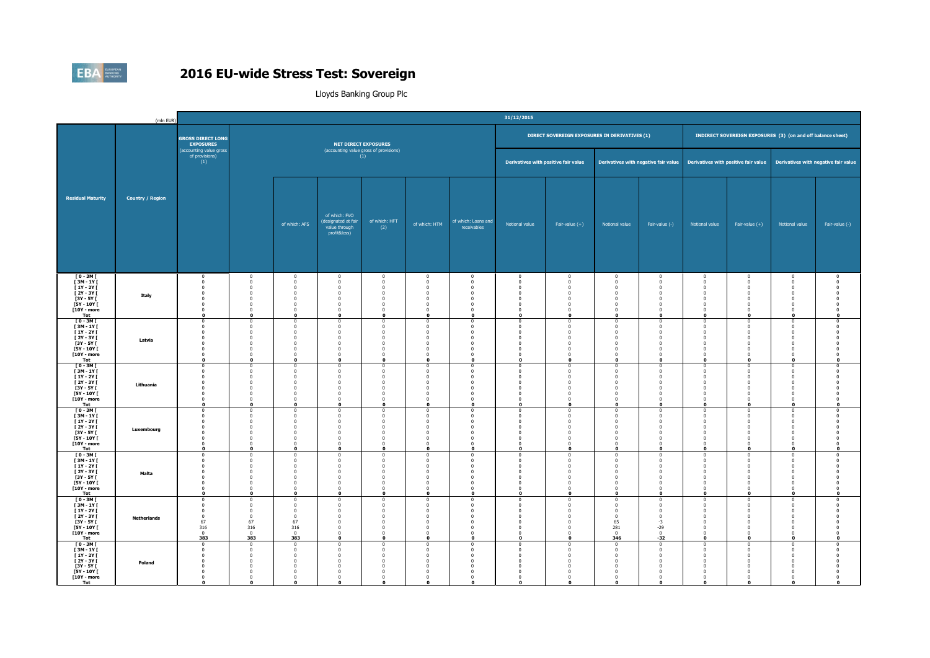

|                                                                                                                                | (mln EUR)               |                                                                                                                          |                                                                                                                            |                                                                                                                          |                                                                                                                                        |                                                                                                          |                                                                                                                      |                                                                                                                                     | 31/12/2015                                                                                                               |                                                                                                                                               |                                                                                                                                 |                                                                                                                                              |                                                                                                                        |                                                                                                                                |                                                                                                                             |                                                                                                     |
|--------------------------------------------------------------------------------------------------------------------------------|-------------------------|--------------------------------------------------------------------------------------------------------------------------|----------------------------------------------------------------------------------------------------------------------------|--------------------------------------------------------------------------------------------------------------------------|----------------------------------------------------------------------------------------------------------------------------------------|----------------------------------------------------------------------------------------------------------|----------------------------------------------------------------------------------------------------------------------|-------------------------------------------------------------------------------------------------------------------------------------|--------------------------------------------------------------------------------------------------------------------------|-----------------------------------------------------------------------------------------------------------------------------------------------|---------------------------------------------------------------------------------------------------------------------------------|----------------------------------------------------------------------------------------------------------------------------------------------|------------------------------------------------------------------------------------------------------------------------|--------------------------------------------------------------------------------------------------------------------------------|-----------------------------------------------------------------------------------------------------------------------------|-----------------------------------------------------------------------------------------------------|
|                                                                                                                                |                         | <b>GROSS DIRECT LONG</b><br><b>EXPOSURES</b>                                                                             |                                                                                                                            |                                                                                                                          |                                                                                                                                        | <b>NET DIRECT EXPOSURES</b>                                                                              |                                                                                                                      |                                                                                                                                     |                                                                                                                          | DIRECT SOVEREIGN EXPOSURES IN DERIVATIVES (1)                                                                                                 |                                                                                                                                 |                                                                                                                                              |                                                                                                                        |                                                                                                                                | INDIRECT SOVEREIGN EXPOSURES (3) (on and off balance sheet)                                                                 |                                                                                                     |
|                                                                                                                                |                         | (accounting value gross<br>of provisions)<br>(1)                                                                         |                                                                                                                            |                                                                                                                          |                                                                                                                                        | (accounting value gross of provisions)<br>(1)                                                            |                                                                                                                      |                                                                                                                                     | Derivatives with positive fair value                                                                                     |                                                                                                                                               |                                                                                                                                 | Derivatives with negative fair value                                                                                                         |                                                                                                                        |                                                                                                                                | Derivatives with positive fair value Derivatives with negative fair value                                                   |                                                                                                     |
| <b>Residual Maturity</b>                                                                                                       | <b>Country / Region</b> |                                                                                                                          |                                                                                                                            | of which: AFS                                                                                                            | of which: FVO<br>(designated at fair<br>value through<br>profit&loss)                                                                  | of which: HFT<br>(2)                                                                                     | of which: HTM                                                                                                        | of which: Loans and<br>receivables                                                                                                  | Notional value                                                                                                           | Fair-value $(+)$                                                                                                                              | Notional value                                                                                                                  | Fair-value (-)                                                                                                                               | Notional value                                                                                                         | Fair-value $(+)$                                                                                                               | Notional value                                                                                                              | Fair-value (-)                                                                                      |
| $[0 - 3M]$<br><b>F3M-1YF</b><br>$[1Y - 2Y]$<br>$[2Y - 3Y]$<br>[3Y - 5Y [<br><b>F5Y - 10Y F</b><br>[10Y - more<br>Tot           | Italy                   | $\bf{0}$<br>$\Omega$<br>$\mathbf{0}$<br>$\mathbf{0}$<br>$\mathbf 0$<br>$\Omega$<br>$\mathbf 0$<br>$\mathbf{0}$           | $\overline{0}$<br>$\Omega$<br>$\overline{0}$<br>$^{\circ}$<br>$\overline{0}$<br>$\Omega$<br>$\overline{0}$<br>o            | $\overline{0}$<br>$\Omega$<br>$\Omega$<br>$^{\circ}$<br>$\Omega$<br>$\Omega$<br>$\circ$<br>$\mathbf{0}$                  | $\mathbf 0$<br>$\Omega$<br>$\overline{0}$<br>$\mathbf 0$<br>$\overline{0}$<br>$\Omega$<br>$\mathbf 0$<br>$\Omega$                      | $\mathbf{0}$<br>$\Omega$<br>$\Omega$<br>$^{\circ}$<br>$\Omega$<br>$\Omega$<br>$\mathbf{0}$<br>$\Omega$   | $\overline{0}$<br>$\Omega$<br>$\mathbf 0$<br>$\mathbf 0$<br>$\mathbf 0$<br>$\Omega$<br>$\mathbf 0$<br>$\mathbf{0}$   | $\overline{\mathbf{0}}$<br>$\Omega$<br>$\Omega$<br>0<br>$\overline{\mathbf{0}}$<br>$\overline{0}$<br>$\overline{0}$<br>$\mathbf{0}$ | $\mathbf 0$<br>$\Omega$<br>$\mathbf 0$<br>$^{\circ}$<br>$\overline{0}$<br>$\Omega$<br>$\mathbf{0}$<br>$\Omega$           | $\overline{0}$<br>$\overline{0}$<br>$\overline{0}$<br>$\overline{0}$<br>$\overline{0}$<br>$\overline{0}$<br>$\overline{0}$<br>$\Omega$        | $\mathbf 0$<br>$\Omega$<br>$\mathbf 0$<br>$\mathbf{0}$<br>$\mathbf{0}$<br>$\mathbf{0}$<br>$\mathbf{0}$<br>$\Omega$              | $\overline{0}$<br>$\,$ 0 $\,$<br>$\overline{0}$<br>$\overline{0}$<br>$\overline{0}$<br>$\overline{0}$<br>$\overline{\mathbf{0}}$<br>$\Omega$ | $\bf{0}$<br>$\Omega$<br>$\mathbf 0$<br>$^{\circ}$<br>$\mathbf{0}$<br>$\mathbf{0}$<br>$\pmb{0}$<br>$\Omega$             | $\bf{0}$<br>$\Omega$<br>$\bf{0}$<br>$\overline{0}$<br>$\overline{0}$<br>$\overline{0}$<br>$\overline{0}$<br>$\Omega$           | $\bf{0}$<br>$\mathbf 0$<br>$\bf{0}$<br>$\mathbf{0}$<br>$\mathbf 0$<br>$\mathbf{0}$<br>$\mathbf 0$<br>$\mathbf{0}$           | $^{\circ}$<br>$\Omega$<br>$\sqrt{ }$<br>$\Omega$<br>$\Omega$<br>$\Omega$                            |
| $[0 - 3M]$<br>$[3M - 1Y]$<br><b>F1Y-2YF</b><br><b>F2Y-3YF</b><br><b>F3Y - 5Y F</b><br><b>FSY - 10Y F</b><br>[10Y - more<br>Tot | Latvia                  | $\mathbf 0$<br>$\Omega$<br>$^{\circ}$<br>$\Omega$<br>$\mathbf 0$<br>$\Omega$<br>$\mathbf 0$<br>$\Omega$                  | $\overline{0}$<br>$\Omega$<br>$\Omega$<br>$\Omega$<br>$\overline{0}$<br>$\Omega$<br>$\overline{0}$<br>n                    | $\Omega$<br>$\Omega$<br>$\overline{0}$<br>$\Omega$<br>$\overline{0}$<br>$\overline{0}$<br>$\overline{0}$<br>$\mathbf{r}$ | $\mathbf 0$<br>$\Omega$<br>$\mathbf 0$<br>$\Omega$<br>$\mathbf 0$<br>$\Omega$<br>$\,0\,$<br>$\Omega$                                   | $\Omega$<br>$\Omega$<br>$\Omega$<br>$\Omega$<br>$\Omega$<br>$\Omega$<br>$\mathbf{0}$<br>$\Omega$         | $\mathbf 0$<br>$\Omega$<br>$\mathbf 0$<br>$\Omega$<br>$\mathbf 0$<br>$\Omega$<br>$\mathbf 0$<br>$\mathbf{0}$         | $\Omega$<br>$\Omega$<br>$\bf{0}$<br>$\Omega$<br>$\overline{0}$<br>$\Omega$<br>$\overline{0}$<br>$\Omega$                            | $\mathbf 0$<br>$\Omega$<br>$\Omega$<br>$\Omega$<br>$\overline{0}$<br>$\Omega$<br>$\overline{0}$                          | $\mathbf 0$<br>$\overline{0}$<br>$\overline{0}$<br>$\Omega$<br>$\overline{0}$<br>$\Omega$<br>$\overline{0}$<br>$\Omega$                       | $\mathbf 0$<br>$\Omega$<br>$\mathbf{0}$<br>$\Omega$<br>$\mathbf{0}$<br>$\Omega$<br>$\mathbf{0}$<br>$\Omega$                     | $\mathbf 0$<br>$\Omega$<br>$\mathbf 0$<br>$\Omega$<br>$\overline{0}$<br>$\Omega$<br>$\overline{0}$<br>$\Omega$                               | $\mathbf 0$<br>$\Omega$<br>$\mathbf 0$<br>$\Omega$<br>$\mathbf 0$<br>$\Omega$<br>$\pmb{0}$<br>$\Omega$                 | $\overline{0}$<br>$\Omega$<br>$\overline{0}$<br>$\Omega$<br>$\overline{0}$<br>$\Omega$<br>$\overline{0}$<br>o                  | $\mathbf{0}$<br>$\mathbf 0$<br>$\mathbf{0}$<br>$\mathbf{0}$<br>$\mathbf{0}$<br>$\bf{0}$<br>$\mathbf 0$<br>$\mathbf{0}$      | $\Omega$<br>$\Omega$<br>$\sqrt{ }$<br>$\Omega$<br>$\mathbf{0}$                                      |
| $[0 - 3M]$<br>[3M - 1Y]<br>$[1Y - 2Y]$<br>$[2Y - 3Y]$<br>$[3Y - 5Y]$<br><b>F5Y - 10Y F</b><br><b>T10Y - more</b><br>Tot        | Lithuania               | $\mathbf 0$<br>$\mathbf{0}$<br>$\mathbf 0$<br>$\mathbf{0}$<br>$\mathbf 0$<br>$\mathbf{0}$<br>$\mathbf 0$<br>$\mathbf{o}$ | $\overline{0}$<br>$\overline{0}$<br>$\overline{0}$<br>$\Omega$<br>$\overline{0}$<br>$\mathbf 0$<br>$\mathbf 0$<br>$\Omega$ | $\Omega$<br>$\sqrt{2}$<br>$\mathbf 0$<br>$\Omega$<br>$\Omega$<br>$\Omega$<br>$\mathbf{0}$<br>$\mathbf{0}$                | $\mathbf 0$<br>$\overline{0}$<br>$\mathbf 0$<br>$\overline{0}$<br>$\mathbf 0$<br>$\overline{0}$<br>$\mathbf{0}$<br>$\mathbf{o}$        | $\Omega$<br>$\Omega$<br>$\Omega$<br>$\sqrt{2}$<br>$\Omega$<br>$\Omega$<br>$\overline{0}$<br>$\mathbf{0}$ | $\mathbf 0$<br>$\overline{0}$<br>$\mathbf 0$<br>$\Omega$<br>$\mathbf 0$<br>$\mathbf 0$<br>$\mathbf 0$<br>$\mathbf 0$ | $\Omega$<br>$\Omega$<br>$\overline{0}$<br>$\Omega$<br>$\overline{0}$<br>$\Omega$<br>$\overline{0}$<br>$\mathbf{o}$                  | $\mathbf 0$<br>$\overline{0}$<br>$\overline{0}$<br>$\Omega$<br>$^{\circ}$<br>$\mathbf 0$<br>$\mathbf{0}$<br>$\mathbf{a}$ | $\overline{0}$<br>$\Omega$<br>$\overline{0}$<br>$\Omega$<br>$\overline{0}$<br>$\overline{\mathbf{0}}$<br>$\overline{0}$<br>$\mathbf 0$        | $\mathbf 0$<br>$\overline{0}$<br>$\mathbf{0}$<br>$\mathbf 0$<br>$\overline{0}$<br>$\mathbf 0$<br>$\overline{0}$<br>$\mathbf{0}$ | $\mathbf 0$<br>$\Omega$<br>$\overline{0}$<br>$\overline{0}$<br>$\mathbf 0$<br>$\overline{\mathbf{0}}$<br>$\overline{0}$<br>$\mathbf 0$       | $\mathbf 0$<br>$^{\circ}$<br>$\mathbf 0$<br>$\mathbf 0$<br>$\mathbf{0}$<br>$\mathbf 0$<br>$\mathbf{0}$<br>$\mathbf{o}$ | $\overline{0}$<br>$\mathbf 0$<br>$\mathbf 0$<br>$\Omega$<br>$\mathbf 0$<br>$\bf{0}$<br>$\overline{0}$<br>$\mathbf 0$           | $\mathbf{0}$<br>$\mathbf 0$<br>$\mathbf{0}$<br>$\mathbf{0}$<br>$\mathbf{0}$<br>$\mathbf{0}$<br>$\mathbf{0}$<br>$\mathbf{o}$ | $\Omega$<br>$\Omega$<br>$\Omega$<br>$\Omega$<br>$\overline{0}$<br>$\mathbf 0$                       |
| $10 - 3M$<br>[3M-1Y]<br><b>F1Y-2YF</b><br>[2Y-3Y]<br>$[3Y - 5Y]$<br>[5Y - 10Y [<br>[10Y - more<br>Tot                          | Luxembourg              | $\Omega$<br>0<br>$\Omega$<br>$^{\circ}$<br>$\mathbf{0}$<br>$\mathbf{0}$<br>$\mathbf{0}$<br>$\mathbf{0}$                  | $\Omega$<br>$\overline{0}$<br>$\Omega$<br>$\overline{0}$<br>$\Omega$<br>$\overline{0}$<br>$\Omega$<br>$\mathbf{r}$         | $\Omega$<br>$\sqrt{2}$<br>$\Omega$<br>$\Omega$<br>$\Omega$<br>$\bf{0}$<br>$\sqrt{2}$<br>$\mathbf{0}$                     | $\Omega$<br>$\mathbf 0$<br>$\Omega$<br>$\mathbf 0$<br>$\overline{\mathbf{0}}$<br>$\mathbf 0$<br>$\Omega$<br>$\Omega$                   | $\Omega$<br>$\Omega$<br>$\Omega$<br>$\Omega$<br>$\Omega$<br>$\mathbf{0}$<br>$\Omega$<br>$\Omega$         | $\Omega$<br>$\mathbf 0$<br>$\Omega$<br>$\mathbf 0$<br>$\mathbf{0}$<br>$\mathbf 0$<br>$\sqrt{2}$<br>$\mathbf{0}$      | $\Omega$<br>$\Omega$<br>$\overline{0}$<br>$\overline{\mathbf{0}}$<br>$\overline{0}$<br>$\bf{0}$<br>$\overline{0}$<br>$\mathbf{0}$   | $\Omega$<br>$\overline{0}$<br>$\Omega$<br>$\Omega$<br>$\Omega$<br>$\mathbf 0$<br>$\sqrt{2}$<br>$\mathbf{r}$              | $\Omega$<br>$\overline{0}$<br>$\overline{0}$<br>$\overline{0}$<br>$\overline{0}$<br>$\overline{\mathbf{0}}$<br>$\mathbf{0}$<br>$\mathbf 0$    | $\Omega$<br>$\overline{0}$<br>$\mathbf{0}$<br>$\mathbf 0$<br>$\mathbf{0}$<br>$\overline{0}$<br>$\sqrt{2}$<br>$\mathbf{r}$       | $\Omega$<br>$\mathbf 0$<br>$\overline{0}$<br>$\overline{0}$<br>$\overline{0}$<br>$\overline{\mathbf{0}}$<br>$\overline{0}$<br>$\mathbf 0$    | $\Omega$<br>$^{\circ}$<br>$\mathbf{0}$<br>$\mathbf 0$<br>$^{\circ}$<br>$\mathbf 0$<br>$\Omega$<br>$\mathbf{0}$         | $\overline{0}$<br>$\overline{0}$<br>$\mathbf{0}$<br>$\overline{0}$<br>$\overline{0}$<br>$\bf{0}$<br>$\overline{0}$<br>$\bf{0}$ | $\Omega$<br>$\bf{0}$<br>$\mathbf 0$<br>$\bf{0}$<br>$\mathbf{0}$<br>$\bf{0}$<br>$\mathbf{0}$<br>$\mathbf{0}$                 | $\Omega$<br>$^{\circ}$<br>$\Omega$<br>$\sqrt{ }$<br>$\Omega$<br>$\Omega$<br>$\Omega$<br>$\mathbf 0$ |
| <b>FO-3MF</b><br>$[3M - 1Y]$<br>$[1Y - 2Y]$<br>$[2Y - 3Y]$<br>$[3Y - 5Y]$<br>$[5Y - 10Y]$<br>[10Y - more<br>Tot                | Malta                   | $\mathbf{0}$<br>$\overline{0}$<br>$\Omega$<br>$^{\circ}$<br>$\Omega$<br>$\mathbf 0$<br>$\Omega$<br>$\mathbf 0$           | $\Omega$<br>$\mathbf 0$<br>$\Omega$<br>$\Omega$<br>$\Omega$<br>$\overline{0}$<br>$\Omega$<br>$\mathbf{o}$                  | $\sqrt{2}$<br>$\Omega$<br>$\Omega$<br>$\Omega$<br>$\mathbf 0$<br>$\sqrt{2}$<br>$\bullet$                                 | $\Omega$<br>$\mathbf 0$<br>$\Omega$<br>$\overline{0}$<br>$^{\circ}$<br>$\overline{0}$<br>$\overline{0}$<br>$\mathbf 0$                 | $\Omega$<br>$\mathbf{0}$<br>$\Omega$<br>$\Omega$<br>$\Omega$<br>$\mathbf{0}$<br>$\Omega$<br>$\mathbf{0}$ | $\Omega$<br>$\mathbf 0$<br>$\Omega$<br>$\Omega$<br>$\Omega$<br>$\mathbf{0}$<br>$\Omega$<br>$\mathbf 0$               | $\Omega$<br>$\Omega$<br>$\bf{0}$<br>$\Omega$<br>$\overline{0}$<br>$\Omega$<br>$\mathbf{o}$                                          | $\Omega$<br>$\mathbf 0$<br>$\Omega$<br>$\Omega$<br>$\Omega$<br>$\mathbf{0}$<br>$\sqrt{2}$<br>$\mathbf{0}$                | $^{\circ}$<br>$\overline{0}$<br>$\overline{0}$<br>$^{\circ}$<br>$\overline{0}$<br>$\overline{0}$<br>$\mathbf 0$                               | $\Omega$<br>$\overline{0}$<br>$\Omega$<br>$\mathbf{0}$<br>$^{\circ}$<br>$\mathbf 0$<br>$\mathbf{0}$<br>$\bullet$                | $^{\circ}$<br>$\mathbf 0$<br>$\overline{0}$<br>$\overline{0}$<br>$^{\circ}$<br>$\,$ 0 $\,$<br>$\overline{0}$<br>$\mathbf{o}$                 | $^{\circ}$<br>$\mathbf 0$<br>$\Omega$<br>$\mathbf 0$<br>$^{\circ}$<br>$\mathbf 0$<br>$\Omega$<br>$\mathbf 0$           | $\bf{0}$<br>$\mathbf 0$<br>$\Omega$<br>$\overline{0}$<br>$\Omega$<br>$\mathbf 0$<br>$\Omega$<br>$\mathbf 0$                    | $\mathbf{0}$<br>$\mathbf 0$<br>$\mathbf 0$<br>$\mathbf{0}$<br>$^{\circ}$<br>$\mathbf 0$<br>$\mathbf{0}$<br>$\bullet$        | $\Omega$<br>$\Omega$<br>$\mathbf 0$<br>$\sqrt{2}$<br>$\mathbf 0$                                    |
| $[0 - 3M]$<br>$I3M - 1YI$<br>$[1Y - 2Y]$<br>$[2Y - 3Y]$<br>[3Y - 5Y [<br>$[5Y - 10Y]$<br>[10Y - more<br>Tot                    | <b>Netherlands</b>      | $\bf{0}$<br>$\Omega$<br>$^{\circ}$<br>$\mathbf 0$<br>67<br>316<br>$\overline{\mathbf{0}}$<br>383                         | $\Omega$<br>$\Omega$<br>$\Omega$<br>$\overline{0}$<br>67<br>316<br>$\overline{0}$<br>383                                   | $\Omega$<br>$\Omega$<br>$\sqrt{2}$<br>$\mathbf 0$<br>67<br>316<br>$\bf{0}$<br>383                                        | $\Omega$<br>$\Omega$<br>$\Omega$<br>$\mathbf 0$<br>$\overline{\mathbf{0}}$<br>$\overline{0}$<br>$\overline{\mathbf{0}}$<br>$\mathbf 0$ | $\Omega$<br>$\Omega$<br>$\sqrt{2}$<br>$\Omega$<br>$\Omega$<br>$\mathbf 0$<br>$\Omega$<br>$\mathbf{o}$    | $\mathbf 0$<br>$\Omega$<br>$\Omega$<br>$\Omega$<br>$\mathbf 0$<br>$\mathbf 0$<br>$\Omega$<br>$\mathbf 0$             | $\Omega$<br>- 0<br>$\sqrt{2}$<br>$\bf{0}$<br>$\bf{0}$<br>$\overline{0}$<br>$\Omega$<br>$\mathbf{o}$                                 | $\Omega$<br>-0<br>$\sqrt{ }$<br>$\sqrt{2}$<br>$\overline{0}$<br>$\mathbf{0}$<br>$\mathbf 0$<br>$\mathbf 0$               | $\overline{0}$<br>$\Omega$<br>$\Omega$<br>$\overline{0}$<br>$\overline{\mathbf{0}}$<br>$\,$ 0 $\,$<br>$\overline{\mathbf{0}}$<br>$\mathbf{o}$ | $\Omega$<br>$\Omega$<br>$\Omega$<br>$\mathbf{0}$<br>65<br>281<br>$\mathbf 0$<br>346                                             | $\overline{0}$<br>$\Omega$<br>$\Omega$<br>$\overline{0}$<br>$-3$<br>$-29$<br>$\overline{\mathbf{0}}$<br>$-32$                                | $^{\circ}$<br>$\Omega$<br>$\mathbf{0}$<br>$\mathbf 0$<br>$\mathbf 0$<br>$\mathbf 0$<br>$\mathbf 0$<br>$\mathbf 0$      | $\overline{0}$<br>$\Omega$<br>$\Omega$<br>$\overline{0}$<br>$\overline{0}$<br>$\overline{0}$<br>$\Omega$<br>$\mathbf 0$        | $\bf{0}$<br>$\mathbf{0}$<br>$\bf{0}$<br>$\mathbf{0}$<br>$\bf{0}$<br>$\mathbf 0$<br>$\bf{0}$<br>$\bullet$                    | $\overline{0}$<br>$\Omega$<br>$\Omega$<br>$\Omega$<br>$\overline{0}$<br>$\Omega$<br>$\mathbf 0$     |
| $[0 - 3M]$<br>$I3M - 1YI$<br><b>F1Y-2YF</b><br><b>F2Y-3YF</b><br><b>F3Y - 5Y F</b><br>$[5Y - 10Y]$<br>[10Y - more<br>Tot       | Poland                  | $\mathbf 0$<br>$\Omega$<br>$\mathbf 0$<br>$\Omega$<br>$\mathbf 0$<br>$\Omega$<br>$\bf{0}$<br>$\mathbf{0}$                | $\overline{0}$<br>$\Omega$<br>$\mathbf 0$<br>$\Omega$<br>$\Omega$<br>$\Omega$<br>$\Omega$                                  | $\overline{0}$<br>$\Omega$<br>$\Omega$<br>$\Omega$<br>$\Omega$<br>$\Omega$<br>$\mathbf{0}$                               | $\mathbf 0$<br>$\Omega$<br>$\mathbf 0$<br>$\Omega$<br>$\overline{0}$<br>$\Omega$<br>$\mathbf{0}$<br>$\mathbf{o}$                       | $\mathbf{0}$<br>$\Omega$<br>$\Omega$<br>$\Omega$<br>$\Omega$<br>$\Omega$<br>$\Omega$                     | $\mathbf 0$<br>$\Omega$<br>$\mathbf 0$<br>$\Omega$<br>$\Omega$<br>$\Omega$<br>$\Omega$<br>o                          | $\mathbf{0}$<br>$\Omega$<br>- 0<br>$\Omega$<br>$\overline{0}$<br>$\Omega$<br>$\sqrt{2}$<br>$\Omega$                                 | $\mathbf 0$<br>$\Omega$<br>$\Omega$<br>$\overline{0}$<br>$\Omega$<br>$\Omega$                                            | $\overline{\mathbf{0}}$<br>$\Omega$<br>$\Omega$<br>$\Omega$<br>$\overline{0}$<br>$\Omega$<br>$\Omega$<br>$\mathbf{o}$                         | $\mathbf{0}$<br>$\Omega$<br>$\mathbf 0$<br>$\Omega$<br>$\mathbf{0}$<br>$\Omega$<br>$\mathbf 0$<br>$\mathbf{0}$                  | $\overline{0}$<br>$\Omega$<br>$\Omega$<br>$\overline{0}$<br>$\overline{0}$<br>$\overline{0}$<br>$\Omega$<br>$\mathbf{0}$                     | $\mathbf{0}$<br>$\Omega$<br>$\mathbf 0$<br>$\Omega$<br>$\mathbf 0$<br>$\Omega$<br>$\mathbf 0$<br>$\Omega$              | $\pmb{0}$<br>$\overline{0}$<br>$\mathbf 0$<br>$\Omega$<br>$\overline{0}$<br>$\Omega$<br>$\Omega$                               | $\mathbf 0$<br>$\mathbf{0}$<br>$\,0\,$<br>$\mathbf{0}$<br>$\bf{0}$<br>$\mathbf{0}$<br>$\mathbf{0}$                          | $\overline{0}$<br>$\Omega$<br>$\Omega$                                                              |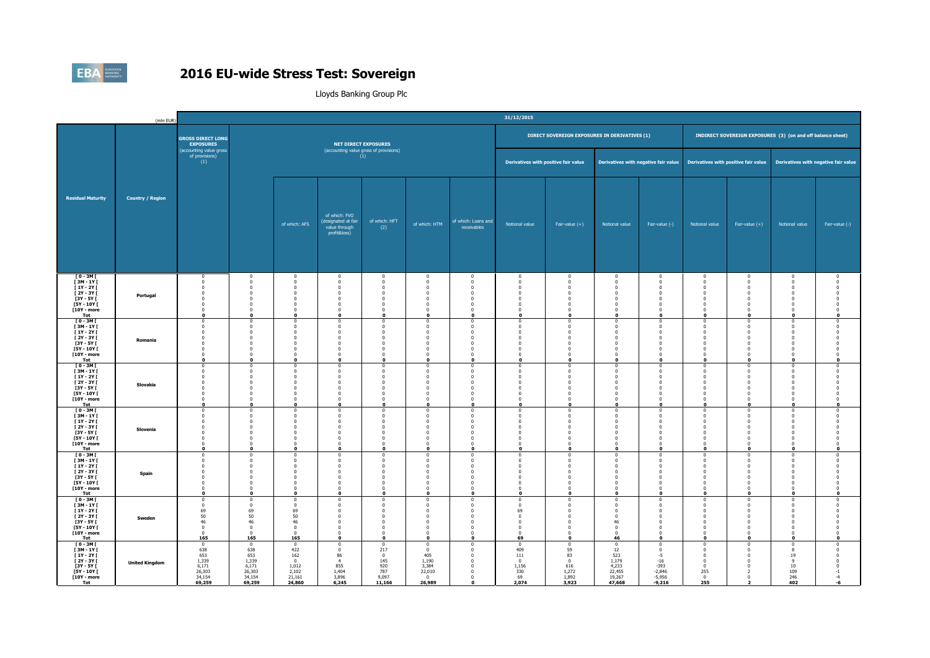

|                                                                                                                                | (mln EUR)               |                                                                                                                      |                                                                                                                                  |                                                                                                                |                                                                                                                                        |                                                                                                        |                                                                                                                       |                                                                                                                        | 31/12/2015                                                                                                               |                                                                                                                                                           |                                                                                                                               |                                                                                                                                              |                                                                                                                        |                                                                                                                            |                                                                                                                             |                                                                                                       |
|--------------------------------------------------------------------------------------------------------------------------------|-------------------------|----------------------------------------------------------------------------------------------------------------------|----------------------------------------------------------------------------------------------------------------------------------|----------------------------------------------------------------------------------------------------------------|----------------------------------------------------------------------------------------------------------------------------------------|--------------------------------------------------------------------------------------------------------|-----------------------------------------------------------------------------------------------------------------------|------------------------------------------------------------------------------------------------------------------------|--------------------------------------------------------------------------------------------------------------------------|-----------------------------------------------------------------------------------------------------------------------------------------------------------|-------------------------------------------------------------------------------------------------------------------------------|----------------------------------------------------------------------------------------------------------------------------------------------|------------------------------------------------------------------------------------------------------------------------|----------------------------------------------------------------------------------------------------------------------------|-----------------------------------------------------------------------------------------------------------------------------|-------------------------------------------------------------------------------------------------------|
|                                                                                                                                |                         | <b>GROSS DIRECT LONG</b><br><b>EXPOSURES</b>                                                                         |                                                                                                                                  |                                                                                                                |                                                                                                                                        | <b>NET DIRECT EXPOSURES</b>                                                                            |                                                                                                                       |                                                                                                                        |                                                                                                                          | DIRECT SOVEREIGN EXPOSURES IN DERIVATIVES (1)                                                                                                             |                                                                                                                               |                                                                                                                                              |                                                                                                                        |                                                                                                                            | INDIRECT SOVEREIGN EXPOSURES (3) (on and off balance sheet)                                                                 |                                                                                                       |
|                                                                                                                                |                         | (accounting value gross<br>of provisions)<br>(1)                                                                     |                                                                                                                                  |                                                                                                                | (accounting value gross of provisions)                                                                                                 | (1)                                                                                                    |                                                                                                                       |                                                                                                                        | Derivatives with positive fair value                                                                                     |                                                                                                                                                           |                                                                                                                               | Derivatives with negative fair value                                                                                                         |                                                                                                                        | Derivatives with positive fair value                                                                                       | Derivatives with negative fair value                                                                                        |                                                                                                       |
| <b>Residual Maturity</b>                                                                                                       | <b>Country / Region</b> |                                                                                                                      |                                                                                                                                  | of which: AFS                                                                                                  | of which: FVO<br>(designated at fair<br>value through<br>profit&loss)                                                                  | of which: HFT<br>(2)                                                                                   | of which: HTM                                                                                                         | of which: Loans and<br>receivables                                                                                     | Notional value                                                                                                           | Fair-value $(+)$                                                                                                                                          | Notional value                                                                                                                | Fair-value (-)                                                                                                                               | Notional value                                                                                                         | Fair-value $(+)$                                                                                                           | Notional value                                                                                                              | Fair-value (-)                                                                                        |
| $[0 - 3M]$<br><b>F3M-1YF</b><br>[ 1Y - 2Y [<br>$[2Y - 3Y]$<br>$[3Y - 5Y]$<br><b>F5Y - 10Y F</b><br>[10Y - more<br>Tot          | Portugal                | $\mathbf{0}$<br>$\Omega$<br>$\mathbf{0}$<br>$\mathbf{0}$<br>$\mathbf 0$<br>$\Omega$<br>$\mathbf 0$<br>$\mathbf{0}$   | $\overline{0}$<br>$\Omega$<br>$\overline{0}$<br>$^{\circ}$<br>$\overline{0}$<br>$\Omega$<br>$\overline{0}$<br>n                  | $\overline{0}$<br>$\Omega$<br>$\Omega$<br>$^{\circ}$<br>$\Omega$<br>$\Omega$<br>$\mathbf 0$<br>$\mathbf{0}$    | $\mathbf 0$<br>$\Omega$<br>$\overline{0}$<br>$\mathbf 0$<br>$\overline{0}$<br>$\Omega$<br>$\mathbf 0$<br>$\Omega$                      | $\overline{0}$<br>$\Omega$<br>$\Omega$<br>$^{\circ}$<br>$\Omega$<br>$\Omega$<br>$\Omega$<br>$\Omega$   | $\overline{0}$<br>$\Omega$<br>$\Omega$<br>$\mathbf 0$<br>$\mathbf 0$<br>$\Omega$<br>$\mathbf 0$<br>$\mathbf{0}$       | $\overline{0}$<br>$\Omega$<br>$\Omega$<br>- 0<br>$\Omega$<br>$\overline{0}$<br>$\overline{\mathbf{0}}$<br>$\mathbf{0}$ | $\mathbf 0$<br>$\Omega$<br>$\mathbf 0$<br>$^{\circ}$<br>$\mathbf 0$<br>$\Omega$<br>$\mathbf{0}$<br>$\mathbf{r}$          | $\overline{0}$<br>$\overline{0}$<br>$\overline{0}$<br>$\overline{0}$<br>$\overline{0}$<br>$\Omega$<br>$\overline{0}$<br>$\Omega$                          | $\mathbf 0$<br>$\Omega$<br>$\mathbf 0$<br>$\overline{0}$<br>$\overline{0}$<br>$\mathbf{0}$<br>$\mathbf{0}$<br>$\Omega$        | $\overline{0}$<br>$\,$ 0 $\,$<br>$\overline{0}$<br>$\overline{0}$<br>$\overline{0}$<br>$\overline{0}$<br>$\overline{\mathbf{0}}$<br>$\Omega$ | $\bf{0}$<br>$\Omega$<br>$\mathbf 0$<br>$^{\circ}$<br>$\mathbf 0$<br>$\Omega$<br>$\mathbf 0$<br>$\Omega$                | $\bf{0}$<br>$\mathbf 0$<br>$\overline{0}$<br>$\overline{0}$<br>$\mathbf 0$<br>$\overline{0}$<br>$\mathbf 0$<br>o           | $\bf{0}$<br>$\mathbf 0$<br>$\bf{0}$<br>$\mathbf{0}$<br>$\mathbf 0$<br>$\mathbf{0}$<br>$\mathbf 0$<br>$\mathbf{0}$           | $^{\circ}$<br>$\Omega$<br>$\Omega$<br>$\Omega$<br>$\Omega$<br>$\mathbf{0}$                            |
| $[0 - 3M]$<br>$[3M - 1Y]$<br><b>F1Y-2YF</b><br><b>F2Y-3YF</b><br><b>F3Y - 5Y F</b><br><b>FSY - 10Y F</b><br>[10Y - more<br>Tot | Romania                 | $\mathbf 0$<br>$\Omega$<br>$^{\circ}$<br>$\Omega$<br>$\mathbf 0$<br>$\Omega$<br>$\mathbf 0$<br>$\mathbf{0}$          | $\overline{0}$<br>$\Omega$<br>$\Omega$<br>$\Omega$<br>$\overline{0}$<br>$\Omega$<br>$\overline{0}$<br>n                          | $\Omega$<br>$\Omega$<br>$\Omega$<br>$\Omega$<br>$\overline{0}$<br>$\sqrt{2}$<br>$\overline{0}$<br>$\Omega$     | $\mathbf 0$<br>$\Omega$<br>$\mathbf 0$<br>$\Omega$<br>$\mathbf 0$<br>$\Omega$<br>$\overline{0}$<br>$\Omega$                            | $\Omega$<br>$\Omega$<br>$\Omega$<br>$\Omega$<br>$\Omega$<br>$\Omega$<br>$\mathbf{0}$<br>$\Omega$       | $\mathbf 0$<br>$\Omega$<br>$\mathbf 0$<br>$\Omega$<br>$\mathbf 0$<br>$\Omega$<br>$\mathbf 0$<br>$\Omega$              | $\Omega$<br>$\Omega$<br>$\bf{0}$<br>$\Omega$<br>$\overline{0}$<br>$\Omega$<br>$\overline{0}$<br>$\Omega$               | $^{\circ}$<br>$\Omega$<br>$\Omega$<br>$\Omega$<br>$\overline{0}$<br>$\Omega$<br>$\overline{0}$                           | $\mathbf 0$<br>$\overline{0}$<br>$\overline{0}$<br>$\Omega$<br>$\overline{0}$<br>$\Omega$<br>$\overline{0}$<br>$\Omega$                                   | $\overline{0}$<br>$\Omega$<br>$\mathbf 0$<br>$\Omega$<br>$\mathbf{0}$<br>$\Omega$<br>$\mathbf{0}$<br>n                        | $\mathbf 0$<br>$\Omega$<br>$\mathbf 0$<br>$\Omega$<br>$\overline{0}$<br>$\Omega$<br>$\overline{0}$<br>$\Omega$                               | $\mathbf 0$<br>$\Omega$<br>$\mathbf 0$<br>$\Omega$<br>$\mathbf 0$<br>$\Omega$<br>$\mathbf 0$<br>$\Omega$               | $\mathbf 0$<br>$\Omega$<br>$\mathbf 0$<br>$\Omega$<br>$\overline{0}$<br>$\Omega$<br>$\overline{0}$<br>o                    | $\mathbf{0}$<br>$\mathbf{0}$<br>$\mathbf{0}$<br>$\mathbf{0}$<br>$\mathbf{0}$<br>$\mathbf{0}$<br>$\mathbf 0$<br>$\mathbf{0}$ | $\Omega$<br>$\Omega$<br>$\Omega$<br>$\sqrt{ }$<br>$\Omega$<br>$\mathbf{0}$                            |
| $[0 - 3M]$<br>[3M-1Y]<br>$[1Y - 2Y]$<br>$[2Y - 3Y]$<br>$[3Y - 5Y]$<br><b>F5Y - 10Y F</b><br><b>T10Y - more</b><br>Tot          | Slovakia                | $\mathbf 0$<br>$^{\circ}$<br>$\mathbf 0$<br>$^{\circ}$<br>$\mathbf 0$<br>$\mathbf{0}$<br>$\mathbf 0$<br>$\mathbf{o}$ | $\overline{0}$<br>$\overline{0}$<br>$\overline{0}$<br>$\Omega$<br>$\overline{0}$<br>$\overline{0}$<br>$\overline{0}$<br>$\Omega$ | $\Omega$<br>$\sqrt{2}$<br>$\overline{0}$<br>$\sqrt{2}$<br>$\Omega$<br>$\Omega$<br>$\mathbf{0}$<br>$\mathbf{0}$ | $\mathbf 0$<br>$\mathbf 0$<br>$\mathbf 0$<br>$\mathbf 0$<br>$\mathbf 0$<br>$\overline{0}$<br>$\mathbf{0}$<br>$\mathbf 0$               | $\Omega$<br>$\Omega$<br>$\Omega$<br>$\sqrt{2}$<br>$\Omega$<br>$\Omega$<br>$\overline{0}$<br>$\Omega$   | $\mathbf 0$<br>$\overline{0}$<br>$\mathbf 0$<br>$\Omega$<br>$\mathbf 0$<br>$\mathbf 0$<br>$\mathbf 0$<br>$\mathbf{o}$ | $\Omega$<br>$\Omega$<br>$\overline{0}$<br>$\Omega$<br>$^{\circ}$<br>$\Omega$<br>$\overline{0}$<br>$\mathbf{o}$         | $\mathbf 0$<br>$\overline{0}$<br>$\overline{0}$<br>$\Omega$<br>$^{\circ}$<br>$\mathbf 0$<br>$\mathbf{0}$<br>$\mathbf{r}$ | $\overline{0}$<br>$\Omega$<br>$\overline{0}$<br>$\overline{0}$<br>$\overline{0}$<br>$\overline{\mathbf{0}}$<br>$\overline{0}$<br>$\mathbf 0$              | $\mathbf 0$<br>$\overline{0}$<br>$\mathbf{0}$<br>$\mathbf 0$<br>$\overline{0}$<br>$\mathbf 0$<br>$\mathbf{0}$<br>$\mathbf{0}$ | $\mathbf 0$<br>$\Omega$<br>$\overline{0}$<br>$\overline{0}$<br>$\mathbf 0$<br>$\overline{\mathbf{0}}$<br>$\overline{0}$<br>$\mathbf 0$       | $\mathbf 0$<br>$^{\circ}$<br>$\mathbf 0$<br>$\mathbf 0$<br>$\mathbf{0}$<br>$\mathbf 0$<br>$\mathbf{0}$<br>$\mathbf{o}$ | $\overline{0}$<br>$\mathbf 0$<br>$\mathbf 0$<br>$\Omega$<br>$\mathbf 0$<br>$\bf{0}$<br>$\overline{0}$<br>$\Omega$          | $\mathbf{0}$<br>$\mathbf 0$<br>$\mathbf{0}$<br>$\mathbf{0}$<br>$\mathbf{0}$<br>$\mathbf{0}$<br>$\mathbf{0}$<br>$\mathbf{o}$ | $\Omega$<br>$\Omega$<br>$\Omega$<br>$\sqrt{ }$<br>$\Omega$<br>$\overline{0}$<br>$\mathbf 0$           |
| <b>TO-3MT</b><br>[3M-1Y]<br><b>F1Y-2YF</b><br>[2Y-3Y]<br>$[3Y - 5Y]$<br>[5Y - 10Y [<br><b>T10Y - more</b><br>Tot               | Slovenia                | $\Omega$<br>0<br>$\Omega$<br>$^{\circ}$<br>$\mathbf{0}$<br>$^{\circ}$<br>$\Omega$<br>$\mathbf{0}$                    | $\Omega$<br>$\overline{0}$<br>$\Omega$<br>$^{\circ}$<br>$\Omega$<br>$\overline{0}$<br>$\Omega$<br>$\mathbf{r}$                   | $\Omega$<br>$\sqrt{2}$<br>$\Omega$<br>$\Omega$<br>$\Omega$<br>$\bf{0}$<br>$\sqrt{2}$<br>$\mathbf{a}$           | $\Omega$<br>$\mathbf 0$<br>$\Omega$<br>$\overline{0}$<br>$\overline{\mathbf{0}}$<br>$\overline{0}$<br>$\Omega$<br>$\mathbf{0}$         | $\Omega$<br>$\Omega$<br>$\Omega$<br>$\Omega$<br>$\Omega$<br>$\overline{0}$<br>$\Omega$<br>$\mathbf{a}$ | $\Omega$<br>$\mathbf 0$<br>$\Omega$<br>$\Omega$<br>$\mathbf 0$<br>$\mathbf 0$<br>$\sqrt{2}$<br>$\mathbf{0}$           | $\Omega$<br>$\Omega$<br>$\Omega$<br>$\overline{0}$<br>$\overline{0}$<br>$\bf{0}$<br>$\sqrt{2}$<br>$\Omega$             | $\Omega$<br>$\overline{0}$<br>$\Omega$<br>$\overline{0}$<br>$^{\circ}$<br>$\overline{0}$<br>$\sqrt{2}$<br>$\mathbf{r}$   | $\Omega$<br>$\overline{0}$<br>$\overline{0}$<br>$\overline{0}$<br>$\overline{0}$<br>$\overline{0}$<br>$\overline{0}$<br>$\mathbf 0$                       | $\Omega$<br>$\overline{0}$<br>$\mathbf{0}$<br>$\mathbf 0$<br>$\mathbf{0}$<br>$\mathbf 0$<br>$\sqrt{2}$<br>$\mathbf{a}$        | $\Omega$<br>$\mathbf 0$<br>$\Omega$<br>$\overline{0}$<br>$\overline{0}$<br>$\overline{\mathbf{0}}$<br>$\overline{0}$<br>$\mathbf{0}$         | $\Omega$<br>$^{\circ}$<br>$\Omega$<br>$\mathbf 0$<br>$^{\circ}$<br>$\mathbf 0$<br>$\Omega$<br>$\mathbf{0}$             | $\overline{0}$<br>$\overline{0}$<br>$\mathbf{0}$<br>$\overline{0}$<br>$\overline{0}$<br>$\bf{0}$<br>$\sqrt{2}$<br>$\bf{0}$ | $\Omega$<br>$\bf{0}$<br>$\mathbf 0$<br>$\bf{0}$<br>$\mathbf{0}$<br>$\bf{0}$<br>$\mathbf{0}$<br>$\mathbf{0}$                 | $\Omega$<br>$^{\circ}$<br>$\Omega$<br>$\sqrt{ }$<br>$\Omega$<br>$\Omega$<br>$\sqrt{2}$<br>$\mathbf 0$ |
| <b>FO-3MF</b><br>$[3M-1Y]$<br>$[1Y - 2Y]$<br>$[2Y - 3Y]$<br>$[3Y - 5Y]$<br>$[5Y - 10Y]$<br>[10Y - more<br>Tot                  | Spain                   | $\mathbf{0}$<br>$\overline{0}$<br>$\Omega$<br>$\mathbf 0$<br>$^{\circ}$<br>$\mathbf 0$<br>$\Omega$<br>$\mathbf 0$    | $\Omega$<br>$\mathbf 0$<br>$\Omega$<br>$\Omega$<br>$\Omega$<br>$\overline{0}$<br>$\Omega$<br>$\mathbf{o}$                        | $\sqrt{2}$<br>$\Omega$<br>$\Omega$<br>$\Omega$<br>$\mathbf 0$<br>$\sqrt{2}$<br>$\bullet$                       | $\Omega$<br>$\mathbf 0$<br>$\Omega$<br>$\mathbf 0$<br>$^{\circ}$<br>$\overline{0}$<br>$\overline{0}$<br>$\mathbf 0$                    | $\Omega$<br>$\mathbf{0}$<br>$\Omega$<br>$\Omega$<br>$\Omega$<br>$\mathbf 0$<br>$\sqrt{2}$<br>$\Omega$  | $\Omega$<br>$\mathbf 0$<br>$\Omega$<br>$\Omega$<br>$\Omega$<br>$\mathbf 0$<br>$\Omega$<br>$\mathbf 0$                 | $\Omega$<br>$\Omega$<br>$\overline{0}$<br>$\Omega$<br>$\mathbf{0}$<br>$\Omega$<br>$\mathbf{o}$                         | $\Omega$<br>O<br>$\Omega$<br>$\mathbf 0$<br>$\Omega$<br>$\mathbf{0}$<br>$\Omega$<br>$\mathbf{0}$                         | $^{\circ}$<br>$\overline{0}$<br>$\overline{0}$<br>$^{\circ}$<br>$\overline{0}$<br>$\overline{0}$<br>$\mathbf 0$                                           | $\Omega$<br>$\overline{0}$<br>$\Omega$<br>$\mathbf{0}$<br>$^{\circ}$<br>$\mathbf{0}$<br>$\Omega$<br>$\mathbf{0}$              | $^{\circ}$<br>$\mathbf 0$<br>$\Omega$<br>$\overline{0}$<br>$^{\circ}$<br>$\overline{0}$<br>$\overline{0}$<br>$\mathbf 0$                     | $^{\circ}$<br>$\mathbf 0$<br>$\Omega$<br>$\mathbf 0$<br>$^{\circ}$<br>$\mathbf 0$<br>$\Omega$<br>$\mathbf 0$           | $\bf{0}$<br>$\mathbf 0$<br>$\Omega$<br>$\mathbf 0$<br>$\Omega$<br>$\mathbf 0$<br>$\Omega$<br>$\mathbf 0$                   | $\mathbf{0}$<br>$\mathbf 0$<br>$\mathbf 0$<br>$\mathbf{0}$<br>$^{\circ}$<br>$\mathbf 0$<br>$\mathbf{0}$<br>$\bullet$        | $\Omega$<br>$\Omega$<br>$\Omega$<br>$\overline{0}$<br>$\sqrt{2}$<br>$\mathbf 0$                       |
| $[0 - 3M]$<br><b>F3M-1YF</b><br>$[1Y - 2Y]$<br>$[2Y - 3Y]$<br>$[3Y - 5Y]$<br>$[5Y - 10Y]$<br>[10Y - more<br>Tot                | Sweden                  | $\bf{0}$<br>$\Omega$<br>69<br>50<br>46<br>$\mathbf 0$<br>$\bf{0}$<br>165                                             | $\mathbf 0$<br>$\Omega$<br>69<br>50<br>46<br>$\mathbf{0}$<br>$\overline{\mathbf{0}}$<br>165                                      | $\Omega$<br>$\Omega$<br>69<br>50<br>46<br>$\mathbf 0$<br>$\mathbf{0}$<br>165                                   | $\Omega$<br>$\Omega$<br>$\Omega$<br>$\mathbf 0$<br>$\overline{\mathbf{0}}$<br>$\overline{0}$<br>$\overline{\mathbf{0}}$<br>$\mathbf 0$ | $\Omega$<br>$\Omega$<br>$\sqrt{2}$<br>$\Omega$<br>$\Omega$<br>$\mathbf 0$<br>$\Omega$<br>$\mathbf{0}$  | $\mathbf 0$<br>$\Omega$<br>$\Omega$<br>$\Omega$<br>$\mathbf 0$<br>$\mathbf 0$<br>$\Omega$<br>$\mathbf 0$              | $\Omega$<br>- 0<br>$\sqrt{2}$<br>$\overline{0}$<br>$\bf{0}$<br>$\overline{0}$<br>$\Omega$<br>$\mathbf{o}$              | $\Omega$<br>$\Omega$<br>69<br>$\mathbf{0}$<br>$\mathbf 0$<br>$\mathbf{0}$<br>$\mathbf 0$<br>69                           | $\overline{0}$<br>$\Omega$<br>$\Omega$<br>$\overline{0}$<br>$\overline{\mathbf{0}}$<br>$\overline{\mathbf{0}}$<br>$\overline{\mathbf{0}}$<br>$\mathbf{o}$ | $\Omega$<br>$\Omega$<br>$\Omega$<br>$\mathbf{0}$<br>46<br>$\mathbf 0$<br>$\mathbf 0$<br>46                                    | $\overline{0}$<br>$\Omega$<br>$\Omega$<br>$\mathbf 0$<br>$\overline{\mathbf{0}}$<br>$\overline{0}$<br>$\overline{\mathbf{0}}$<br>$\mathbf 0$ | $^{\circ}$<br>$\Omega$<br>$\Omega$<br>$\mathbf 0$<br>$\mathbf 0$<br>$\mathbf 0$<br>$\mathbf 0$<br>$\mathbf{o}$         | $\overline{0}$<br>$\Omega$<br>$\Omega$<br>$\overline{0}$<br>$\overline{0}$<br>$\mathbf 0$<br>$\Omega$<br>$\mathbf 0$       | $\bf{0}$<br>$\mathbf{0}$<br>$\bf{0}$<br>$\mathbf{0}$<br>$\bf{0}$<br>$\mathbf 0$<br>$\bf{0}$<br>$\bullet$                    | $\overline{0}$<br>$\Omega$<br>$\Omega$<br>$\Omega$<br>$\overline{0}$<br>$\Omega$<br>$\mathbf 0$       |
| $[0 - 3M]$<br>$I3M - 1YI$<br><b>F1Y-2YF</b><br><b>F2Y-3YF</b><br><b>F3Y - 5Y F</b><br><b>F5Y - 10Y F</b><br>[10Y - more<br>Tot | <b>United Kingdom</b>   | $\mathbf 0$<br>638<br>653<br>1,339<br>6.171<br>26,303<br>34,154<br>69,259                                            | $\,0\,$<br>638<br>653<br>1,339<br>6.171<br>26,303<br>34,154<br>69,259                                                            | $\circ$<br>422<br>162<br>$\mathbf{0}$<br>1.012<br>2,102<br>21,161<br>24,860                                    | $\,0\,$<br>$\overline{0}$<br>86<br>$\overline{4}$<br>855<br>1,404<br>3,896<br>6,245                                                    | $\Omega$<br>217<br>$\mathbf{0}$<br>145<br>920<br>787<br>9,097<br>11,166                                | $\mathbf 0$<br>$\mathbf{0}$<br>405<br>1,190<br>3.384<br>22,010<br>$\bf{0}$<br>26,989                                  | $\mathbf{0}$<br>$\Omega$<br>$\Omega$<br>$\Omega$<br>$\mathbf{0}$<br>$\Omega$<br>$\Omega$<br>$\mathbf 0$                | $\mathbf 0$<br>409<br>111<br>$\Omega$<br>1.156<br>330<br>69<br>2,074                                                     | $\,$ 0<br>59<br>83<br>$\overline{0}$<br>616<br>1,272<br>1,892<br>3,923                                                                                    | $\mathbf{0}$<br>12<br>523<br>1,179<br>4.233<br>22,455<br>19,267<br>47,668                                                     | $\mathbf 0$<br>$\overline{0}$<br>$-5$<br>$-16$<br>$-393$<br>$-2,846$<br>$-5,956$<br>$-9,216$                                                 | $\mathbf 0$<br>$\Omega$<br>$\mathbf 0$<br>$\Omega$<br>$\mathbf{0}$<br>255<br>$\mathbf 0$<br>255                        | $\mathbf 0$<br>$\overline{0}$<br>$\mathbf 0$<br>$\Omega$<br>$\mathbf 0$<br>$\overline{z}$<br>$\bf{0}$                      | $\mathbf 0$<br>8<br>19<br>9<br>10<br>109<br>246<br>402                                                                      | $\overline{0}$<br>$\Omega$<br>$\Omega$<br>$-1$<br>$-4$<br>-6                                          |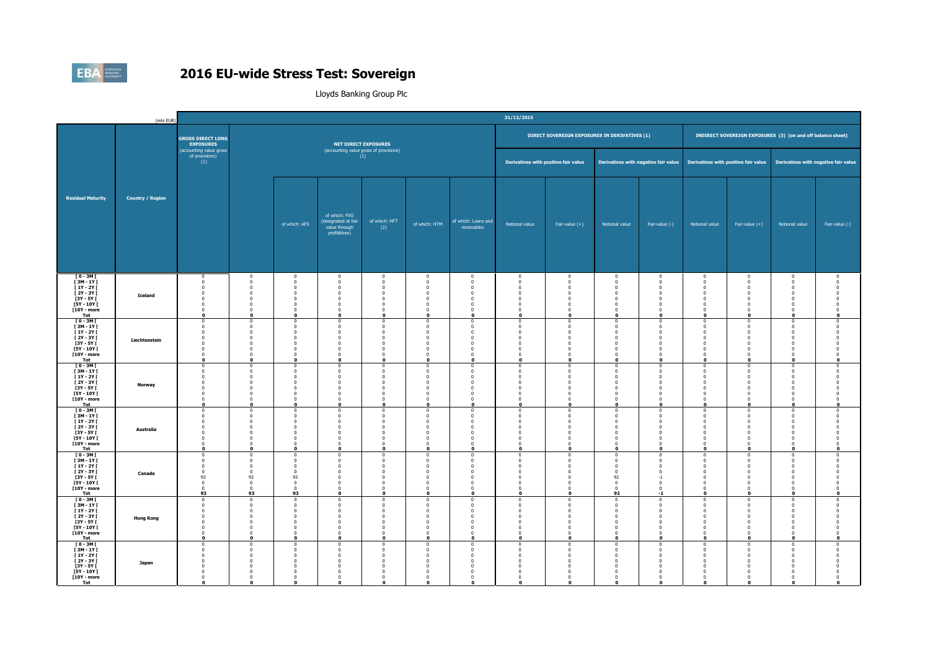

|                                                                                                                    | (mln EUR)               |                                                                                                                   |                                                                                                                                |                                                                                                            |                                                                                                                                   |                                                                                                                 |                                                                                                                    |                                                                                                                            | 31/12/2015                                                                                                             |                                                                                                                                                                    |                                                                                                                        |                                                                                                                                                     |                                                                                                                  |                                                                                                                       |                                                                                                                          |                                                                                                         |
|--------------------------------------------------------------------------------------------------------------------|-------------------------|-------------------------------------------------------------------------------------------------------------------|--------------------------------------------------------------------------------------------------------------------------------|------------------------------------------------------------------------------------------------------------|-----------------------------------------------------------------------------------------------------------------------------------|-----------------------------------------------------------------------------------------------------------------|--------------------------------------------------------------------------------------------------------------------|----------------------------------------------------------------------------------------------------------------------------|------------------------------------------------------------------------------------------------------------------------|--------------------------------------------------------------------------------------------------------------------------------------------------------------------|------------------------------------------------------------------------------------------------------------------------|-----------------------------------------------------------------------------------------------------------------------------------------------------|------------------------------------------------------------------------------------------------------------------|-----------------------------------------------------------------------------------------------------------------------|--------------------------------------------------------------------------------------------------------------------------|---------------------------------------------------------------------------------------------------------|
|                                                                                                                    |                         | <b>GROSS DIRECT LONG</b><br><b>EXPOSURES</b>                                                                      |                                                                                                                                |                                                                                                            |                                                                                                                                   | <b>NET DIRECT EXPOSURES</b>                                                                                     |                                                                                                                    |                                                                                                                            |                                                                                                                        | DIRECT SOVEREIGN EXPOSURES IN DERIVATIVES (1)                                                                                                                      |                                                                                                                        |                                                                                                                                                     |                                                                                                                  |                                                                                                                       | <b>INDIRECT SOVEREIGN EXPOSURES</b> (3) (on and off balance sheet)                                                       |                                                                                                         |
|                                                                                                                    |                         | (accounting value gross<br>of provisions)<br>(1)                                                                  |                                                                                                                                |                                                                                                            | (accounting value gross of provisions)                                                                                            | (1)                                                                                                             |                                                                                                                    |                                                                                                                            | Derivatives with positive fair value                                                                                   |                                                                                                                                                                    |                                                                                                                        | Derivatives with negative fair value                                                                                                                |                                                                                                                  |                                                                                                                       | Derivatives with positive fair value Derivatives with negative fair value                                                |                                                                                                         |
| <b>Residual Maturity</b>                                                                                           | <b>Country / Region</b> |                                                                                                                   |                                                                                                                                | of which: AFS                                                                                              | of which: FVO<br>(designated at fair<br>value through<br>profit&loss)                                                             | of which: HFT<br>(2)                                                                                            | of which: HTM                                                                                                      | of which: Loans and<br>receivables                                                                                         | Notional value                                                                                                         | Fair-value $(+)$                                                                                                                                                   | Notional value                                                                                                         | Fair-value (-)                                                                                                                                      | Notional value                                                                                                   | Fair-value $(+)$                                                                                                      | Notional value                                                                                                           | Fair-value (-)                                                                                          |
| $[0 - 3M]$<br><b>F3M-1YF</b><br>$[1Y - 2Y]$<br><b>F2Y-3YF</b><br>$[3Y - 5Y]$<br>[5Y - 10Y [<br>[10Y - more<br>Tot  | <b>Iceland</b>          | $^{\circ}$<br>$\mathbf{0}$<br>$\mathbf 0$<br>$^{\circ}$<br>$\mathbf 0$<br>$\Omega$<br>$\mathbf 0$<br>$\mathbf{o}$ | $\overline{0}$<br>$\overline{0}$<br>$\overline{0}$<br>$\Omega$<br>$\overline{0}$<br>$\Omega$<br>$\overline{0}$<br>$\mathbf{0}$ | $\Omega$<br>$\Omega$<br>$\Omega$<br>$\Omega$<br>$\overline{0}$<br>$\sqrt{2}$<br>$\bf{0}$<br>$\mathbf{o}$   | $\overline{0}$<br>$\overline{0}$<br>$\overline{0}$<br>$^{\circ}$<br>$\mathbf 0$<br>$\Omega$<br>$\mathbf{0}$<br>$\mathbf 0$        | $\overline{0}$<br>$\Omega$<br>$\Omega$<br>$\Omega$<br>$\mathbf 0$<br>$\sqrt{2}$<br>$\mathbf{0}$<br>$\mathbf{0}$ | $\overline{0}$<br>$\overline{0}$<br>$\Omega$<br>$\Omega$<br>$\mathbf 0$<br>$\Omega$<br>$\mathbf{0}$<br>$\mathbf 0$ | $\overline{0}$<br>$\Omega$<br>$\overline{0}$<br>$\Omega$<br>$\overline{0}$<br>$\Omega$<br>$\overline{0}$<br>$\mathbf{o}$   | $\mathbf 0$<br>$\overline{0}$<br>$\mathbf 0$<br>$\Omega$<br>$\overline{0}$<br>$\Omega$<br>$\mathbf{0}$<br>$\mathbf{r}$ | $\overline{0}$<br>$\overline{0}$<br>$\overline{0}$<br>$^{\circ}$<br>$\overline{0}$<br>$\Omega$<br>$\overline{0}$<br>$\mathbf 0$                                    | $\mathbf 0$<br>$\overline{0}$<br>$\mathbf{0}$<br>$\Omega$<br>$\mathbf{0}$<br>$\Omega$<br>$\mathbf 0$<br>$\mathbf{0}$   | $\mathbf 0$<br>$\overline{0}$<br>$\overline{0}$<br>$^{\circ}$<br>$\overline{0}$<br>$\Omega$<br>$\overline{0}$<br>$\mathbf 0$                        | $\mathbf 0$<br>$^{\circ}$<br>$\mathbf 0$<br>$^{\circ}$<br>$\mathbf 0$<br>$\Omega$<br>$\mathbf 0$<br>$\mathbf{o}$ | $\bf{0}$<br>$\mathbf 0$<br>$\overline{0}$<br>$\Omega$<br>$\overline{0}$<br>$\Omega$<br>$\overline{0}$<br>$\mathbf 0$  | $\mathbf{0}$<br>$\mathbf 0$<br>$\mathbf{0}$<br>$^{\circ}$<br>$\mathbf 0$<br>$\bf{0}$<br>$\mathbf 0$<br>$\mathbf{o}$      | $^{\circ}$<br>$\Omega$<br>$\sqrt{ }$<br>$\Omega$<br>$\Omega$                                            |
| $10 - 3M$<br>[3M-1Y]<br><b>F1Y-2YF</b><br>[ 2Y - 3Y [<br><b>F3Y - 5Y F</b><br>[5Y - 10Y [<br>[10Y - more<br>Tot    | Liechtenstein           | $\Omega$<br>$^{\circ}$<br>$\Omega$<br>$\mathbf{0}$<br>$\mathbf{0}$<br>$\mathbf{0}$<br>$\mathbf 0$<br>$\mathbf{o}$ | $\Omega$<br>$\overline{0}$<br>$\Omega$<br>$\overline{0}$<br>$\Omega$<br>$\overline{0}$<br>$\mathbf 0$<br>$\Omega$              | - 0<br>$\sqrt{2}$<br>$\Omega$<br>$\Omega$<br>$\Omega$<br>$\bf{0}$<br>$\bf{0}$<br>$\mathbf{0}$              | $\Omega$<br>$\mathbf 0$<br>$\Omega$<br>$\overline{0}$<br>$\overline{\mathbf{0}}$<br>$\overline{0}$<br>$\mathbf{0}$<br>$\mathbf 0$ | $\Omega$<br>$\Omega$<br>$\Omega$<br>$\Omega$<br>$\Omega$<br>$\mathbf{0}$<br>$\mathbf{0}$<br>$\mathbf{0}$        | $\Omega$<br>$\mathbf 0$<br>$\Omega$<br>$\Omega$<br>$\Omega$<br>$\mathbf 0$<br>$\mathbf 0$<br>$\mathbf 0$           | - 0<br>$\Omega$<br>$\overline{0}$<br>$\bf{0}$<br>$\overline{0}$<br>$\bf{0}$<br>$\bf{0}$<br>$\mathbf{o}$                    | $\Omega$<br>$\Omega$<br>$\Omega$<br>$\Omega$<br>$\Omega$<br>$\overline{0}$<br>$\mathbf 0$<br>$\mathbf{a}$              | $\Omega$<br>$\Omega$<br>$\overline{0}$<br>$\overline{0}$<br>$\overline{0}$<br>$\overline{\mathbf{0}}$<br>$\,$ 0 $\,$<br>$\mathbf 0$                                | $\Omega$<br>$\overline{0}$<br>$\mathbf{0}$<br>$\mathbf 0$<br>$\mathbf{0}$<br>$\mathbf 0$<br>$\bf{0}$<br>$\mathbf{0}$   | $\Omega$<br>$\Omega$<br>$\overline{0}$<br>$\overline{\mathbf{0}}$<br>$\overline{0}$<br>$\overline{\mathbf{0}}$<br>$\,$ 0 $\,$<br>$\mathbf 0$        | $\Omega$<br>$^{\circ}$<br>$\mathbf{0}$<br>$\mathbf 0$<br>$\Omega$<br>$\mathbf 0$<br>$\mathbf 0$<br>$\mathbf{o}$  | $\Omega$<br>$\overline{0}$<br>$\overline{0}$<br>$\bf{0}$<br>$\Omega$<br>$\bf{0}$<br>$\mathbf 0$<br>$\mathbf 0$        | $\mathbf{0}$<br>$\bf{0}$<br>$\mathbf{0}$<br>$\mathbf{0}$<br>$\mathbf{0}$<br>$\bf{0}$<br>$\bf{0}$<br>$\mathbf{o}$         | $\Omega$<br>$\Omega$<br>$\Omega$<br>$\sqrt{ }$<br>$\Omega$<br>$\Omega$<br>$\overline{0}$<br>$\mathbf 0$ |
| $[0 - 3M]$<br>[3M-1Y]<br>$[1Y - 2Y]$<br>$[2Y - 3Y]$<br>$[3Y - 5Y]$<br><b>F5Y - 10Y F</b><br>[10Y - more<br>Tot     | Norway                  | $\mathbf 0$<br>$\mathbf 0$<br>$\Omega$<br>$\mathbf 0$<br>$\Omega$<br>$^{\circ}$<br>$\Omega$<br>$\mathbf 0$        | $\Omega$<br>$\overline{0}$<br>$\Omega$<br>$\Omega$<br>$\Omega$<br>$\overline{0}$<br>$\Omega$<br>$\mathbf{o}$                   | $\Omega$<br>$\Omega$<br>$\Omega$<br>$\mathbf 0$<br>$\Omega$<br>$\overline{0}$<br>$\Omega$<br>$\bullet$     | $\Omega$<br>$\mathbf 0$<br>$\Omega$<br>$\overline{0}$<br>$\Omega$<br>$\overline{0}$<br>$\overline{0}$<br>$\mathbf 0$              | $\Omega$<br>$\mathbf{0}$<br>$\Omega$<br>$\Omega$<br>$\Omega$<br>$\mathbf{0}$<br>$\Omega$<br>$\mathbf 0$         | $\Omega$<br>$\mathbf 0$<br>$\Omega$<br>$\Omega$<br>$\Omega$<br>$\mathbf 0$<br>$\Omega$<br>$\mathbf 0$              | $\Omega$<br>$\overline{0}$<br>$\Omega$<br>$\overline{0}$<br>$\Omega$<br>$\bf{0}$<br>$\Omega$<br>$\bullet$                  | $\Omega$<br>$^{\circ}$<br>$\Omega$<br>$\overline{0}$<br>$\Omega$<br>$\overline{0}$<br>$\Omega$<br>$\mathbf{0}$         | $\Omega$<br>$\overline{0}$<br>$\overline{0}$<br>$\overline{0}$<br>$\overline{0}$<br>$\overline{0}$<br>$\overline{0}$<br>$\mathbf{o}$                               | $\Omega$<br>$\,0\,$<br>$\mathbf{0}$<br>$\mathbf{0}$<br>$\Omega$<br>$\mathbf 0$<br>$\Omega$<br>$\bullet$                | $\Omega$<br>$\mathbf 0$<br>$\overline{0}$<br>$\overline{0}$<br>$\overline{0}$<br>$\overline{0}$<br>$\overline{0}$<br>$\mathbf 0$                    | $\Omega$<br>$\mathbf 0$<br>$\Omega$<br>$\mathbf 0$<br>$\Omega$<br>$\bf{0}$<br>$\Omega$<br>$\mathbf 0$            | $\Omega$<br>$\mathbf 0$<br>$\mathbf{0}$<br>$\mathbf 0$<br>$\Omega$<br>$\overline{0}$<br>$\Omega$<br>$\mathbf 0$       | $\mathbf{0}$<br>$\mathbf 0$<br>$\mathbf 0$<br>$\mathbf{0}$<br>$\mathbf{0}$<br>$\mathbf{0}$<br>$\mathbf{0}$<br>$\bullet$  | $\Omega$<br>$\mathbf 0$<br>$\Omega$<br>$\Omega$<br>$\Omega$<br>$\mathbf 0$                              |
| $[0 - 3M]$<br>$[3M - 1Y]$<br>$[1Y - 2Y]$<br>$[2Y - 3Y]$<br>[3Y - 5Y [<br>$[5Y - 10Y]$<br><b>F10Y - more</b><br>Tot | Australia               | $\Omega$<br>$\overline{0}$<br>$\Omega$<br>$\mathbf 0$<br>0<br>$\mathbf 0$<br>$\bf{0}$<br>$\mathbf 0$              | $\Omega$<br>$\mathbf 0$<br>$\Omega$<br>$\overline{0}$<br>$\overline{0}$<br>$\overline{0}$<br>$\overline{0}$<br>$\mathbf 0$     | $\sqrt{2}$<br>$\sqrt{2}$<br>$\mathbf 0$<br>$\overline{0}$<br>$\mathbf 0$<br>$\sqrt{2}$<br>$\Omega$         | $\Omega$<br>$\mathbf 0$<br>$\Omega$<br>$\overline{0}$<br>$\overline{\mathbf{0}}$<br>$\overline{0}$<br>$\mathbf 0$<br>$\mathbf 0$  | $\sqrt{2}$<br>$\mathbf{0}$<br>$\Omega$<br>$\Omega$<br>$\Omega$<br>$\overline{0}$<br>$\sqrt{2}$<br>$\Omega$      | $\Omega$<br>$\mathbf 0$<br>$\Omega$<br>$\Omega$<br>$\mathbf 0$<br>$\mathbf 0$<br>$\Omega$<br>$\mathbf 0$           | $\sqrt{2}$<br>$\Omega$<br>$\overline{0}$<br>$\bf{0}$<br>$\overline{0}$<br>$\Omega$<br>$\mathbf{o}$                         | $\Omega$<br>$\Omega$<br>$\Omega$<br>$\overline{0}$<br>$\mathbf{0}$<br>$\Omega$<br>$\Omega$                             | $\Omega$<br>$\Omega$<br>$\overline{0}$<br>$\overline{\mathbf{0}}$<br>$\overline{\mathbf{0}}$<br>$\Omega$<br>$\mathbf 0$                                            | $\Omega$<br>$\mathbf 0$<br>$\Omega$<br>$\mathbf{0}$<br>$\bf{0}$<br>$\mathbf{0}$<br>$\Omega$<br>$\mathbf{0}$            | $\Omega$<br>0<br>$\Omega$<br>$\mathbf 0$<br>$\overline{\mathbf{0}}$<br>$\overline{\mathbf{0}}$<br>$\,$ 0 $\,$<br>$\mathbf{o}$                       | $\Omega$<br>$\mathbf 0$<br>$\Omega$<br>$\mathbf 0$<br>$\bf{0}$<br>$\mathbf 0$<br>$\mathbf 0$<br>$\mathbf 0$      | $^{\circ}$<br>$\mathbf 0$<br>$\Omega$<br>$\overline{0}$<br>$\overline{0}$<br>$\mathbf 0$<br>$\bf{0}$<br>$\mathbf 0$   | $^{\circ}$<br>$\,0\,$<br>$\mathbf 0$<br>$\mathbf{0}$<br>$\bf{0}$<br>$\mathbf{0}$<br>$\mathbf{0}$<br>$\bullet$            | $\Omega$<br>$\Omega$<br>$\Omega$<br>$^{\circ}$<br>$\Omega$<br>$\mathbf 0$                               |
| <b>TO-3MT</b><br>$I3M - 1YI$<br>$[1Y - 2Y]$<br><b>F2Y-3YF</b><br>[3Y - 5Y [<br>$[5Y - 10Y]$<br>[10Y - more<br>Tot  | Canada                  | $\mathbf{0}$<br>$\Omega$<br>$\mathbf{0}$<br>$\mathbf{0}$<br>93<br>$\mathbf 0$<br>$\mathbf{0}$<br>93               | $\overline{0}$<br>$\Omega$<br>$\overline{0}$<br>$\Omega$<br>93<br>$\Omega$<br>$\overline{0}$<br>93                             | $\bf{0}$<br>$\Omega$<br>$\Omega$<br>$\mathbf{0}$<br>93<br>$\Omega$<br>$\Omega$<br>93                       | $^{\circ}$<br>$\Omega$<br>$\Omega$<br>$\Omega$<br>$\overline{\mathbf{0}}$<br>$\overline{\mathbf{0}}$<br>$\bf{0}$<br>$\mathbf 0$   | $\mathbf{0}$<br>$\Omega$<br>$\sqrt{2}$<br>$\Omega$<br>$\Omega$<br>$\Omega$<br>$\Omega$<br>$\mathbf{0}$          | $\mathbf 0$<br>$\Omega$<br>$\Omega$<br>$\Omega$<br>0<br>$\Omega$<br>$\overline{0}$<br>$\mathbf 0$                  | $\bf{0}$<br>- 0<br>$\Omega$<br>$\overline{0}$<br>$\bf{0}$<br>$\Omega$<br>$\Omega$<br>$\bullet$                             | $\mathbf 0$<br>$\Omega$<br>$\Omega$<br>$\Omega$<br>$\overline{0}$<br>$\Omega$<br>$\mathbf 0$<br>$\mathbf{0}$           | $\overline{\mathbf{0}}$<br>$\Omega$<br>$\Omega$<br>$\overline{0}$<br>$\overline{\mathbf{0}}$<br>$\overline{\mathbf{0}}$<br>$\overline{\mathbf{0}}$<br>$\mathbf{o}$ | $\mathbf 0$<br>$\Omega$<br>$\overline{0}$<br>$\mathbf{0}$<br>92<br>$\mathbf{0}$<br>$\mathbf 0$<br>92                   | $\overline{\mathbf{0}}$<br>$\Omega$<br>$\Omega$<br>$\overline{0}$<br>$-1$<br>$\overline{\mathbf{0}}$<br>$\overline{\mathbf{0}}$<br>$-1$             | $\mathbf 0$<br>$\Omega$<br>$\Omega$<br>$\mathbf{0}$<br>$\bf{0}$<br>$\Omega$<br>$\mathbf 0$<br>$\mathbf 0$        | $\bf{0}$<br>$\Omega$<br>$\Omega$<br>$\overline{0}$<br>$\overline{0}$<br>$\Omega$<br>$\bf{0}$<br>$\mathbf 0$           | $\bf{0}$<br>$\mathbf{0}$<br>$\bf{0}$<br>$\mathbf{0}$<br>$\bf{0}$<br>$\mathbf 0$<br>$\mathbf{0}$<br>$\bullet$             | $\overline{0}$<br>$\Omega$<br>$\Omega$<br>$\Omega$<br>$\Omega$<br>$\mathbf 0$                           |
| $[0 - 3M]$<br>$I3M - 1YI$<br>$[1Y - 2Y]$<br><b>F2Y-3YF</b><br>$[3Y - 5Y]$<br>$[5Y - 10Y]$<br>[10Y - more<br>Tot    | <b>Hong Kong</b>        | $\mathbf 0$<br>$\Omega$<br>$\overline{0}$<br>$\Omega$<br>$\mathbf 0$<br>$^{\circ}$<br>$\mathbf 0$<br>$\mathbf{0}$ | $\overline{0}$<br>$\Omega$<br>$\overline{0}$<br>$\Omega$<br>$\overline{0}$<br>$\Omega$<br>$\overline{0}$<br>o                  | $\overline{0}$<br>$\sqrt{2}$<br>$\Omega$<br>$\Omega$<br>$\mathbf 0$<br>$\Omega$<br>$\Omega$<br>$\Omega$    | $\mathbf 0$<br>$\Omega$<br>$\mathbf 0$<br>$\Omega$<br>$\overline{0}$<br>$\overline{\mathbf{0}}$<br>$\overline{0}$<br>$\mathbf{0}$ | $\mathbf{0}$<br>$\sqrt{2}$<br>$\Omega$<br>$\Omega$<br>$\mathbf 0$<br>$\Omega$<br>$\Omega$<br>$\Omega$           | $\mathbf 0$<br>$\Omega$<br>$\mathbf 0$<br>$\Omega$<br>$\mathbf 0$<br>$\mathbf{0}$<br>$\mathbf 0$<br>$\Omega$       | $\Omega$<br>$\sqrt{2}$<br>$\Omega$<br>$\Omega$<br>$\overline{0}$<br>$\overline{0}$<br>$\overline{0}$<br>$\Omega$           | $\mathbf{0}$<br>$\Omega$<br>$\mathbf 0$<br>$\Omega$<br>$\overline{0}$<br>$\Omega$<br>$\mathbf{0}$<br>$\mathbf{0}$      | $\overline{\mathbf{0}}$<br>$\Omega$<br>$\overline{0}$<br>$\overline{0}$<br>$\overline{\mathbf{0}}$<br>$\overline{\mathbf{0}}$<br>$\overline{0}$<br>$\Omega$        | $\mathbf{0}$<br>$\Omega$<br>$\overline{0}$<br>$\mathbf{0}$<br>$\mathbf{0}$<br>$\mathbf{0}$<br>$\mathbf{0}$<br>$\Omega$ | $\overline{0}$<br>$\Omega$<br>$\mathbf 0$<br>$\overline{0}$<br>$\overline{\mathbf{0}}$<br>$\overline{\mathbf{0}}$<br>$\overline{0}$<br>$\mathbf{0}$ | $\mathbf 0$<br>$\Omega$<br>$\mathbf 0$<br>$\Omega$<br>$\mathbf 0$<br>$\Omega$<br>$\mathbf 0$<br>$\Omega$         | $\mathbf 0$<br>$\Omega$<br>$\overline{0}$<br>$\Omega$<br>$\overline{0}$<br>$\Omega$<br>$\overline{0}$<br>$\mathbf{0}$ | $\mathbf 0$<br>$\mathbf{0}$<br>$\mathbf 0$<br>$\mathbf{0}$<br>$\mathbf{0}$<br>$\bf{0}$<br>$\mathbf{0}$<br>$\mathbf{o}$   | $\overline{0}$<br>$\Omega$<br>$\sqrt{ }$<br>$\Omega$<br>$\Omega$<br>$\mathbf{0}$                        |
| $[0 - 3M]$<br>$[3M - 1Y]$<br><b>F1Y-2YF</b><br>[2Y-3Y]<br><b>F3Y - 5Y F</b><br>[5Y - 10Y [<br>[10Y - more<br>Tot   | Japan                   | $\mathbf 0$<br>$\Omega$<br>$\mathbf{0}$<br>$\Omega$<br>$\Omega$<br>$\mathbf{0}$<br>$\mathbf{0}$<br>$\mathbf{0}$   | $\overline{0}$<br>$\Omega$<br>$\mathbf 0$<br>$\Omega$<br>$\Omega$<br>$\Omega$<br>$\overline{0}$<br>$\Omega$                    | $\overline{0}$<br>$\sqrt{2}$<br>$\Omega$<br>$\sqrt{2}$<br>$\Omega$<br>$\Omega$<br>$\Omega$<br>$\mathbf{o}$ | $\overline{0}$<br>$\Omega$<br>$\mathbf 0$<br>$\Omega$<br>$\Omega$<br>$^{\circ}$<br>$\mathbf 0$<br>$\Omega$                        | $\Omega$<br>$\sqrt{2}$<br>$\Omega$<br>$\Omega$<br>$\Omega$<br>$\Omega$<br>$\Omega$<br>$\mathbf{o}$              | $\mathbf 0$<br>$\Omega$<br>$\mathbf 0$<br>$\Omega$<br>$\Omega$<br>$\Omega$<br>$\Omega$<br>$\Omega$                 | $\mathbf{0}$<br>$\sqrt{2}$<br>$^{\circ}$<br>$\Omega$<br>$\overline{0}$<br>$\overline{0}$<br>$\overline{0}$<br>$\mathbf{0}$ | $\mathbf 0$<br>$\sqrt{2}$<br>$^{\circ}$<br>$\Omega$<br>$\Omega$<br>$\Omega$<br>$\Omega$<br>$\Omega$                    | $\overline{0}$<br>$\Omega$<br>$\Omega$<br>$\Omega$<br>$\Omega$<br>$\Omega$<br>$\Omega$<br>$\Omega$                                                                 | $\mathbf{0}$<br>$\Omega$<br>$\overline{0}$<br>$\Omega$<br>$\mathbf{0}$<br>$\mathbf{0}$<br>$\mathbf 0$<br>$\mathbf{0}$  | $\mathbf 0$<br>$\Omega$<br>$\overline{0}$<br>$\Omega$<br>$\Omega$<br>$\overline{0}$<br>$\Omega$<br>$\Omega$                                         | $\mathbf 0$<br>$\Omega$<br>$^{\circ}$<br>$\Omega$<br>$\mathbf{0}$<br>$^{\circ}$<br>$\mathbf 0$<br>$\Omega$       | $\overline{0}$<br>$\Omega$<br>$\mathbf 0$<br>$\Omega$<br>$\overline{0}$<br>$\overline{0}$<br>$\mathbf 0$<br>$\Omega$  | $\mathbf{0}$<br>$\mathbf{0}$<br>$\mathbf{0}$<br>$\mathbf{0}$<br>$\mathbf{0}$<br>$\bf{0}$<br>$\mathbf{0}$<br>$\mathbf{0}$ | $\overline{0}$<br>$\sqrt{ }$                                                                            |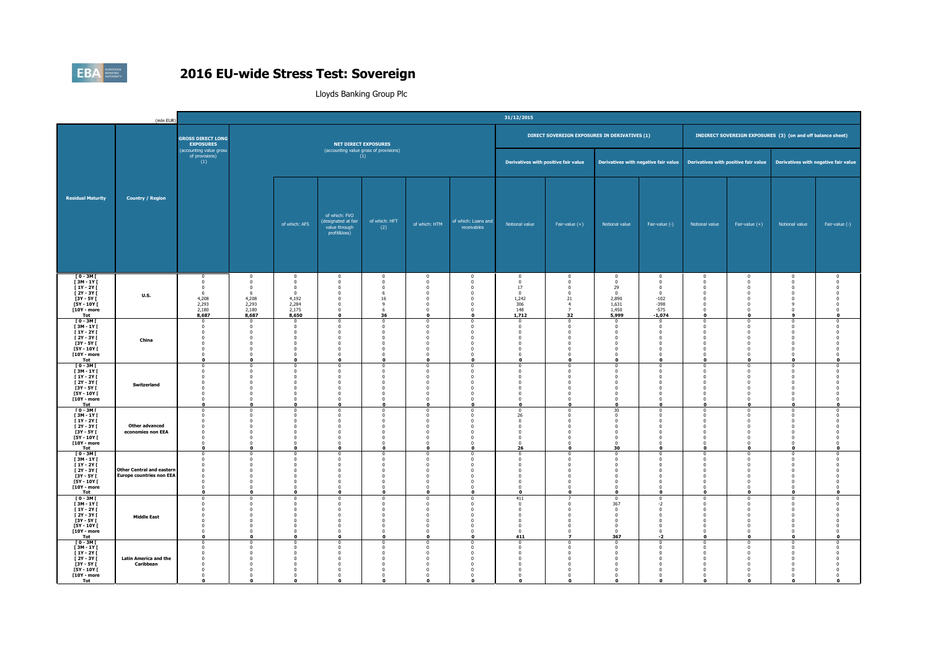

|                                                                                                                     | (mln EUR)                                                           | 31/12/2015                                                                                                              |                                                                                                                    |                                                                                                             |                                                                                                                                  |                                                                                                            |                                                                                                                   |                                                                                                                                     |                                                                              |                                                                                                                 |                                                                                                            |                                                                                                          |                                                                                                                       |                                                                                                                           |                                                                                                                              |                                                                                  |
|---------------------------------------------------------------------------------------------------------------------|---------------------------------------------------------------------|-------------------------------------------------------------------------------------------------------------------------|--------------------------------------------------------------------------------------------------------------------|-------------------------------------------------------------------------------------------------------------|----------------------------------------------------------------------------------------------------------------------------------|------------------------------------------------------------------------------------------------------------|-------------------------------------------------------------------------------------------------------------------|-------------------------------------------------------------------------------------------------------------------------------------|------------------------------------------------------------------------------|-----------------------------------------------------------------------------------------------------------------|------------------------------------------------------------------------------------------------------------|----------------------------------------------------------------------------------------------------------|-----------------------------------------------------------------------------------------------------------------------|---------------------------------------------------------------------------------------------------------------------------|------------------------------------------------------------------------------------------------------------------------------|----------------------------------------------------------------------------------|
|                                                                                                                     | <b>Country / Region</b>                                             | <b>GROSS DIRECT LONG</b><br><b>EXPOSURES</b>                                                                            |                                                                                                                    |                                                                                                             |                                                                                                                                  | <b>NET DIRECT EXPOSURES</b>                                                                                |                                                                                                                   |                                                                                                                                     |                                                                              | DIRECT SOVEREIGN EXPOSURES IN DERIVATIVES (1)                                                                   |                                                                                                            |                                                                                                          |                                                                                                                       | INDIRECT SOVEREIGN EXPOSURES (3) (on and off balance sheet)                                                               |                                                                                                                              |                                                                                  |
|                                                                                                                     |                                                                     | (accounting value gross<br>of provisions)<br>(1)                                                                        |                                                                                                                    | (accounting value gross of provisions)<br>(1)                                                               |                                                                                                                                  |                                                                                                            |                                                                                                                   |                                                                                                                                     | Derivatives with positive fair value                                         |                                                                                                                 | Derivatives with negative fair value                                                                       |                                                                                                          | Derivatives with positive fair value                                                                                  |                                                                                                                           | Derivatives with negative fair value                                                                                         |                                                                                  |
| <b>Residual Maturity</b>                                                                                            |                                                                     |                                                                                                                         |                                                                                                                    | of which: AFS                                                                                               | of which: FVO<br>(designated at fair<br>value through<br>profit&loss)                                                            | of which: HFT<br>(2)                                                                                       | of which: HTM                                                                                                     | of which: Loans and<br>receivables                                                                                                  | Notional value                                                               | Fair-value $(+)$                                                                                                | Notional value                                                                                             | Fair-value (-)                                                                                           | Notional value                                                                                                        | Fair-value $(+)$                                                                                                          | Notional value                                                                                                               | Fair-value (-)                                                                   |
| $[0 - 3M]$<br><b>F3M-1YF</b><br>$[1Y - 2Y]$<br>[ 2Y - 3Y [<br>$[3Y - 5Y]$<br>$[5Y - 10Y]$<br>[10Y - more<br>Tot     | <b>U.S.</b>                                                         | $\mathbf{0}$<br>$\bf{0}$<br>$\mathbf{0}$<br>-6<br>4,208<br>2,293<br>2.180<br>8,687                                      | $^{\circ}$<br>$^{\circ}$<br>$^{\circ}$<br>-6<br>4,208<br>2,293<br>2,180<br>8,687                                   | $\bf{0}$<br>$\overline{0}$<br>$\overline{\mathbf{0}}$<br>$\sqrt{2}$<br>4,192<br>2,284<br>2.175<br>8,650     | $\overline{0}$<br>$\overline{0}$<br>$\overline{\mathbf{0}}$<br>- 0<br>$\overline{\mathbf{0}}$<br>- 0<br>$\Omega$<br>$\mathbf{o}$ | $\bf{0}$<br>$\Omega$<br>$\overline{0}$<br>-6<br>16<br>$\mathbf{q}$<br>-6<br>36                             | $\overline{0}$<br>$\overline{0}$<br>$\mathbf 0$<br>$\Omega$<br>$\mathbf 0$<br>$\Omega$<br>$\Omega$<br>0           | $\bf{0}$<br>$\overline{0}$<br>$\mathbf{0}$<br>$^{\circ}$<br>$\mathbf{0}$<br>$\overline{0}$<br>$\overline{0}$<br>$\mathbf{o}$        | $^{\circ}$<br>$\Omega$<br>17<br>$\Omega$<br>1,242<br>306<br>148<br>1,712     | $\mathbf 0$<br>$\overline{0}$<br>$\mathbf 0$<br>$\Omega$<br>21<br>$\overline{4}$<br>$\overline{7}$<br>32        | $\mathbf 0$<br>$\overline{0}$<br>29<br>$\Omega$<br>2,890<br>1,631<br>1.450<br>5,999                        | $\mathbf 0$<br>$\overline{0}$<br>$\overline{0}$<br>$\sqrt{2}$<br>$-102$<br>$-398$<br>$-575$<br>$-1,074$  | $\mathbf 0$<br>$\mathbf{0}$<br>$\mathbf{0}$<br>$\Omega$<br>$\mathbf{0}$<br>$\Omega$<br>$\mathbf{0}$<br>$\mathbf{0}$   | $\bf{0}$<br>$\overline{0}$<br>$\mathbf 0$<br>$\sqrt{2}$<br>$\mathbf 0$<br>$\Omega$<br>$\Omega$<br>$\mathbf 0$             | $\mathbf{0}$<br>$\mathbf 0$<br>$\mathbf{0}$<br>$\mathbf{0}$<br>$\mathbf{0}$<br>9<br>$\mathbf{0}$<br>9                        | $^{\circ}$<br>$\Omega$<br>$\Omega$<br>$\Omega$<br>$\mathbf 0$                    |
| $[0 - 3M]$<br>[3M-1Y]<br><b>F1Y-2YF</b><br>[ 2Y - 3Y [<br><b>F3Y - 5Y F</b><br>[5Y - 10Y [<br>[10Y - more<br>Tot    | China                                                               | $^{\circ}$<br>$\mathbf{0}$<br>$^{\circ}$<br>$\mathbf 0$<br>$\mathbf{0}$<br>$\mathbf 0$<br>$\mathbf{0}$<br>$\mathbf{0}$  | $\Omega$<br>$\Omega$<br>$\Omega$<br>$\overline{0}$<br>$\Omega$<br>$\overline{0}$<br>$\Omega$<br>$\Omega$           | $\Omega$<br>$\sqrt{2}$<br>$\Omega$<br>$\mathbf 0$<br>$\Omega$<br>$\overline{0}$<br>$\Omega$<br>$\mathbf{0}$ | $\Omega$<br>$\Omega$<br>- 0<br>$\overline{0}$<br>$\Omega$<br>$\mathbf 0$<br>$\Omega$<br>$\Omega$                                 | $\Omega$<br>$\sqrt{2}$<br>$\Omega$<br>$\Omega$<br>$\sqrt{2}$<br>$\overline{0}$<br>$\Omega$<br>$\mathbf{a}$ | $\Omega$<br>$\mathbf 0$<br>$\Omega$<br>$\mathbf 0$<br>$\Omega$<br>$\pmb{0}$<br>$\Omega$<br>$\mathbf 0$            | $\Omega$<br>$\Omega$<br>$\overline{0}$<br>$\overline{0}$<br>$\overline{\mathbf{0}}$<br>$\mathbf 0$<br>$\overline{0}$<br>$\mathbf 0$ | $\Omega$<br>$\Omega$<br>$\Omega$<br>- 0<br>$\Omega$<br>$\sqrt{2}$            | $\Omega$<br>$\Omega$<br>$\Omega$<br>$\mathbf 0$<br>$\Omega$<br>$\mathbf 0$<br>$\Omega$<br>$\mathbf 0$           | $\Omega$<br>$\sqrt{ }$<br>$\Omega$<br>$\mathbf{0}$<br>$\Omega$<br>$^{\circ}$<br>$\Omega$<br>$\mathbf{r}$   | $\Omega$<br>$\Omega$<br>$\Omega$<br>$\overline{0}$<br>$^{\circ}$<br>$\pmb{0}$<br>$\Omega$<br>$\mathbf 0$ | $\Omega$<br>$\overline{0}$<br>$\Omega$<br>$\mathbf{0}$<br>$\Omega$<br>$\,0\,$<br>$\mathbf{0}$<br>$\Omega$             | $\Omega$<br>$\Omega$<br>$\Omega$<br>$\overline{0}$<br>$\Omega$<br>$\overline{0}$<br>$\mathbf{0}$<br>$\Omega$              | $^{\circ}$<br>$\mathbf{0}$<br>$\bf{0}$<br>$\mathbf 0$<br>$\bf{0}$<br>$\mathbf 0$<br>$\mathbf{0}$<br>$\mathbf{0}$             | $\Omega$<br>$\Omega$<br>$\Omega$<br>$\Omega$<br>$\Omega$<br>$\mathbf 0$          |
| $[0 - 3M]$<br>$[3M - 1Y]$<br>$[1Y - 2Y]$<br>$[2Y - 3Y]$<br>[3Y - 5Y [<br><b>F5Y - 10Y F</b><br>[10Y - more<br>Tot   | Switzerland                                                         | $^{\circ}$<br>$\mathbf 0$<br>$\mathbf{0}$<br>$\mathbf{0}$<br>$^{\circ}$<br>$\Omega$<br>$^{\circ}$<br>$\Omega$           | $\Omega$<br>$\overline{0}$<br>$\Omega$<br>$\overline{0}$<br>$\Omega$<br>$\Omega$<br>$^{\circ}$<br>$\mathbf{0}$     | $\Omega$<br>$\Omega$<br>$\Omega$<br>$\overline{0}$<br>$\Omega$<br>$\Omega$<br>$\Omega$<br>$\Omega$          | $\overline{0}$<br>$\overline{0}$<br>$\Omega$<br>$\overline{0}$<br>$\overline{0}$<br>- 0<br>$\overline{0}$<br>$\mathbf 0$         | $\Omega$<br>$\Omega$<br>$\sqrt{2}$<br>$\Omega$<br>$\sqrt{2}$<br>$\Omega$<br>$\Omega$<br>$\mathbf{0}$       | $\mathbf 0$<br>$\mathbf{0}$<br>$\Omega$<br>$\mathbf 0$<br>$\mathbf 0$<br>$\Omega$<br>$\mathbf 0$<br>$\mathbf 0$   | $^{\circ}$<br>$\mathbf{0}$<br>$\Omega$<br>$\overline{\mathbf{0}}$<br>$\overline{0}$<br>$\mathbf{0}$<br>$\Omega$<br>$\mathbf 0$      | $\Omega$<br>- 0                                                              | $^{\circ}$<br>$\mathbf 0$<br>$\Omega$<br>$\bf{0}$<br>$\Omega$<br>$\Omega$<br>$\Omega$<br>$\mathbf 0$            | $\Omega$<br>$\Omega$<br>$\Omega$<br>$\mathbf{0}$<br>$\Omega$<br>$\Omega$<br>$\Omega$<br>$\Omega$           | $^{\circ}$<br>$\bf{0}$<br>$\Omega$<br>$\mathbf 0$<br>$\mathbf 0$<br>$\Omega$<br>$\Omega$<br>$\mathbf{0}$ | $^{\circ}$<br>$\mathbf{0}$<br>$\Omega$<br>$\mathbf{0}$<br>$\mathbf{0}$<br>$\Omega$<br>$\mathbf{0}$<br>$\mathbf{0}$    | $\overline{0}$<br>$\mathbf 0$<br>$\Omega$<br>$\mathbf 0$<br>$\Omega$<br>$\Omega$<br>$\overline{0}$<br>$\mathbf{0}$        | $^{\circ}$<br>$\mathbf 0$<br>$\mathbf{0}$<br>$\mathbf 0$<br>$\bf{0}$<br>$\mathbf{0}$<br>$\mathbf{0}$<br>$\mathbf{0}$         | $^{\circ}$<br>$\Omega$<br>$\Omega$<br>$\Omega$<br>$\mathbf{o}$                   |
| $10 - 3M$<br>[3M-1Y]<br>$[1Y - 2Y]$<br><b>F2Y-3YF</b><br>[3Y - 5Y [<br><b>F5Y - 10Y F</b><br>[10Y - more<br>Tot     | <b>Other advanced</b><br>economies non EEA                          | $\Omega$<br>$\overline{0}$<br>$\mathbf{0}$<br>$\mathbf{0}$<br>$^{\circ}$<br>$\mathbf 0$<br>$\mathbf{0}$<br>$\mathbf 0$  | $\sqrt{ }$<br>$\Omega$<br>$\Omega$<br>$\Omega$<br>$^{\circ}$<br>$\Omega$<br>$\mathbf{o}$                           | $\sqrt{2}$<br>$\Omega$<br>$\Omega$<br>$\Omega$<br>$\mathbf 0$<br>$\Omega$<br>$\mathbf 0$                    | $\Omega$<br>$\Omega$<br>$\Omega$<br>$\overline{0}$<br>- 0<br>$\overline{\mathbf{0}}$<br>$\Omega$<br>$\mathbf 0$                  | $\Omega$<br>$\Omega$<br>$\Omega$<br>$\overline{0}$<br>$\sqrt{2}$<br>$\mathbf 0$                            | $\Omega$<br>$\mathbf 0$<br>$\Omega$<br>$\mathbf 0$<br>$^{\circ}$<br>$\mathbf 0$<br>$\Omega$<br>$\mathbf 0$        | $\Omega$<br>$\overline{0}$<br>$\mathbf{0}$<br>$\overline{0}$<br>$\mathbf 0$<br>$\overline{0}$<br>$\bullet$                          | 26<br>$\Omega$<br>$\Omega$<br>$\Omega$<br>$\mathbf 0$<br>$\sqrt{2}$<br>26    | n<br>$\Omega$<br>$\Omega$<br>$\Omega$<br>$\mathbf 0$<br>$\Omega$<br>$\mathbf 0$                                 | 30<br>$\Omega$<br>$^{\circ}$<br>$\Omega$<br>$\mathbf{0}$<br>$\sqrt{2}$<br>30                               | $\Omega$<br>$\Omega$<br>$\mathbf 0$<br>$^{\circ}$<br>$\mathbf 0$<br>$\overline{0}$<br>$\mathbf 0$        | $\Omega$<br>$\overline{0}$<br>$\Omega$<br>$\mathbf{0}$<br>$^{\circ}$<br>$\mathbf{0}$<br>$\Omega$<br>$\mathbf{o}$      | $\Omega$<br>$\mathbf 0$<br>$\Omega$<br>$\Omega$<br>$\Omega$<br>$\mathbf 0$<br>$\Omega$<br>$\mathbf 0$                     | $\Omega$<br>$\overline{\mathbf{0}}$<br>$\mathbf 0$<br>$\mathbf{0}$<br>$^{\circ}$<br>$\mathbf 0$<br>$\mathbf{0}$<br>$\bullet$ | $\Omega$<br>$\Omega$<br>$\overline{0}$<br>$\Omega$<br>$\mathbf 0$                |
| $10 - 3M$<br>[3M-1Y]<br>$[1Y - 2Y]$<br>[ 2Y - 3Y [<br><b>F3Y - 5Y F</b><br><b>F5Y - 10Y F</b><br>[10Y - more<br>Tot | <b>Other Central and eastern</b><br><b>Europe countries non EEA</b> | $^{\circ}$<br>$\mathbf{0}$<br>$\mathbf 0$<br>$\mathbf 0$<br>$\mathbf{0}$<br>$\mathbf 0$<br>$\mathbf{0}$<br>$\mathbf{0}$ | $\Omega$<br>$\Omega$<br>$\overline{0}$<br>$\overline{0}$<br>$\Omega$<br>$\overline{0}$<br>$\Omega$<br>$\mathbf{r}$ | $\Omega$<br>$\sqrt{2}$<br>$\mathbf 0$<br>$\Omega$<br>- 0<br>$\overline{0}$<br>$\Omega$<br>$\mathbf{0}$      | $\Omega$<br>$\overline{0}$<br>$\overline{0}$<br>$\overline{0}$<br>$\Omega$<br>$\overline{0}$<br>$\Omega$<br>$\Omega$             | $\Omega$<br>$\Omega$<br>$\mathbf{0}$<br>$\Omega$<br>- 0<br>$\Omega$<br>$\Omega$<br>$\mathbf{a}$            | $\overline{0}$<br>$\overline{0}$<br>$\mathbf 0$<br>$\mathbf 0$<br>$\Omega$<br>$\mathbf 0$<br>$\Omega$<br>$\Omega$ | $\Omega$<br>$\bf{0}$<br>$\overline{\mathbf{0}}$<br>$\overline{0}$<br>$\Omega$<br>$\mathbf 0$<br>$\mathbf{0}$<br>$\mathbf{0}$        | $\Omega$<br>$\Omega$<br>$\Omega$<br>$\Omega$<br>$\Omega$<br>$\sqrt{2}$       | $\Omega$<br>$\Omega$<br>$\mathbf 0$<br>$\mathbf 0$<br>$\Omega$<br>$\bf{0}$<br>$\Omega$<br>$\Omega$              | $\Omega$<br>$\Omega$<br>$\mathbf{0}$<br>$^{\circ}$<br>$\Omega$<br>$\mathbf{0}$<br>$\Omega$<br>$\mathbf{r}$ | $\Omega$<br>$\Omega$<br>$\mathbf 0$<br>$\mathbf 0$<br>$\Omega$<br>$\mathbf 0$<br>$\Omega$<br>$\mathbf 0$ | $\Omega$<br>$\mathbf 0$<br>$\mathbf{0}$<br>$\mathbf{0}$<br>$\Omega$<br>$\mathbf 0$<br>$\mathbf{0}$<br>$\mathbf{r}$    | $\Omega$<br>$\Omega$<br>$\mathbf 0$<br>$\mathbf 0$<br>$\Omega$<br>$\overline{0}$<br>$\overline{0}$<br>$\mathbf{a}$        | $^{\circ}$<br>$\mathbf{0}$<br>$\mathbf 0$<br>$\mathbf 0$<br>$\mathbf{0}$<br>$\mathbf 0$<br>$\mathbf{0}$<br>$\mathbf{0}$      | $\Omega$<br>$\Omega$<br>$^{\circ}$<br>- 0<br>$\mathbf 0$<br>$\Omega$<br>$\Omega$ |
| $[0 - 3M]$<br>[3M-1Y]<br>$[1Y - 2Y]$<br>[ 2Y - 3Y [<br>$[3Y - 5Y]$<br>$[5Y - 10Y]$<br><b>F10Y - more</b><br>Tot     | <b>Middle East</b>                                                  | $^{\circ}$<br>$\mathbf{0}$<br>$\Omega$<br>$\mathbf 0$<br>$\mathbf 0$<br>$\mathbf{0}$<br>$\bf{0}$<br>$\bullet$           | $\Omega$<br>$\overline{0}$<br>$\Omega$<br>$\overline{0}$<br>$\Omega$<br>$^{\circ}$<br>$^{\circ}$<br>$\mathbf{a}$   | $\Omega$<br>$\sqrt{2}$<br>$\Omega$<br>$\overline{0}$<br>$\Omega$<br>$\Omega$<br>$\Omega$<br>$\mathbf{0}$    | $\Omega$<br>$\overline{0}$<br>$\Omega$<br>$\overline{0}$<br>$\overline{0}$<br>$\overline{0}$<br>$\overline{0}$<br>$\mathbf{0}$   | $\Omega$<br>$\Omega$<br>$\sqrt{2}$<br>$\Omega$<br>$\Omega$<br>$\Omega$<br>$\mathbf{0}$                     | $\Omega$<br>$\mathbf 0$<br>$\Omega$<br>$\pmb{0}$<br>$\mathbf 0$<br>$\mathbf 0$<br>$\mathbf{0}$<br>$\mathbf 0$     | $^{\circ}$<br>$\mathbf{0}$<br>$\Omega$<br>$\mathbf 0$<br>$\overline{0}$<br>$\mathbf{0}$<br>$\overline{0}$<br>$\mathbf 0$            | 411<br>$^{\circ}$<br>$\sqrt{2}$<br>$\sqrt{2}$<br>$\Omega$<br>$\Omega$<br>411 | $\bf{0}$<br>$\Omega$<br>$\mathbf 0$<br>$\overline{0}$<br>$\mathbf 0$<br>$\mathbf 0$<br>$\overline{\phantom{a}}$ | $\Omega$<br>367<br>$\sqrt{2}$<br>$\mathbf 0$<br>$\Omega$<br>$\Omega$<br>$\Omega$<br>367                    | $\Omega$<br>$-2$<br>$\sqrt{2}$<br>$\mathbf 0$<br>$\overline{0}$<br>$\mathbf 0$<br>$\,$ 0<br>$-2$         | $\Omega$<br>$\overline{0}$<br>$\Omega$<br>$\mathbf 0$<br>$\mathbf{0}$<br>$\mathbf{0}$<br>$\mathbf{0}$<br>$\mathbf{0}$ | $^{\circ}$<br>$\mathbf 0$<br>$\sqrt{2}$<br>$\mathbf 0$<br>$\overline{0}$<br>$\mathbf 0$<br>$\overline{0}$<br>$\mathbf{0}$ | $^{\circ}$<br>$\mathbf 0$<br>$\mathbf{0}$<br>$\mathbf 0$<br>$\mathbf 0$<br>$\mathbf{0}$<br>$\mathbf 0$<br>$\mathbf 0$        | $\Omega$<br>$\Omega$<br>$\Omega$<br>$\Omega$<br>$\mathbf 0$                      |
| $T0 - 3M$<br>[3M-1Y]<br>$I_1Y - 2YI$<br>[ 2Y - 3Y [<br>$[3Y - 5Y]$<br>[5Y - 10Y [<br><b>T10Y - more</b><br>Tot      | <b>Latin America and the</b><br>Caribbean                           | $\Omega$<br>$\overline{0}$<br>$\Omega$<br>$\bf{0}$<br>$^{\circ}$<br>$\mathbf 0$<br>$\mathbf{0}$<br>$\mathbf{r}$         | $\sqrt{2}$<br>$\Omega$<br>$\Omega$<br>$\Omega$<br>$\Omega$<br>$\overline{0}$<br>$\Omega$<br>$\mathbf{r}$           | $\Omega$<br>$\Omega$<br>$\Omega$<br>$\Omega$<br>$\Omega$<br>$\overline{0}$<br>$\Omega$<br>$\mathbf{a}$      | $\Omega$<br>$\Omega$<br>$\Omega$<br>$\overline{0}$<br>- 0<br>$\overline{0}$<br>$\Omega$<br>$\mathbf{r}$                          | $\sqrt{2}$<br>$\Omega$<br>$\Omega$<br>$\sqrt{2}$<br>$\Omega$<br>$\overline{0}$<br>$\sqrt{2}$<br>n          | $\Omega$<br>$\mathbf 0$<br>$\Omega$<br>$\mathbf 0$<br>$\Omega$<br>$\mathbf 0$<br>$\Omega$<br>$\mathbf{a}$         | $\Omega$<br>$\Omega$<br>$\overline{0}$<br>$\overline{0}$<br>$\overline{0}$<br>$\mathbf{0}$<br>$\mathbf{0}$<br>$\mathbf{a}$          | $\sqrt{2}$<br>$\Omega$<br>$\Omega$                                           | $\Omega$<br>$\Omega$<br>$\Omega$<br>$\Omega$<br>$\Omega$<br>$\Omega$<br>n<br>$\mathbf{r}$                       | $\Omega$<br>$\sqrt{ }$<br>$\Omega$<br>$\Omega$<br>$\Omega$<br>$^{\circ}$<br>$\sqrt{2}$<br>n                | $\Omega$<br>$\Omega$<br>$\Omega$<br>$\mathbf 0$<br>$^{\circ}$<br>$\mathbf 0$<br>$\Omega$<br>$\mathbf{a}$ | $\Omega$<br>$\overline{0}$<br>$\Omega$<br>$\mathbf 0$<br>$^{\circ}$<br>$\mathbf 0$<br>$\sqrt{2}$<br>$\mathbf{r}$      | $\Omega$<br>$\overline{0}$<br>$\Omega$<br>$\Omega$<br>$^{\circ}$<br>$\mathbf 0$<br>$\Omega$<br>n                          | $^{\circ}$<br>$\bf{0}$<br>$\mathbf{0}$<br>$\bf{0}$<br>$^{\circ}$<br>$\mathbf 0$<br>$\mathbf{0}$<br>$\mathbf{r}$              | $\Omega$<br>$\Omega$<br>$\Omega$                                                 |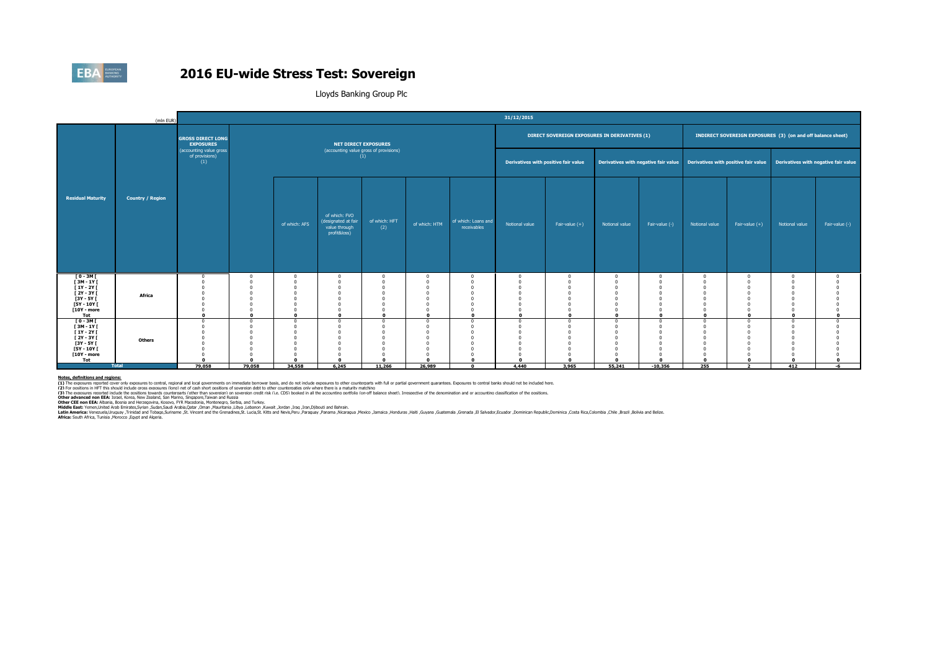

Lloyds Banking Group Plc

|                                                                                                                     | (mln EUR)               |                                                  |                                                                            |                                                                                |                                                                            |                                               |                                                                                            |                                               | 31/12/2015                           |                                                  |                                                                  |                                                             |                                                                                                                |                                                    |                   |                |
|---------------------------------------------------------------------------------------------------------------------|-------------------------|--------------------------------------------------|----------------------------------------------------------------------------|--------------------------------------------------------------------------------|----------------------------------------------------------------------------|-----------------------------------------------|--------------------------------------------------------------------------------------------|-----------------------------------------------|--------------------------------------|--------------------------------------------------|------------------------------------------------------------------|-------------------------------------------------------------|----------------------------------------------------------------------------------------------------------------|----------------------------------------------------|-------------------|----------------|
|                                                                                                                     |                         | <b>GROSS DIRECT LONG</b><br><b>EXPOSURES</b>     |                                                                            | <b>NET DIRECT EXPOSURES</b>                                                    |                                                                            |                                               |                                                                                            | DIRECT SOVEREIGN EXPOSURES IN DERIVATIVES (1) |                                      |                                                  |                                                                  | INDIRECT SOVEREIGN EXPOSURES (3) (on and off balance sheet) |                                                                                                                |                                                    |                   |                |
|                                                                                                                     |                         | (accounting value gross<br>of provisions)<br>(1) |                                                                            |                                                                                |                                                                            | (accounting value gross of provisions)<br>(1) |                                                                                            |                                               | Derivatives with positive fair value |                                                  |                                                                  |                                                             | Derivatives with negative fair value Derivatives with positive fair value Derivatives with negative fair value |                                                    |                   |                |
| <b>Residual Maturity</b>                                                                                            | <b>Country / Region</b> |                                                  |                                                                            | of which: AFS                                                                  | of which: FVO<br>(designated at fair<br>value through<br>profit&loss)      | of which: HFT<br>(2)                          | of which: HTM                                                                              | of which: Loans and<br>receivables            | Notional value                       | Fair-value $(+)$                                 | Notional value                                                   | Fair-value (-)                                              | Notional value                                                                                                 | Fair-value $(+)$                                   | Notional value    | Fair-value (-) |
| $[0-3M]$<br>$I3M - 1YI$<br><b>F1Y-2YF</b><br>[ 2Y - 3Y [<br><b>F3Y - 5Y F</b><br>$[5Y - 10Y]$<br>[10Y - more<br>Tot | Africa                  |                                                  | $\sqrt{2}$<br>$\Omega$<br>$\sqrt{2}$<br>$\sqrt{2}$<br>$\Omega$<br>$\Omega$ | $\Omega$<br>$\sqrt{2}$<br>$\sqrt{2}$<br>$\sqrt{2}$<br>$\Omega$<br>$\mathbf{a}$ | $\Omega$<br>$\sqrt{2}$<br>$\Omega$<br>$\Omega$<br>$\Omega$<br>$\mathbf{r}$ | $\Omega$<br>$\Omega$                          | $\Omega$<br>$\Omega$<br>$\Omega$<br>$\Omega$<br>$\Omega$<br>$\sqrt{2}$<br>$\mathbf{a}$     |                                               | $\Omega$                             | $\Omega$<br>$\Omega$<br>$\Omega$<br>$\mathbf{r}$ | $\Omega$<br>$\Omega$<br>$\sqrt{2}$<br>$\Omega$<br>$\mathbf{r}$   | $\Omega$<br>$\Omega$<br>$\sqrt{2}$<br>$\Omega$<br>$\Omega$  | $\Omega$<br>$\mathbf{r}$                                                                                       | $\Omega$<br>$\sqrt{2}$<br>$\Omega$<br>$\mathbf{r}$ | $\sqrt{2}$        |                |
| $[0 - 3M]$<br>$[3M-1Y]$<br><b>F1Y-2YF</b><br>[ 2Y - 3Y [<br><b>F3Y - 5Y F</b><br>$[5Y - 10Y]$<br>[10Y - more<br>Tot | Others<br><b>Total</b>  | 79.058                                           | $\Omega$<br>$\sqrt{2}$<br>$\sqrt{2}$<br>n<br>79.058                        | $\Omega$<br>$\Omega$<br>$\sqrt{2}$<br>n<br>34,558                              | $\Omega$<br>$\Omega$<br>$\Omega$<br>$\Omega$<br>6.245                      | $\Omega$<br>$\Omega$<br>11,266                | $\Omega$<br>$\Omega$<br>$\Omega$<br>$\Omega$<br>$\Omega$<br>$\Omega$<br>$\Omega$<br>26,989 |                                               | $\sqrt{2}$<br>4.440                  | $\sqrt{2}$<br>$\Omega$<br>3.965                  | $\sqrt{2}$<br>$\sqrt{2}$<br>$\sqrt{2}$<br>$\mathbf{r}$<br>55.241 | $\Omega$<br>$\Omega$<br>n<br>$\mathbf{0}$<br>$-10.356$      | $\Omega$<br>$\mathbf{a}$<br>255                                                                                | $\Omega$<br>$\Omega$<br>$\mathbf{a}$               | $\sqrt{2}$<br>412 | -6             |

Notes, definitions and realons:<br>(1) The exposures recorded cover only exposures to central, resional and local oovernments on immediate borrower basis, and do not include exposures to ther countenants with full or partial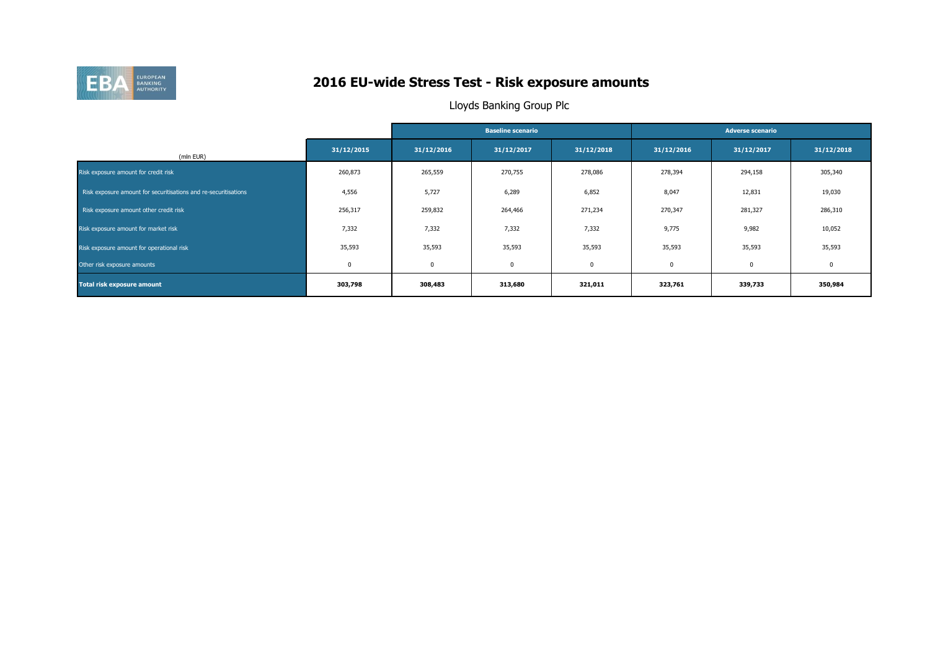

## **2016 EU-wide Stress Test - Risk exposure amounts**

|                                                                 |             |            | <b>Baseline scenario</b> |            | <b>Adverse scenario</b> |             |            |  |  |
|-----------------------------------------------------------------|-------------|------------|--------------------------|------------|-------------------------|-------------|------------|--|--|
| (mln EUR)                                                       | 31/12/2015  | 31/12/2016 | 31/12/2017               | 31/12/2018 | 31/12/2016              | 31/12/2017  | 31/12/2018 |  |  |
| Risk exposure amount for credit risk                            | 260,873     | 265,559    | 270,755                  | 278,086    | 278,394                 | 294,158     | 305,340    |  |  |
| Risk exposure amount for securitisations and re-securitisations | 4,556       | 5,727      | 6,289                    | 6,852      | 8,047                   | 12,831      | 19,030     |  |  |
| Risk exposure amount other credit risk                          | 256,317     | 259,832    | 264,466                  | 271,234    | 270,347                 | 281,327     | 286,310    |  |  |
| Risk exposure amount for market risk                            | 7,332       | 7,332      | 7,332                    | 7,332      | 9,775                   | 9,982       | 10,052     |  |  |
| Risk exposure amount for operational risk                       | 35,593      | 35,593     | 35,593                   | 35,593     | 35,593                  | 35,593      | 35,593     |  |  |
| Other risk exposure amounts                                     | $\mathbf 0$ |            |                          | 0          | 0                       | $\mathbf 0$ | 0          |  |  |
| <b>Total risk exposure amount</b>                               | 303,798     | 308,483    | 313,680                  | 321,011    | 323,761                 | 339,733     | 350,984    |  |  |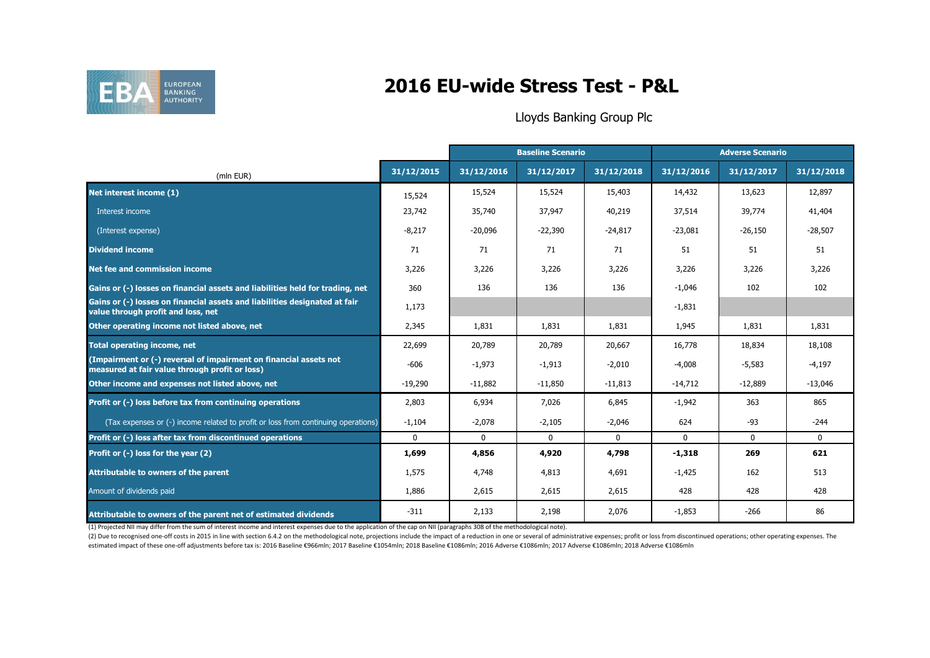

# **2016 EU-wide Stress Test - P&L**

### Lloyds Banking Group Plc

|                                                                                                                     |              | <b>Baseline Scenario</b> |              | <b>Adverse Scenario</b> |              |              |              |
|---------------------------------------------------------------------------------------------------------------------|--------------|--------------------------|--------------|-------------------------|--------------|--------------|--------------|
| (mln EUR)                                                                                                           | 31/12/2015   | 31/12/2016               | 31/12/2017   | 31/12/2018              | 31/12/2016   | 31/12/2017   | 31/12/2018   |
| Net interest income (1)                                                                                             | 15,524       | 15,524                   | 15,524       | 15,403                  | 14,432       | 13,623       | 12,897       |
| Interest income                                                                                                     | 23,742       | 35,740                   | 37,947       | 40,219                  | 37,514       | 39,774       | 41,404       |
| (Interest expense)                                                                                                  | $-8,217$     | $-20,096$                | $-22,390$    | $-24,817$               | $-23,081$    | $-26,150$    | $-28,507$    |
| <b>Dividend income</b>                                                                                              | 71           | 71                       | 71           | 71                      | 51           | 51           | 51           |
| <b>Net fee and commission income</b>                                                                                | 3,226        | 3,226                    | 3,226        | 3,226                   | 3,226        | 3,226        | 3,226        |
| Gains or (-) losses on financial assets and liabilities held for trading, net                                       | 360          | 136                      | 136          | 136                     | $-1,046$     | 102          | 102          |
| Gains or (-) losses on financial assets and liabilities designated at fair<br>value through profit and loss, net    | 1,173        |                          |              |                         | $-1,831$     |              |              |
| Other operating income not listed above, net                                                                        | 2,345        | 1,831                    | 1,831        | 1,831                   | 1,945        | 1,831        | 1,831        |
| <b>Total operating income, net</b>                                                                                  | 22,699       | 20,789                   | 20,789       | 20,667                  | 16,778       | 18,834       | 18,108       |
| (Impairment or (-) reversal of impairment on financial assets not<br>measured at fair value through profit or loss) | $-606$       | $-1,973$                 | $-1,913$     | $-2,010$                | $-4,008$     | $-5,583$     | $-4,197$     |
| Other income and expenses not listed above, net                                                                     | $-19,290$    | $-11,882$                | $-11,850$    | $-11,813$               | $-14,712$    | $-12,889$    | $-13,046$    |
| Profit or (-) loss before tax from continuing operations                                                            | 2,803        | 6,934                    | 7,026        | 6,845                   | $-1,942$     | 363          | 865          |
| (Tax expenses or (-) income related to profit or loss from continuing operations)                                   | $-1,104$     | $-2,078$                 | $-2,105$     | $-2,046$                | 624          | $-93$        | $-244$       |
| Profit or (-) loss after tax from discontinued operations                                                           | $\mathbf{0}$ | $\mathbf{0}$             | $\mathbf{0}$ | $\mathbf{0}$            | $\mathbf{0}$ | $\mathbf{0}$ | $\mathbf{0}$ |
| Profit or (-) loss for the year (2)                                                                                 | 1,699        | 4,856                    | 4,920        | 4,798                   | $-1,318$     | 269          | 621          |
| Attributable to owners of the parent                                                                                | 1,575        | 4,748                    | 4,813        | 4,691                   | $-1,425$     | 162          | 513          |
| Amount of dividends paid                                                                                            | 1,886        | 2,615                    | 2,615        | 2,615                   | 428          | 428          | 428          |
| Attributable to owners of the parent net of estimated dividends                                                     | $-311$       | 2,133                    | 2,198        | 2,076                   | $-1,853$     | $-266$       | 86           |

(1) Projected NII may differ from the sum of interest income and interest expenses due to the application of the cap on NII (paragraphs 308 of the methodological note).

(2) Due to recognised one-off costs in 2015 in line with section 6.4.2 on the methodological note, projections include the impact of a reduction in one or several of administrative expenses; profit or loss from discontinue estimated impact of these one-off adjustments before tax is: 2016 Baseline €966mln; 2017 Baseline €1054mln; 2018 Baseline €1086mln; 2016 Adverse €1086mln; 2017 Adverse €1086mln; 2018 Adverse €1086mln; 2018 Adverse €1086ml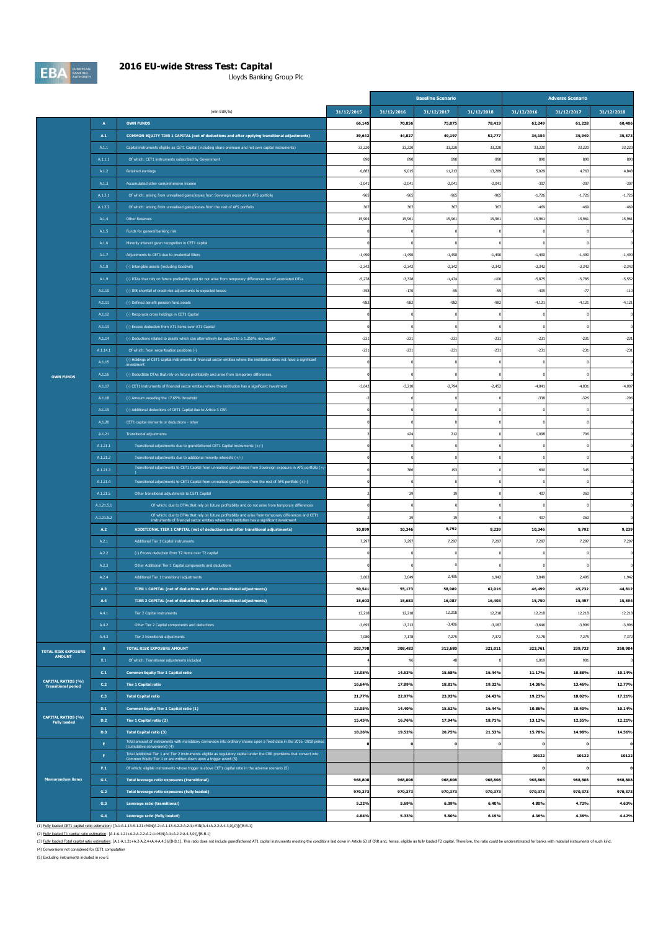

### **2016 EU-wide Stress Test: Capital**

Lloyds Banking Group Plc

|                                                         |                         |                                                                                                                                                                                                                                                                                   |                      | <b>Baseline Scenario</b> |                      |                      | <b>Adverse Scenario</b> |                      |                      |
|---------------------------------------------------------|-------------------------|-----------------------------------------------------------------------------------------------------------------------------------------------------------------------------------------------------------------------------------------------------------------------------------|----------------------|--------------------------|----------------------|----------------------|-------------------------|----------------------|----------------------|
|                                                         |                         | (mln EUR,%)                                                                                                                                                                                                                                                                       | 31/12/2015           | 31/12/2016               | 31/12/2017           | 31/12/2018           | 31/12/2016              | 31/12/2017           | 31/12/2018           |
|                                                         | $\blacktriangle$        | <b>OWN FUNDS</b>                                                                                                                                                                                                                                                                  | 66,145               | 70,856                   | 75,075               | 78,419               | 62,249                  | 61,228               | 60,406               |
|                                                         | $\mathbf{A.1}$          | COMMON EQUITY TIER 1 CAPITAL (net of deductions and after applying transitional adjustments)                                                                                                                                                                                      | 39,642               | 44,827                   | 49,197               | 52,777               | 36,154                  | 35,940               | 35,573               |
|                                                         | A.1.1                   | Capital instruments eligible as CET1 Capital (including share premium and net own capital instruments)                                                                                                                                                                            | 33,220               | 33,220                   | 33,220               | 33,220               | 33,220                  | 33,220               | 33,220               |
|                                                         | A.1.1.1                 | Of which: CET1 instruments subscribed by Government                                                                                                                                                                                                                               | 890                  | 890                      | 890                  | 890                  | 890                     | 890                  | 890                  |
|                                                         | A.1.2                   | <b>Retained earnings</b>                                                                                                                                                                                                                                                          | 6,882                | 9,015                    | 11,213               | 13.28                | 5,029                   | 4,763                | 4,848                |
|                                                         | A.1.3                   | Accumulated other comprehensive income                                                                                                                                                                                                                                            | $-2,041$             | $-2,041$                 | $-2,041$             | $-2,041$             | $-307$                  | $-307$               | $-307$               |
|                                                         | A.1.3.1                 | Of which: arising from unrealised gains/losses from Sovereign exposure in AFS portfolio                                                                                                                                                                                           | $-965$               | $-965$                   | $-965$               | $-965$               | $-1,726$                | $-1,726$             | $-1,726$             |
|                                                         | A.1.3.2                 | Of which: arising from unrealised gains/losses from the rest of AFS portfolio                                                                                                                                                                                                     | 367                  | 367                      | 367                  | 367                  | $-469$                  | $-469$               | $-469$               |
|                                                         | A.1.4                   | Other Reserves                                                                                                                                                                                                                                                                    | 15,904               | 15,961                   | 15,961               | 15,961               | 15,961                  | 15,961               | 15,961               |
|                                                         | A.1.5                   | Funds for general banking risk                                                                                                                                                                                                                                                    |                      |                          |                      |                      |                         |                      |                      |
|                                                         | A.1.6                   | Minority interest given recognition in CET1 capital                                                                                                                                                                                                                               |                      |                          |                      |                      |                         |                      |                      |
|                                                         | A.1.7<br>A.1.8          | Adjustments to CET1 due to prudential filters                                                                                                                                                                                                                                     | $-1,490$<br>$-2,342$ | $-1,490$<br>$-2,342$     | $-1,490$<br>$-2,342$ | $-1,490$<br>$-2,342$ | $-1,490$<br>$-2,342$    | $-1,490$<br>$-2,342$ | $-1,490$<br>$-2,342$ |
|                                                         | A.1.9                   | (-) Intangible assets (including Goodwill)                                                                                                                                                                                                                                        | $-5,278$             | $-3.328$                 | $-1.474$             | $-100$               | $-5.875$                | $-5,785$             | $-5.552$             |
|                                                         | A.1.10                  | (-) DTAs that rely on future profitability and do not arise from temporary differences net of associated DTLs<br>(-) IRB shortfall of credit risk adjustments to expected losses                                                                                                  | $-358$               | $-170$                   | $-55$                | $-55$                | $-409$                  | $-77$                | $-110$               |
|                                                         | A.1.11                  | (-) Defined benefit pension fund assets                                                                                                                                                                                                                                           | $-982$               | $-982$                   | $-982$               | $-982$               | $-4,121$                | $-4,121$             | $-4,121$             |
|                                                         | A.1.12                  | (-) Reciprocal cross holdings in CET1 Capital                                                                                                                                                                                                                                     |                      |                          |                      |                      |                         |                      |                      |
|                                                         | A.1.13                  | (-) Excess deduction from AT1 items over AT1 Capital                                                                                                                                                                                                                              |                      |                          |                      |                      |                         |                      |                      |
|                                                         | A.1.14                  | (-) Deductions related to assets which can alternatively be subject to a 1.250% risk weight                                                                                                                                                                                       | $-231$               | $-231$                   | $-231$               | $-231$               | $-231$                  | $-231$               | $-231$               |
|                                                         | A.1.14.1                | Of which: from securitisation positions (-)                                                                                                                                                                                                                                       | $-231$               | $-231$                   | $-231$               | $-23$                | $-231$                  | $-231$               | $-231$               |
|                                                         | A.1.15                  | (-) Holdings of CET1 capital instruments of financial sector entities where the institution does not have a significant                                                                                                                                                           |                      |                          |                      |                      |                         |                      |                      |
| <b>OWN FUNDS</b>                                        | A.1.16                  | (-) Deductible DTAs that rely on future profitability and arise from temporary differences                                                                                                                                                                                        |                      |                          |                      |                      |                         |                      |                      |
|                                                         | A.1.17                  | (-) CET1 instruments of financial sector entities where the institution has a significant investment                                                                                                                                                                              | $-3,64$              | $-3,210$                 | $-2,794$             | $-2,452$             | $-4,041$                | $-4,031$             | $-4,007$             |
|                                                         | A.1.18                  | (-) Amount exceding the 17.65% threshold                                                                                                                                                                                                                                          |                      |                          |                      |                      | $-338$                  | $-326$               | $-296$               |
|                                                         | A.1.19                  | (-) Additional deductions of CET1 Capital due to Article 3 CRR                                                                                                                                                                                                                    |                      |                          |                      |                      |                         |                      |                      |
|                                                         | A.1.20                  | CET1 capital elements or deductions - other                                                                                                                                                                                                                                       |                      |                          |                      |                      |                         |                      |                      |
|                                                         | A.1.21                  | <b>Transitional adjustments</b>                                                                                                                                                                                                                                                   |                      | 424                      | 212                  |                      | 1,098                   | 706                  |                      |
|                                                         | A.1.21.1                | Transitional adjustments due to grandfathered CET1 Capital instruments (+/-)                                                                                                                                                                                                      |                      |                          |                      |                      |                         |                      |                      |
|                                                         | A.1.21.2                | Transitional adjustments due to additional minority interests (+/-)                                                                                                                                                                                                               |                      |                          |                      |                      |                         |                      |                      |
|                                                         | A.1.21.3                | Transitional adjustments to CET1 Capital from unrealised gains/losses from Sovereign exposure in AFS portfolio (+/                                                                                                                                                                |                      | 386                      | 193                  |                      | 690                     | 345                  |                      |
|                                                         | A.1.21.4                | Transitional adjustments to CET1 Capital from unrealised gains/losses from the rest of AFS portfolio (+/-)                                                                                                                                                                        |                      |                          |                      |                      |                         |                      |                      |
|                                                         | A.1.21.5                | Other transitional adjustments to CET1 Capital                                                                                                                                                                                                                                    |                      | 39                       | 19                   |                      | 407                     | 360                  |                      |
|                                                         | A.1.21.5.1              | Of which: due to DTAs that rely on future profitability and do not arise from temporary differences<br>Of which: due to DTAs that rely on future profitability and arise from temporary differences and CET1                                                                      |                      |                          |                      |                      |                         |                      |                      |
|                                                         | A.1.21.5.2              | instruments of financial sector entities where the institution has a significant investment                                                                                                                                                                                       |                      | 39                       | 19                   |                      | 407                     | 360                  |                      |
|                                                         | A.2<br>A.2.1            | ADDITIONAL TIER 1 CAPITAL (net of deductions and after transitional adjustments)                                                                                                                                                                                                  | 10,899<br>7,297      | 10,346                   | 9,792<br>7,297       | 9,239                | 10,346<br>7,297         | 9,792<br>7,297       | 9,239                |
|                                                         | A.2.2                   | Additional Tier 1 Capital instruments<br>(-) Excess deduction from T2 items over T2 capital                                                                                                                                                                                       |                      | 7,297                    |                      | 7,297                |                         |                      | 7,297                |
|                                                         | A.2.3                   | Other Additional Tier 1 Capital components and deductions                                                                                                                                                                                                                         |                      |                          |                      |                      |                         |                      |                      |
|                                                         | A.2.4                   | Additional Tier 1 transitional adjustments                                                                                                                                                                                                                                        | 3,603                | 3.049                    | 2,495                | 1.942                | 3.049                   | 2.495                | 1.942                |
|                                                         | A.3                     | TIER 1 CAPITAL (net of deductions and after transitional adjustments)                                                                                                                                                                                                             | 50,541               | 55,173                   | 58,989               | 62,016               | 46,499                  | 45,732               | 44,812               |
|                                                         | A.4                     | TIER 2 CAPITAL (net of deductions and after transitional adjustments)                                                                                                                                                                                                             | 15,603               | 15,683                   | 16,087               | 16,403               | 15,750                  | 15,497               | 15,594               |
|                                                         | A.4.1                   | Tier 2 Capital instruments                                                                                                                                                                                                                                                        | 12,218               | 12,218                   | 12,218               | 12,218               | 12,218                  | 12,218               | 12,218               |
|                                                         | A.4.2                   | Other Tier 2 Capital components and deductions                                                                                                                                                                                                                                    | $-3,695$             | $-3,713$                 | $-3,406$             | $-3,187$             | $-3,646$                | $-3,996$             | $-3,996$             |
|                                                         | A.4.3                   | Tier 2 transitional adjustments                                                                                                                                                                                                                                                   | 7,080                | 7,178                    | 7,275                | 7,37                 | 7,178                   | 7,275                | 7,372                |
| <b>TOTAL RISK EXPOSURE</b>                              | B                       | <b>TOTAL RISK EXPOSURE AMOUNT</b>                                                                                                                                                                                                                                                 | 303,798              | 308,483                  | 313,680              | 321,011              | 323,761                 | 339,733              | 350,984              |
| <b>AMOUNT</b>                                           | B.1                     | Of which: Transitional adjustments included                                                                                                                                                                                                                                       |                      | 96                       | 48                   |                      | 1,019                   | 901                  |                      |
|                                                         | $\mathsf{C.1}$          | <b>Common Equity Tier 1 Capital ratio</b>                                                                                                                                                                                                                                         | 13.05%               | 14.53%                   | 15.68%               | 16.44%               | 11.17%                  | 10.58%               | 10.14%               |
| <b>CAPITAL RATIOS (%)</b><br><b>Transitional period</b> | C.2                     | <b>Tier 1 Capital ratio</b>                                                                                                                                                                                                                                                       | 16.64%               | 17.89%                   | 18.81%               | 19.32%               | 14.36%                  | 13.46%               | 12.77%               |
|                                                         | C.3                     | <b>Total Capital ratio</b>                                                                                                                                                                                                                                                        | 21.77%               | 22.97%                   | 23.93%               | 24.43%               | 19.23%                  | 18.02%               | 17.21%               |
|                                                         | D.1                     | Common Equity Tier 1 Capital ratio (1)                                                                                                                                                                                                                                            | 13.05%               | 14.40%                   | 15.62%               | 16.44%               | 10.86%                  | 10.40%               | 10.14%               |
| <b>CAPITAL RATIOS (%)</b><br><b>Fully loaded</b>        | D.2                     | Tier 1 Capital ratio (2)                                                                                                                                                                                                                                                          | 15.45%               | 16.76%                   | 17.94%               | 18.71%               | 13.12%                  | 12.55%               | 12.21%               |
|                                                         | D.3                     | <b>Total Capital ratio (3)</b>                                                                                                                                                                                                                                                    | 18.26%               | 19.52%                   | 20.75%               | 21.53%               | 15.78%                  | 14.98%               | 14.56%               |
|                                                         | $\mathsf E$             | Total amount of instruments with mandatory conversion into ordinary shares upon a fixed date in the 2016 -2018 period<br>(cumulative conversions) (4)<br>Total Additional Tier 1 and Tier 2 instruments eligible as regulatory capital under the CRR provisions that convert into |                      | $\mathbf{o}$             | o                    |                      |                         |                      | $\mathbf{o}$         |
|                                                         | F.                      | Common Equity Tier 1 or are written down upon a trigger event (5)                                                                                                                                                                                                                 |                      |                          |                      |                      | 10122                   | 10122                | 10122                |
|                                                         | ${\sf F.1}$             | Of which: eligible instruments whose trigger is above CET1 capital ratio in the adverse scenario (5)                                                                                                                                                                              |                      |                          |                      |                      |                         |                      | $\Omega$             |
| <b>Memorandum items</b>                                 | $\mathsf{G}.\mathsf{1}$ | Total leverage ratio exposures (transitional)                                                                                                                                                                                                                                     | 968,808              | 968,808                  | 968,808              | 968,808              | 968,808                 | 968,808              | 968,808              |
|                                                         | $\,$ G.2 $\,$<br>G.3    | Total leverage ratio exposures (fully loaded)                                                                                                                                                                                                                                     | 970,373<br>5.22%     | 970,373<br>5.69%         | 970,373<br>6.09%     | 970,373<br>6.40%     | 970,373<br>4.80%        | 970,373<br>4.72%     | 970,373<br>4.63%     |
|                                                         | G.4                     | Leverage ratio (transitional)<br>Leverage ratio (fully loaded)                                                                                                                                                                                                                    | 4.84%                | 5.33%                    | 5.80%                | 6.19%                | 4.36%                   | 4.38%                | 4.42%                |
|                                                         |                         |                                                                                                                                                                                                                                                                                   |                      |                          |                      |                      |                         |                      |                      |

(1) <u>Fully baded CET capital ratio estimation</u>: [A.1-A.1.13-A.1.1-MIN(A2+A.1.13-A.2.2-A.24-MIN(A4+A.2-A4-3,0),0))/[B-B.1]<br>(2) <u>Fully baded T1 capital ratio estimation:</u> [A.1-A.1.21-A.2-A.2-A.4-MIN(A4+A.2-A-4.3,0)/[B-B.1]<br>(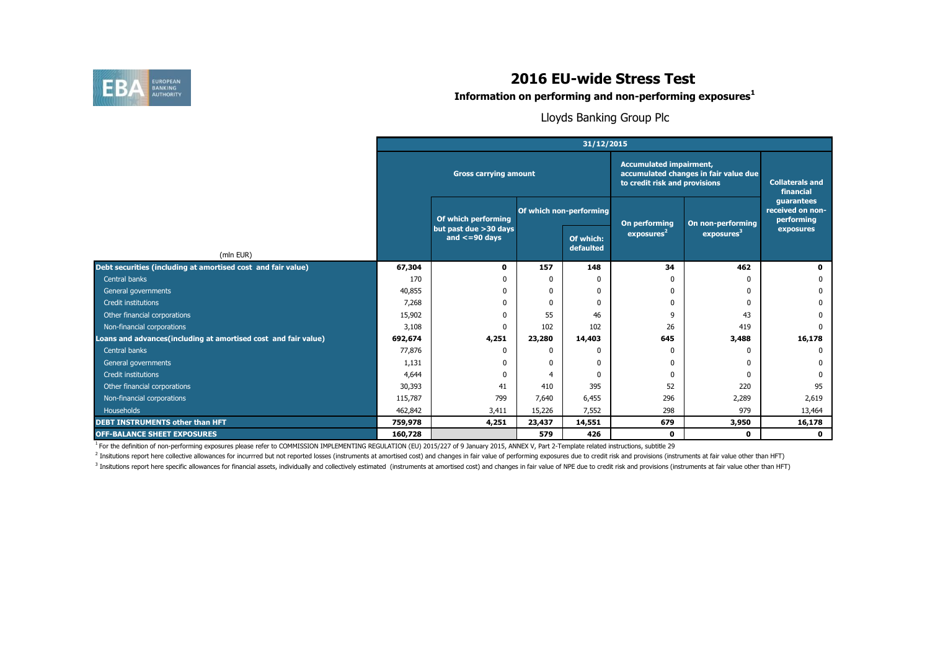

**Information on performing and non-performing exposures<sup>1</sup>**

Lloyds Banking Group Plc

|                                                                | 31/12/2015 |                                               |                         |                                                                                                          |                                     |                        |                                              |  |  |
|----------------------------------------------------------------|------------|-----------------------------------------------|-------------------------|----------------------------------------------------------------------------------------------------------|-------------------------------------|------------------------|----------------------------------------------|--|--|
|                                                                |            | <b>Gross carrying amount</b>                  |                         | <b>Accumulated impairment,</b><br>accumulated changes in fair value due<br>to credit risk and provisions | <b>Collaterals and</b><br>financial |                        |                                              |  |  |
|                                                                |            | Of which performing                           | Of which non-performing |                                                                                                          | On performing                       | On non-performing      | quarantees<br>received on non-<br>performing |  |  |
| (mln EUR)                                                      |            | but past due > 30 days<br>and $\leq$ =90 days |                         | Of which:<br>defaulted                                                                                   | exposures <sup>2</sup>              | exposures <sup>3</sup> | exposures                                    |  |  |
| Debt securities (including at amortised cost and fair value)   | 67,304     | 0                                             | 157                     | 148                                                                                                      | 34                                  | 462                    | n.                                           |  |  |
| Central banks                                                  | 170        |                                               | $\Omega$                |                                                                                                          | ŋ                                   | <sup>0</sup>           |                                              |  |  |
| General governments                                            | 40,855     |                                               | $\mathbf{0}$            |                                                                                                          | ŋ                                   | <sup>0</sup>           |                                              |  |  |
| Credit institutions                                            | 7,268      |                                               | $\mathbf{0}$            |                                                                                                          | ŋ                                   |                        |                                              |  |  |
| Other financial corporations                                   | 15,902     |                                               | 55                      | 46                                                                                                       | 9                                   | 43                     |                                              |  |  |
| Non-financial corporations                                     | 3,108      | $\Omega$                                      | 102                     | 102                                                                                                      | 26                                  | 419                    |                                              |  |  |
| Loans and advances(including at amortised cost and fair value) | 692,674    | 4,251                                         | 23,280                  | 14,403                                                                                                   | 645                                 | 3,488                  | 16,178                                       |  |  |
| Central banks                                                  | 77,876     |                                               | $\mathbf{0}$            |                                                                                                          | 0                                   | <sup>0</sup>           |                                              |  |  |
| General governments                                            | 1,131      |                                               | $\mathbf{0}$            | n                                                                                                        | 0                                   | 0                      |                                              |  |  |
| Credit institutions                                            | 4,644      |                                               | 4                       |                                                                                                          | ŋ                                   |                        |                                              |  |  |
| Other financial corporations                                   | 30,393     | 41                                            | 410                     | 395                                                                                                      | 52                                  | 220                    | 95                                           |  |  |
| Non-financial corporations                                     | 115,787    | 799                                           | 7,640                   | 6,455                                                                                                    | 296                                 | 2,289                  | 2,619                                        |  |  |
| <b>Households</b>                                              | 462,842    | 3,411                                         | 15,226                  | 7,552                                                                                                    | 298                                 | 979                    | 13,464                                       |  |  |
| <b>DEBT INSTRUMENTS other than HFT</b>                         | 759,978    | 4,251                                         | 23,437                  | 14,551                                                                                                   | 679                                 | 3,950                  | 16,178                                       |  |  |
| <b>OFF-BALANCE SHEET EXPOSURES</b>                             | 160,728    |                                               | 579                     | 426                                                                                                      | 0                                   | $\mathbf{0}$           | $\mathbf{0}$                                 |  |  |

<sup>1</sup> For the definition of non-performing exposures please refer to COMMISSION IMPLEMENTING REGULATION (EU) 2015/227 of 9 January 2015, ANNEX V, Part 2-Template related instructions, subtitle 29

<sup>2</sup> Insitutions report here collective allowances for incurrred but not reported losses (instruments at amortised cost) and changes in fair value of performing exposures due to credit risk and provisions (instruments at fa

<sup>3</sup> Insitutions report here specific allowances for financial assets, individually and collectively estimated (instruments at amortised cost) and changes in fair value of NPE due to credit risk and provisions (instruments